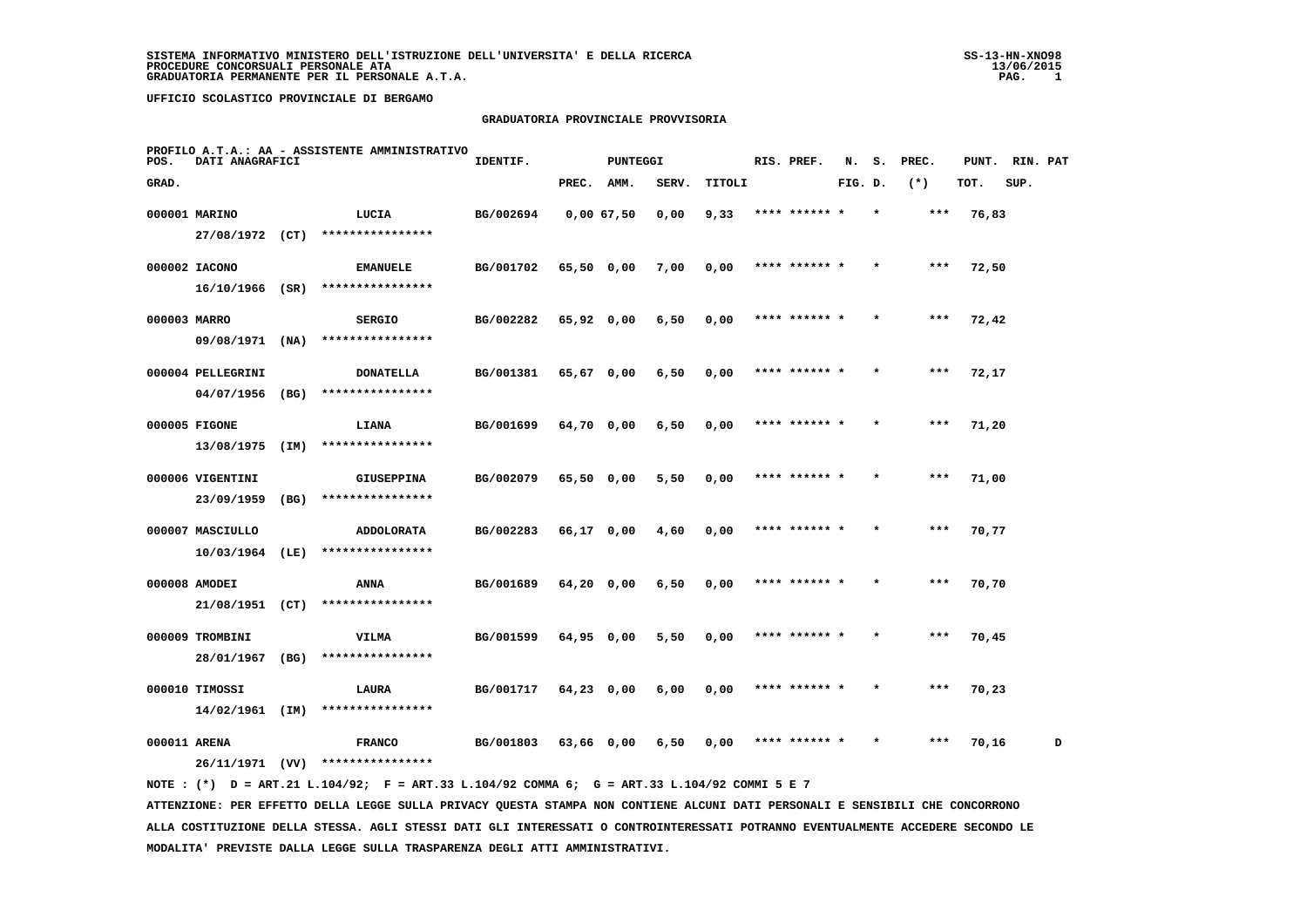#### **GRADUATORIA PROVINCIALE PROVVISORIA**

| POS.         | DATI ANAGRAFICI   |      | PROFILO A.T.A.: AA - ASSISTENTE AMMINISTRATIVO                                               | IDENTIF.  |              | <b>PUNTEGGI</b> |       |        | RIS. PREF.    |         | N. S.   | PREC. | PUNT. RIN. PAT |      |   |
|--------------|-------------------|------|----------------------------------------------------------------------------------------------|-----------|--------------|-----------------|-------|--------|---------------|---------|---------|-------|----------------|------|---|
| GRAD.        |                   |      |                                                                                              |           | PREC. AMM.   |                 | SERV. | TITOLI |               | FIG. D. |         | $(*)$ | TOT.           | SUP. |   |
|              | 000001 MARINO     |      | LUCIA                                                                                        | BG/002694 |              | 0,0067,50       | 0,00  | 9,33   | **** ****** * |         |         | ***   | 76,83          |      |   |
|              |                   |      | 27/08/1972 (CT) ****************                                                             |           |              |                 |       |        |               |         |         |       |                |      |   |
|              | 000002 IACONO     |      | <b>EMANUELE</b>                                                                              | BG/001702 | 65,50 0,00   |                 | 7,00  | 0,00   | **** ****** * |         |         | ***   | 72,50          |      |   |
|              | $16/10/1966$ (SR) |      | ****************                                                                             |           |              |                 |       |        |               |         |         |       |                |      |   |
| 000003 MARRO |                   |      | <b>SERGIO</b>                                                                                | BG/002282 | 65,92 0,00   |                 | 6,50  | 0,00   | **** ****** * |         |         | $***$ | 72,42          |      |   |
|              | 09/08/1971 (NA)   |      | ****************                                                                             |           |              |                 |       |        |               |         |         |       |                |      |   |
|              | 000004 PELLEGRINI |      | <b>DONATELLA</b>                                                                             | BG/001381 | 65,67 0,00   |                 | 6,50  | 0,00   | **** ****** * |         |         | $***$ | 72,17          |      |   |
|              | 04/07/1956        | (BG) | ****************                                                                             |           |              |                 |       |        |               |         |         |       |                |      |   |
|              | 000005 FIGONE     |      | LIANA                                                                                        | BG/001699 | 64,70 0,00   |                 | 6,50  | 0,00   | **** ******   |         |         |       | 71,20          |      |   |
|              | 13/08/1975 (IM)   |      | ****************                                                                             |           |              |                 |       |        |               |         |         |       |                |      |   |
|              | 000006 VIGENTINI  |      | <b>GIUSEPPINA</b>                                                                            | BG/002079 | 65,50 0,00   |                 | 5,50  | 0,00   | **** ****** * |         |         | $***$ | 71,00          |      |   |
|              | 23/09/1959        | (BG) | ****************                                                                             |           |              |                 |       |        |               |         |         |       |                |      |   |
|              | 000007 MASCIULLO  |      | <b>ADDOLORATA</b>                                                                            | BG/002283 | 66,17 0,00   |                 | 4,60  | 0,00   | **** ****** * |         |         | ***   | 70,77          |      |   |
|              | $10/03/1964$ (LE) |      | ****************                                                                             |           |              |                 |       |        |               |         |         |       |                |      |   |
|              | 000008 AMODEI     |      | <b>ANNA</b>                                                                                  | BG/001689 | 64,20 0,00   |                 | 6,50  | 0,00   | **** ****** * |         |         | $***$ | 70,70          |      |   |
|              | 21/08/1951 (CT)   |      | ****************                                                                             |           |              |                 |       |        |               |         |         |       |                |      |   |
|              | 000009 TROMBINI   |      | VILMA                                                                                        | BG/001599 | $64,95$ 0,00 |                 | 5,50  | 0,00   | **** ****** * |         |         | $***$ | 70,45          |      |   |
|              | 28/01/1967 (BG)   |      | ****************                                                                             |           |              |                 |       |        |               |         |         |       |                |      |   |
|              | 000010 TIMOSSI    |      | LAURA                                                                                        | BG/001717 | $64,23$ 0,00 |                 | 6,00  | 0,00   | **** ****** * |         |         | $***$ | 70,23          |      |   |
|              | 14/02/1961 (IM)   |      | ****************                                                                             |           |              |                 |       |        |               |         |         |       |                |      |   |
| 000011 ARENA |                   |      | <b>FRANCO</b>                                                                                | BG/001803 | 63,66 0,00   |                 | 6,50  | 0,00   | **** ****** * |         | $\star$ | ***   | 70,16          |      | D |
|              |                   |      | 26/11/1971 (VV) ****************                                                             |           |              |                 |       |        |               |         |         |       |                |      |   |
|              |                   |      | NOTE : (*) D = ART.21 L.104/92; F = ART.33 L.104/92 COMMA 6; G = ART.33 L.104/92 COMMI 5 E 7 |           |              |                 |       |        |               |         |         |       |                |      |   |

 **ATTENZIONE: PER EFFETTO DELLA LEGGE SULLA PRIVACY QUESTA STAMPA NON CONTIENE ALCUNI DATI PERSONALI E SENSIBILI CHE CONCORRONO ALLA COSTITUZIONE DELLA STESSA. AGLI STESSI DATI GLI INTERESSATI O CONTROINTERESSATI POTRANNO EVENTUALMENTE ACCEDERE SECONDO LE MODALITA' PREVISTE DALLA LEGGE SULLA TRASPARENZA DEGLI ATTI AMMINISTRATIVI.**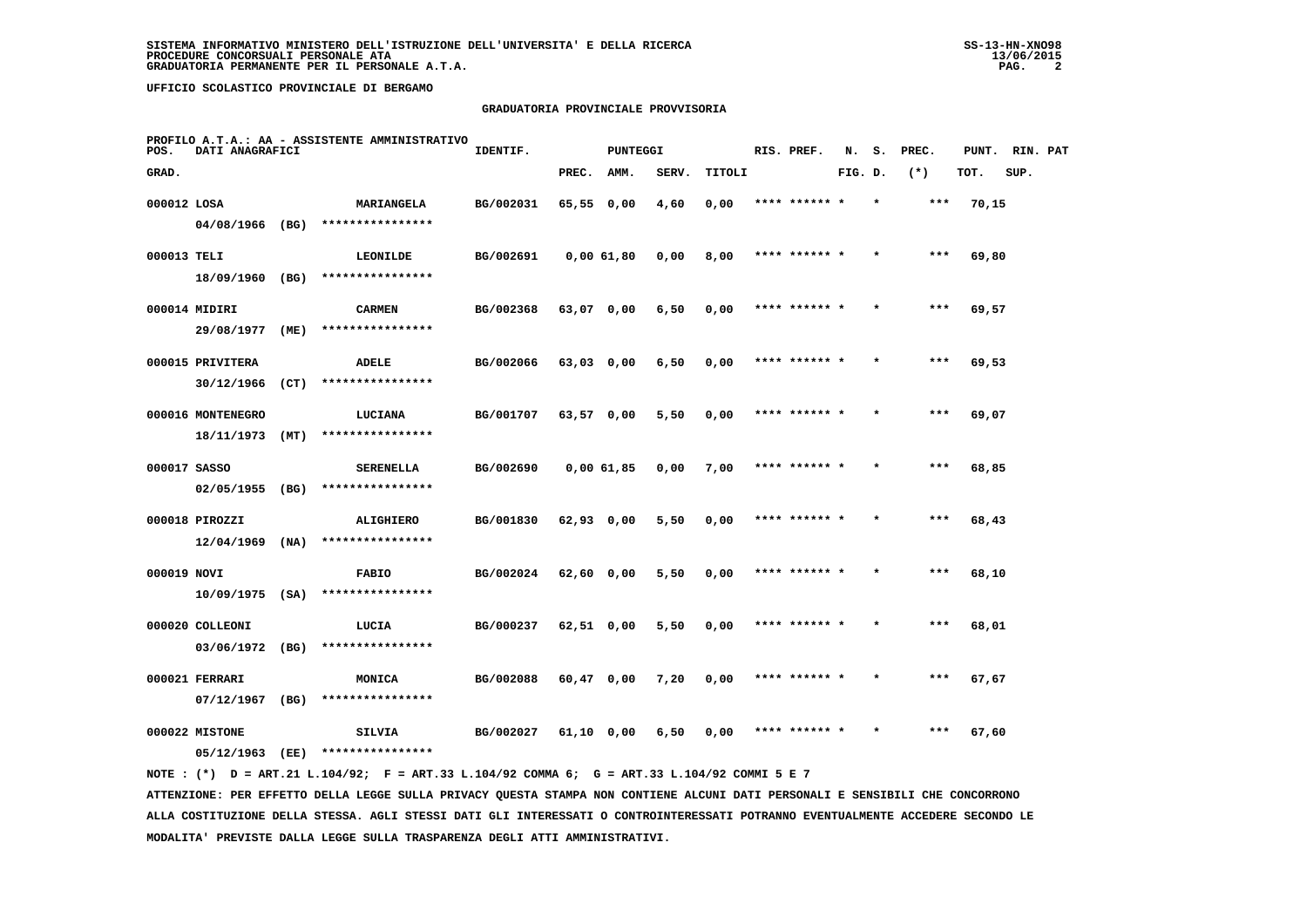### **GRADUATORIA PROVINCIALE PROVVISORIA**

| POS.         | DATI ANAGRAFICI                     |      | PROFILO A.T.A.: AA - ASSISTENTE AMMINISTRATIVO | IDENTIF.  |              | <b>PUNTEGGI</b> |       |        | RIS. PREF.    | N.      | s. | PREC. | PUNT. | RIN. PAT |  |
|--------------|-------------------------------------|------|------------------------------------------------|-----------|--------------|-----------------|-------|--------|---------------|---------|----|-------|-------|----------|--|
| GRAD.        |                                     |      |                                                |           | PREC.        | AMM.            | SERV. | TITOLI |               | FIG. D. |    | $(*)$ | TOT.  | SUP.     |  |
| 000012 LOSA  |                                     |      | <b>MARIANGELA</b>                              | BG/002031 | 65,55 0,00   |                 | 4,60  | 0,00   | **** ****** * |         |    | $***$ | 70,15 |          |  |
|              | 04/08/1966 (BG)                     |      | ****************                               |           |              |                 |       |        |               |         |    |       |       |          |  |
| 000013 TELI  | 18/09/1960 (BG)                     |      | LEONILDE<br>****************                   | BG/002691 |              | 0,0061,80       | 0,00  | 8,00   | **** ****** * |         |    | ***   | 69,80 |          |  |
|              | 000014 MIDIRI                       |      | <b>CARMEN</b>                                  | BG/002368 | 63,07 0,00   |                 | 6,50  | 0,00   | **** ****** * |         |    | $***$ | 69,57 |          |  |
|              | 29/08/1977                          | (ME) | ****************                               |           |              |                 |       |        |               |         |    |       |       |          |  |
|              | 000015 PRIVITERA                    |      | ADELE                                          | BG/002066 | $63,03$ 0,00 |                 | 6,50  | 0,00   | **** ****** * |         |    | ***   | 69,53 |          |  |
|              | 30/12/1966                          | (CT) | ****************                               |           |              |                 |       |        |               |         |    |       |       |          |  |
|              | 000016 MONTENEGRO<br>18/11/1973     | (MT) | LUCIANA<br>****************                    | BG/001707 | 63,57 0,00   |                 | 5,50  | 0,00   | **** ****** * |         |    | $***$ | 69,07 |          |  |
| 000017 SASSO |                                     |      | <b>SERENELLA</b>                               | BG/002690 |              | 0,0061,85       | 0,00  | 7,00   | **** ****** * |         |    | $***$ | 68,85 |          |  |
|              | $02/05/1955$ (BG)                   |      | ****************                               |           |              |                 |       |        |               |         |    |       |       |          |  |
|              | 000018 PIROZZI<br>$12/04/1969$ (NA) |      | ALIGHIERO<br>****************                  | BG/001830 | 62,93 0,00   |                 | 5,50  | 0,00   | **** ****** * |         |    | $***$ | 68,43 |          |  |
| 000019 NOVI  |                                     |      |                                                | BG/002024 |              |                 | 5,50  |        | **** ******   |         |    | ***   |       |          |  |
|              | $10/09/1975$ (SA)                   |      | <b>FABIO</b><br>****************               |           | 62,60 0,00   |                 |       | 0,00   |               |         |    |       | 68,10 |          |  |
|              | 000020 COLLEONI                     |      | LUCIA                                          | BG/000237 | $62,51$ 0,00 |                 | 5,50  | 0,00   | **** ****** * |         |    | ***   | 68,01 |          |  |
|              | 03/06/1972 (BG)                     |      | ****************                               |           |              |                 |       |        |               |         |    |       |       |          |  |
|              | 000021 FERRARI<br>07/12/1967        | (BG) | MONICA<br>****************                     | BG/002088 | $60,47$ 0,00 |                 | 7,20  | 0,00   | **** ****** * |         |    | $***$ | 67,67 |          |  |
|              | 000022 MISTONE                      |      | <b>SILVIA</b>                                  | BG/002027 |              |                 | 6,50  | 0,00   | **** ****** * |         |    | ***   | 67,60 |          |  |
|              | 05/12/1963                          | (EE) | ****************                               |           | 61,10 0,00   |                 |       |        |               |         |    |       |       |          |  |
|              |                                     |      |                                                |           |              |                 |       |        |               |         |    |       |       |          |  |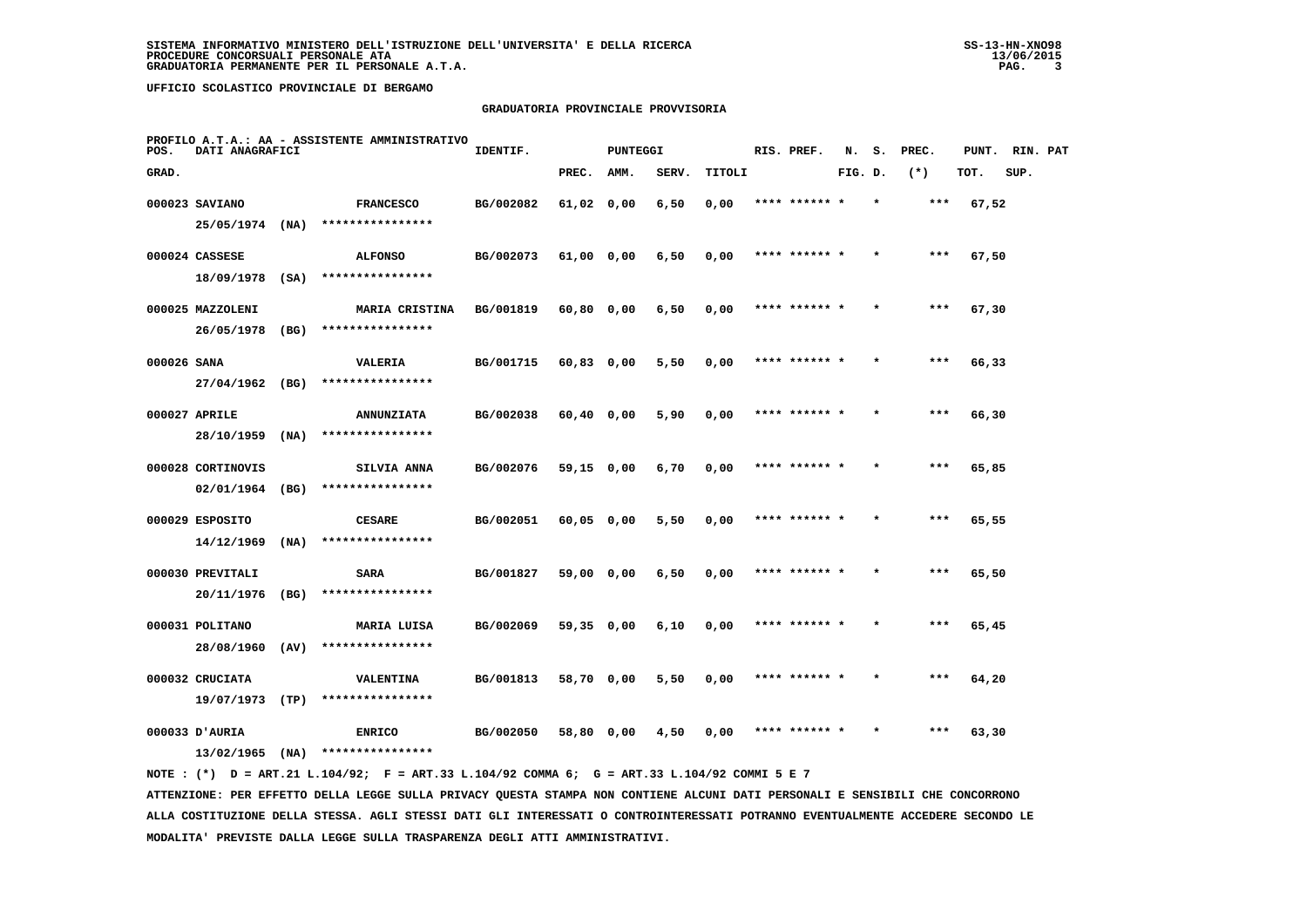### **GRADUATORIA PROVINCIALE PROVVISORIA**

| POS.        | DATI ANAGRAFICI   |      | PROFILO A.T.A.: AA - ASSISTENTE AMMINISTRATIVO | IDENTIF.  |              | <b>PUNTEGGI</b> |       |        | RIS. PREF.    | N.      | s.      | PREC.  | PUNT. | RIN. PAT |  |
|-------------|-------------------|------|------------------------------------------------|-----------|--------------|-----------------|-------|--------|---------------|---------|---------|--------|-------|----------|--|
| GRAD.       |                   |      |                                                |           | PREC.        | AMM.            | SERV. | TITOLI |               | FIG. D. |         | $(* )$ | TOT.  | SUP.     |  |
|             | 000023 SAVIANO    |      | <b>FRANCESCO</b>                               | BG/002082 | 61,02 0,00   |                 | 6,50  | 0,00   |               |         |         |        | 67,52 |          |  |
|             | 25/05/1974 (NA)   |      | ****************                               |           |              |                 |       |        |               |         |         |        |       |          |  |
|             | 000024 CASSESE    |      | <b>ALFONSO</b>                                 | BG/002073 | 61,00 0,00   |                 | 6,50  | 0,00   | **** ****** * |         |         | $***$  | 67,50 |          |  |
|             | 18/09/1978        | (SA) | ****************                               |           |              |                 |       |        |               |         |         |        |       |          |  |
|             | 000025 MAZZOLENI  |      | MARIA CRISTINA                                 | BG/001819 | 60,80 0,00   |                 | 6,50  | 0,00   | **** ****** * |         | $\star$ | ***    | 67,30 |          |  |
|             | 26/05/1978        | (BG) | ****************                               |           |              |                 |       |        |               |         |         |        |       |          |  |
| 000026 SANA |                   |      | <b>VALERIA</b>                                 | BG/001715 | $60,83$ 0,00 |                 | 5,50  | 0,00   | **** ****** * |         |         | $***$  | 66,33 |          |  |
|             | 27/04/1962 (BG)   |      | ****************                               |           |              |                 |       |        |               |         |         |        |       |          |  |
|             | 000027 APRILE     |      | <b>ANNUNZIATA</b>                              | BG/002038 | $60,40$ 0,00 |                 | 5,90  | 0,00   | **** ****** * |         |         | $***$  | 66,30 |          |  |
|             | 28/10/1959        | (NA) | ****************                               |           |              |                 |       |        |               |         |         |        |       |          |  |
|             | 000028 CORTINOVIS |      | SILVIA ANNA                                    | BG/002076 | 59,15 0,00   |                 | 6,70  | 0,00   | **** ******   |         |         | $***$  | 65,85 |          |  |
|             | 02/01/1964        | (BG) | ****************                               |           |              |                 |       |        |               |         |         |        |       |          |  |
|             | 000029 ESPOSITO   |      | <b>CESARE</b>                                  | BG/002051 | 60,05 0,00   |                 | 5,50  | 0,00   | **** ****** * |         |         | ***    | 65,55 |          |  |
|             | 14/12/1969        | (NA) | ****************                               |           |              |                 |       |        |               |         |         |        |       |          |  |
|             | 000030 PREVITALI  |      | <b>SARA</b>                                    | BG/001827 | 59,00 0,00   |                 | 6,50  | 0,00   | **** ****** * |         |         | ***    | 65,50 |          |  |
|             | 20/11/1976        | (BG) | ****************                               |           |              |                 |       |        |               |         |         |        |       |          |  |
|             | 000031 POLITANO   |      | MARIA LUISA                                    | BG/002069 | 59,35 0,00   |                 | 6,10  | 0,00   | **** ****** * |         |         | $***$  | 65,45 |          |  |
|             | 28/08/1960        | (AV) | ****************                               |           |              |                 |       |        |               |         |         |        |       |          |  |
|             | 000032 CRUCIATA   |      | <b>VALENTINA</b>                               | BG/001813 | 58,70 0,00   |                 | 5,50  | 0,00   | **** ****** * |         |         | $***$  | 64,20 |          |  |
|             | 19/07/1973        | (TP) | ****************                               |           |              |                 |       |        |               |         |         |        |       |          |  |
|             | 000033 D'AURIA    |      | <b>ENRICO</b>                                  | BG/002050 | 58,80 0,00   |                 | 4,50  | 0,00   | **** ****** * |         |         | ***    | 63,30 |          |  |
|             | 13/02/1965        | (NA) | ****************                               |           |              |                 |       |        |               |         |         |        |       |          |  |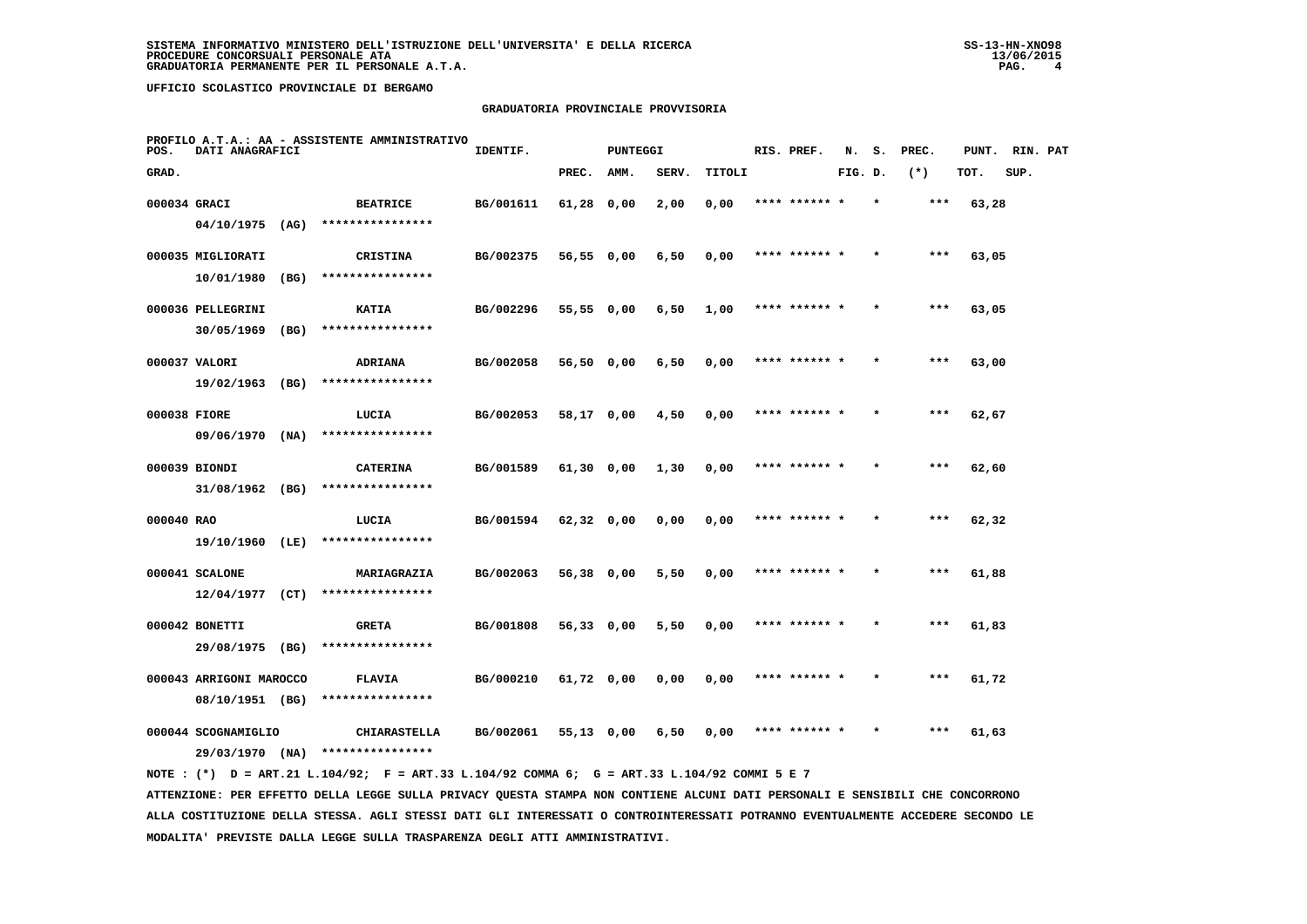### **GRADUATORIA PROVINCIALE PROVVISORIA**

| POS.         | DATI ANAGRAFICI         |      | PROFILO A.T.A.: AA - ASSISTENTE AMMINISTRATIVO | IDENTIF.  |              | <b>PUNTEGGI</b> |       |        | RIS. PREF.    | N.      | s.      | PREC. | PUNT. | RIN. PAT |  |
|--------------|-------------------------|------|------------------------------------------------|-----------|--------------|-----------------|-------|--------|---------------|---------|---------|-------|-------|----------|--|
| GRAD.        |                         |      |                                                |           | PREC.        | AMM.            | SERV. | TITOLI |               | FIG. D. |         | $(*)$ | TOT.  | SUP.     |  |
| 000034 GRACI |                         |      | <b>BEATRICE</b>                                | BG/001611 | 61,28 0,00   |                 | 2,00  | 0,00   | **** ****** * |         |         | ***   | 63,28 |          |  |
|              | 04/10/1975 (AG)         |      | ****************                               |           |              |                 |       |        |               |         |         |       |       |          |  |
|              | 000035 MIGLIORATI       |      | <b>CRISTINA</b>                                | BG/002375 | 56,55 0,00   |                 | 6,50  | 0,00   | **** ****** * |         |         | ***   | 63,05 |          |  |
|              | 10/01/1980 (BG)         |      | ****************                               |           |              |                 |       |        |               |         |         |       |       |          |  |
|              | 000036 PELLEGRINI       |      | <b>KATIA</b>                                   | BG/002296 | 55,55 0,00   |                 | 6,50  | 1,00   | **** ****** * |         |         | $***$ | 63,05 |          |  |
|              | $30/05/1969$ (BG)       |      | ****************                               |           |              |                 |       |        |               |         |         |       |       |          |  |
|              | 000037 VALORI           |      | <b>ADRIANA</b>                                 | BG/002058 | 56,50 0,00   |                 | 6,50  | 0,00   | **** ****** * |         |         | ***   | 63,00 |          |  |
|              | 19/02/1963              | (BG) | ****************                               |           |              |                 |       |        |               |         |         |       |       |          |  |
| 000038 FIORE |                         |      | LUCIA                                          | BG/002053 | 58,17 0,00   |                 | 4,50  | 0,00   | **** ****** * |         |         | $***$ | 62,67 |          |  |
|              | 09/06/1970              | (NA) | ****************                               |           |              |                 |       |        |               |         |         |       |       |          |  |
|              | 000039 BIONDI           |      | <b>CATERINA</b>                                | BG/001589 | 61,30 0,00   |                 | 1,30  | 0,00   | **** ****** * |         |         | $***$ | 62,60 |          |  |
|              | $31/08/1962$ (BG)       |      | ****************                               |           |              |                 |       |        |               |         |         |       |       |          |  |
| 000040 RAO   |                         |      | LUCIA                                          | BG/001594 | 62,32 0,00   |                 | 0,00  | 0,00   | **** ****** * |         |         | ***   | 62,32 |          |  |
|              | 19/10/1960 (LE)         |      | ****************                               |           |              |                 |       |        |               |         |         |       |       |          |  |
|              | 000041 SCALONE          |      | MARIAGRAZIA                                    | BG/002063 | 56,38 0,00   |                 | 5,50  | 0,00   |               |         |         | ***   | 61,88 |          |  |
|              | $12/04/1977$ (CT)       |      | ****************                               |           |              |                 |       |        |               |         |         |       |       |          |  |
|              | 000042 BONETTI          |      | <b>GRETA</b>                                   | BG/001808 | 56,33 0,00   |                 | 5,50  | 0,00   | **** ****** * |         |         | $***$ | 61,83 |          |  |
|              | 29/08/1975 (BG)         |      | ****************                               |           |              |                 |       |        |               |         |         |       |       |          |  |
|              | 000043 ARRIGONI MAROCCO |      | <b>FLAVIA</b>                                  | BG/000210 | 61,72 0,00   |                 | 0,00  | 0,00   | **** ****** * |         | $\star$ | ***   | 61,72 |          |  |
|              | 08/10/1951 (BG)         |      | ****************                               |           |              |                 |       |        |               |         |         |       |       |          |  |
|              | 000044 SCOGNAMIGLIO     |      | <b>CHIARASTELLA</b>                            | BG/002061 | $55,13$ 0,00 |                 | 6,50  | 0,00   | **** ****** * |         |         | ***   | 61,63 |          |  |
|              | 29/03/1970 (NA)         |      | ****************                               |           |              |                 |       |        |               |         |         |       |       |          |  |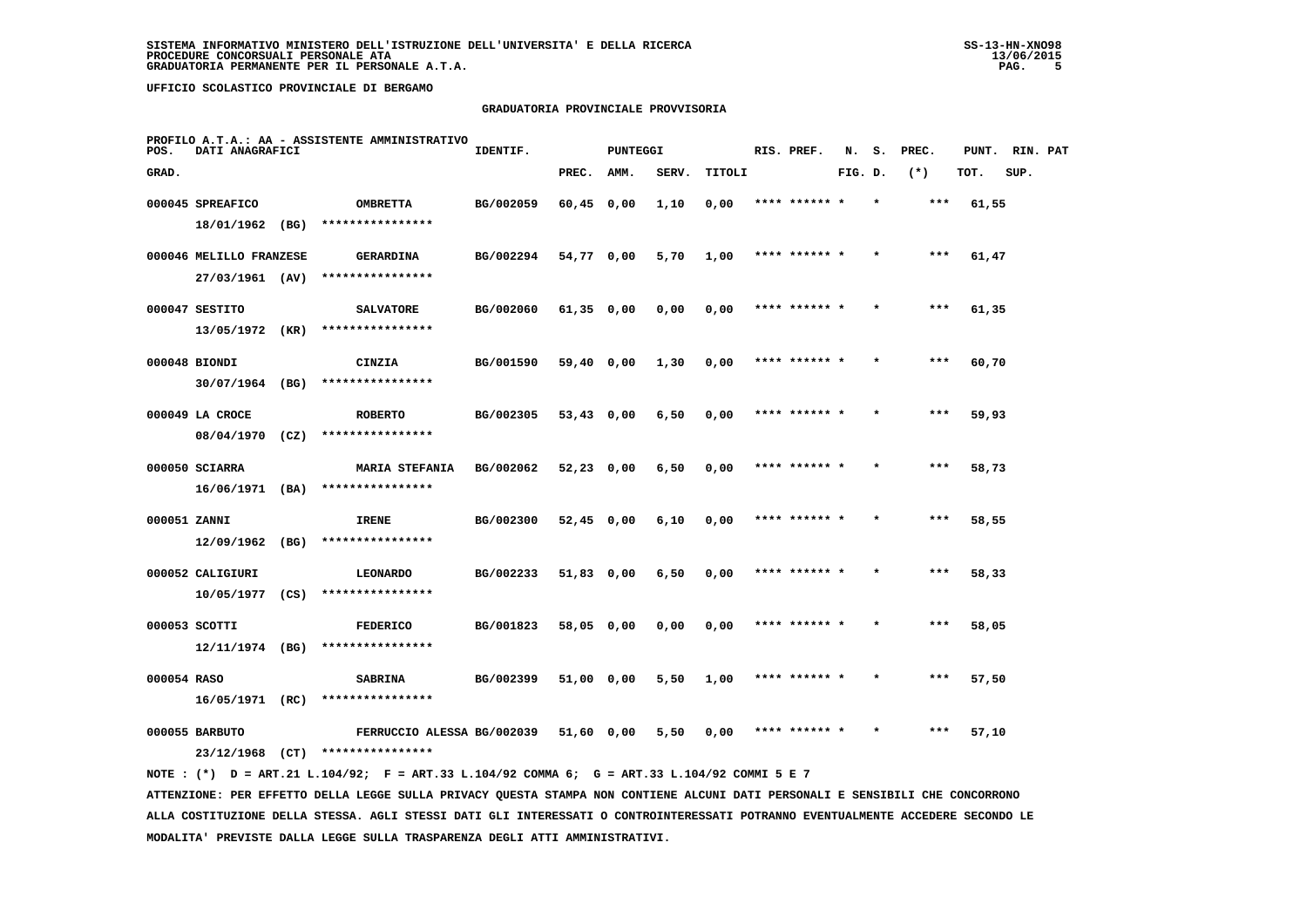# **GRADUATORIA PROVINCIALE PROVVISORIA**

| POS.         | DATI ANAGRAFICI         | PROFILO A.T.A.: AA - ASSISTENTE AMMINISTRATIVO                                              | IDENTIF.  |              | <b>PUNTEGGI</b> |       |        | RIS. PREF.    | N.      | s.      | PREC. | PUNT. | RIN. PAT |  |
|--------------|-------------------------|---------------------------------------------------------------------------------------------|-----------|--------------|-----------------|-------|--------|---------------|---------|---------|-------|-------|----------|--|
| GRAD.        |                         |                                                                                             |           | PREC.        | AMM.            | SERV. | TITOLI |               | FIG. D. |         | $(*)$ | TOT.  | SUP.     |  |
|              | 000045 SPREAFICO        | <b>OMBRETTA</b>                                                                             | BG/002059 | $60,45$ 0,00 |                 | 1,10  | 0,00   | **** ****** * |         | $\star$ | $***$ | 61,55 |          |  |
|              | 18/01/1962 (BG)         | ****************                                                                            |           |              |                 |       |        |               |         |         |       |       |          |  |
|              | 000046 MELILLO FRANZESE | <b>GERARDINA</b>                                                                            | BG/002294 | 54,77 0,00   |                 | 5,70  | 1,00   | **** ****** * |         |         | ***   | 61,47 |          |  |
|              | 27/03/1961 (AV)         | ****************                                                                            |           |              |                 |       |        |               |         |         |       |       |          |  |
|              | 000047 SESTITO          | <b>SALVATORE</b>                                                                            | BG/002060 | $61,35$ 0,00 |                 | 0,00  | 0,00   | **** ****** * |         |         | $***$ | 61,35 |          |  |
|              | 13/05/1972 (KR)         | ****************                                                                            |           |              |                 |       |        |               |         |         |       |       |          |  |
|              | 000048 BIONDI           | CINZIA                                                                                      | BG/001590 | 59,40 0,00   |                 | 1,30  | 0,00   | **** ******   |         |         | ***   | 60,70 |          |  |
|              | 30/07/1964 (BG)         | ****************                                                                            |           |              |                 |       |        |               |         |         |       |       |          |  |
|              | 000049 LA CROCE         | <b>ROBERTO</b>                                                                              | BG/002305 | 53,43 0,00   |                 | 6,50  | 0,00   | **** ****** * |         |         | ***   | 59,93 |          |  |
|              | $08/04/1970$ (CZ)       | ****************                                                                            |           |              |                 |       |        |               |         |         |       |       |          |  |
|              | 000050 SCIARRA          | <b>MARIA STEFANIA</b>                                                                       | BG/002062 | 52,23 0,00   |                 | 6,50  | 0,00   | **** ****** * |         |         | ***   | 58,73 |          |  |
|              | $16/06/1971$ (BA)       | ****************                                                                            |           |              |                 |       |        |               |         |         |       |       |          |  |
| 000051 ZANNI |                         | <b>IRENE</b>                                                                                | BG/002300 | $52,45$ 0,00 |                 | 6,10  | 0,00   | **** ****** * |         |         | $***$ | 58,55 |          |  |
|              | $12/09/1962$ (BG)       | ****************                                                                            |           |              |                 |       |        |               |         |         |       |       |          |  |
|              | 000052 CALIGIURI        | <b>LEONARDO</b>                                                                             | BG/002233 | 51,83 0,00   |                 | 6,50  | 0,00   | **** ****** * |         |         | ***   | 58,33 |          |  |
|              | 10/05/1977 (CS)         | ****************                                                                            |           |              |                 |       |        |               |         |         |       |       |          |  |
|              | 000053 SCOTTI           | <b>FEDERICO</b>                                                                             | BG/001823 | 58,05 0,00   |                 | 0,00  | 0,00   | **** ****** * |         |         | ***   | 58,05 |          |  |
|              | $12/11/1974$ (BG)       | ****************                                                                            |           |              |                 |       |        |               |         |         |       |       |          |  |
| 000054 RASO  |                         | <b>SABRINA</b>                                                                              | BG/002399 | 51,00 0,00   |                 | 5,50  | 1,00   | **** ****** * |         |         | ***   | 57,50 |          |  |
|              | 16/05/1971 (RC)         | ****************                                                                            |           |              |                 |       |        |               |         |         |       |       |          |  |
|              | 000055 BARBUTO          | FERRUCCIO ALESSA BG/002039                                                                  |           | 51,60 0,00   |                 | 5,50  | 0,00   | **** ****** * |         |         | ***   | 57,10 |          |  |
|              |                         | 23/12/1968 (CT) ****************                                                            |           |              |                 |       |        |               |         |         |       |       |          |  |
|              |                         | NOTE: (*) D = ART.21 L.104/92; F = ART.33 L.104/92 COMMA 6; G = ART.33 L.104/92 COMMI 5 E 7 |           |              |                 |       |        |               |         |         |       |       |          |  |

 **ATTENZIONE: PER EFFETTO DELLA LEGGE SULLA PRIVACY QUESTA STAMPA NON CONTIENE ALCUNI DATI PERSONALI E SENSIBILI CHE CONCORRONO ALLA COSTITUZIONE DELLA STESSA. AGLI STESSI DATI GLI INTERESSATI O CONTROINTERESSATI POTRANNO EVENTUALMENTE ACCEDERE SECONDO LE MODALITA' PREVISTE DALLA LEGGE SULLA TRASPARENZA DEGLI ATTI AMMINISTRATIVI.**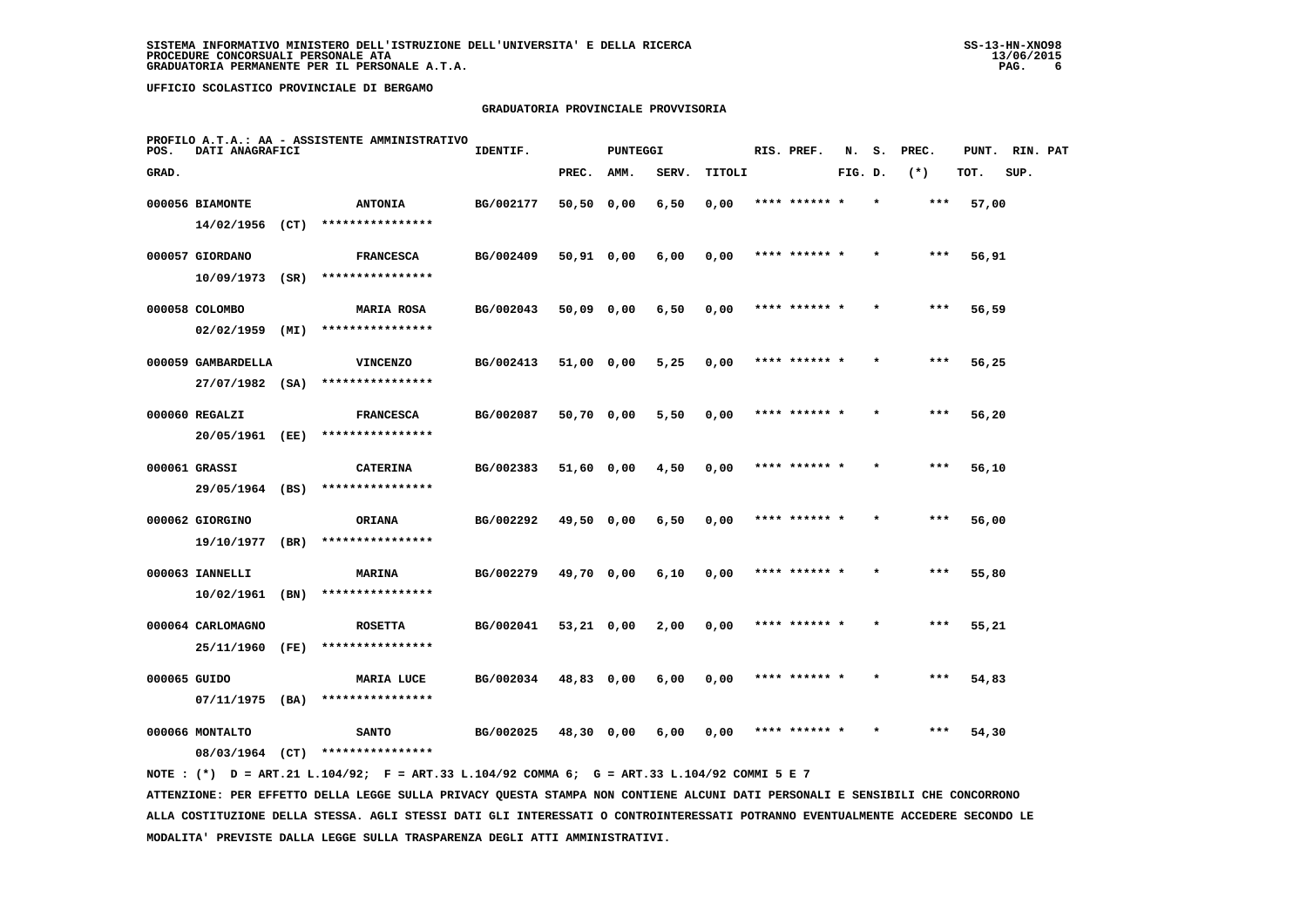### **GRADUATORIA PROVINCIALE PROVVISORIA**

| POS.         | DATI ANAGRAFICI                      |      | PROFILO A.T.A.: AA - ASSISTENTE AMMINISTRATIVO | IDENTIF.  |              | PUNTEGGI |       |        | RIS. PREF.    | N.      | s.      | PREC. | PUNT. RIN. PAT |      |  |
|--------------|--------------------------------------|------|------------------------------------------------|-----------|--------------|----------|-------|--------|---------------|---------|---------|-------|----------------|------|--|
| GRAD.        |                                      |      |                                                |           | PREC.        | AMM.     | SERV. | TITOLI |               | FIG. D. |         | $(*)$ | TOT.           | SUP. |  |
|              | 000056 BIAMONTE<br>$14/02/1956$ (CT) |      | <b>ANTONIA</b><br>****************             | BG/002177 | 50,50 0,00   |          | 6,50  | 0,00   | **** ******   |         |         | ***   | 57,00          |      |  |
|              | 000057 GIORDANO<br>10/09/1973        | (SR) | <b>FRANCESCA</b><br>****************           | BG/002409 | $50,91$ 0,00 |          | 6,00  | 0,00   | **** ****** * |         |         | $***$ | 56,91          |      |  |
|              | 000058 COLOMBO<br>02/02/1959         | (MI) | <b>MARIA ROSA</b><br>****************          | BG/002043 | 50,09 0,00   |          | 6,50  | 0,00   | **** ****** * |         | $\star$ | $***$ | 56,59          |      |  |
|              | 000059 GAMBARDELLA                   |      | <b>VINCENZO</b><br>****************            | BG/002413 | 51,00 0,00   |          | 5,25  | 0,00   | **** ****** * |         |         | ***   | 56,25          |      |  |
|              | 27/07/1982 (SA)<br>000060 REGALZI    |      | <b>FRANCESCA</b><br>****************           | BG/002087 | 50,70 0,00   |          | 5,50  | 0,00   | **** ****** * |         |         | $***$ | 56,20          |      |  |
|              | 20/05/1961 (EE)<br>000061 GRASSI     |      | <b>CATERINA</b><br>****************            | BG/002383 | 51,60 0,00   |          | 4,50  | 0,00   | **** ****** * |         | $\star$ | ***   | 56,10          |      |  |
|              | 29/05/1964 (BS)<br>000062 GIORGINO   |      | <b>ORIANA</b>                                  | BG/002292 | 49,50 0,00   |          | 6,50  | 0,00   |               |         |         | ***   | 56,00          |      |  |
|              | 19/10/1977<br>000063 IANNELLI        | (BR) | ****************<br>MARINA                     | BG/002279 | 49,70 0,00   |          | 6,10  | 0,00   | **** ****** * |         |         | $***$ | 55,80          |      |  |
|              | 10/02/1961<br>000064 CARLOMAGNO      | (BN) | ****************<br><b>ROSETTA</b>             | BG/002041 | $53,21$ 0,00 |          | 2,00  | 0,00   | **** ****** * |         | $\star$ | $***$ | 55,21          |      |  |
| 000065 GUIDO | 25/11/1960                           | (FE) | ****************<br>MARIA LUCE                 | BG/002034 | 48,83 0,00   |          | 6,00  | 0,00   | **** ****** * |         |         | $***$ | 54,83          |      |  |
|              | $07/11/1975$ (BA)<br>000066 MONTALTO |      | ****************<br><b>SANTO</b>               | BG/002025 | 48,30 0,00   |          | 6,00  | 0,00   | **** ****** * |         |         | ***   | 54,30          |      |  |
|              | 08/03/1964                           | (CT) | ****************                               |           |              |          |       |        |               |         |         |       |                |      |  |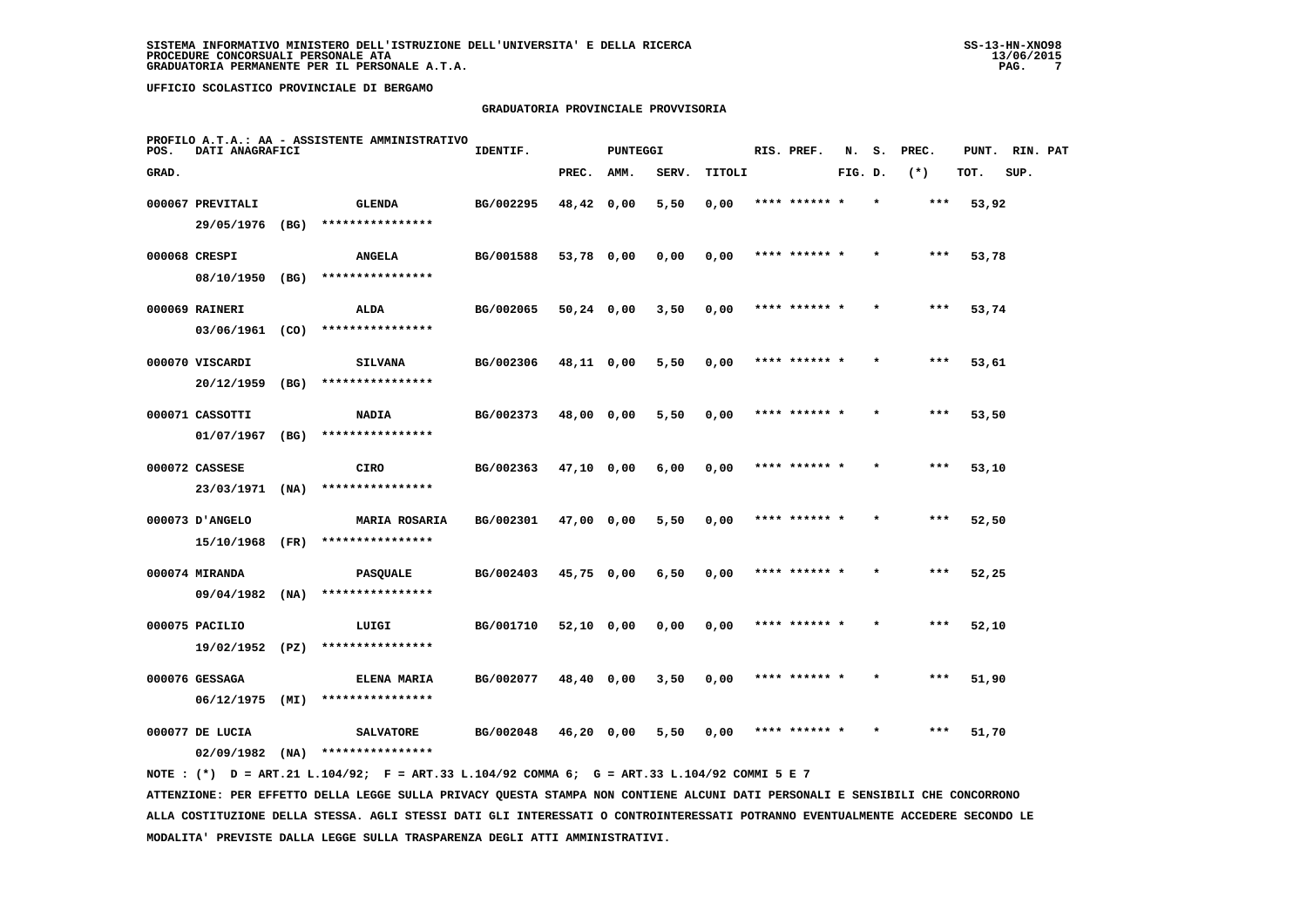### **GRADUATORIA PROVINCIALE PROVVISORIA**

| POS.  | DATI ANAGRAFICI   |      | PROFILO A.T.A.: AA - ASSISTENTE AMMINISTRATIVO | IDENTIF.  |              | <b>PUNTEGGI</b> |       |        | RIS. PREF.    | N.      | s.      | PREC. | PUNT. | RIN. PAT |  |
|-------|-------------------|------|------------------------------------------------|-----------|--------------|-----------------|-------|--------|---------------|---------|---------|-------|-------|----------|--|
| GRAD. |                   |      |                                                |           | PREC.        | AMM.            | SERV. | TITOLI |               | FIG. D. |         | $(*)$ | TOT.  | SUP.     |  |
|       | 000067 PREVITALI  |      | <b>GLENDA</b>                                  | BG/002295 | 48,42 0,00   |                 | 5,50  | 0,00   | **** ****** * |         | $\star$ | ***   | 53,92 |          |  |
|       | 29/05/1976        | (BG) | ****************                               |           |              |                 |       |        |               |         |         |       |       |          |  |
|       | 000068 CRESPI     |      | <b>ANGELA</b>                                  | BG/001588 | 53,78 0,00   |                 | 0,00  | 0,00   | **** ****** * |         |         | ***   | 53,78 |          |  |
|       | 08/10/1950 (BG)   |      | ****************                               |           |              |                 |       |        |               |         |         |       |       |          |  |
|       | 000069 RAINERI    |      | ALDA                                           | BG/002065 | $50,24$ 0,00 |                 | 3,50  | 0,00   | **** ****** * |         |         | $***$ | 53,74 |          |  |
|       | 03/06/1961 (CO)   |      | ****************                               |           |              |                 |       |        |               |         |         |       |       |          |  |
|       | 000070 VISCARDI   |      | <b>SILVANA</b>                                 | BG/002306 | 48,11 0,00   |                 | 5,50  | 0,00   | **** ****** * |         |         | ***   | 53,61 |          |  |
|       | 20/12/1959        | (BG) | ****************                               |           |              |                 |       |        |               |         |         |       |       |          |  |
|       | 000071 CASSOTTI   |      | <b>NADIA</b>                                   | BG/002373 | 48,00 0,00   |                 | 5,50  | 0,00   | **** ****** * |         |         | $***$ | 53,50 |          |  |
|       | 01/07/1967        | (BG) | ****************                               |           |              |                 |       |        |               |         |         |       |       |          |  |
|       | 000072 CASSESE    |      | <b>CIRO</b>                                    | BG/002363 | 47,10 0,00   |                 | 6,00  | 0,00   | **** ****** * |         |         | ***   | 53,10 |          |  |
|       | 23/03/1971 (NA)   |      | ****************                               |           |              |                 |       |        |               |         |         |       |       |          |  |
|       | 000073 D'ANGELO   |      | <b>MARIA ROSARIA</b>                           | BG/002301 | 47,00 0,00   |                 | 5,50  | 0,00   | **** ****** * |         |         | $***$ | 52,50 |          |  |
|       | 15/10/1968        | (FR) | ****************                               |           |              |                 |       |        |               |         |         |       |       |          |  |
|       | 000074 MIRANDA    |      | <b>PASQUALE</b>                                | BG/002403 | 45,75 0,00   |                 | 6,50  | 0,00   |               |         |         | ***   | 52,25 |          |  |
|       | $09/04/1982$ (NA) |      | ****************                               |           |              |                 |       |        |               |         |         |       |       |          |  |
|       | 000075 PACILIO    |      | LUIGI                                          | BG/001710 | 52,10 0,00   |                 | 0,00  | 0,00   | **** ****** * |         |         | $***$ | 52,10 |          |  |
|       | 19/02/1952 (PZ)   |      | ****************                               |           |              |                 |       |        |               |         |         |       |       |          |  |
|       | 000076 GESSAGA    |      | ELENA MARIA                                    | BG/002077 | 48,40 0,00   |                 | 3,50  | 0,00   | **** ****** * |         | $\star$ | ***   | 51,90 |          |  |
|       | 06/12/1975        | (MI) | ****************                               |           |              |                 |       |        |               |         |         |       |       |          |  |
|       | 000077 DE LUCIA   |      | <b>SALVATORE</b>                               | BG/002048 | 46,20 0,00   |                 | 5,50  | 0,00   | **** ****** * |         |         | ***   | 51,70 |          |  |
|       | 02/09/1982        | (NA) | ****************                               |           |              |                 |       |        |               |         |         |       |       |          |  |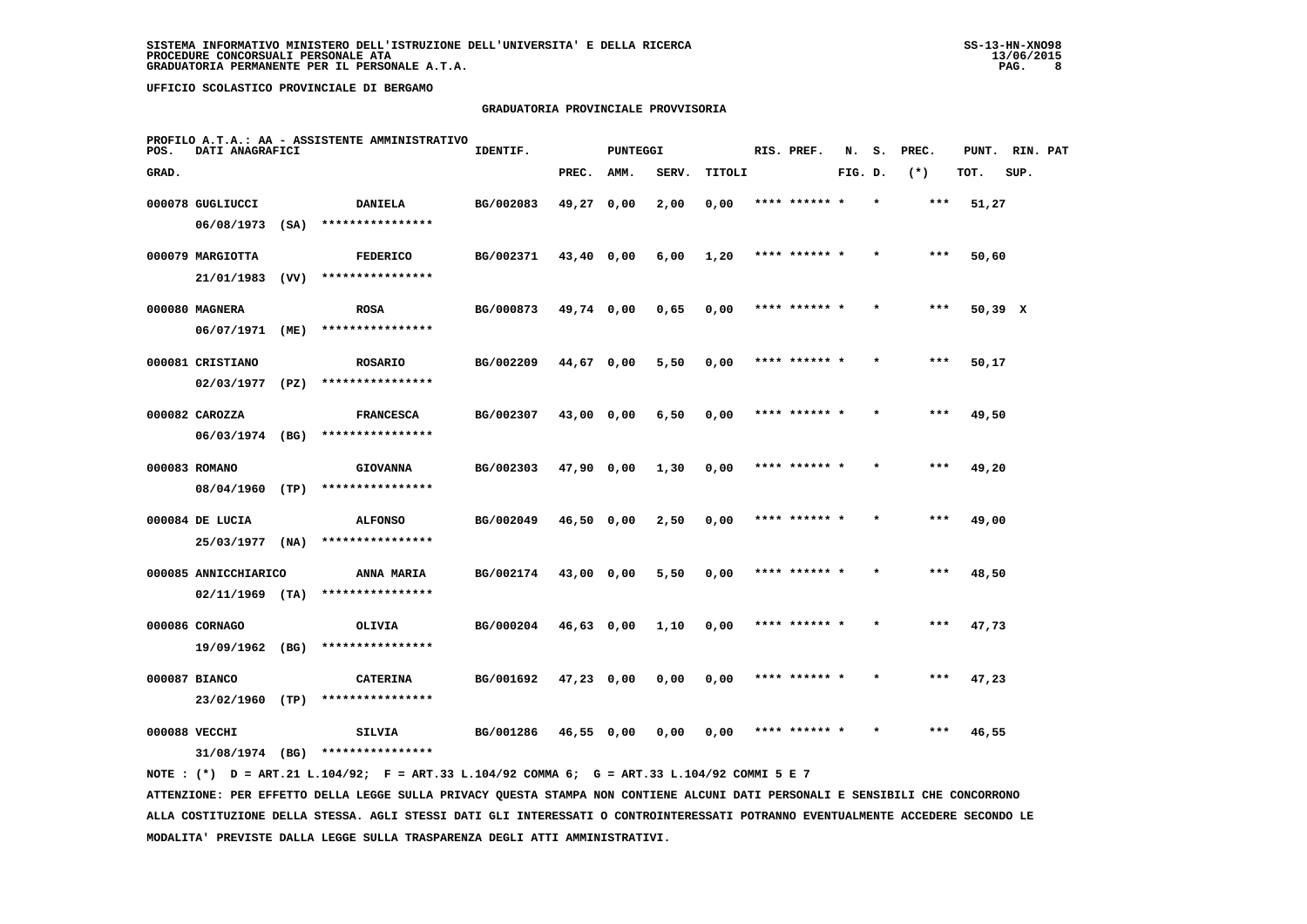# **GRADUATORIA PROVINCIALE PROVVISORIA**

| POS.  | DATI ANAGRAFICI                           |      | PROFILO A.T.A.: AA - ASSISTENTE AMMINISTRATIVO | IDENTIF.  |              | PUNTEGGI |       |        | RIS. PREF.    | N.      | s. | PREC. | PUNT.   | RIN. PAT |  |
|-------|-------------------------------------------|------|------------------------------------------------|-----------|--------------|----------|-------|--------|---------------|---------|----|-------|---------|----------|--|
| GRAD. |                                           |      |                                                |           | PREC.        | AMM.     | SERV. | TITOLI |               | FIG. D. |    | $(*)$ | TOT.    | SUP.     |  |
|       | 000078 GUGLIUCCI<br>06/08/1973            | (SA) | <b>DANIELA</b><br>****************             | BG/002083 | 49,27 0,00   |          | 2,00  | 0,00   | **** ******   |         |    | $***$ | 51,27   |          |  |
|       | 000079 MARGIOTTA<br>21/01/1983            | (VV) | <b>FEDERICO</b><br>****************            | BG/002371 | 43,40 0,00   |          | 6,00  | 1,20   | **** ******   |         |    | $***$ | 50,60   |          |  |
|       | 000080 MAGNERA<br>06/07/1971              | (ME) | <b>ROSA</b><br>****************                | BG/000873 | 49,74 0,00   |          | 0,65  | 0,00   | **** ****** * |         |    | ***   | 50,39 X |          |  |
|       | 000081 CRISTIANO<br>02/03/1977            | (PZ) | <b>ROSARIO</b><br>****************             | BG/002209 | 44,67 0,00   |          | 5,50  | 0,00   | **** ****** * |         |    | $***$ | 50,17   |          |  |
|       | 000082 CAROZZA<br>06/03/1974 (BG)         |      | <b>FRANCESCA</b><br>****************           | BG/002307 | 43,00 0,00   |          | 6,50  | 0,00   | **** ****** * |         |    | ***   | 49,50   |          |  |
|       | 000083 ROMANO<br>08/04/1960               | (TP) | <b>GIOVANNA</b><br>****************            | BG/002303 | 47,90 0,00   |          | 1,30  | 0,00   | **** ******   |         |    | ***   | 49,20   |          |  |
|       | 000084 DE LUCIA<br>25/03/1977             | (NA) | <b>ALFONSO</b><br>****************             | BG/002049 | 46,50 0,00   |          | 2,50  | 0,00   | **** ****** * |         |    | ***   | 49,00   |          |  |
|       | 000085 ANNICCHIARICO<br>$02/11/1969$ (TA) |      | ANNA MARIA<br>****************                 | BG/002174 | 43,00 0,00   |          | 5,50  | 0,00   | **** ****** * |         |    | ***   | 48,50   |          |  |
|       | 000086 CORNAGO<br>19/09/1962              | (BG) | OLIVIA<br>****************                     | BG/000204 | 46,63 0,00   |          | 1,10  | 0,00   | **** ****** * |         |    | $***$ | 47,73   |          |  |
|       | 000087 BIANCO<br>23/02/1960               | (TP) | <b>CATERINA</b><br>****************            | BG/001692 | $47,23$ 0,00 |          | 0,00  | 0,00   | **** ****** * |         |    | ***   | 47,23   |          |  |
|       | 000088 VECCHI<br>31/08/1974 (BG)          |      | <b>SILVIA</b><br>****************              | BG/001286 | 46,55 0,00   |          | 0,00  | 0,00   | **** ****** * |         |    | ***   | 46,55   |          |  |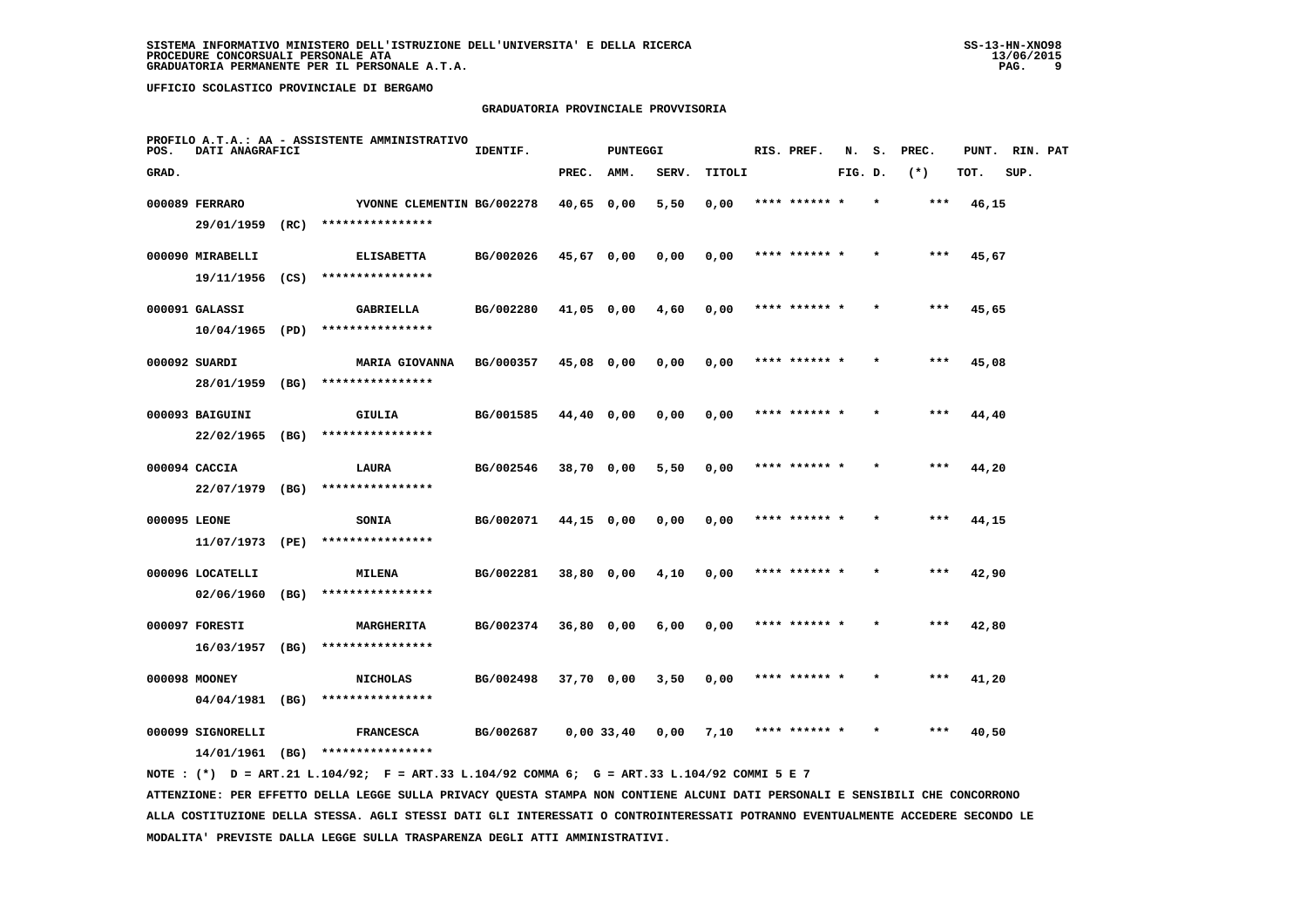# **GRADUATORIA PROVINCIALE PROVVISORIA**

| POS.         | DATI ANAGRAFICI                    |      | PROFILO A.T.A.: AA - ASSISTENTE AMMINISTRATIVO | IDENTIF.  |              | PUNTEGGI |       |        | RIS. PREF.    | N.      | s. | PREC. | PUNT. RIN. PAT |      |  |
|--------------|------------------------------------|------|------------------------------------------------|-----------|--------------|----------|-------|--------|---------------|---------|----|-------|----------------|------|--|
| GRAD.        |                                    |      |                                                |           | PREC.        | AMM.     | SERV. | TITOLI |               | FIG. D. |    | $(*)$ | TOT.           | SUP. |  |
|              | 000089 FERRARO<br>29/01/1959       | (RC) | YVONNE CLEMENTIN BG/002278<br>**************** |           | 40,65 0,00   |          | 5,50  | 0,00   |               |         |    | ***   | 46,15          |      |  |
|              | 000090 MIRABELLI                   |      | <b>ELISABETTA</b>                              | BG/002026 | 45,67 0,00   |          | 0,00  | 0,00   | **** ****** * |         |    | $***$ | 45,67          |      |  |
|              | 19/11/1956<br>000091 GALASSI       | (CS) | ****************<br><b>GABRIELLA</b>           | BG/002280 | $41,05$ 0,00 |          | 4,60  | 0,00   | **** ****** * |         |    | $***$ | 45,65          |      |  |
|              | 10/04/1965                         | (PD) | ****************                               |           |              |          |       |        |               |         |    |       |                |      |  |
|              | 000092 SUARDI<br>28/01/1959        | (BG) | <b>MARIA GIOVANNA</b><br>****************      | BG/000357 | 45,08 0,00   |          | 0,00  | 0,00   | **** ****** * |         |    | $***$ | 45,08          |      |  |
|              | 000093 BAIGUINI                    |      | GIULIA<br>****************                     | BG/001585 | 44,40 0,00   |          | 0,00  | 0,00   | **** ****** * |         |    | $***$ | 44,40          |      |  |
|              | $22/02/1965$ (BG)<br>000094 CACCIA |      | LAURA                                          | BG/002546 | 38,70 0,00   |          | 5,50  | 0,00   | **** ****** * |         |    | ***   | 44,20          |      |  |
|              | 22/07/1979 (BG)                    |      | ****************                               |           |              |          |       |        |               |         |    |       |                |      |  |
| 000095 LEONE | 11/07/1973 (PE)                    |      | <b>SONIA</b><br>****************               | BG/002071 | 44,15 0,00   |          | 0,00  | 0,00   | **** ****** * |         |    | ***   | 44,15          |      |  |
|              | 000096 LOCATELLI<br>02/06/1960     | (BG) | MILENA<br>****************                     | BG/002281 | 38,80 0,00   |          | 4,10  | 0,00   | **** ******   |         |    | ***   | 42,90          |      |  |
|              | 000097 FORESTI                     |      | MARGHERITA                                     | BG/002374 | $36,80$ 0,00 |          | 6,00  | 0,00   | **** ****** * |         |    | $***$ | 42,80          |      |  |
|              | 16/03/1957<br>000098 MOONEY        | (BG) | ****************<br><b>NICHOLAS</b>            | BG/002498 | $37,70$ 0,00 |          | 3,50  | 0,00   | **** ****** * |         |    | $***$ | 41,20          |      |  |
|              | 04/04/1981                         | (BG) | ****************                               |           |              |          |       |        |               |         |    |       |                |      |  |
|              | 000099 SIGNORELLI<br>14/01/1961    | (BG) | <b>FRANCESCA</b><br>****************           | BG/002687 | 0,00,33,40   |          | 0,00  | 7,10   |               |         |    | ***   | 40,50          |      |  |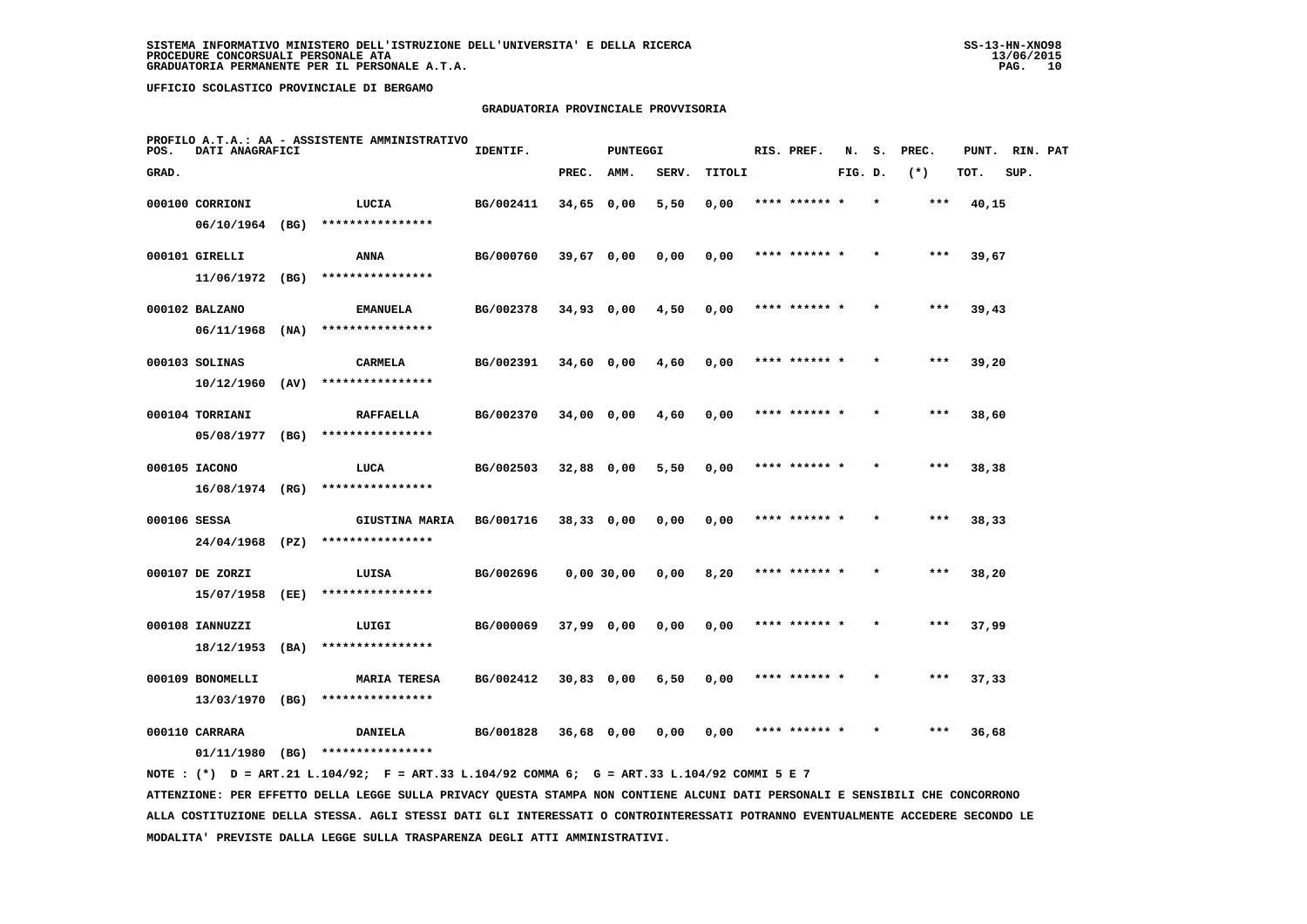### **GRADUATORIA PROVINCIALE PROVVISORIA**

| POS.         | DATI ANAGRAFICI                    |      | PROFILO A.T.A.: AA - ASSISTENTE AMMINISTRATIVO | IDENTIF.  |              | <b>PUNTEGGI</b> |       |        | RIS. PREF.    | N.      | s. | PREC. | PUNT. | RIN. PAT |  |
|--------------|------------------------------------|------|------------------------------------------------|-----------|--------------|-----------------|-------|--------|---------------|---------|----|-------|-------|----------|--|
| GRAD.        |                                    |      |                                                |           | PREC.        | AMM.            | SERV. | TITOLI |               | FIG. D. |    | $(*)$ | TOT.  | SUP.     |  |
|              | 000100 CORRIONI<br>06/10/1964 (BG) |      | LUCIA<br>****************                      | BG/002411 | 34,65 0,00   |                 | 5,50  | 0,00   | **** ******   |         |    | ***   | 40,15 |          |  |
|              | 000101 GIRELLI                     |      | <b>ANNA</b>                                    | BG/000760 | 39,67 0,00   |                 | 0,00  | 0,00   | **** ****** * |         |    | $***$ | 39,67 |          |  |
|              | 11/06/1972 (BG)<br>000102 BALZANO  |      | ****************<br><b>EMANUELA</b>            | BG/002378 | $34,93$ 0,00 |                 | 4,50  | 0,00   | **** ****** * |         |    | ***   | 39,43 |          |  |
|              | 06/11/1968<br>000103 SOLINAS       | (NA) | ****************<br><b>CARMELA</b>             | BG/002391 | 34,60 0,00   |                 | 4,60  | 0,00   | **** ****** * |         |    | $***$ | 39,20 |          |  |
|              | 10/12/1960<br>000104 TORRIANI      | (AV) | ****************<br><b>RAFFAELLA</b>           | BG/002370 | 34,00 0,00   |                 | 4,60  | 0,00   | **** ****** * |         |    | ***   | 38,60 |          |  |
|              | 05/08/1977                         | (BG) | ****************                               |           |              |                 |       |        |               |         |    |       |       |          |  |
|              | 000105 IACONO<br>16/08/1974 (RG)   |      | LUCA<br>****************                       | BG/002503 | 32,88 0,00   |                 | 5,50  | 0,00   | **** ****** * |         |    | $***$ | 38,38 |          |  |
| 000106 SESSA | 24/04/1968 (PZ)                    |      | <b>GIUSTINA MARIA</b><br>****************      | BG/001716 | $38,33$ 0,00 |                 | 0,00  | 0,00   | **** ******   |         |    | ***   | 38,33 |          |  |
|              | 000107 DE ZORZI<br>15/07/1958      | (EE) | LUISA<br>****************                      | BG/002696 |              | 0,00 30,00      | 0,00  | 8,20   | **** ******   |         |    | ***   | 38,20 |          |  |
|              | 000108 IANNUZZI<br>18/12/1953      | (BA) | LUIGI<br>****************                      | BG/000069 | $37,99$ 0,00 |                 | 0,00  | 0,00   | **** ****** * |         |    | $***$ | 37,99 |          |  |
|              | 000109 BONOMELLI<br>13/03/1970     | (BG) | <b>MARIA TERESA</b><br>****************        | BG/002412 | $30,83$ 0,00 |                 | 6,50  | 0,00   | **** ****** * |         |    | ***   | 37,33 |          |  |
|              | 000110 CARRARA<br>01/11/1980       | (BG) | <b>DANIELA</b><br>****************             | BG/001828 | 36,68 0,00   |                 | 0,00  | 0,00   |               |         |    | ***   | 36,68 |          |  |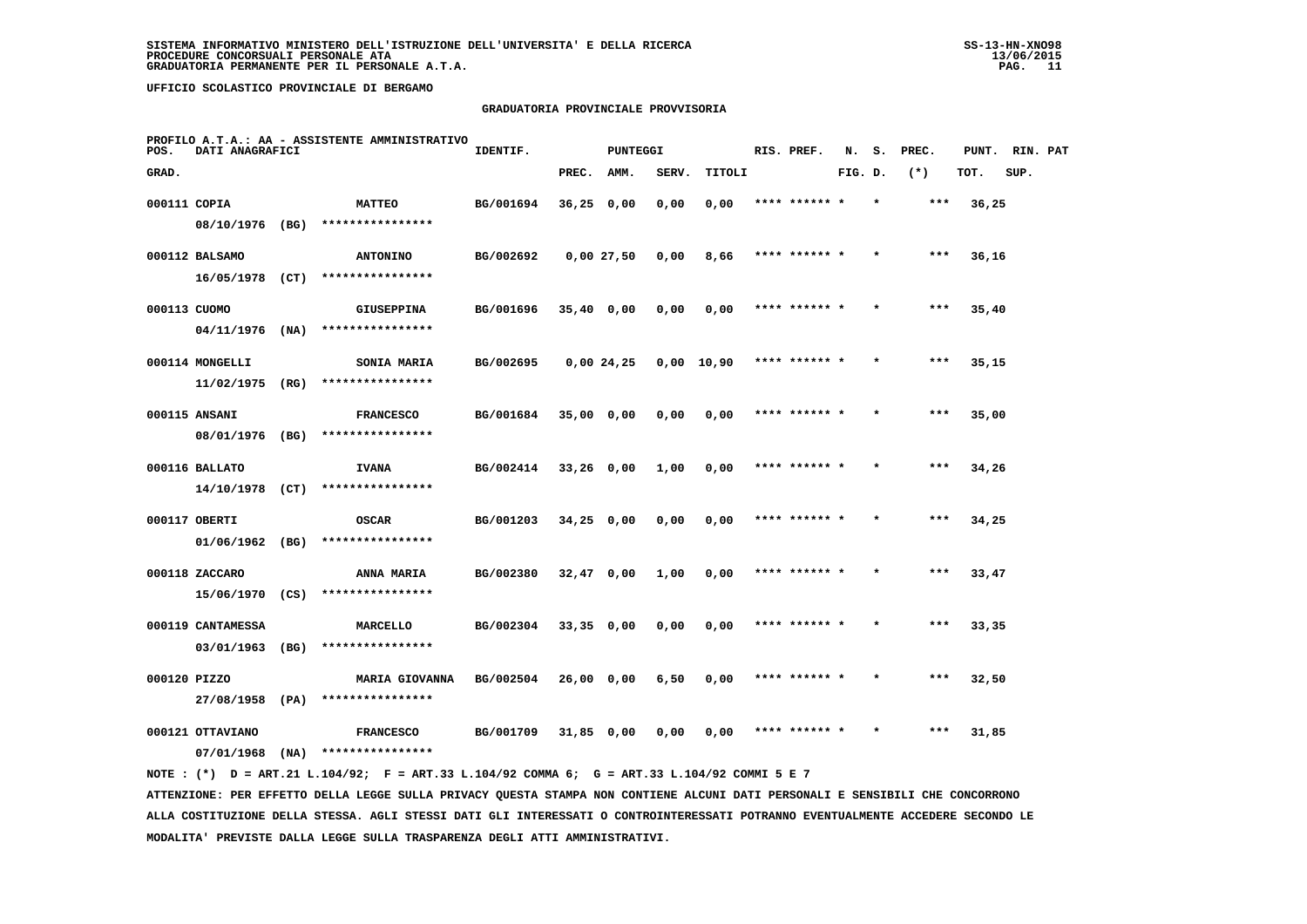### **GRADUATORIA PROVINCIALE PROVVISORIA**

| POS.         | DATI ANAGRAFICI                    |      | PROFILO A.T.A.: AA - ASSISTENTE AMMINISTRATIVO | IDENTIF.  |              | <b>PUNTEGGI</b> |       |            | RIS. PREF.    | N.      | s.      | PREC. | PUNT. | RIN. PAT |  |
|--------------|------------------------------------|------|------------------------------------------------|-----------|--------------|-----------------|-------|------------|---------------|---------|---------|-------|-------|----------|--|
| GRAD.        |                                    |      |                                                |           | PREC.        | AMM.            | SERV. | TITOLI     |               | FIG. D. |         | $(*)$ | TOT.  | SUP.     |  |
| 000111 COPIA |                                    |      | <b>MATTEO</b>                                  | BG/001694 | $36,25$ 0,00 |                 | 0,00  | 0,00       | **** ****** * |         | $\star$ | ***   | 36,25 |          |  |
|              | 08/10/1976 (BG)                    |      | ****************                               |           |              |                 |       |            |               |         |         |       |       |          |  |
|              | 000112 BALSAMO                     |      | <b>ANTONINO</b>                                | BG/002692 |              | 0,00 27,50      | 0,00  | 8,66       | **** ****** * |         |         | ***   | 36,16 |          |  |
|              | 16/05/1978 (CT)                    |      | ****************                               |           |              |                 |       |            |               |         |         |       |       |          |  |
| 000113 CUOMO |                                    |      | <b>GIUSEPPINA</b>                              | BG/001696 | $35,40$ 0,00 |                 | 0,00  | 0,00       | **** ****** * |         |         | ***   | 35,40 |          |  |
|              | $04/11/1976$ (NA)                  |      | ****************                               |           |              |                 |       |            |               |         |         |       |       |          |  |
|              | 000114 MONGELLI                    |      | SONIA MARIA                                    | BG/002695 |              | 0,00 24,25      |       | 0,00 10,90 | **** ****** * |         |         | ***   | 35,15 |          |  |
|              | 11/02/1975                         | (RG) | ****************                               |           |              |                 |       |            |               |         |         |       |       |          |  |
|              | 000115 ANSANI                      |      | <b>FRANCESCO</b>                               | BG/001684 | $35,00$ 0,00 |                 | 0,00  | 0,00       | **** ****** * |         |         | $***$ | 35,00 |          |  |
|              | 08/01/1976 (BG)                    |      | ****************                               |           |              |                 |       |            |               |         |         |       |       |          |  |
|              | 000116 BALLATO<br>14/10/1978 (CT)  |      | <b>IVANA</b><br>****************               | BG/002414 | $33,26$ 0,00 |                 | 1,00  | 0,00       | **** ****** * |         |         | $***$ | 34,26 |          |  |
|              |                                    |      |                                                |           |              |                 |       |            |               |         |         |       |       |          |  |
|              | 000117 OBERTI<br>$01/06/1962$ (BG) |      | <b>OSCAR</b><br>****************               | BG/001203 | $34,25$ 0,00 |                 | 0,00  | 0,00       | **** ****** * |         |         | ***   | 34,25 |          |  |
|              |                                    |      |                                                |           |              |                 |       |            |               |         |         |       |       |          |  |
|              | 000118 ZACCARO<br>15/06/1970 (CS)  |      | ANNA MARIA<br>****************                 | BG/002380 | $32,47$ 0,00 |                 | 1,00  | 0,00       | **** ****** * |         |         | $***$ | 33,47 |          |  |
|              | 000119 CANTAMESSA                  |      | MARCELLO                                       | BG/002304 | $33,35$ 0,00 |                 | 0,00  | 0,00       |               |         |         | ***   | 33,35 |          |  |
|              | 03/01/1963 (BG)                    |      | ****************                               |           |              |                 |       |            |               |         |         |       |       |          |  |
| 000120 PIZZO |                                    |      | <b>MARIA GIOVANNA</b>                          | BG/002504 | $26,00$ 0,00 |                 | 6,50  | 0,00       | **** ****** * |         |         | $***$ | 32,50 |          |  |
|              | 27/08/1958                         | (PA) | ****************                               |           |              |                 |       |            |               |         |         |       |       |          |  |
|              | 000121 OTTAVIANO                   |      | <b>FRANCESCO</b>                               | BG/001709 | 31,85 0,00   |                 | 0,00  | 0,00       | **** ****** * |         | $\star$ | ***   | 31,85 |          |  |
|              | 07/01/1968                         | (NA) | ****************                               |           |              |                 |       |            |               |         |         |       |       |          |  |
|              |                                    |      |                                                |           |              |                 |       |            |               |         |         |       |       |          |  |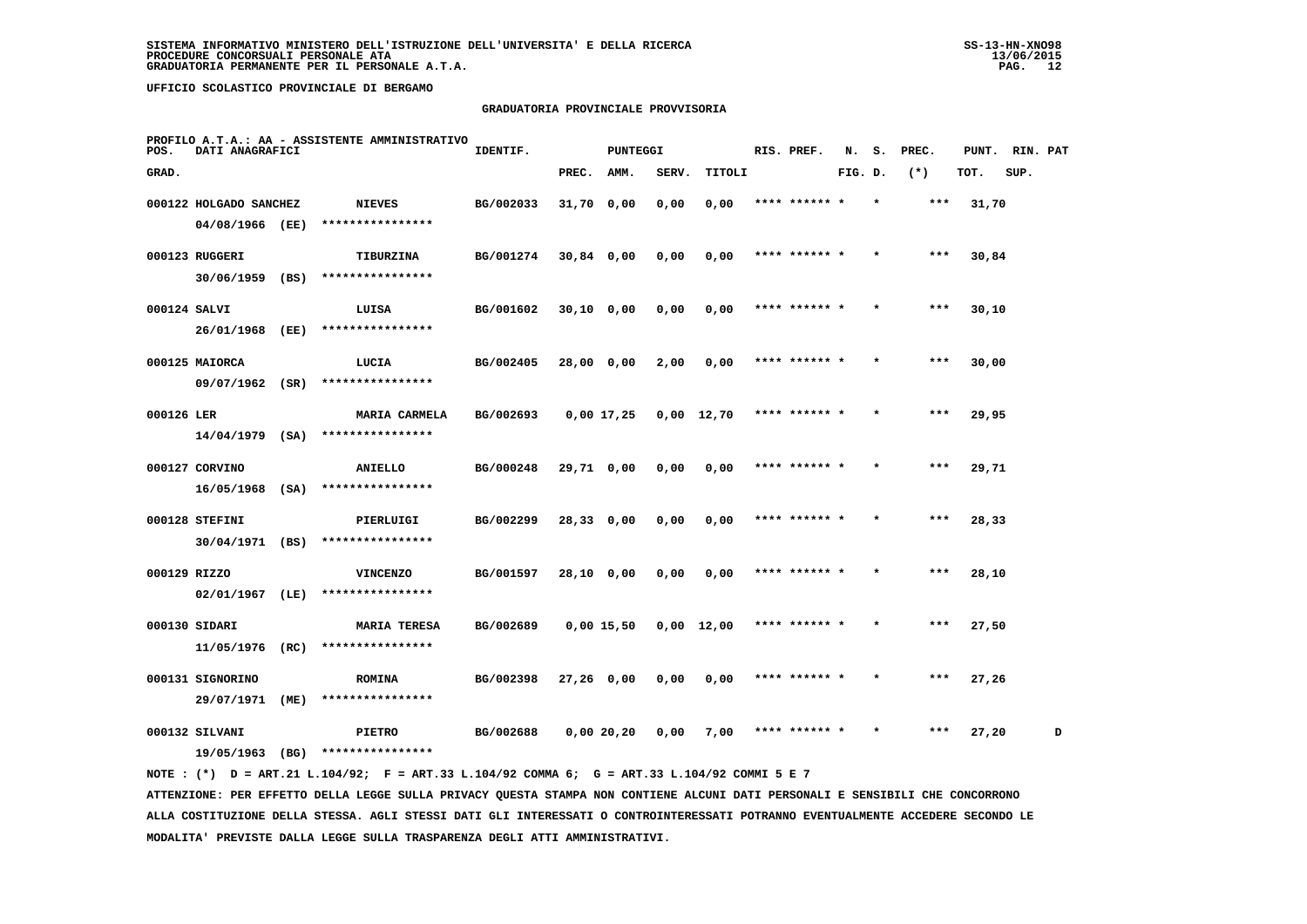# **GRADUATORIA PROVINCIALE PROVVISORIA**

| POS.         | DATI ANAGRAFICI        |      | PROFILO A.T.A.: AA - ASSISTENTE AMMINISTRATIVO | IDENTIF.  |              | <b>PUNTEGGI</b> |                    |        | RIS. PREF.    | N.      | s.      | PREC. | PUNT. | RIN. PAT |   |
|--------------|------------------------|------|------------------------------------------------|-----------|--------------|-----------------|--------------------|--------|---------------|---------|---------|-------|-------|----------|---|
| GRAD.        |                        |      |                                                |           | PREC.        | AMM.            | SERV.              | TITOLI |               | FIG. D. |         | $(*)$ | TOT.  | SUP.     |   |
|              | 000122 HOLGADO SANCHEZ |      | <b>NIEVES</b>                                  | BG/002033 | 31,70 0,00   |                 | 0,00               | 0,00   | **** ****** * |         | $\star$ | ***   | 31,70 |          |   |
|              | 04/08/1966 (EE)        |      | ****************                               |           |              |                 |                    |        |               |         |         |       |       |          |   |
|              | 000123 RUGGERI         |      | TIBURZINA                                      | BG/001274 | 30,84 0,00   |                 | 0,00               | 0,00   | **** ****** * |         |         | ***   | 30,84 |          |   |
|              | $30/06/1959$ (BS)      |      | ****************                               |           |              |                 |                    |        |               |         |         |       |       |          |   |
| 000124 SALVI |                        |      | LUISA                                          | BG/001602 | $30,10$ 0,00 |                 | 0,00               | 0,00   | **** ****** * |         |         | $***$ | 30,10 |          |   |
|              | 26/01/1968 (EE)        |      | ****************                               |           |              |                 |                    |        |               |         |         |       |       |          |   |
|              | 000125 MAIORCA         |      | LUCIA                                          | BG/002405 | 28,00 0,00   |                 | 2,00               | 0,00   | **** ****** * |         |         | $***$ | 30,00 |          |   |
|              | 09/07/1962 (SR)        |      | ****************                               |           |              |                 |                    |        |               |         |         |       |       |          |   |
| 000126 LER   |                        |      | MARIA CARMELA                                  | BG/002693 | 0,00 17,25   |                 | $0,00 \quad 12,70$ |        | **** ****** * |         |         | $***$ | 29,95 |          |   |
|              | $14/04/1979$ (SA)      |      | ****************                               |           |              |                 |                    |        |               |         |         |       |       |          |   |
|              | 000127 CORVINO         |      | ANIELLO                                        | BG/000248 | 29,71 0,00   |                 | 0,00               | 0,00   | **** ****** * |         |         | ***   | 29,71 |          |   |
|              | $16/05/1968$ (SA)      |      | ****************                               |           |              |                 |                    |        |               |         |         |       |       |          |   |
|              | 000128 STEFINI         |      | PIERLUIGI                                      | BG/002299 | 28,33 0,00   |                 | 0,00               | 0,00   | **** ****** * |         |         | ***   | 28,33 |          |   |
|              | 30/04/1971 (BS)        |      | ****************                               |           |              |                 |                    |        |               |         |         |       |       |          |   |
| 000129 RIZZO |                        |      | <b>VINCENZO</b>                                | BG/001597 | 28,10 0,00   |                 | 0,00               | 0,00   | **** ******   |         |         | ***   | 28,10 |          |   |
|              | $02/01/1967$ (LE)      |      | ****************                               |           |              |                 |                    |        |               |         |         |       |       |          |   |
|              | 000130 SIDARI          |      | <b>MARIA TERESA</b>                            | BG/002689 | 0,00 15,50   |                 | $0,00 \quad 12,00$ |        | **** ****** * |         |         | ***   | 27,50 |          |   |
|              | 11/05/1976             | (RC) | ****************                               |           |              |                 |                    |        |               |         |         |       |       |          |   |
|              | 000131 SIGNORINO       |      | <b>ROMINA</b>                                  | BG/002398 | $27,26$ 0,00 |                 | 0,00               | 0,00   | **** ****** * |         |         | $***$ | 27,26 |          |   |
|              | 29/07/1971             | (ME) | ****************                               |           |              |                 |                    |        |               |         |         |       |       |          |   |
|              | 000132 SILVANI         |      | <b>PIETRO</b>                                  | BG/002688 | 0,0020,20    |                 | 0,00               | 7,00   | **** ****** * |         |         | ***   | 27,20 |          | D |
|              | 19/05/1963             | (BG) | ****************                               |           |              |                 |                    |        |               |         |         |       |       |          |   |
|              |                        |      |                                                |           |              |                 |                    |        |               |         |         |       |       |          |   |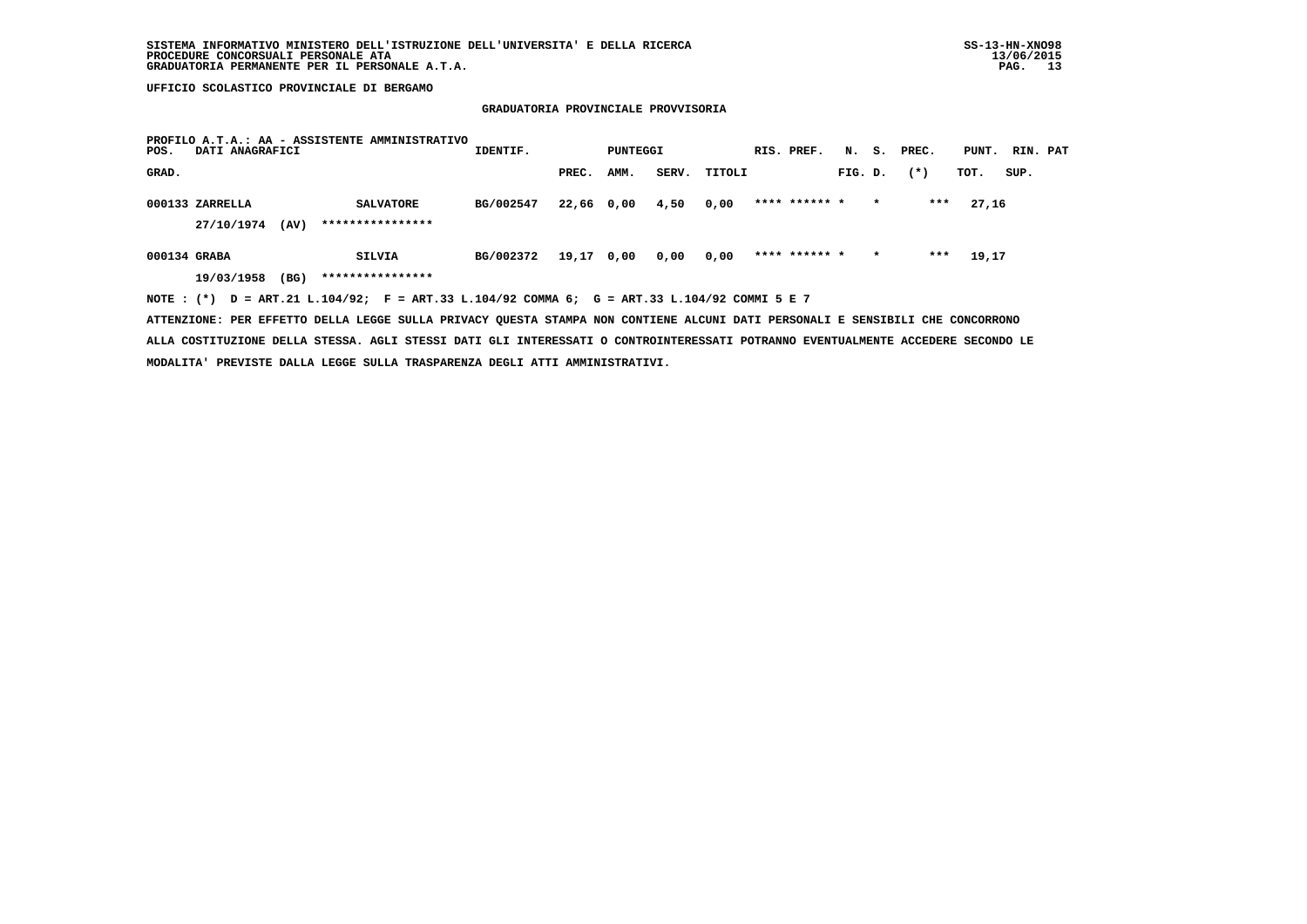# **GRADUATORIA PROVINCIALE PROVVISORIA**

| POS.         | DATI ANAGRAFICI               |      | PROFILO A.T.A.: AA - ASSISTENTE AMMINISTRATIVO                                              | IDENTIF.  |            | PUNTEGGI |       |        | RIS. PREF.    |         |         | N. S. PREC. | PUNT. RIN. PAT |      |  |
|--------------|-------------------------------|------|---------------------------------------------------------------------------------------------|-----------|------------|----------|-------|--------|---------------|---------|---------|-------------|----------------|------|--|
| GRAD.        |                               |      |                                                                                             |           | PREC.      | AMM.     | SERV. | TITOLI |               | FIG. D. |         | $(* )$      | TOT.           | SUP. |  |
|              | 000133 ZARRELLA<br>27/10/1974 | (AV) | <b>SALVATORE</b><br>****************                                                        | BG/002547 | 22,66 0,00 |          | 4,50  | 0,00   | **** ****** * |         | $\star$ | ***         | 27,16          |      |  |
| 000134 GRABA |                               |      | SILVIA                                                                                      | BG/002372 | 19,17 0,00 |          | 0,00  | 0,00   | **** ****** * |         | $\star$ | ***         | 19,17          |      |  |
|              | 19/03/1958                    | (BG) | ****************                                                                            |           |            |          |       |        |               |         |         |             |                |      |  |
|              |                               |      | NOTE: (*) D = ART.21 L.104/92; F = ART.33 L.104/92 COMMA 6; G = ART.33 L.104/92 COMMI 5 E 7 |           |            |          |       |        |               |         |         |             |                |      |  |

 **ATTENZIONE: PER EFFETTO DELLA LEGGE SULLA PRIVACY QUESTA STAMPA NON CONTIENE ALCUNI DATI PERSONALI E SENSIBILI CHE CONCORRONO ALLA COSTITUZIONE DELLA STESSA. AGLI STESSI DATI GLI INTERESSATI O CONTROINTERESSATI POTRANNO EVENTUALMENTE ACCEDERE SECONDO LE MODALITA' PREVISTE DALLA LEGGE SULLA TRASPARENZA DEGLI ATTI AMMINISTRATIVI.**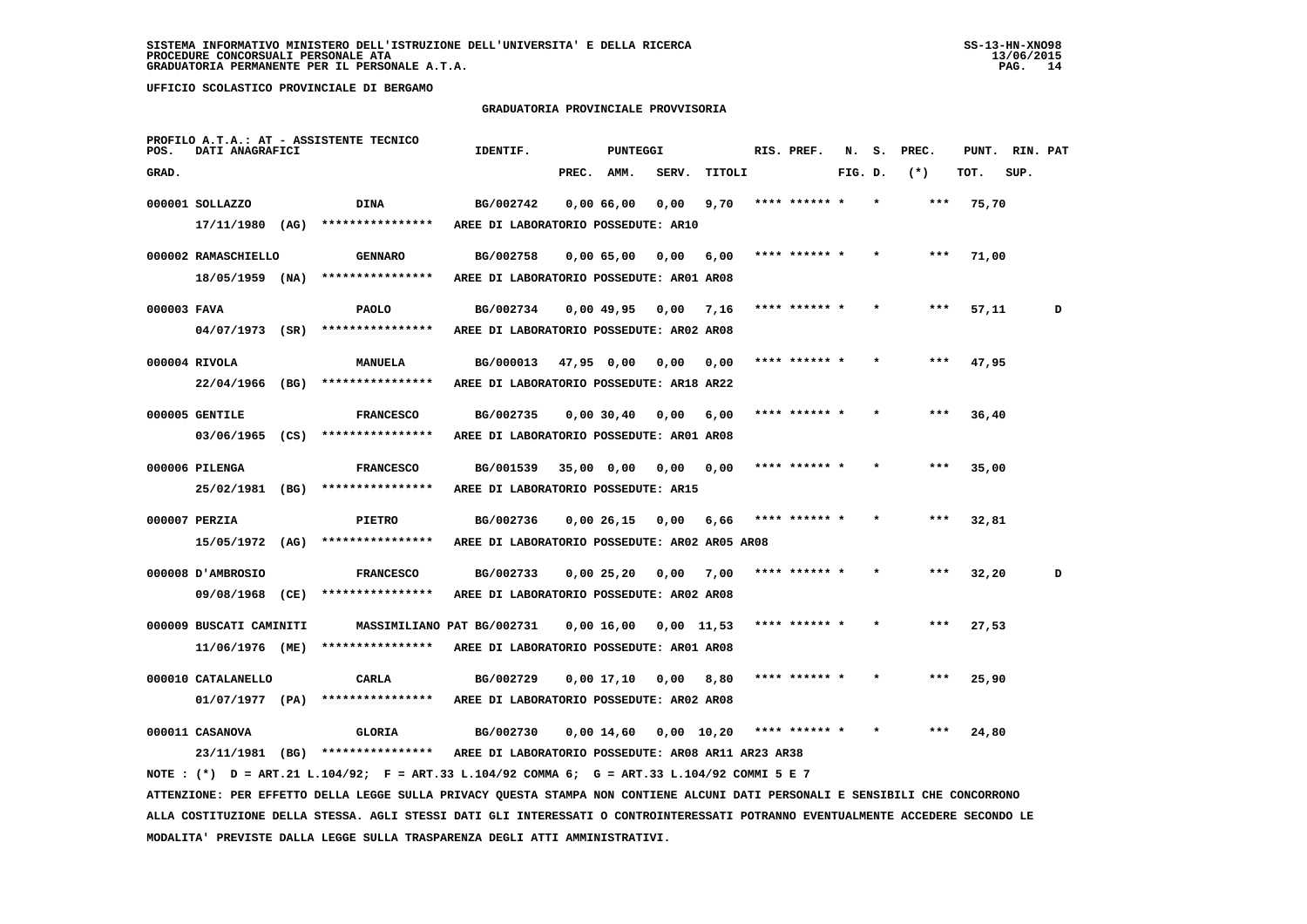**MODALITA' PREVISTE DALLA LEGGE SULLA TRASPARENZA DEGLI ATTI AMMINISTRATIVI.**

 **UFFICIO SCOLASTICO PROVINCIALE DI BERGAMO**

### **GRADUATORIA PROVINCIALE PROVVISORIA**

| POS.        | DATI ANAGRAFICI         |      | PROFILO A.T.A.: AT - ASSISTENTE TECNICO                                                                                         | IDENTIF.                                           |            | PUNTEGGI     |              |        | RIS. PREF.    | N.      | s. | PREC. | PUNT. | RIN. PAT |   |
|-------------|-------------------------|------|---------------------------------------------------------------------------------------------------------------------------------|----------------------------------------------------|------------|--------------|--------------|--------|---------------|---------|----|-------|-------|----------|---|
| GRAD.       |                         |      |                                                                                                                                 |                                                    | PREC.      | AMM.         | SERV.        | TITOLI |               | FIG. D. |    | $(*)$ | TOT.  | SUP.     |   |
|             | 000001 SOLLAZZO         |      | DINA                                                                                                                            | BG/002742                                          |            | 0,00 66,00   | 0.00         | 9,70   | **** ****** * |         |    | ***   | 75,70 |          |   |
|             | 17/11/1980              | (AG) | ****************                                                                                                                | AREE DI LABORATORIO POSSEDUTE: AR10                |            |              |              |        |               |         |    |       |       |          |   |
|             | 000002 RAMASCHIELLO     |      | <b>GENNARO</b>                                                                                                                  | BG/002758                                          |            | 0,0065,00    | 0,00         | 6,00   | **** ****** * |         |    | ***   | 71,00 |          |   |
|             | $18/05/1959$ (NA)       |      | ****************                                                                                                                | AREE DI LABORATORIO POSSEDUTE: AR01 AR08           |            |              |              |        |               |         |    |       |       |          |   |
|             |                         |      |                                                                                                                                 |                                                    |            |              |              |        |               |         |    |       |       |          |   |
| 000003 FAVA |                         |      | PAOLO                                                                                                                           | BG/002734                                          |            | 0,00 49,95   | 0,00         | 7,16   |               |         |    |       | 57,11 |          | D |
|             | $04/07/1973$ (SR)       |      | ****************                                                                                                                | AREE DI LABORATORIO POSSEDUTE: AR02 AR08           |            |              |              |        |               |         |    |       |       |          |   |
|             | 000004 RIVOLA           |      | <b>MANUELA</b>                                                                                                                  | BG/000013                                          | 47,95 0,00 |              | 0,00         | 0,00   |               |         |    |       | 47,95 |          |   |
|             | 22/04/1966              | (BG) | ****************                                                                                                                | AREE DI LABORATORIO POSSEDUTE: AR18 AR22           |            |              |              |        |               |         |    |       |       |          |   |
|             | 000005 GENTILE          |      | <b>FRANCESCO</b>                                                                                                                | BG/002735                                          |            | 0,00,30,40   | 0,00         | 6,00   |               |         |    |       | 36,40 |          |   |
|             | 03/06/1965 (CS)         |      | ****************                                                                                                                | AREE DI LABORATORIO POSSEDUTE: AR01 AR08           |            |              |              |        |               |         |    |       |       |          |   |
|             |                         |      |                                                                                                                                 |                                                    |            |              |              |        |               |         |    |       |       |          |   |
|             | 000006 PILENGA          |      | <b>FRANCESCO</b>                                                                                                                | BG/001539                                          | 35,00 0,00 |              | 0,00         | 0,00   |               |         |    |       | 35,00 |          |   |
|             | 25/02/1981 (BG)         |      | ****************                                                                                                                | AREE DI LABORATORIO POSSEDUTE: AR15                |            |              |              |        |               |         |    |       |       |          |   |
|             | 000007 PERZIA           |      | <b>PIETRO</b>                                                                                                                   | BG/002736                                          |            | 0,00 26,15   | 0,00         | 6,66   | **** ****** * |         |    | ***   | 32,81 |          |   |
|             | $15/05/1972$ (AG)       |      | ****************                                                                                                                | AREE DI LABORATORIO POSSEDUTE: AR02 AR05 AR08      |            |              |              |        |               |         |    |       |       |          |   |
|             | 000008 D'AMBROSIO       |      | <b>FRANCESCO</b>                                                                                                                | BG/002733                                          |            | 0,0025,20    | 0,00         | 7,00   | **** ****** * |         |    | ***   | 32,20 |          | D |
|             | 09/08/1968              | (CE) | ****************                                                                                                                | AREE DI LABORATORIO POSSEDUTE: AR02 AR08           |            |              |              |        |               |         |    |       |       |          |   |
|             |                         |      |                                                                                                                                 |                                                    |            |              |              |        |               |         |    |       |       |          |   |
|             | 000009 BUSCATI CAMINITI |      | MASSIMILIANO PAT BG/002731                                                                                                      |                                                    |            | $0,00$ 16,00 | $0.00$ 11.53 |        |               |         |    |       | 27,53 |          |   |
|             | 11/06/1976 (ME)         |      | ****************                                                                                                                | AREE DI LABORATORIO POSSEDUTE: AR01 AR08           |            |              |              |        |               |         |    |       |       |          |   |
|             | 000010 CATALANELLO      |      | <b>CARLA</b>                                                                                                                    | BG/002729                                          |            | 0,0017,10    | 0,00         | 8,80   |               |         |    |       | 25,90 |          |   |
|             | 01/07/1977 (PA)         |      | ****************                                                                                                                | AREE DI LABORATORIO POSSEDUTE: AR02 AR08           |            |              |              |        |               |         |    |       |       |          |   |
|             | 000011 CASANOVA         |      | <b>GLORIA</b>                                                                                                                   | BG/002730                                          |            | 0,00 14,60   | $0,00$ 10,20 |        | **** ****** * |         |    |       | 24,80 |          |   |
|             |                         |      | 23/11/1981 (BG) ****************                                                                                                | AREE DI LABORATORIO POSSEDUTE: AR08 AR11 AR23 AR38 |            |              |              |        |               |         |    |       |       |          |   |
|             |                         |      | NOTE: (*) D = ART.21 L.104/92; F = ART.33 L.104/92 COMMA 6; G = ART.33 L.104/92 COMMI 5 E 7                                     |                                                    |            |              |              |        |               |         |    |       |       |          |   |
|             |                         |      | ATTENZIONE: PER EFFETTO DELLA LEGGE SULLA PRIVACY QUESTA STAMPA NON CONTIENE ALCUNI DATI PERSONALI E SENSIBILI CHE CONCORRONO   |                                                    |            |              |              |        |               |         |    |       |       |          |   |
|             |                         |      | ALLA COSTITUZIONE DELLA STESSA. AGLI STESSI DATI GLI INTERESSATI O CONTROINTERESSATI POTRANNO EVENTUALMENTE ACCEDERE SECONDO LE |                                                    |            |              |              |        |               |         |    |       |       |          |   |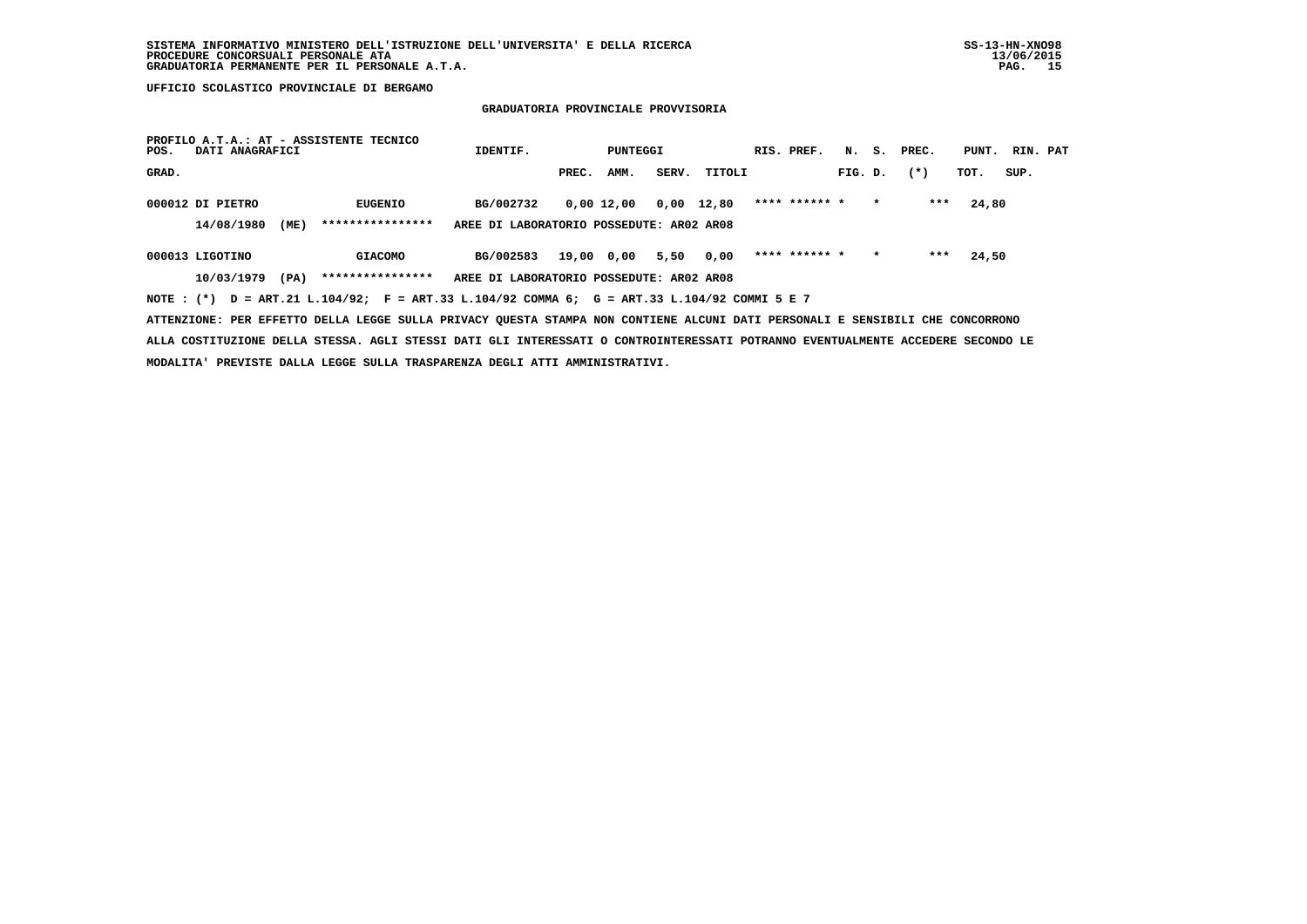### **GRADUATORIA PROVINCIALE PROVVISORIA**

| PROFILO A.T.A.: AT - ASSISTENTE TECNICO<br>DATI ANAGRAFICI<br>POS.                                                            | IDENTIF.                                 | PUNTEGGI      |              | RIS. PREF.    |         | N. S. PREC. |       | PUNT. RIN. PAT |      |  |
|-------------------------------------------------------------------------------------------------------------------------------|------------------------------------------|---------------|--------------|---------------|---------|-------------|-------|----------------|------|--|
| GRAD.                                                                                                                         |                                          | AMM.<br>PREC. | SERV. TITOLI |               | FIG. D. |             | $(*)$ | TOT.           | SUP. |  |
| 000012 DI PIETRO<br>EUGENIO                                                                                                   | BG/002732                                | 0,00 12,00    | 0,00 12,80   | **** ****** * |         | $\star$     | ***   | 24,80          |      |  |
| ****************<br>14/08/1980<br>(ME)                                                                                        | AREE DI LABORATORIO POSSEDUTE: AR02 AR08 |               |              |               |         |             |       |                |      |  |
| 000013 LIGOTINO<br><b>GIACOMO</b>                                                                                             | BG/002583                                | 19,00 0,00    | 5,50<br>0,00 | **** ****** * |         | $\star$     | ***   | 24,50          |      |  |
| ****************<br>10/03/1979<br>(PA)                                                                                        | AREE DI LABORATORIO POSSEDUTE: AR02 AR08 |               |              |               |         |             |       |                |      |  |
| NOTE: (*) D = ART.21 L.104/92; F = ART.33 L.104/92 COMMA 6; G = ART.33 L.104/92 COMMI 5 E 7                                   |                                          |               |              |               |         |             |       |                |      |  |
| ATTENZIONE: PER EFFETTO DELLA LEGGE SULLA PRIVACY QUESTA STAMPA NON CONTIENE ALCUNI DATI PERSONALI E SENSIBILI CHE CONCORRONO |                                          |               |              |               |         |             |       |                |      |  |

 **ALLA COSTITUZIONE DELLA STESSA. AGLI STESSI DATI GLI INTERESSATI O CONTROINTERESSATI POTRANNO EVENTUALMENTE ACCEDERE SECONDO LE MODALITA' PREVISTE DALLA LEGGE SULLA TRASPARENZA DEGLI ATTI AMMINISTRATIVI.**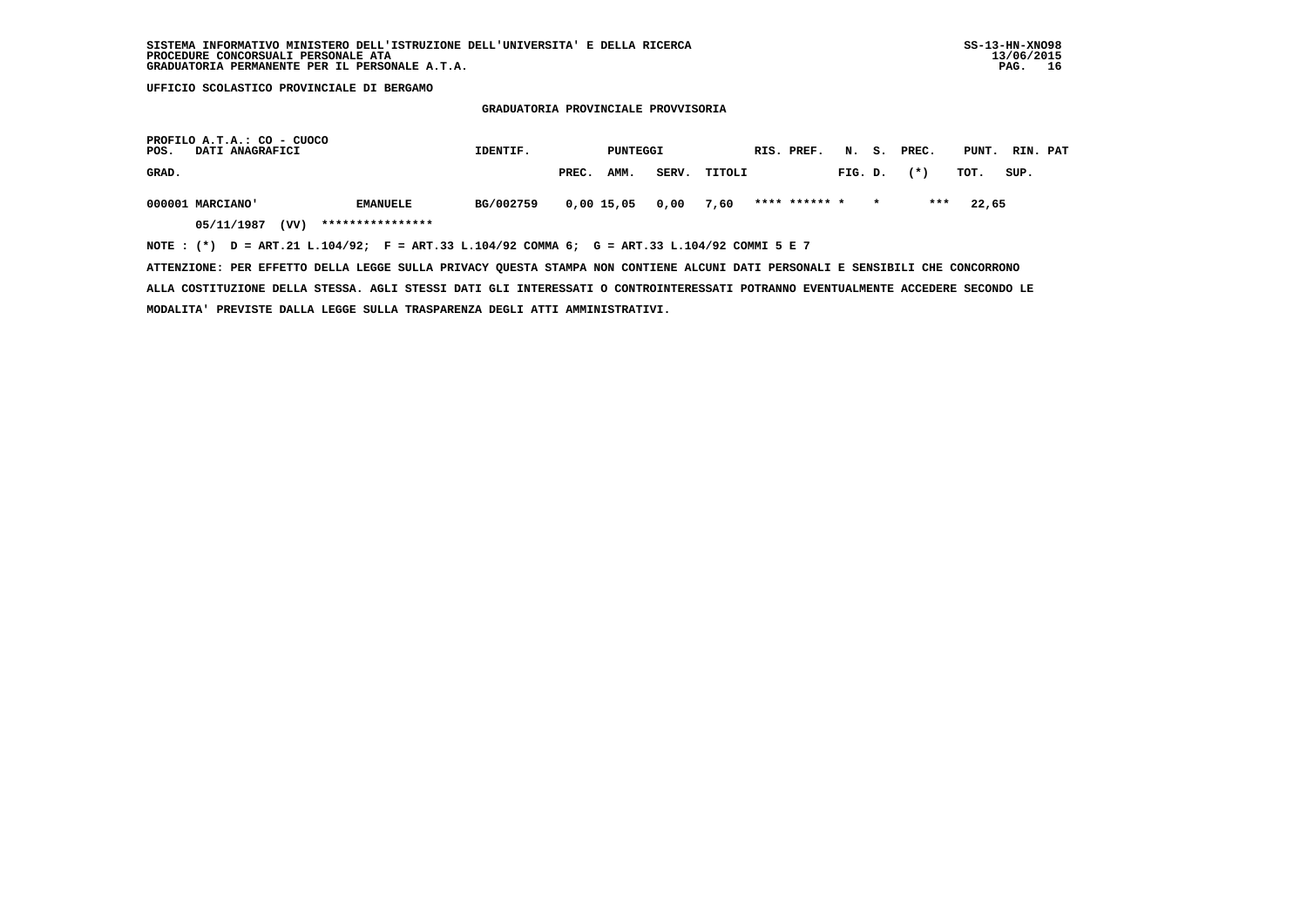**GRADUATORIA PROVINCIALE PROVVISORIA**

| POS.  | PROFILO A.T.A.: CO - CUOCO<br><b>DATI ANAGRAFICI</b> |                                                                                             | IDENTIF.  |       | PUNTEGGI             |       |        | RIS. PREF.    |         |         | N. S. PREC. |       | PUNT. RIN. PAT |
|-------|------------------------------------------------------|---------------------------------------------------------------------------------------------|-----------|-------|----------------------|-------|--------|---------------|---------|---------|-------------|-------|----------------|
| GRAD. |                                                      |                                                                                             |           | PREC. | AMM.                 | SERV. | TITOLI |               | FIG. D. |         | $(*)$       | тот.  | SUP.           |
|       | 000001 MARCIANO'                                     | <b>EMANUELE</b>                                                                             | BG/002759 |       | 0,00 15,05 0,00 7,60 |       |        | **** ****** * |         | $\star$ | ***         | 22,65 |                |
|       | 05/11/1987<br>(VV)                                   | ****************                                                                            |           |       |                      |       |        |               |         |         |             |       |                |
|       |                                                      | NOTE: (*) D = ART.21 L.104/92; F = ART.33 L.104/92 COMMA 6; G = ART.33 L.104/92 COMMI 5 E 7 |           |       |                      |       |        |               |         |         |             |       |                |

 **ATTENZIONE: PER EFFETTO DELLA LEGGE SULLA PRIVACY QUESTA STAMPA NON CONTIENE ALCUNI DATI PERSONALI E SENSIBILI CHE CONCORRONO ALLA COSTITUZIONE DELLA STESSA. AGLI STESSI DATI GLI INTERESSATI O CONTROINTERESSATI POTRANNO EVENTUALMENTE ACCEDERE SECONDO LE MODALITA' PREVISTE DALLA LEGGE SULLA TRASPARENZA DEGLI ATTI AMMINISTRATIVI.**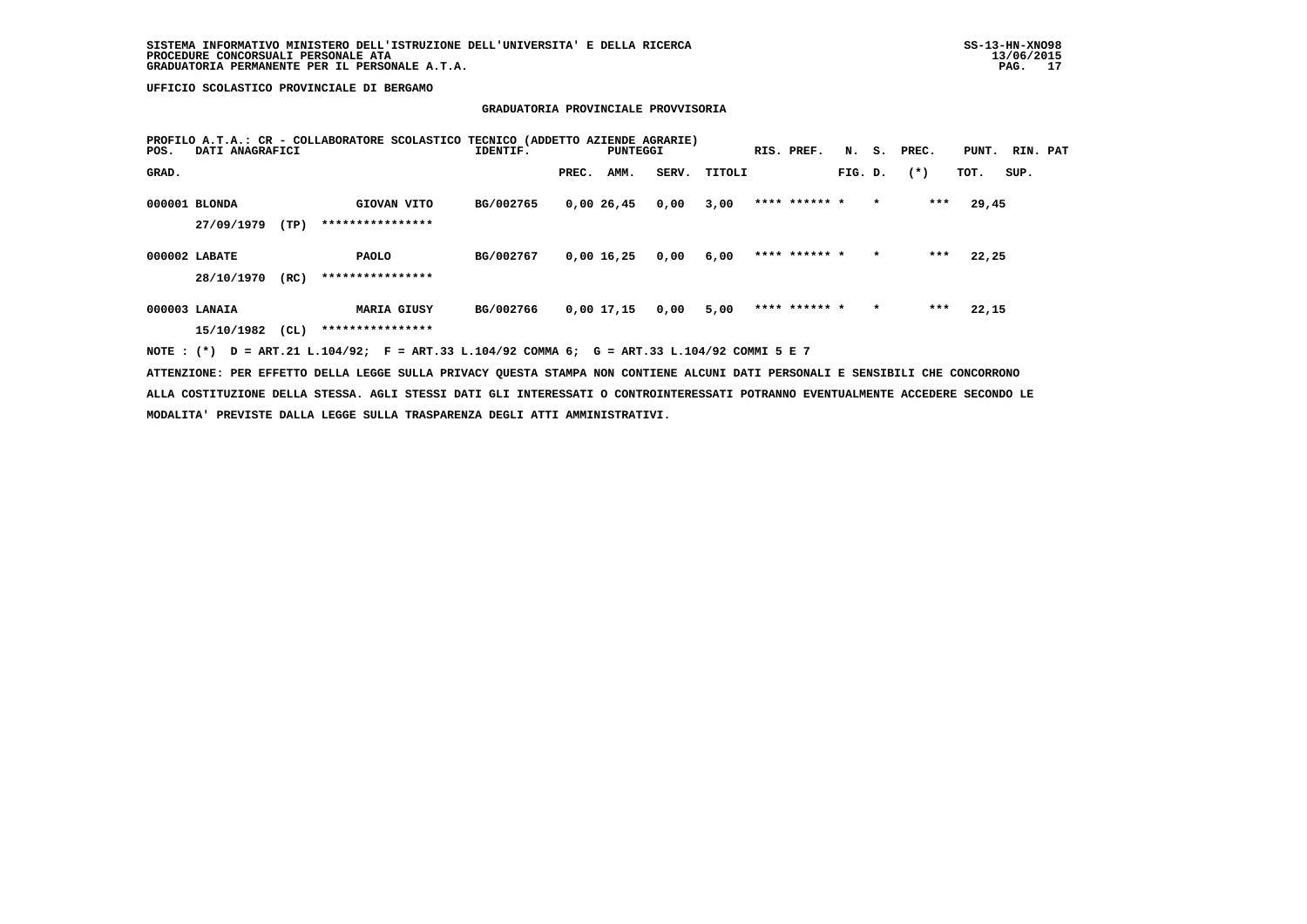### **GRADUATORIA PROVINCIALE PROVVISORIA**

| POS.  | DATI ANAGRAFICI             |      | PROFILO A.T.A.: CR - COLLABORATORE SCOLASTICO | TECNICO (ADDETTO AZIENDE AGRARIE)<br>IDENTIF. |       | PUNTEGGI     |       |        | RIS. PREF.    | N.      | s.      | PREC.  | PUNT. | RIN. PAT |  |
|-------|-----------------------------|------|-----------------------------------------------|-----------------------------------------------|-------|--------------|-------|--------|---------------|---------|---------|--------|-------|----------|--|
| GRAD. |                             |      |                                               |                                               | PREC. | AMM.         | SERV. | TITOLI |               | FIG. D. |         | $(* )$ | TOT.  | SUP.     |  |
|       | 000001 BLONDA<br>27/09/1979 | (TP) | GIOVAN VITO<br>****************               | BG/002765                                     |       | 0,0026,45    | 0,00  | 3,00   | **** ****** * |         | $\star$ | $***$  | 29,45 |          |  |
|       | 000002 LABATE<br>28/10/1970 | (RC) | <b>PAOLO</b><br>****************              | BG/002767                                     |       | $0,00$ 16,25 | 0,00  | 6,00   | **** ****** * |         | $\star$ | $***$  | 22,25 |          |  |
|       | 000003 LANAIA<br>15/10/1982 | CL)  | <b>MARIA GIUSY</b><br>****************        | BG/002766                                     |       | 0,00 17,15   | 0,00  | 5,00   | **** ****** * |         | $\star$ | $***$  | 22,15 |          |  |
|       |                             |      |                                               |                                               |       |              |       |        |               |         |         |        |       |          |  |

 **NOTE : (\*) D = ART.21 L.104/92; F = ART.33 L.104/92 COMMA 6; G = ART.33 L.104/92 COMMI 5 E 7**

 **ATTENZIONE: PER EFFETTO DELLA LEGGE SULLA PRIVACY QUESTA STAMPA NON CONTIENE ALCUNI DATI PERSONALI E SENSIBILI CHE CONCORRONO ALLA COSTITUZIONE DELLA STESSA. AGLI STESSI DATI GLI INTERESSATI O CONTROINTERESSATI POTRANNO EVENTUALMENTE ACCEDERE SECONDO LE MODALITA' PREVISTE DALLA LEGGE SULLA TRASPARENZA DEGLI ATTI AMMINISTRATIVI.**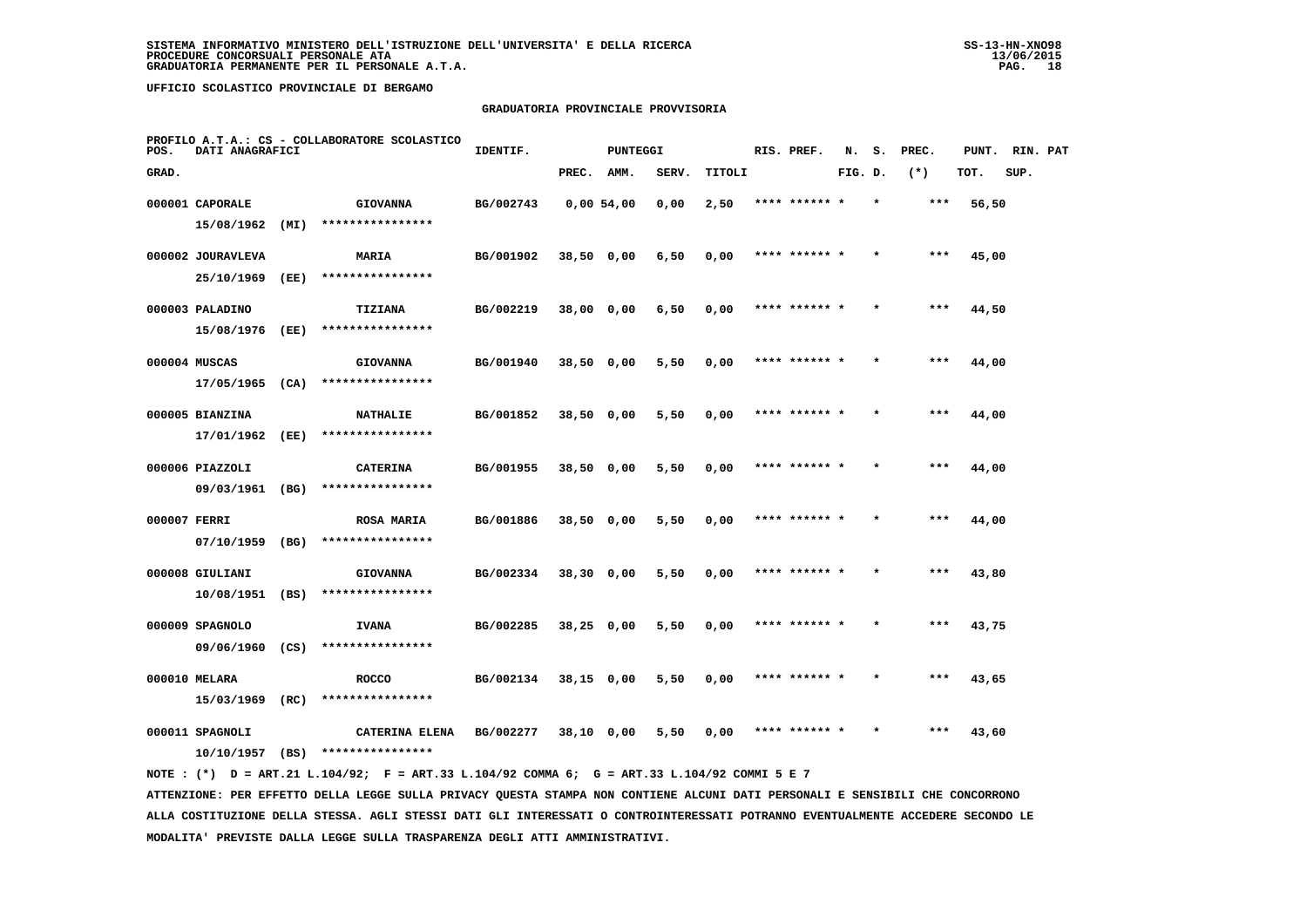### **GRADUATORIA PROVINCIALE PROVVISORIA**

| POS.         | DATI ANAGRAFICI   |      | PROFILO A.T.A.: CS - COLLABORATORE SCOLASTICO | IDENTIF.  |              | <b>PUNTEGGI</b> |       |        | RIS. PREF.    | N.      | s. | PREC. | PUNT. | RIN. PAT |  |
|--------------|-------------------|------|-----------------------------------------------|-----------|--------------|-----------------|-------|--------|---------------|---------|----|-------|-------|----------|--|
| GRAD.        |                   |      |                                               |           | PREC.        | AMM.            | SERV. | TITOLI |               | FIG. D. |    | $(*)$ | TOT.  | SUP.     |  |
|              | 000001 CAPORALE   |      | <b>GIOVANNA</b>                               | BG/002743 |              | 0.0054.00       | 0,00  | 2,50   | **** ****** * |         |    | ***   | 56,50 |          |  |
|              | 15/08/1962        | (MI) | ****************                              |           |              |                 |       |        |               |         |    |       |       |          |  |
|              | 000002 JOURAVLEVA |      | MARIA                                         | BG/001902 | 38,50 0,00   |                 | 6,50  | 0,00   | **** ****** * |         |    | ***   | 45,00 |          |  |
|              | 25/10/1969        | (EE) | ****************                              |           |              |                 |       |        |               |         |    |       |       |          |  |
|              | 000003 PALADINO   |      | TIZIANA                                       | BG/002219 | 38,00 0,00   |                 | 6,50  | 0,00   | **** ****** * |         |    | $***$ | 44,50 |          |  |
|              | 15/08/1976 (EE)   |      | ****************                              |           |              |                 |       |        |               |         |    |       |       |          |  |
|              | 000004 MUSCAS     |      | <b>GIOVANNA</b>                               | BG/001940 | $38,50$ 0,00 |                 | 5,50  | 0,00   | **** ****** * |         |    | $***$ | 44,00 |          |  |
|              | 17/05/1965        | (CA) | ****************                              |           |              |                 |       |        |               |         |    |       |       |          |  |
|              | 000005 BIANZINA   |      | <b>NATHALIE</b>                               | BG/001852 | 38,50 0,00   |                 | 5,50  | 0,00   | **** ****** * |         |    | $***$ | 44,00 |          |  |
|              | 17/01/1962        | (EE) | ****************                              |           |              |                 |       |        |               |         |    |       |       |          |  |
|              | 000006 PIAZZOLI   |      | <b>CATERINA</b>                               | BG/001955 | 38,50 0,00   |                 | 5,50  | 0,00   | **** ****** * |         |    | $***$ | 44,00 |          |  |
|              | 09/03/1961 (BG)   |      | ****************                              |           |              |                 |       |        |               |         |    |       |       |          |  |
| 000007 FERRI |                   |      | <b>ROSA MARIA</b>                             | BG/001886 | 38,50 0,00   |                 | 5,50  | 0,00   | **** ****** * |         |    | ***   | 44,00 |          |  |
|              | 07/10/1959        | (BG) | ****************                              |           |              |                 |       |        |               |         |    |       |       |          |  |
|              | 000008 GIULIANI   |      | <b>GIOVANNA</b>                               | BG/002334 | 38,30 0,00   |                 | 5,50  | 0,00   | **** ******   |         |    | $***$ | 43,80 |          |  |
|              | 10/08/1951 (BS)   |      | ****************                              |           |              |                 |       |        |               |         |    |       |       |          |  |
|              | 000009 SPAGNOLO   |      | <b>IVANA</b>                                  | BG/002285 | $38,25$ 0,00 |                 | 5,50  | 0,00   | **** ****** * |         |    | $***$ | 43,75 |          |  |
|              | 09/06/1960        | (CS) | ****************                              |           |              |                 |       |        |               |         |    |       |       |          |  |
|              | 000010 MELARA     |      | <b>ROCCO</b>                                  | BG/002134 | $38,15$ 0,00 |                 | 5,50  | 0,00   | **** ****** * |         |    | ***   | 43,65 |          |  |
|              | 15/03/1969        | (RC) | ****************                              |           |              |                 |       |        |               |         |    |       |       |          |  |
|              | 000011 SPAGNOLI   |      | CATERINA ELENA                                | BG/002277 | 38,10 0,00   |                 | 5,50  | 0,00   | **** ****** * |         |    | ***   | 43,60 |          |  |
|              | 10/10/1957        | (BS) | ****************                              |           |              |                 |       |        |               |         |    |       |       |          |  |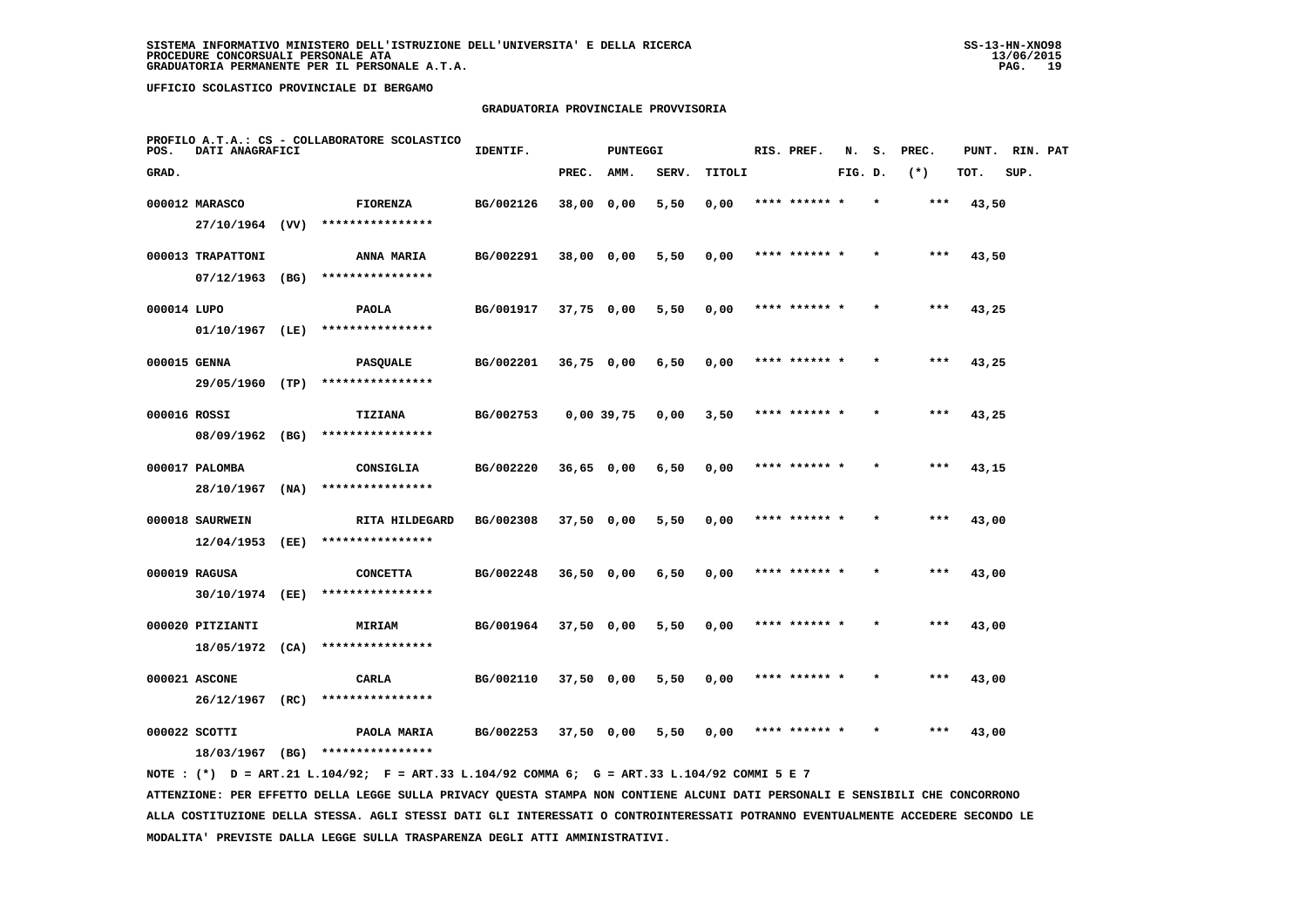### **GRADUATORIA PROVINCIALE PROVVISORIA**

| POS.         | DATI ANAGRAFICI                  |      | PROFILO A.T.A.: CS - COLLABORATORE SCOLASTICO | IDENTIF.  |              | <b>PUNTEGGI</b> |       |        | RIS. PREF.    | N.      | s.      | PREC. | PUNT. | RIN. PAT |  |
|--------------|----------------------------------|------|-----------------------------------------------|-----------|--------------|-----------------|-------|--------|---------------|---------|---------|-------|-------|----------|--|
| GRAD.        |                                  |      |                                               |           | PREC.        | AMM.            | SERV. | TITOLI |               | FIG. D. |         | $(*)$ | TOT.  | SUP.     |  |
|              | 000012 MARASCO                   |      | <b>FIORENZA</b>                               | BG/002126 | 38,00 0,00   |                 | 5,50  | 0,00   | **** ****** * |         |         | $***$ | 43,50 |          |  |
|              | 27/10/1964 (VV)                  |      | ****************                              |           |              |                 |       |        |               |         |         |       |       |          |  |
|              | 000013 TRAPATTONI                |      | ANNA MARIA                                    | BG/002291 | 38,00 0,00   |                 | 5,50  | 0,00   | **** ****** * |         |         | $***$ | 43,50 |          |  |
|              | $07/12/1963$ (BG)                |      | ****************                              |           |              |                 |       |        |               |         |         |       |       |          |  |
| 000014 LUPO  |                                  |      | <b>PAOLA</b>                                  | BG/001917 | 37,75 0,00   |                 | 5,50  | 0,00   | **** ****** * |         |         | ***   | 43,25 |          |  |
|              | $01/10/1967$ (LE)                |      | ****************                              |           |              |                 |       |        |               |         |         |       |       |          |  |
| 000015 GENNA |                                  |      | PASQUALE                                      | BG/002201 | 36,75 0,00   |                 | 6,50  | 0,00   | **** ****** * |         |         | ***   | 43,25 |          |  |
|              | 29/05/1960 (TP)                  |      | ****************                              |           |              |                 |       |        |               |         |         |       |       |          |  |
| 000016 ROSSI |                                  |      | TIZIANA                                       | BG/002753 |              | $0,00$ 39,75    | 0,00  | 3,50   | **** ****** * |         |         | ***   | 43,25 |          |  |
|              | 08/09/1962 (BG)                  |      | ****************                              |           |              |                 |       |        |               |         |         |       |       |          |  |
|              | 000017 PALOMBA<br>28/10/1967     | (NA) | CONSIGLIA<br>****************                 | BG/002220 | $36,65$ 0,00 |                 | 6,50  | 0,00   | **** ****** * |         |         | $***$ | 43,15 |          |  |
|              |                                  |      |                                               |           |              |                 |       |        |               |         |         |       |       |          |  |
|              | 000018 SAURWEIN<br>12/04/1953    | (EE) | RITA HILDEGARD<br>****************            | BG/002308 | 37,50 0,00   |                 | 5,50  | 0,00   | **** ****** * |         | $\star$ | ***   | 43,00 |          |  |
|              |                                  |      |                                               |           |              |                 |       |        | **** ******   |         |         | ***   |       |          |  |
|              | 000019 RAGUSA<br>30/10/1974 (EE) |      | <b>CONCETTA</b><br>****************           | BG/002248 | 36,50 0,00   |                 | 6,50  | 0,00   |               |         |         |       | 43,00 |          |  |
|              | 000020 PITZIANTI                 |      | <b>MIRIAM</b>                                 | BG/001964 | 37,50 0,00   |                 | 5,50  | 0,00   | **** ****** * |         |         | ***   | 43,00 |          |  |
|              | 18/05/1972 (CA)                  |      | ****************                              |           |              |                 |       |        |               |         |         |       |       |          |  |
|              | 000021 ASCONE                    |      | CARLA                                         | BG/002110 | 37,50 0,00   |                 | 5,50  | 0,00   | **** ****** * |         |         | ***   | 43,00 |          |  |
|              | $26/12/1967$ (RC)                |      | ****************                              |           |              |                 |       |        |               |         |         |       |       |          |  |
|              | 000022 SCOTTI                    |      | PAOLA MARIA                                   | BG/002253 | 37,50 0,00   |                 | 5,50  | 0,00   | **** ****** * |         |         | ***   | 43,00 |          |  |
|              | 18/03/1967 (BG)                  |      | ****************                              |           |              |                 |       |        |               |         |         |       |       |          |  |
|              |                                  |      |                                               |           |              |                 |       |        |               |         |         |       |       |          |  |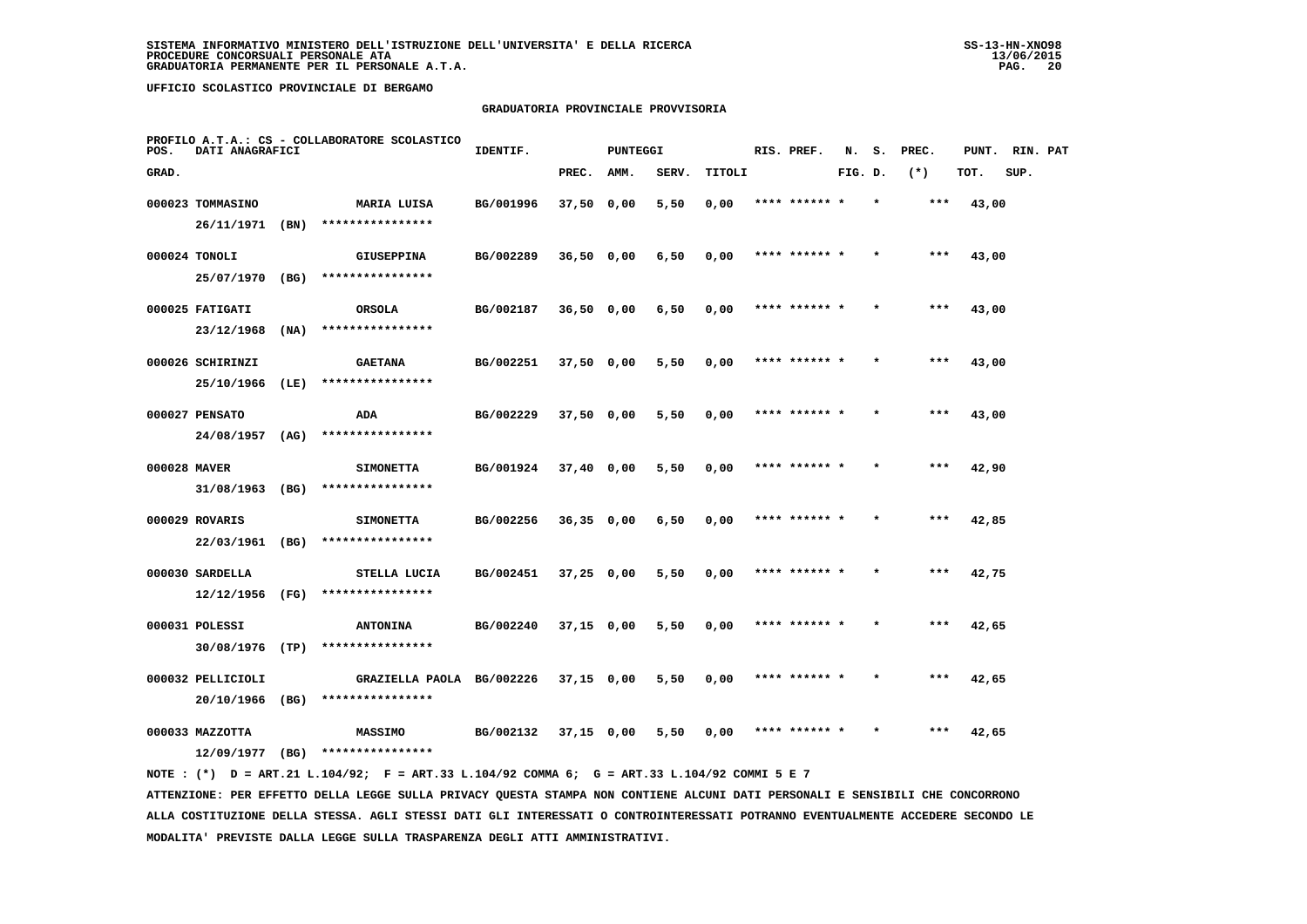### **GRADUATORIA PROVINCIALE PROVVISORIA**

| POS.         | DATI ANAGRAFICI                      |      | PROFILO A.T.A.: CS - COLLABORATORE SCOLASTICO | IDENTIF.  |              | <b>PUNTEGGI</b> |       |        | RIS. PREF.    | N.      | s.      | PREC. | PUNT. | RIN. PAT |  |
|--------------|--------------------------------------|------|-----------------------------------------------|-----------|--------------|-----------------|-------|--------|---------------|---------|---------|-------|-------|----------|--|
| GRAD.        |                                      |      |                                               |           | PREC.        | AMM.            | SERV. | TITOLI |               | FIG. D. |         | $(*)$ | TOT.  | SUP.     |  |
|              | 000023 TOMMASINO                     |      | MARIA LUISA                                   | BG/001996 | $37,50$ 0,00 |                 | 5,50  | 0,00   | **** ****** * |         |         | ***   | 43,00 |          |  |
|              | 26/11/1971                           | (BN) | ****************                              |           |              |                 |       |        |               |         |         |       |       |          |  |
|              | 000024 TONOLI                        |      | <b>GIUSEPPINA</b>                             | BG/002289 | 36,50 0,00   |                 | 6,50  | 0,00   | **** ****** * |         |         | ***   | 43,00 |          |  |
|              | 25/07/1970 (BG)                      |      | ****************                              |           |              |                 |       |        |               |         |         |       |       |          |  |
|              | 000025 FATIGATI                      |      | ORSOLA                                        | BG/002187 | $36,50$ 0,00 |                 | 6,50  | 0,00   | **** ****** * |         |         | $***$ | 43,00 |          |  |
|              | 23/12/1968                           | (NA) | ****************                              |           |              |                 |       |        |               |         |         |       |       |          |  |
|              | 000026 SCHIRINZI                     |      | <b>GAETANA</b>                                | BG/002251 | 37,50 0,00   |                 | 5,50  | 0,00   | **** ****** * |         | $\star$ | $***$ | 43,00 |          |  |
|              | 25/10/1966                           | (LE) | ****************                              |           |              |                 |       |        |               |         |         |       |       |          |  |
|              | 000027 PENSATO                       |      | ADA                                           | BG/002229 | 37,50 0,00   |                 | 5,50  | 0,00   | **** ****** * |         |         | ***   | 43,00 |          |  |
|              | 24/08/1957                           | (AG) | ****************                              |           |              |                 |       |        |               |         |         |       |       |          |  |
| 000028 MAVER |                                      |      | <b>SIMONETTA</b>                              | BG/001924 | $37,40$ 0,00 |                 | 5,50  | 0,00   | **** ****** * |         |         | $***$ | 42,90 |          |  |
|              | 31/08/1963                           | (BG) | ****************                              |           |              |                 |       |        |               |         |         |       |       |          |  |
|              | 000029 ROVARIS                       |      | <b>SIMONETTA</b>                              | BG/002256 | $36,35$ 0,00 |                 | 6,50  | 0.00   | **** ****** * |         |         | $***$ | 42,85 |          |  |
|              | 22/03/1961 (BG)                      |      | ****************                              |           |              |                 |       |        |               |         |         |       |       |          |  |
|              | 000030 SARDELLA                      |      | STELLA LUCIA<br>****************              | BG/002451 | $37,25$ 0,00 |                 | 5,50  | 0,00   | **** ****** * |         |         | ***   | 42,75 |          |  |
|              | $12/12/1956$ (FG)                    |      |                                               |           |              |                 |       |        |               |         |         |       |       |          |  |
|              | 000031 POLESSI<br>30/08/1976 (TP)    |      | <b>ANTONINA</b><br>****************           | BG/002240 | 37,15 0,00   |                 | 5,50  | 0,00   | **** ****** * |         |         | ***   | 42,65 |          |  |
|              |                                      |      |                                               |           |              |                 |       |        |               |         |         |       |       |          |  |
|              | 000032 PELLICIOLI<br>20/10/1966 (BG) |      | GRAZIELLA PAOLA BG/002226<br>**************** |           | 37,15 0,00   |                 | 5,50  | 0,00   | **** ****** * |         |         | ***   | 42,65 |          |  |
|              |                                      |      |                                               |           |              |                 |       |        |               |         |         |       |       |          |  |
|              | 000033 MAZZOTTA<br>12/09/1977        | (BG) | <b>MASSIMO</b><br>****************            | BG/002132 | $37,15$ 0,00 |                 | 5,50  | 0,00   | **** ****** * |         |         | $***$ | 42,65 |          |  |
|              |                                      |      |                                               |           |              |                 |       |        |               |         |         |       |       |          |  |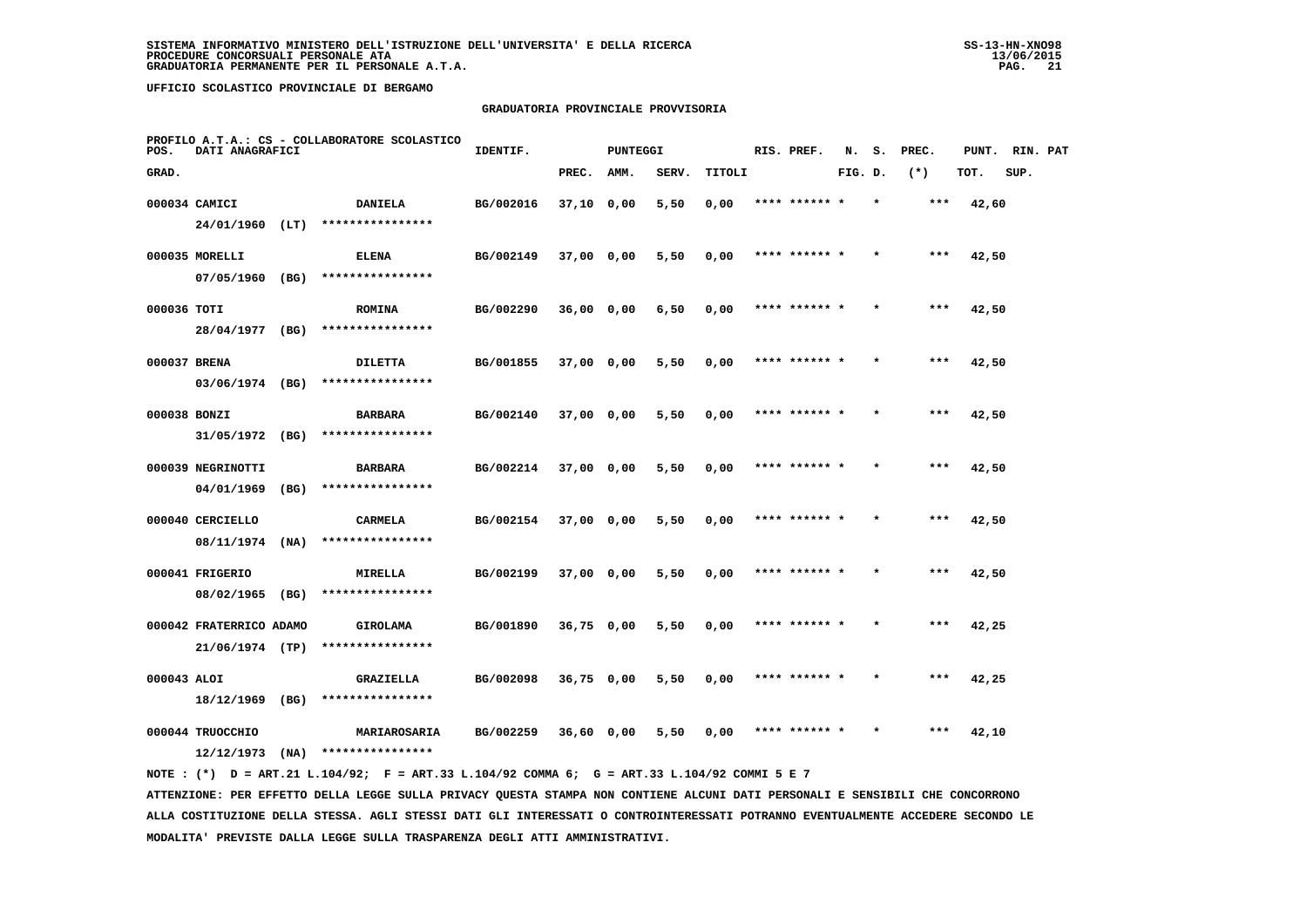### **GRADUATORIA PROVINCIALE PROVVISORIA**

| POS.         | DATI ANAGRAFICI         |      | PROFILO A.T.A.: CS - COLLABORATORE SCOLASTICO | IDENTIF.  |              | <b>PUNTEGGI</b> |       |        | RIS. PREF.    | N.      | s.      | PREC. | PUNT. | RIN. PAT |  |
|--------------|-------------------------|------|-----------------------------------------------|-----------|--------------|-----------------|-------|--------|---------------|---------|---------|-------|-------|----------|--|
| GRAD.        |                         |      |                                               |           | PREC.        | AMM.            | SERV. | TITOLI |               | FIG. D. |         | $(*)$ | TOT.  | SUP.     |  |
|              | 000034 CAMICI           |      | <b>DANIELA</b>                                | BG/002016 | 37,10 0,00   |                 | 5,50  | 0,00   | **** ****** * |         | $\star$ | $***$ | 42,60 |          |  |
|              | 24/01/1960 (LT)         |      | ****************                              |           |              |                 |       |        |               |         |         |       |       |          |  |
|              | 000035 MORELLI          |      | <b>ELENA</b>                                  | BG/002149 | 37,00 0,00   |                 | 5,50  | 0,00   | **** ****** * |         |         | ***   | 42,50 |          |  |
|              | 07/05/1960 (BG)         |      | ****************                              |           |              |                 |       |        |               |         |         |       |       |          |  |
| 000036 TOTI  |                         |      | <b>ROMINA</b>                                 | BG/002290 | $36,00$ 0,00 |                 | 6,50  | 0,00   | **** ****** * |         |         | $***$ | 42,50 |          |  |
|              | 28/04/1977 (BG)         |      | ****************                              |           |              |                 |       |        |               |         |         |       |       |          |  |
| 000037 BRENA |                         |      | <b>DILETTA</b>                                | BG/001855 | 37,00 0,00   |                 | 5,50  | 0,00   | **** ****** * |         |         | $***$ | 42,50 |          |  |
|              | 03/06/1974 (BG)         |      | ****************                              |           |              |                 |       |        |               |         |         |       |       |          |  |
| 000038 BONZI |                         |      | <b>BARBARA</b>                                | BG/002140 | 37,00 0,00   |                 | 5,50  | 0,00   | **** ****** * |         |         | $***$ | 42,50 |          |  |
|              | 31/05/1972 (BG)         |      | ****************                              |           |              |                 |       |        |               |         |         |       |       |          |  |
|              | 000039 NEGRINOTTI       |      | <b>BARBARA</b>                                | BG/002214 | 37,00 0,00   |                 | 5,50  | 0,00   | **** ****** * |         |         | ***   | 42,50 |          |  |
|              | 04/01/1969              | (BG) | ****************                              |           |              |                 |       |        |               |         |         |       |       |          |  |
|              | 000040 CERCIELLO        |      | CARMELA                                       | BG/002154 | 37,00 0,00   |                 | 5,50  | 0,00   | **** ******   |         |         | ***   | 42,50 |          |  |
|              | 08/11/1974              | (NA) | ****************                              |           |              |                 |       |        |               |         |         |       |       |          |  |
|              | 000041 FRIGERIO         |      | MIRELLA                                       | BG/002199 | 37,00 0,00   |                 | 5,50  | 0,00   | **** ****** * |         |         | $***$ | 42,50 |          |  |
|              | 08/02/1965              | (BG) | ****************                              |           |              |                 |       |        |               |         |         |       |       |          |  |
|              | 000042 FRATERRICO ADAMO |      | GIROLAMA                                      | BG/001890 | 36,75 0,00   |                 | 5,50  | 0,00   | **** ****** * |         | $\star$ | ***   | 42,25 |          |  |
|              | 21/06/1974 (TP)         |      | ****************                              |           |              |                 |       |        |               |         |         |       |       |          |  |
| 000043 ALOI  |                         |      | <b>GRAZIELLA</b>                              | BG/002098 | 36,75 0,00   |                 | 5,50  | 0,00   | **** ****** * |         |         | ***   | 42,25 |          |  |
|              | $18/12/1969$ (BG)       |      | ****************                              |           |              |                 |       |        |               |         |         |       |       |          |  |
|              | 000044 TRUOCCHIO        |      | MARIAROSARIA                                  | BG/002259 | 36,60 0,00   |                 | 5,50  | 0.00   | **** ****** * |         |         | ***   | 42,10 |          |  |
|              | 12/12/1973              | (NA) | ****************                              |           |              |                 |       |        |               |         |         |       |       |          |  |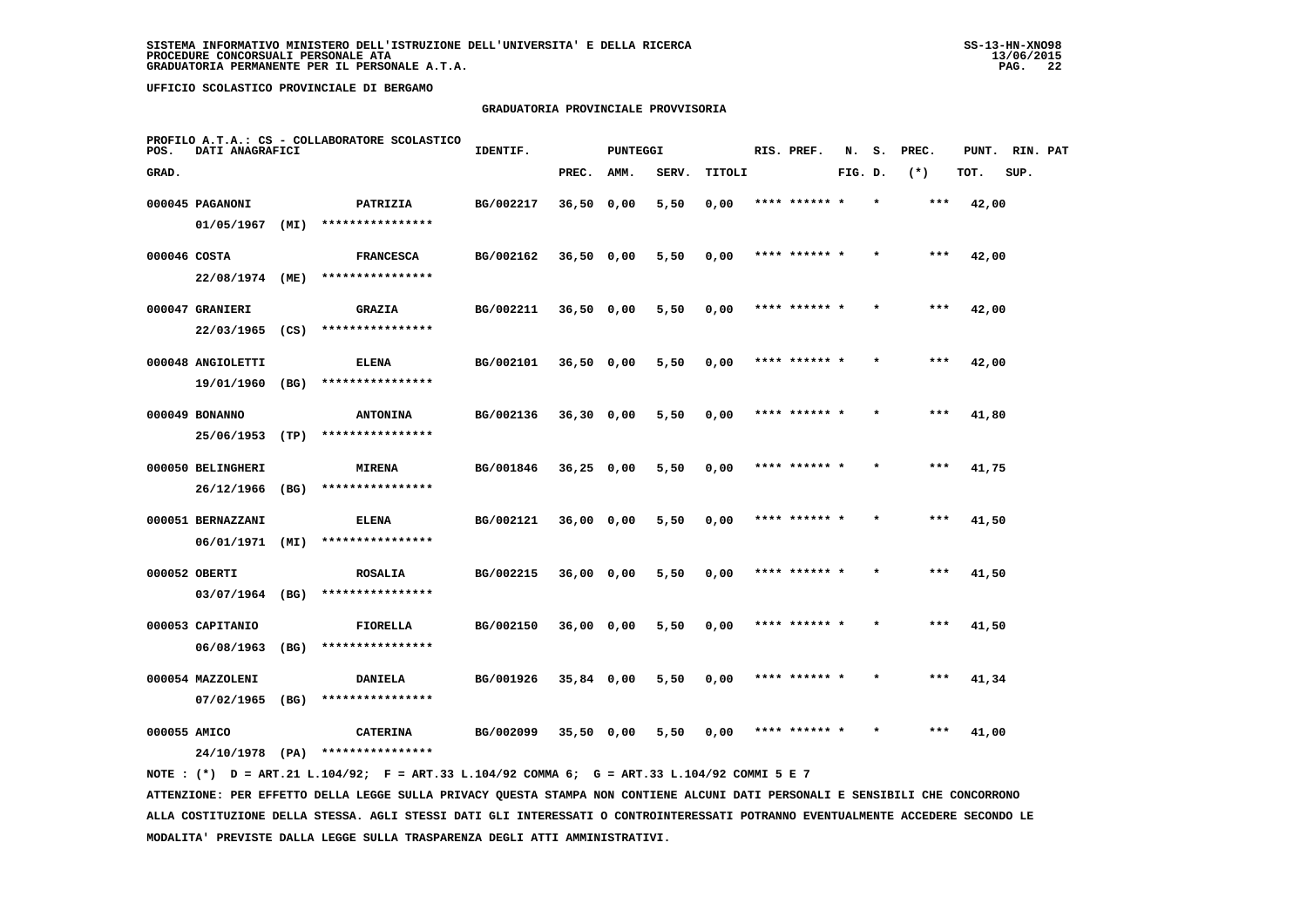# **GRADUATORIA PROVINCIALE PROVVISORIA**

| POS.         | DATI ANAGRAFICI                  |      | PROFILO A.T.A.: CS - COLLABORATORE SCOLASTICO | IDENTIF.  |              | <b>PUNTEGGI</b> |       |        | RIS. PREF.    | N.      | s. | PREC. | PUNT. | RIN. PAT |  |
|--------------|----------------------------------|------|-----------------------------------------------|-----------|--------------|-----------------|-------|--------|---------------|---------|----|-------|-------|----------|--|
| GRAD.        |                                  |      |                                               |           | PREC.        | AMM.            | SERV. | TITOLI |               | FIG. D. |    | $(*)$ | TOT.  | SUP.     |  |
|              | 000045 PAGANONI                  |      | PATRIZIA                                      | BG/002217 | 36,50 0,00   |                 | 5,50  | 0,00   | **** ****** * |         |    | ***   | 42,00 |          |  |
|              | 01/05/1967                       | (MI) | ****************                              |           |              |                 |       |        |               |         |    |       |       |          |  |
| 000046 COSTA |                                  |      | <b>FRANCESCA</b>                              | BG/002162 | $36,50$ 0,00 |                 | 5,50  | 0,00   | **** ****** * |         |    | ***   | 42,00 |          |  |
|              | 22/08/1974 (ME)                  |      | ****************                              |           |              |                 |       |        |               |         |    |       |       |          |  |
|              | 000047 GRANIERI                  |      | <b>GRAZIA</b>                                 | BG/002211 | $36,50$ 0,00 |                 | 5,50  | 0,00   | **** ****** * |         |    | $***$ | 42,00 |          |  |
|              | 22/03/1965                       | (CS) | ****************                              |           |              |                 |       |        |               |         |    |       |       |          |  |
|              | 000048 ANGIOLETTI                |      | <b>ELENA</b>                                  | BG/002101 | $36,50$ 0,00 |                 | 5,50  | 0,00   | **** ****** * |         |    | ***   | 42,00 |          |  |
|              | 19/01/1960                       | (BG) | ****************                              |           |              |                 |       |        |               |         |    |       |       |          |  |
|              | 000049 BONANNO                   |      | <b>ANTONINA</b>                               | BG/002136 | $36,30$ 0,00 |                 | 5,50  | 0,00   | **** ****** * |         |    | $***$ | 41,80 |          |  |
|              | 25/06/1953                       | (TP) | ****************                              |           |              |                 |       |        |               |         |    |       |       |          |  |
|              | 000050 BELINGHERI                |      | <b>MIRENA</b>                                 | BG/001846 | $36,25$ 0,00 |                 | 5,50  | 0,00   | **** ****** * |         |    | $***$ | 41,75 |          |  |
|              | $26/12/1966$ (BG)                |      | ****************                              |           |              |                 |       |        |               |         |    |       |       |          |  |
|              | 000051 BERNAZZANI<br>06/01/1971  | (MI) | <b>ELENA</b><br>****************              | BG/002121 | 36,00 0,00   |                 | 5,50  | 0,00   | **** ****** * |         |    | ***   | 41,50 |          |  |
|              |                                  |      |                                               |           |              |                 |       |        |               |         |    |       |       |          |  |
|              | 000052 OBERTI<br>03/07/1964 (BG) |      | <b>ROSALIA</b><br>****************            | BG/002215 | 36,00 0,00   |                 | 5,50  | 0,00   | **** ****** * |         |    | ***   | 41,50 |          |  |
|              |                                  |      |                                               |           |              |                 |       |        |               |         |    |       |       |          |  |
|              | 000053 CAPITANIO<br>06/08/1963   | (BG) | FIORELLA<br>****************                  | BG/002150 | 36,00 0,00   |                 | 5,50  | 0,00   | **** ****** * |         |    | $***$ | 41,50 |          |  |
|              |                                  |      |                                               |           |              |                 |       |        |               |         |    |       |       |          |  |
|              | 000054 MAZZOLENI<br>07/02/1965   | (BG) | <b>DANIELA</b><br>****************            | BG/001926 | 35,84 0,00   |                 | 5,50  | 0,00   | **** ****** * |         |    | ***   | 41,34 |          |  |
| 000055 AMICO |                                  |      |                                               | BG/002099 |              |                 | 5,50  |        |               |         |    | ***   |       |          |  |
|              | 24/10/1978 (PA)                  |      | <b>CATERINA</b><br>****************           |           | $35,50$ 0,00 |                 |       | 0,00   |               |         |    |       | 41,00 |          |  |
|              |                                  |      |                                               |           |              |                 |       |        |               |         |    |       |       |          |  |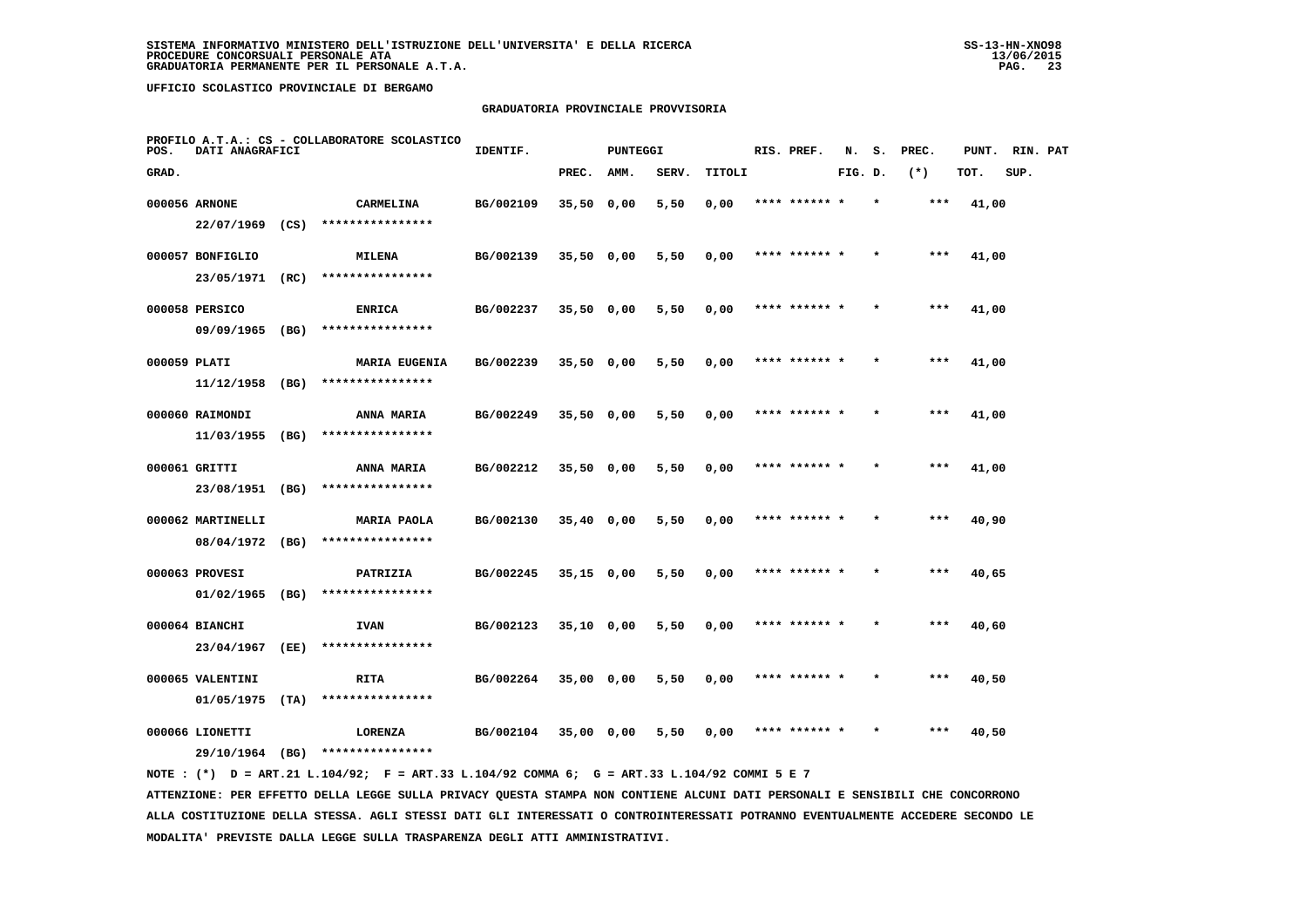### **GRADUATORIA PROVINCIALE PROVVISORIA**

| POS.         | DATI ANAGRAFICI   |      | PROFILO A.T.A.: CS - COLLABORATORE SCOLASTICO | IDENTIF.  |              | <b>PUNTEGGI</b> |       |        | RIS. PREF.    | N.      | s. | PREC. | PUNT. | RIN. PAT |  |
|--------------|-------------------|------|-----------------------------------------------|-----------|--------------|-----------------|-------|--------|---------------|---------|----|-------|-------|----------|--|
| GRAD.        |                   |      |                                               |           | PREC.        | AMM.            | SERV. | TITOLI |               | FIG. D. |    | $(*)$ | TOT.  | SUP.     |  |
|              | 000056 ARNONE     |      | CARMELINA                                     | BG/002109 | $35,50$ 0,00 |                 | 5,50  | 0,00   | **** ****** * |         |    | ***   | 41,00 |          |  |
|              | 22/07/1969        | (CS) | ****************                              |           |              |                 |       |        |               |         |    |       |       |          |  |
|              | 000057 BONFIGLIO  |      | MILENA                                        | BG/002139 | 35,50 0,00   |                 | 5,50  | 0,00   | **** ****** * |         |    | ***   | 41,00 |          |  |
|              | 23/05/1971 (RC)   |      | ****************                              |           |              |                 |       |        |               |         |    |       |       |          |  |
|              | 000058 PERSICO    |      | <b>ENRICA</b>                                 | BG/002237 | $35,50$ 0,00 |                 | 5,50  | 0,00   | **** ****** * |         |    | ***   | 41,00 |          |  |
|              | 09/09/1965 (BG)   |      | ****************                              |           |              |                 |       |        |               |         |    |       |       |          |  |
| 000059 PLATI |                   |      | <b>MARIA EUGENIA</b>                          | BG/002239 | $35,50$ 0,00 |                 | 5,50  | 0,00   | **** ****** * |         |    | ***   | 41,00 |          |  |
|              | 11/12/1958        | (BG) | ****************                              |           |              |                 |       |        |               |         |    |       |       |          |  |
|              | 000060 RAIMONDI   |      | ANNA MARIA                                    | BG/002249 | $35,50$ 0,00 |                 | 5,50  | 0,00   | **** ****** * |         |    | $***$ | 41,00 |          |  |
|              | 11/03/1955        | (BG) | ****************                              |           |              |                 |       |        |               |         |    |       |       |          |  |
|              | 000061 GRITTI     |      | ANNA MARIA                                    | BG/002212 | $35,50$ 0,00 |                 | 5,50  | 0,00   | **** ****** * |         |    | $***$ | 41,00 |          |  |
|              | 23/08/1951 (BG)   |      | ****************                              |           |              |                 |       |        |               |         |    |       |       |          |  |
|              | 000062 MARTINELLI |      | MARIA PAOLA                                   | BG/002130 | $35,40$ 0,00 |                 | 5,50  | 0,00   | **** ****** * |         |    | ***   | 40,90 |          |  |
|              | 08/04/1972 (BG)   |      | ****************                              |           |              |                 |       |        |               |         |    |       |       |          |  |
|              | 000063 PROVESI    |      | PATRIZIA                                      | BG/002245 | $35,15$ 0,00 |                 | 5,50  | 0,00   | **** ******   |         |    | $***$ | 40,65 |          |  |
|              | $01/02/1965$ (BG) |      | ****************                              |           |              |                 |       |        |               |         |    |       |       |          |  |
|              | 000064 BIANCHI    |      | <b>IVAN</b>                                   | BG/002123 | $35,10$ 0,00 |                 | 5,50  | 0,00   | **** ****** * |         |    | ***   | 40,60 |          |  |
|              | 23/04/1967        | (EE) | ****************                              |           |              |                 |       |        |               |         |    |       |       |          |  |
|              | 000065 VALENTINI  |      | RITA                                          | BG/002264 | 35,00 0,00   |                 | 5,50  | 0,00   | **** ****** * |         |    | ***   | 40,50 |          |  |
|              | 01/05/1975        | (TA) | ****************                              |           |              |                 |       |        |               |         |    |       |       |          |  |
|              | 000066 LIONETTI   |      | LORENZA                                       | BG/002104 | 35,00 0,00   |                 | 5,50  | 0,00   | **** ****** * |         |    | ***   | 40,50 |          |  |
|              | 29/10/1964 (BG)   |      | ****************                              |           |              |                 |       |        |               |         |    |       |       |          |  |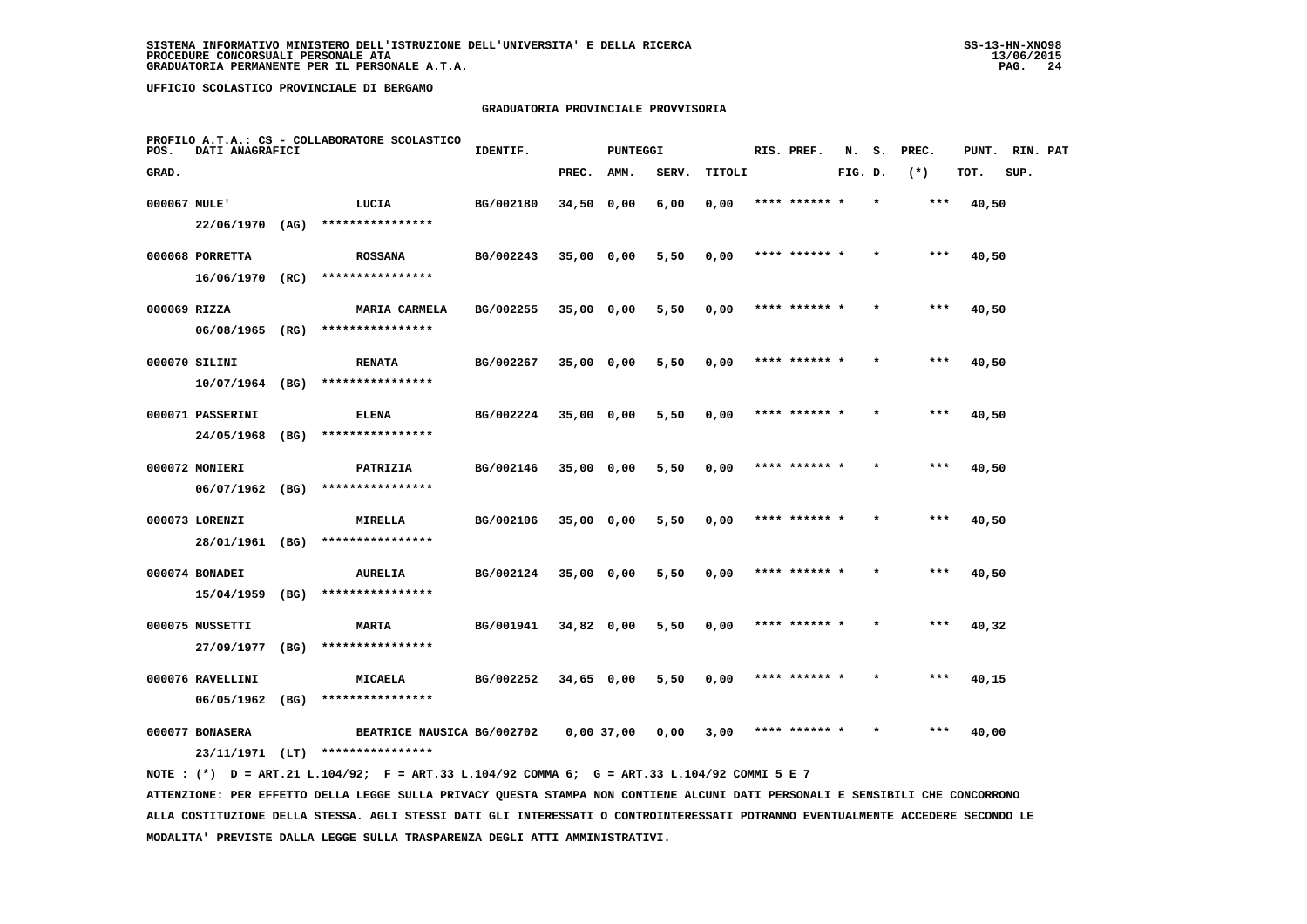### **GRADUATORIA PROVINCIALE PROVVISORIA**

| POS.         | DATI ANAGRAFICI   |      | PROFILO A.T.A.: CS - COLLABORATORE SCOLASTICO  | IDENTIF.  |              | <b>PUNTEGGI</b> |       |        | RIS. PREF.    | N.      | s.      | PREC. | PUNT. | RIN. PAT |  |
|--------------|-------------------|------|------------------------------------------------|-----------|--------------|-----------------|-------|--------|---------------|---------|---------|-------|-------|----------|--|
| GRAD.        |                   |      |                                                |           | PREC.        | AMM.            | SERV. | TITOLI |               | FIG. D. |         | $(*)$ | TOT.  | SUP.     |  |
| 000067 MULE' |                   |      | LUCIA                                          | BG/002180 | 34,50 0,00   |                 | 6,00  | 0,00   | **** ****** * |         | $\star$ | $***$ | 40,50 |          |  |
|              | $22/06/1970$ (AG) |      | ****************                               |           |              |                 |       |        |               |         |         |       |       |          |  |
|              | 000068 PORRETTA   |      | <b>ROSSANA</b>                                 | BG/002243 | $35,00$ 0,00 |                 | 5,50  | 0,00   | **** ******   |         |         | ***   | 40,50 |          |  |
|              | $16/06/1970$ (RC) |      | ****************                               |           |              |                 |       |        |               |         |         |       |       |          |  |
| 000069 RIZZA |                   |      | <b>MARIA CARMELA</b>                           | BG/002255 | 35,00 0,00   |                 | 5,50  | 0,00   | **** ****** * |         |         | ***   | 40,50 |          |  |
|              | $06/08/1965$ (RG) |      | ****************                               |           |              |                 |       |        |               |         |         |       |       |          |  |
|              | 000070 SILINI     |      | <b>RENATA</b>                                  | BG/002267 | 35,00 0,00   |                 | 5,50  | 0,00   | **** ****** * |         |         | ***   | 40,50 |          |  |
|              | $10/07/1964$ (BG) |      | ****************                               |           |              |                 |       |        |               |         |         |       |       |          |  |
|              | 000071 PASSERINI  |      | <b>ELENA</b>                                   | BG/002224 | $35,00$ 0,00 |                 | 5,50  | 0,00   | **** ****** * |         |         | $***$ | 40,50 |          |  |
|              | 24/05/1968        | (BG) | ****************                               |           |              |                 |       |        |               |         |         |       |       |          |  |
|              | 000072 MONIERI    |      | PATRIZIA                                       | BG/002146 | 35,00 0,00   |                 | 5,50  | 0,00   | **** ****** * |         |         | $***$ | 40,50 |          |  |
|              | $06/07/1962$ (BG) |      | ****************                               |           |              |                 |       |        |               |         |         |       |       |          |  |
|              | 000073 LORENZI    |      | MIRELLA                                        | BG/002106 | 35,00 0,00   |                 | 5,50  | 0,00   | **** ****** * |         |         | $***$ | 40,50 |          |  |
|              | 28/01/1961 (BG)   |      | ****************                               |           |              |                 |       |        |               |         |         |       |       |          |  |
|              | 000074 BONADEI    |      | <b>AURELIA</b>                                 | BG/002124 | 35,00 0,00   |                 | 5,50  | 0,00   | **** ****** * |         | $\star$ | $***$ | 40,50 |          |  |
|              | 15/04/1959        | (BG) | ****************                               |           |              |                 |       |        |               |         |         |       |       |          |  |
|              | 000075 MUSSETTI   |      | <b>MARTA</b>                                   | BG/001941 | 34,82 0,00   |                 | 5,50  | 0,00   | **** ****** * |         |         | ***   | 40,32 |          |  |
|              | 27/09/1977 (BG)   |      | ****************                               |           |              |                 |       |        |               |         |         |       |       |          |  |
|              | 000076 RAVELLINI  |      | <b>MICAELA</b>                                 | BG/002252 | 34,65 0,00   |                 | 5,50  | 0,00   | **** ****** * |         |         | ***   | 40,15 |          |  |
|              | 06/05/1962 (BG)   |      | ****************                               |           |              |                 |       |        |               |         |         |       |       |          |  |
|              | 000077 BONASERA   |      | BEATRICE NAUSICA BG/002702<br>**************** |           |              | 0,00 37,00      | 0,00  | 3,00   | **** ****** * |         |         | ***   | 40,00 |          |  |
|              | 23/11/1971 (LT)   |      |                                                |           |              |                 |       |        |               |         |         |       |       |          |  |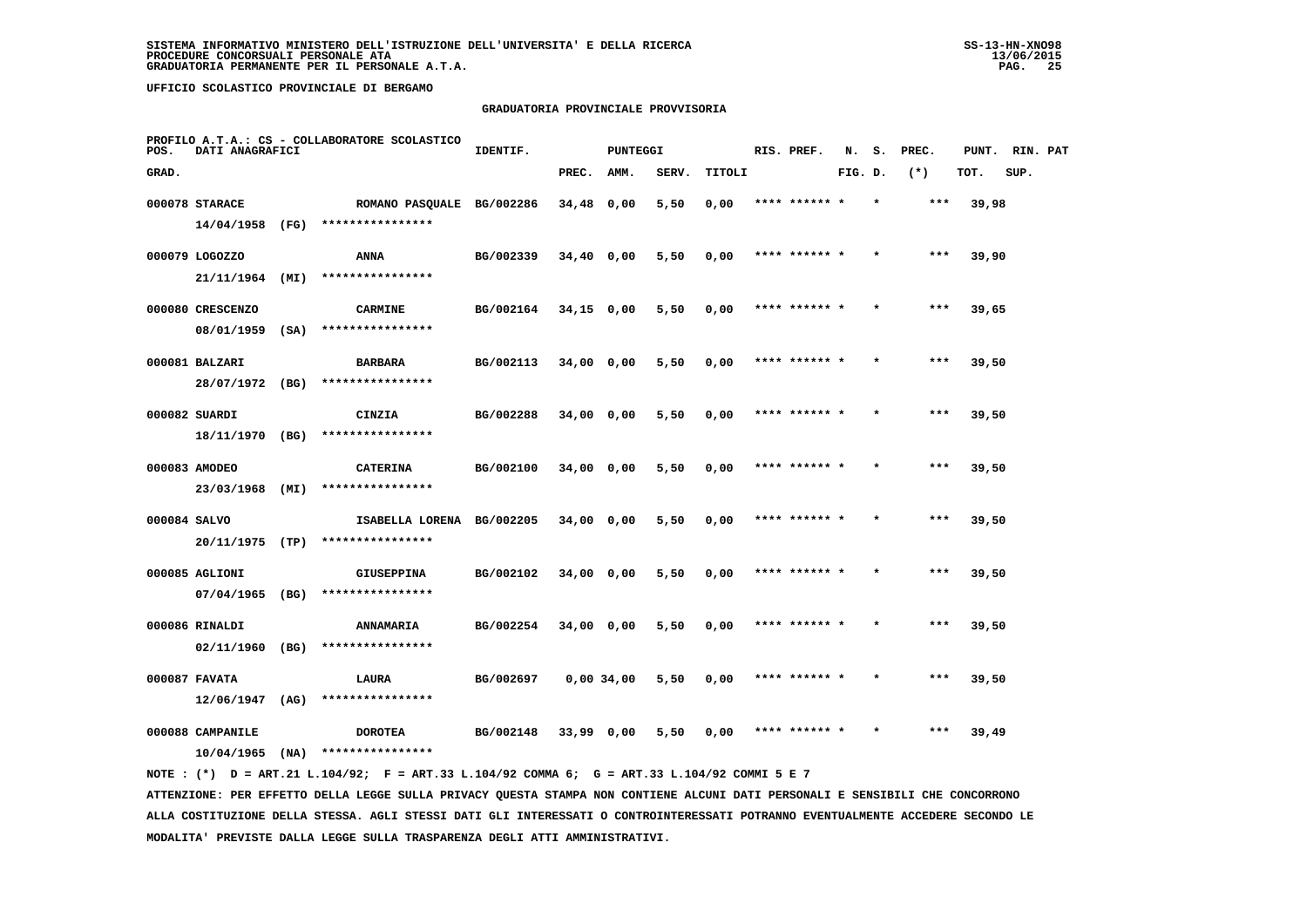### **GRADUATORIA PROVINCIALE PROVVISORIA**

| POS.  | DATI ANAGRAFICI                     |      | PROFILO A.T.A.: CS - COLLABORATORE SCOLASTICO | IDENTIF.  |              | <b>PUNTEGGI</b> |       |        | RIS. PREF.    | N.      | s. | PREC. | PUNT. | RIN. PAT |  |
|-------|-------------------------------------|------|-----------------------------------------------|-----------|--------------|-----------------|-------|--------|---------------|---------|----|-------|-------|----------|--|
| GRAD. |                                     |      |                                               |           | PREC.        | AMM.            | SERV. | TITOLI |               | FIG. D. |    | $(*)$ | TOT.  | SUP.     |  |
|       | 000078 STARACE<br>14/04/1958 (FG)   |      | ROMANO PASQUALE BG/002286<br>**************** |           | 34,48 0,00   |                 | 5,50  | 0,00   | **** ****** * |         |    | ***   | 39,98 |          |  |
|       | 000079 LOGOZZO<br>21/11/1964 (MI)   |      | ANNA<br>****************                      | BG/002339 | 34,40 0,00   |                 | 5,50  | 0,00   | **** ****** * |         |    | ***   | 39,90 |          |  |
|       | 000080 CRESCENZO<br>08/01/1959      | (SA) | <b>CARMINE</b><br>****************            | BG/002164 | $34,15$ 0,00 |                 | 5,50  | 0,00   | **** ****** * |         |    | $***$ | 39,65 |          |  |
|       | 000081 BALZARI<br>28/07/1972 (BG)   |      | <b>BARBARA</b><br>****************            | BG/002113 | 34,00 0,00   |                 | 5,50  | 0,00   | **** ****** * |         |    | ***   | 39,50 |          |  |
|       | 000082 SUARDI<br>18/11/1970 (BG)    |      | CINZIA<br>****************                    | BG/002288 | 34,00 0,00   |                 | 5,50  | 0,00   | **** ****** * |         |    | ***   | 39,50 |          |  |
|       | 000083 AMODEO<br>23/03/1968 (MI)    |      | <b>CATERINA</b><br>****************           | BG/002100 | 34,00 0,00   |                 | 5,50  | 0,00   | **** ****** * |         |    | ***   | 39,50 |          |  |
|       | 000084 SALVO<br>20/11/1975 (TP)     |      | ISABELLA LORENA BG/002205<br>**************** |           | 34,00 0,00   |                 | 5,50  | 0,00   | **** ****** * |         |    | ***   | 39,50 |          |  |
|       | 000085 AGLIONI<br>$07/04/1965$ (BG) |      | GIUSEPPINA<br>****************                | BG/002102 | 34,00 0,00   |                 | 5,50  | 0,00   |               |         |    |       | 39,50 |          |  |
|       | 000086 RINALDI<br>02/11/1960        | (BG) | <b>ANNAMARIA</b><br>****************          | BG/002254 | $34,00$ 0,00 |                 | 5,50  | 0,00   | **** ****** * |         |    | $***$ | 39,50 |          |  |
|       | 000087 FAVATA<br>12/06/1947         | (AG) | <b>LAURA</b><br>****************              | BG/002697 |              | 0,00 34,00      | 5,50  | 0,00   | **** ****** * |         |    | ***   | 39,50 |          |  |
|       | 000088 CAMPANILE<br>10/04/1965      | (NA) | <b>DOROTEA</b><br>****************            | BG/002148 | 33,99 0,00   |                 | 5,50  | 0,00   | **** ****** * |         |    | ***   | 39,49 |          |  |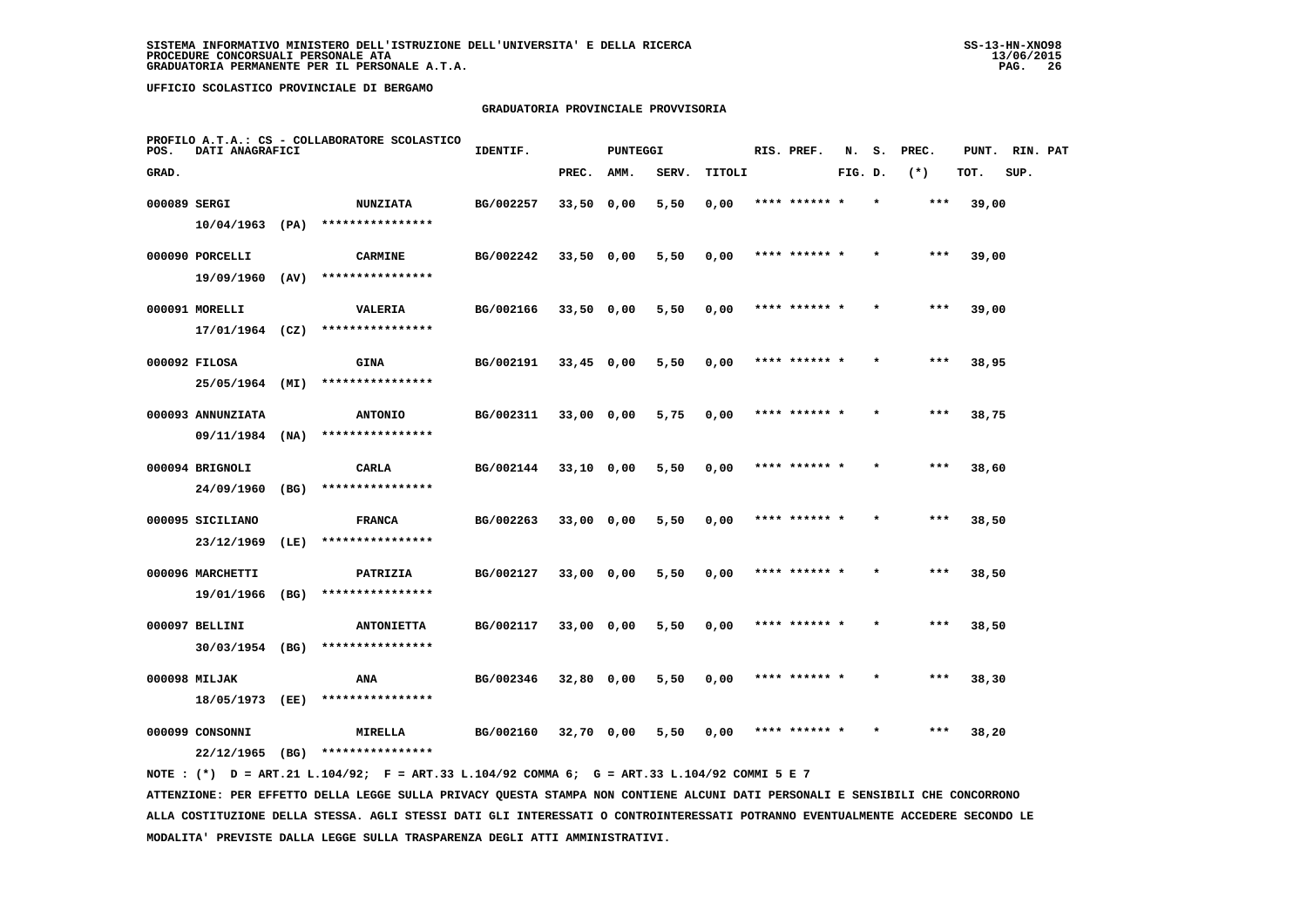# **GRADUATORIA PROVINCIALE PROVVISORIA**

| POS.         | DATI ANAGRAFICI                     |      | PROFILO A.T.A.: CS - COLLABORATORE SCOLASTICO | IDENTIF.  |              | <b>PUNTEGGI</b> |       |        | RIS. PREF.    | N.      | s.      | PREC. | PUNT. | RIN. PAT |  |
|--------------|-------------------------------------|------|-----------------------------------------------|-----------|--------------|-----------------|-------|--------|---------------|---------|---------|-------|-------|----------|--|
| GRAD.        |                                     |      |                                               |           | PREC.        | AMM.            | SERV. | TITOLI |               | FIG. D. |         | $(*)$ | TOT.  | SUP.     |  |
| 000089 SERGI |                                     |      | <b>NUNZIATA</b>                               | BG/002257 | 33,50 0,00   |                 | 5,50  | 0,00   | **** ****** * |         | $\star$ | ***   | 39,00 |          |  |
|              | $10/04/1963$ (PA)                   |      | ****************                              |           |              |                 |       |        |               |         |         |       |       |          |  |
|              | 000090 PORCELLI                     |      | <b>CARMINE</b>                                | BG/002242 | 33,50 0,00   |                 | 5,50  | 0,00   | **** ****** * |         |         | ***   | 39,00 |          |  |
|              | 19/09/1960                          | (AV) | ****************                              |           |              |                 |       |        |               |         |         |       |       |          |  |
|              | 000091 MORELLI                      |      | <b>VALERIA</b>                                | BG/002166 | $33,50$ 0,00 |                 | 5,50  | 0,00   | **** ****** * |         |         | $***$ | 39,00 |          |  |
|              | 17/01/1964 (CZ)                     |      | ****************                              |           |              |                 |       |        |               |         |         |       |       |          |  |
|              | 000092 FILOSA                       |      | <b>GINA</b>                                   | BG/002191 | $33,45$ 0,00 |                 | 5,50  | 0,00   | **** ****** * |         |         | ***   | 38,95 |          |  |
|              | 25/05/1964 (MI)                     |      | ****************                              |           |              |                 |       |        |               |         |         |       |       |          |  |
|              | 000093 ANNUNZIATA                   |      | <b>ANTONIO</b>                                | BG/002311 | 33,00 0,00   |                 | 5,75  | 0,00   | **** ****** * |         |         | $***$ | 38,75 |          |  |
|              | 09/11/1984                          | (NA) | ****************                              |           |              |                 |       |        |               |         |         |       |       |          |  |
|              | 000094 BRIGNOLI                     |      | CARLA                                         | BG/002144 | 33,10 0,00   |                 | 5,50  | 0,00   | **** ****** * |         |         | $***$ | 38,60 |          |  |
|              | 24/09/1960                          | (BG) | ****************                              |           |              |                 |       |        |               |         |         |       |       |          |  |
|              | 000095 SICILIANO                    |      | <b>FRANCA</b><br>****************             | BG/002263 | 33,00 0,00   |                 | 5,50  | 0,00   | **** ****** * |         |         | $***$ | 38,50 |          |  |
|              | 23/12/1969                          | (LE) |                                               |           |              |                 |       |        |               |         |         |       |       |          |  |
|              | 000096 MARCHETTI<br>19/01/1966      | (BG) | PATRIZIA<br>****************                  | BG/002127 | 33,00 0,00   |                 | 5,50  | 0,00   |               |         |         | ***   | 38,50 |          |  |
|              |                                     |      |                                               |           |              |                 |       |        |               |         |         |       |       |          |  |
|              | 000097 BELLINI<br>$30/03/1954$ (BG) |      | <b>ANTONIETTA</b><br>****************         | BG/002117 | 33,00 0,00   |                 | 5,50  | 0,00   | **** ****** * |         |         | $***$ | 38,50 |          |  |
|              |                                     |      |                                               |           |              |                 |       |        |               |         |         |       |       |          |  |
|              | 000098 MILJAK<br>18/05/1973         | (EE) | ANA<br>****************                       | BG/002346 | 32,80 0,00   |                 | 5,50  | 0,00   | **** ****** * |         | $\star$ | ***   | 38,30 |          |  |
|              |                                     |      |                                               |           |              |                 |       |        |               |         |         |       |       |          |  |
|              | 000099 CONSONNI<br>22/12/1965       | (BG) | MIRELLA<br>****************                   | BG/002160 | 32,70 0,00   |                 | 5,50  | 0,00   | **** ****** * |         |         | ***   | 38,20 |          |  |
|              |                                     |      |                                               |           |              |                 |       |        |               |         |         |       |       |          |  |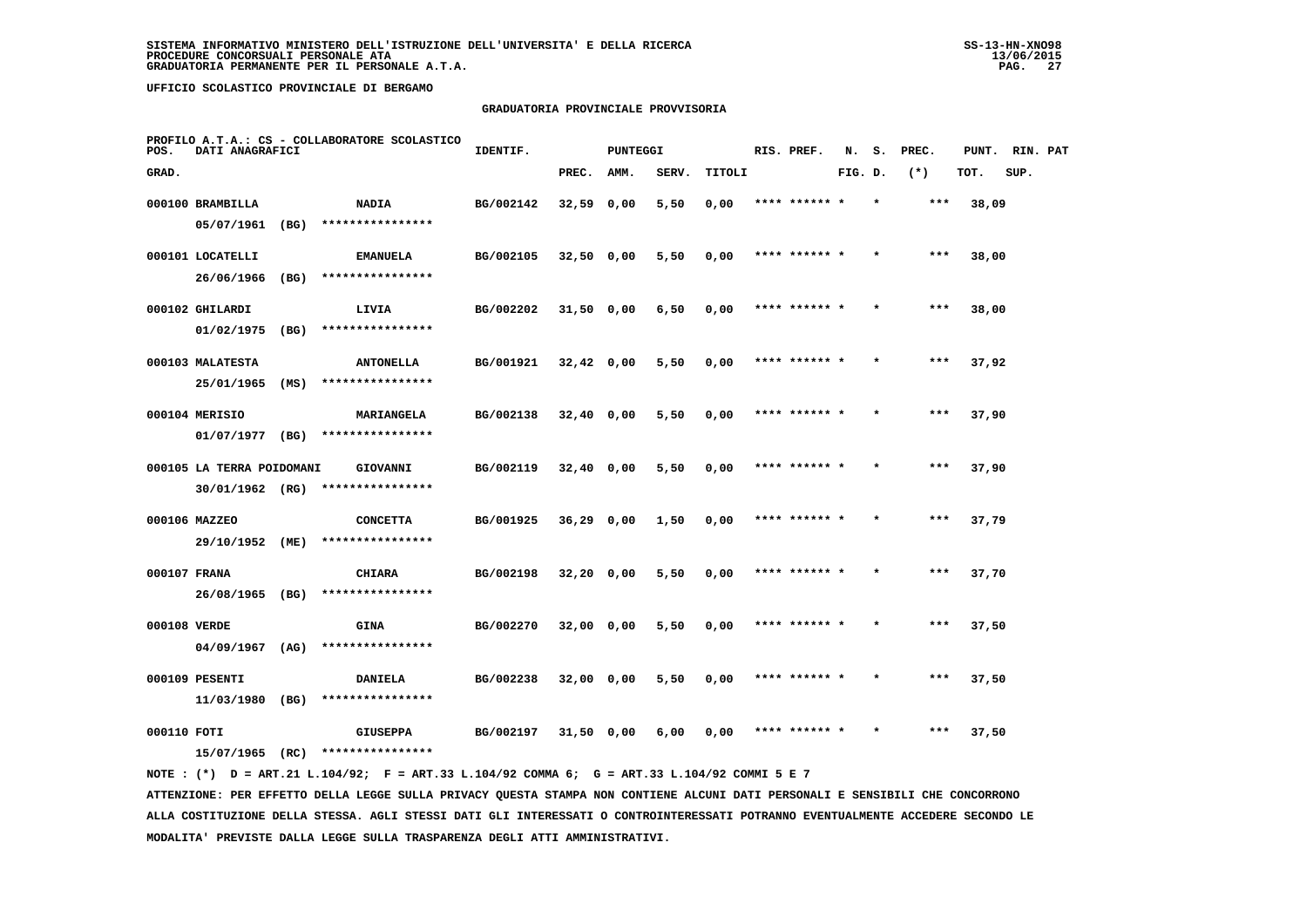# **GRADUATORIA PROVINCIALE PROVVISORIA**

| POS.         | DATI ANAGRAFICI           |      | PROFILO A.T.A.: CS - COLLABORATORE SCOLASTICO | IDENTIF.  |              | <b>PUNTEGGI</b> |       |        | RIS. PREF.    | N.      | s.      | PREC. | PUNT. | RIN. PAT |  |
|--------------|---------------------------|------|-----------------------------------------------|-----------|--------------|-----------------|-------|--------|---------------|---------|---------|-------|-------|----------|--|
| GRAD.        |                           |      |                                               |           | PREC.        | AMM.            | SERV. | TITOLI |               | FIG. D. |         | $(*)$ | TOT.  | SUP.     |  |
|              | 000100 BRAMBILLA          |      | <b>NADIA</b>                                  | BG/002142 | $32,59$ 0,00 |                 | 5,50  | 0,00   | **** ****** * |         | $\star$ | $***$ | 38,09 |          |  |
|              | 05/07/1961                | (BG) | ****************                              |           |              |                 |       |        |               |         |         |       |       |          |  |
|              | 000101 LOCATELLI          |      | <b>EMANUELA</b>                               | BG/002105 | $32,50$ 0,00 |                 | 5,50  | 0,00   | **** ****** * |         |         | $***$ | 38,00 |          |  |
|              | 26/06/1966                | (BG) | ****************                              |           |              |                 |       |        |               |         |         |       |       |          |  |
|              | 000102 GHILARDI           |      | LIVIA                                         | BG/002202 | $31,50$ 0,00 |                 | 6,50  | 0,00   | **** ****** * |         |         | $***$ | 38,00 |          |  |
|              | 01/02/1975                | (BG) | ****************                              |           |              |                 |       |        |               |         |         |       |       |          |  |
|              | 000103 MALATESTA          |      | <b>ANTONELLA</b>                              | BG/001921 | $32,42$ 0,00 |                 | 5,50  | 0,00   | **** ****** * |         |         | $***$ | 37,92 |          |  |
|              | 25/01/1965                | (MS) | ****************                              |           |              |                 |       |        |               |         |         |       |       |          |  |
|              | 000104 MERISIO            |      | MARIANGELA                                    | BG/002138 | $32,40$ 0,00 |                 | 5,50  | 0,00   | **** ****** * |         |         | $***$ | 37,90 |          |  |
|              | 01/07/1977                | (BG) | ****************                              |           |              |                 |       |        |               |         |         |       |       |          |  |
|              | 000105 LA TERRA POIDOMANI |      | GIOVANNI                                      | BG/002119 | $32,40$ 0,00 |                 | 5,50  | 0,00   | **** ******   |         |         | $***$ | 37,90 |          |  |
|              | 30/01/1962 (RG)           |      | ****************                              |           |              |                 |       |        |               |         |         |       |       |          |  |
|              | 000106 MAZZEO             |      | <b>CONCETTA</b>                               | BG/001925 | $36,29$ 0,00 |                 | 1,50  | 0,00   | **** ****** * |         |         | $***$ | 37,79 |          |  |
|              | 29/10/1952 (ME)           |      | ****************                              |           |              |                 |       |        |               |         |         |       |       |          |  |
| 000107 FRANA |                           |      | <b>CHIARA</b>                                 | BG/002198 | $32,20$ 0,00 |                 | 5,50  | 0,00   | **** ****** * |         |         | $***$ | 37,70 |          |  |
|              | 26/08/1965 (BG)           |      | ****************                              |           |              |                 |       |        |               |         |         |       |       |          |  |
| 000108 VERDE |                           |      | <b>GINA</b>                                   | BG/002270 | 32,00 0,00   |                 | 5,50  | 0,00   | **** ****** * |         |         | ***   | 37,50 |          |  |
|              | 04/09/1967                | (AG) | ****************                              |           |              |                 |       |        |               |         |         |       |       |          |  |
|              | 000109 PESENTI            |      | DANIELA                                       | BG/002238 | 32,00 0,00   |                 | 5,50  | 0,00   | **** ****** * |         |         | $***$ | 37,50 |          |  |
|              | 11/03/1980 (BG)           |      | ****************                              |           |              |                 |       |        |               |         |         |       |       |          |  |
| 000110 FOTI  |                           |      | <b>GIUSEPPA</b>                               | BG/002197 | $31,50$ 0,00 |                 | 6,00  | 0.00   | **** ****** * |         |         | ***   | 37,50 |          |  |
|              | 15/07/1965                | (RC) | ****************                              |           |              |                 |       |        |               |         |         |       |       |          |  |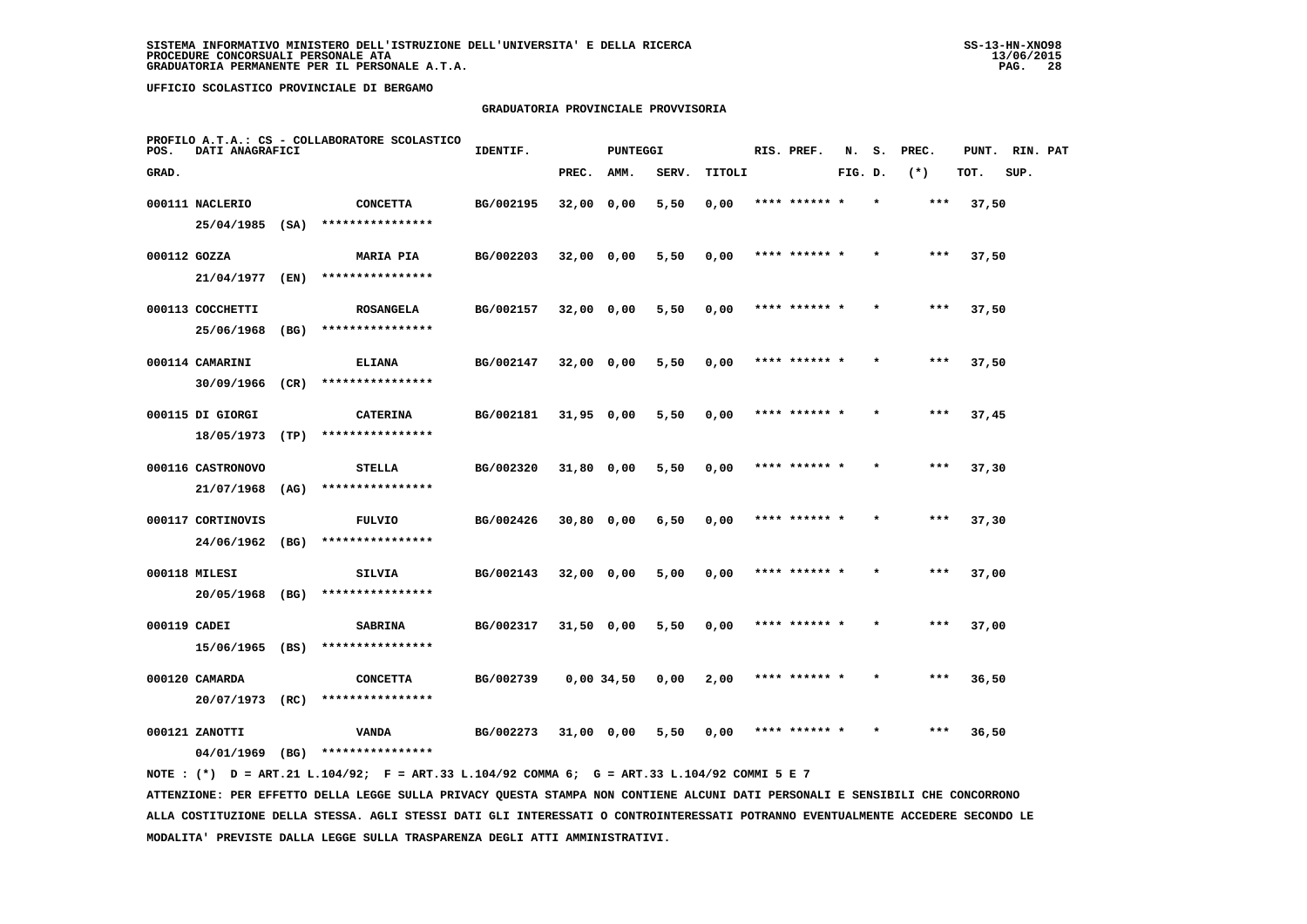## **GRADUATORIA PROVINCIALE PROVVISORIA**

| POS.         | DATI ANAGRAFICI   |      | PROFILO A.T.A.: CS - COLLABORATORE SCOLASTICO | IDENTIF.  |              | PUNTEGGI   |       |        | RIS. PREF.    | N.      | s.      | PREC. | PUNT. | RIN. PAT |  |
|--------------|-------------------|------|-----------------------------------------------|-----------|--------------|------------|-------|--------|---------------|---------|---------|-------|-------|----------|--|
| GRAD.        |                   |      |                                               |           | PREC.        | AMM.       | SERV. | TITOLI |               | FIG. D. |         | $(*)$ | TOT.  | SUP.     |  |
|              | 000111 NACLERIO   |      | <b>CONCETTA</b>                               | BG/002195 | 32,00 0,00   |            | 5,50  | 0,00   | **** ****** * |         |         | ***   | 37,50 |          |  |
|              | 25/04/1985        | (SA) | ****************                              |           |              |            |       |        |               |         |         |       |       |          |  |
| 000112 GOZZA |                   |      | <b>MARIA PIA</b>                              | BG/002203 | 32,00 0,00   |            | 5,50  | 0,00   | **** ****** * |         |         | $***$ | 37,50 |          |  |
|              | 21/04/1977        | (EN) | ****************                              |           |              |            |       |        |               |         |         |       |       |          |  |
|              | 000113 COCCHETTI  |      | <b>ROSANGELA</b>                              | BG/002157 | 32,00 0,00   |            | 5,50  | 0,00   | **** ****** * |         |         | ***   | 37,50 |          |  |
|              | 25/06/1968        | (BG) | ****************                              |           |              |            |       |        |               |         |         |       |       |          |  |
|              | 000114 CAMARINI   |      | <b>ELIANA</b>                                 | BG/002147 | 32,00 0,00   |            | 5,50  | 0,00   | **** ****** * |         |         | $***$ | 37,50 |          |  |
|              | 30/09/1966        | (CR) | ****************                              |           |              |            |       |        |               |         |         |       |       |          |  |
|              | 000115 DI GIORGI  |      | <b>CATERINA</b>                               | BG/002181 | $31,95$ 0,00 |            | 5,50  | 0,00   | **** ****** * |         |         | $***$ | 37,45 |          |  |
|              | 18/05/1973        | (TP) | ****************                              |           |              |            |       |        |               |         |         |       |       |          |  |
|              | 000116 CASTRONOVO |      | STELLA                                        | BG/002320 | 31,80 0,00   |            | 5,50  | 0,00   | **** ****** * |         |         | $***$ | 37,30 |          |  |
|              | 21/07/1968        | (AG) | ****************                              |           |              |            |       |        |               |         |         |       |       |          |  |
|              | 000117 CORTINOVIS |      | <b>FULVIO</b>                                 | BG/002426 | 30,80 0,00   |            | 6,50  | 0,00   | **** ******   |         |         | ***   | 37,30 |          |  |
|              | 24/06/1962        | (BG) | ****************                              |           |              |            |       |        |               |         |         |       |       |          |  |
|              | 000118 MILESI     |      | <b>SILVIA</b>                                 | BG/002143 | 32,00 0,00   |            | 5,00  | 0,00   | **** ****** * |         |         | ***   | 37,00 |          |  |
|              | 20/05/1968        | (BG) | ****************                              |           |              |            |       |        |               |         |         |       |       |          |  |
| 000119 CADEI |                   |      | <b>SABRINA</b>                                | BG/002317 | $31,50$ 0,00 |            | 5,50  | 0,00   | **** ****** * |         | $\star$ | ***   | 37,00 |          |  |
|              | 15/06/1965        | (BS) | ****************                              |           |              |            |       |        |               |         |         |       |       |          |  |
|              | 000120 CAMARDA    |      | <b>CONCETTA</b>                               | BG/002739 |              | 0,00,34,50 | 0,00  | 2,00   | **** ****** * |         |         | ***   | 36,50 |          |  |
|              | 20/07/1973        | (RC) | ****************                              |           |              |            |       |        |               |         |         |       |       |          |  |
|              | 000121 ZANOTTI    |      | <b>VANDA</b>                                  | BG/002273 | $31,00$ 0.00 |            | 5,50  | 0,00   |               |         |         | ***   | 36,50 |          |  |
|              | 04/01/1969        | (BG) | ****************                              |           |              |            |       |        |               |         |         |       |       |          |  |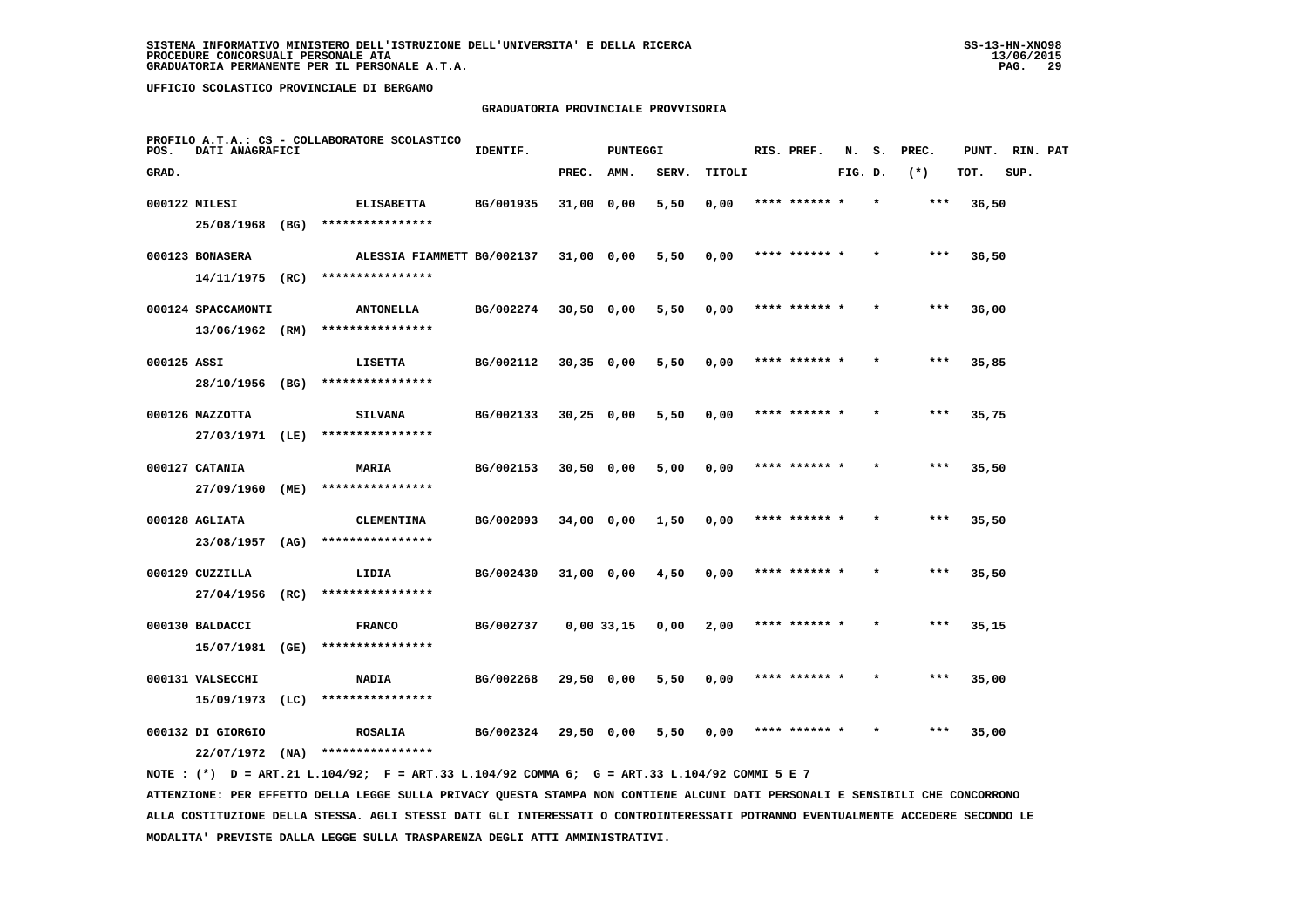# **GRADUATORIA PROVINCIALE PROVVISORIA**

| POS.        | DATI ANAGRAFICI                    |      | PROFILO A.T.A.: CS - COLLABORATORE SCOLASTICO | IDENTIF.  |              | <b>PUNTEGGI</b> |       |        | RIS. PREF.    | N.      | s.      | PREC. | PUNT. | RIN. PAT |  |
|-------------|------------------------------------|------|-----------------------------------------------|-----------|--------------|-----------------|-------|--------|---------------|---------|---------|-------|-------|----------|--|
| GRAD.       |                                    |      |                                               |           | PREC.        | AMM.            | SERV. | TITOLI |               | FIG. D. |         | $(*)$ | TOT.  | SUP.     |  |
|             | 000122 MILESI                      |      | <b>ELISABETTA</b>                             | BG/001935 | 31,00 0,00   |                 | 5,50  | 0,00   | **** ****** * |         | $\star$ | ***   | 36,50 |          |  |
|             | 25/08/1968 (BG)                    |      | ****************                              |           |              |                 |       |        |               |         |         |       |       |          |  |
|             | 000123 BONASERA                    |      | ALESSIA FIAMMETT BG/002137                    |           | $31,00$ 0,00 |                 | 5,50  | 0,00   | **** ****** * |         |         | ***   | 36,50 |          |  |
|             | 14/11/1975 (RC)                    |      | ****************                              |           |              |                 |       |        |               |         |         |       |       |          |  |
|             | 000124 SPACCAMONTI                 |      | <b>ANTONELLA</b>                              | BG/002274 | $30,50$ 0,00 |                 | 5,50  | 0,00   | **** ****** * |         |         | ***   | 36,00 |          |  |
|             | 13/06/1962 (RM)                    |      | ****************                              |           |              |                 |       |        |               |         |         |       |       |          |  |
| 000125 ASSI |                                    |      | LISETTA                                       | BG/002112 | $30,35$ 0,00 |                 | 5,50  | 0,00   | **** ****** * |         |         | ***   | 35,85 |          |  |
|             | 28/10/1956 (BG)                    |      | ****************                              |           |              |                 |       |        |               |         |         |       |       |          |  |
|             | 000126 MAZZOTTA                    |      | <b>SILVANA</b>                                | BG/002133 | $30,25$ 0,00 |                 | 5,50  | 0,00   | **** ****** * |         |         | $***$ | 35,75 |          |  |
|             | 27/03/1971 (LE)                    |      | ****************                              |           |              |                 |       |        |               |         |         |       |       |          |  |
|             | 000127 CATANIA                     |      | MARIA<br>****************                     | BG/002153 | $30,50$ 0,00 |                 | 5,00  | 0,00   | **** ****** * |         |         | $***$ | 35,50 |          |  |
|             | 27/09/1960                         | (ME) |                                               |           |              |                 |       |        |               |         |         |       |       |          |  |
|             | 000128 AGLIATA<br>23/08/1957 (AG)  |      | <b>CLEMENTINA</b><br>****************         | BG/002093 | 34,00 0,00   |                 | 1,50  | 0,00   | **** ****** * |         |         | ***   | 35,50 |          |  |
|             |                                    |      |                                               |           |              |                 |       |        |               |         |         |       |       |          |  |
|             | 000129 CUZZILLA<br>27/04/1956 (RC) |      | LIDIA<br>****************                     | BG/002430 | 31,00 0,00   |                 | 4,50  | 0,00   | **** ****** * |         |         | ***   | 35,50 |          |  |
|             |                                    |      |                                               |           |              |                 |       |        | **** ****** * |         |         | ***   |       |          |  |
|             | 000130 BALDACCI<br>15/07/1981 (GE) |      | <b>FRANCO</b><br>****************             | BG/002737 | $0,00$ 33,15 |                 | 0,00  | 2,00   |               |         |         |       | 35,15 |          |  |
|             | 000131 VALSECCHI                   |      | <b>NADIA</b>                                  | BG/002268 | 29,50 0,00   |                 | 5,50  | 0,00   | **** ****** * |         |         | $***$ | 35,00 |          |  |
|             | 15/09/1973 (LC)                    |      | ****************                              |           |              |                 |       |        |               |         |         |       |       |          |  |
|             | 000132 DI GIORGIO                  |      | <b>ROSALIA</b>                                | BG/002324 | 29,50 0,00   |                 | 5,50  | 0,00   | **** ****** * |         |         | ***   | 35,00 |          |  |
|             | 22/07/1972                         | (MA) | ****************                              |           |              |                 |       |        |               |         |         |       |       |          |  |
|             |                                    |      |                                               |           |              |                 |       |        |               |         |         |       |       |          |  |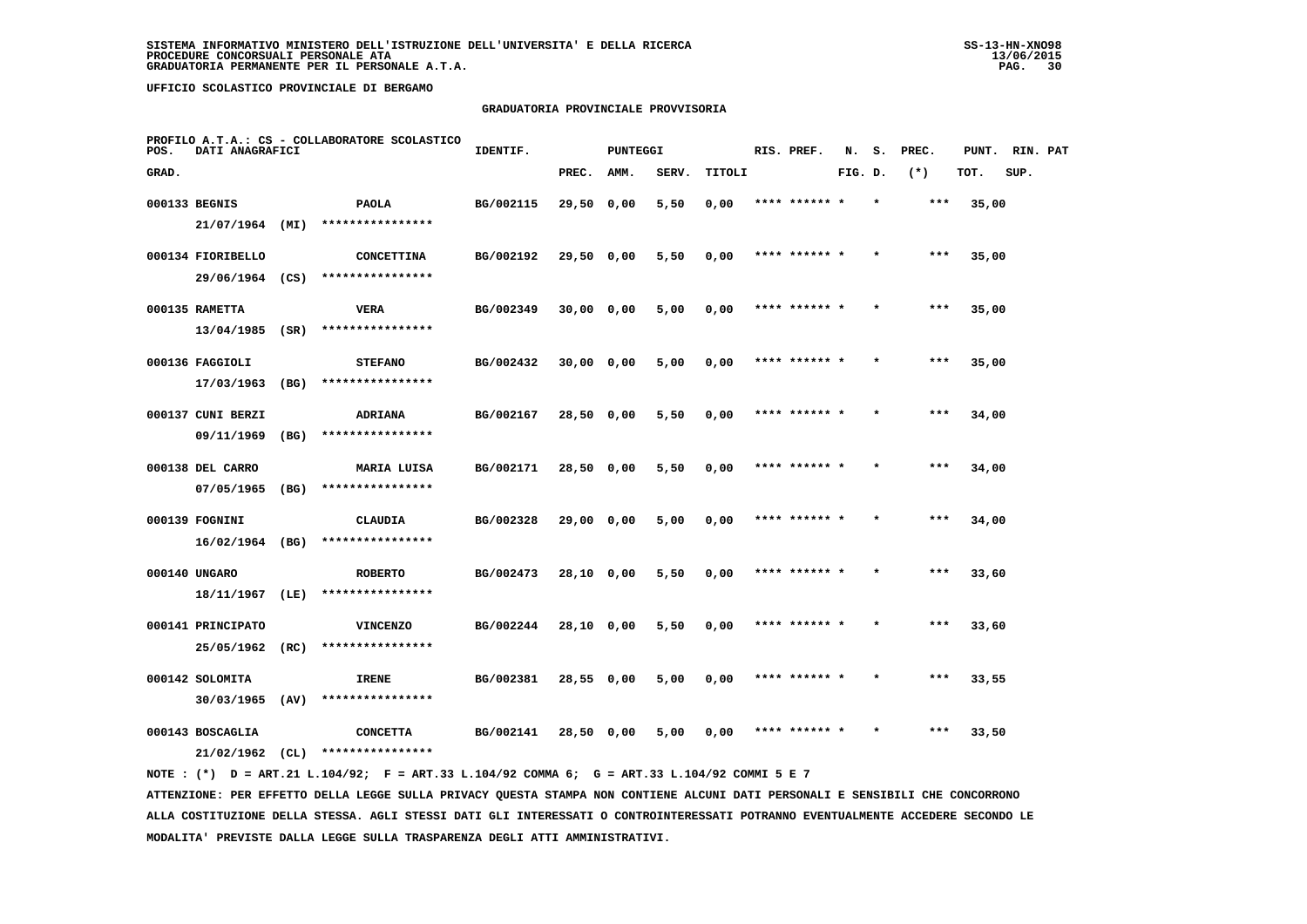## **GRADUATORIA PROVINCIALE PROVVISORIA**

| POS.  | DATI ANAGRAFICI   |      | PROFILO A.T.A.: CS - COLLABORATORE SCOLASTICO | IDENTIF.  |              | <b>PUNTEGGI</b> |       |        | RIS. PREF.    | N.      | s. | PREC. | PUNT. | RIN. PAT |  |
|-------|-------------------|------|-----------------------------------------------|-----------|--------------|-----------------|-------|--------|---------------|---------|----|-------|-------|----------|--|
| GRAD. |                   |      |                                               |           | PREC.        | AMM.            | SERV. | TITOLI |               | FIG. D. |    | $(*)$ | TOT.  | SUP.     |  |
|       | 000133 BEGNIS     |      | PAOLA                                         | BG/002115 | 29,50 0,00   |                 | 5,50  | 0,00   | **** ****** * |         |    | ***   | 35,00 |          |  |
|       | 21/07/1964 (MI)   |      | ****************                              |           |              |                 |       |        |               |         |    |       |       |          |  |
|       | 000134 FIORIBELLO |      | <b>CONCETTINA</b>                             | BG/002192 | 29,50 0,00   |                 | 5,50  | 0,00   | **** ****** * |         |    | $***$ | 35,00 |          |  |
|       |                   |      | 29/06/1964 (CS) ****************              |           |              |                 |       |        |               |         |    |       |       |          |  |
|       | 000135 RAMETTA    |      | VERA                                          | BG/002349 | 30,00 0,00   |                 | 5,00  | 0,00   | **** ****** * |         |    | $***$ | 35,00 |          |  |
|       | $13/04/1985$ (SR) |      | ****************                              |           |              |                 |       |        |               |         |    |       |       |          |  |
|       | 000136 FAGGIOLI   |      | <b>STEFANO</b>                                | BG/002432 | $30,00$ 0,00 |                 | 5,00  | 0,00   | **** ****** * |         |    | ***   | 35,00 |          |  |
|       | 17/03/1963        | (BG) | ****************                              |           |              |                 |       |        |               |         |    |       |       |          |  |
|       | 000137 CUNI BERZI |      | <b>ADRIANA</b>                                | BG/002167 | 28,50 0,00   |                 | 5,50  | 0,00   | **** ****** * |         |    | $***$ | 34,00 |          |  |
|       | 09/11/1969        | (BG) | ****************                              |           |              |                 |       |        |               |         |    |       |       |          |  |
|       | 000138 DEL CARRO  |      | MARIA LUISA                                   | BG/002171 | 28,50 0,00   |                 | 5,50  | 0,00   | **** ****** * |         |    | $***$ | 34,00 |          |  |
|       | 07/05/1965        | (BG) | ****************                              |           |              |                 |       |        |               |         |    |       |       |          |  |
|       | 000139 FOGNINI    |      | CLAUDIA                                       | BG/002328 | 29,00 0,00   |                 | 5,00  | 0,00   | **** ****** * |         |    | $***$ | 34,00 |          |  |
|       | $16/02/1964$ (BG) |      | ****************                              |           |              |                 |       |        |               |         |    |       |       |          |  |
|       | 000140 UNGARO     |      | <b>ROBERTO</b>                                | BG/002473 | 28,10 0,00   |                 | 5,50  | 0,00   | **** ******   |         |    | ***   | 33,60 |          |  |
|       | 18/11/1967 (LE)   |      | ****************                              |           |              |                 |       |        |               |         |    |       |       |          |  |
|       | 000141 PRINCIPATO |      | <b>VINCENZO</b>                               | BG/002244 | $28,10$ 0,00 |                 | 5,50  | 0,00   | **** ****** * |         |    | $***$ | 33,60 |          |  |
|       | 25/05/1962        | (RC) | ****************                              |           |              |                 |       |        |               |         |    |       |       |          |  |
|       | 000142 SOLOMITA   |      | IRENE                                         | BG/002381 | 28,55 0,00   |                 | 5,00  | 0,00   | **** ****** * |         |    | ***   | 33,55 |          |  |
|       | 30/03/1965        | (AV) | ****************                              |           |              |                 |       |        |               |         |    |       |       |          |  |
|       | 000143 BOSCAGLIA  |      | <b>CONCETTA</b>                               | BG/002141 | 28,50 0,00   |                 | 5,00  | 0,00   | **** ****** * |         |    | ***   | 33,50 |          |  |
|       | 21/02/1962        | CL)  | ****************                              |           |              |                 |       |        |               |         |    |       |       |          |  |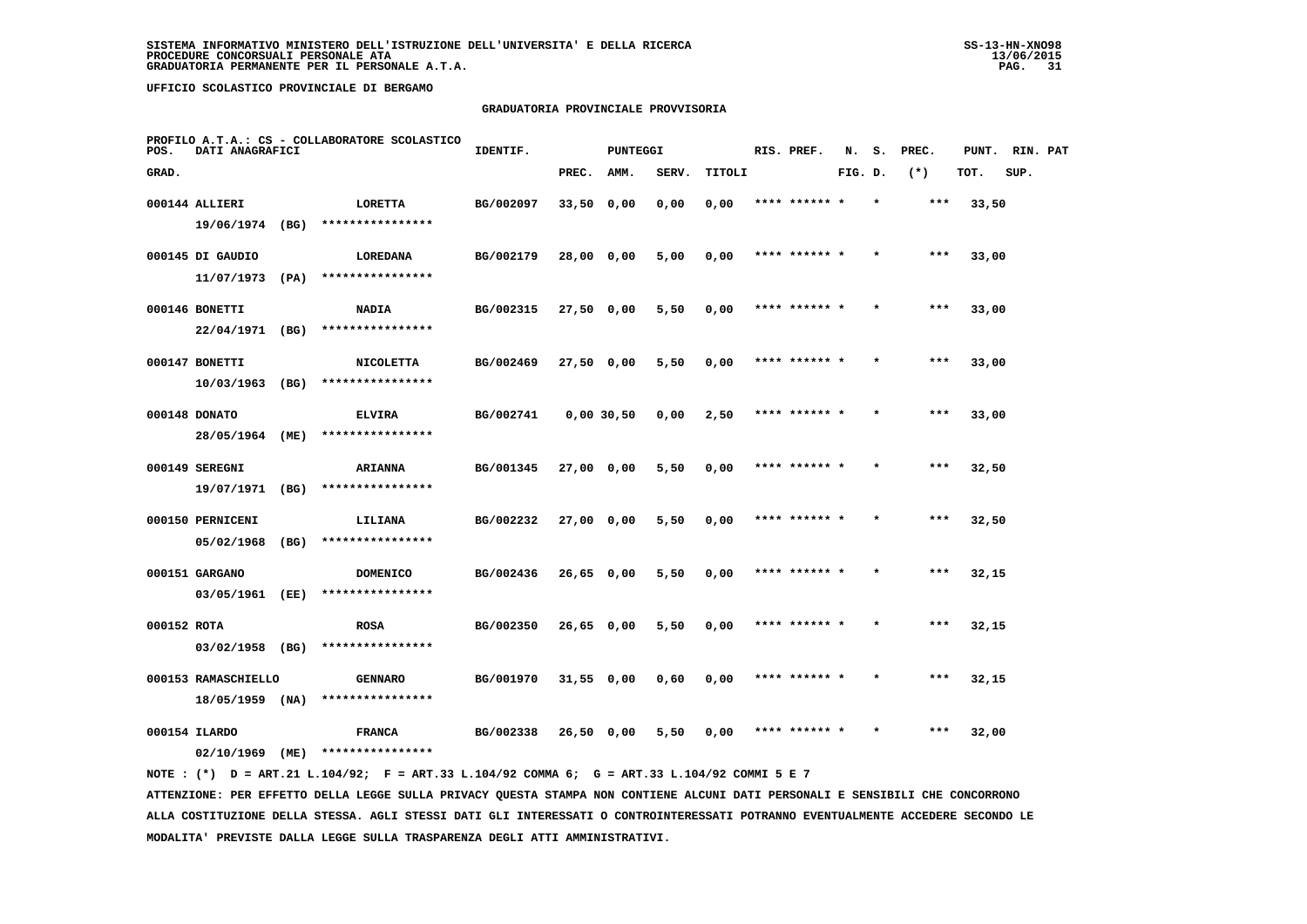# **GRADUATORIA PROVINCIALE PROVVISORIA**

| POS.        | DATI ANAGRAFICI     |      | PROFILO A.T.A.: CS - COLLABORATORE SCOLASTICO | IDENTIF.  |              | PUNTEGGI |       |        | RIS. PREF.    | N.      | s.      | PREC. | PUNT. | RIN. PAT |  |
|-------------|---------------------|------|-----------------------------------------------|-----------|--------------|----------|-------|--------|---------------|---------|---------|-------|-------|----------|--|
| GRAD.       |                     |      |                                               |           | PREC.        | AMM.     | SERV. | TITOLI |               | FIG. D. |         | $(*)$ | TOT.  | SUP.     |  |
|             | 000144 ALLIERI      |      | LORETTA                                       | BG/002097 | $33,50$ 0,00 |          | 0,00  | 0,00   | **** ****** * |         |         | ***   | 33,50 |          |  |
|             | 19/06/1974 (BG)     |      | ****************                              |           |              |          |       |        |               |         |         |       |       |          |  |
|             | 000145 DI GAUDIO    |      | LOREDANA                                      | BG/002179 | 28,00 0,00   |          | 5,00  | 0,00   | **** ****** * |         |         | $***$ | 33,00 |          |  |
|             | 11/07/1973          | (PA) | ****************                              |           |              |          |       |        |               |         |         |       |       |          |  |
|             | 000146 BONETTI      |      | NADIA                                         | BG/002315 | 27,50 0,00   |          | 5,50  | 0,00   | **** ****** * |         |         | ***   | 33,00 |          |  |
|             | 22/04/1971          | (BG) | ****************                              |           |              |          |       |        |               |         |         |       |       |          |  |
|             | 000147 BONETTI      |      | <b>NICOLETTA</b>                              | BG/002469 | 27,50 0,00   |          | 5,50  | 0,00   | **** ****** * |         |         | $***$ | 33,00 |          |  |
|             | 10/03/1963          | (BG) | ****************                              |           |              |          |       |        |               |         |         |       |       |          |  |
|             | 000148 DONATO       |      | <b>ELVIRA</b>                                 | BG/002741 | 0,00,30,50   |          | 0,00  | 2,50   | **** ****** * |         |         | $***$ | 33,00 |          |  |
|             | 28/05/1964          | (ME) | ****************                              |           |              |          |       |        |               |         |         |       |       |          |  |
|             | 000149 SEREGNI      |      | <b>ARIANNA</b>                                | BG/001345 | 27,00 0,00   |          | 5,50  | 0,00   | **** ****** * |         |         | $***$ | 32,50 |          |  |
|             | 19/07/1971 (BG)     |      | ****************                              |           |              |          |       |        |               |         |         |       |       |          |  |
|             | 000150 PERNICENI    |      | LILIANA                                       | BG/002232 | 27,00 0,00   |          | 5,50  | 0,00   | **** ******   |         |         | ***   | 32,50 |          |  |
|             | 05/02/1968          | (BG) | ****************                              |           |              |          |       |        |               |         |         |       |       |          |  |
|             | 000151 GARGANO      |      | <b>DOMENICO</b>                               | BG/002436 | 26,65 0,00   |          | 5,50  | 0,00   | **** ****** * |         |         | $***$ | 32,15 |          |  |
|             | 03/05/1961          | (EE) | ****************                              |           |              |          |       |        |               |         |         |       |       |          |  |
| 000152 ROTA |                     |      | <b>ROSA</b>                                   | BG/002350 | 26,65 0,00   |          | 5,50  | 0,00   | **** ****** * |         | $\star$ | ***   | 32,15 |          |  |
|             | $03/02/1958$ (BG)   |      | ****************                              |           |              |          |       |        |               |         |         |       |       |          |  |
|             | 000153 RAMASCHIELLO |      | <b>GENNARO</b><br>****************            | BG/001970 | $31,55$ 0,00 |          | 0,60  | 0,00   | **** ****** * |         |         | ***   | 32,15 |          |  |
|             | $18/05/1959$ (NA)   |      |                                               |           |              |          |       |        |               |         |         |       |       |          |  |
|             | 000154 ILARDO       | (ME) | <b>FRANCA</b><br>****************             | BG/002338 | $26,50$ 0.00 |          | 5,50  | 0,00   | **** ****** * |         |         | ***   | 32,00 |          |  |
|             | 02/10/1969          |      |                                               |           |              |          |       |        |               |         |         |       |       |          |  |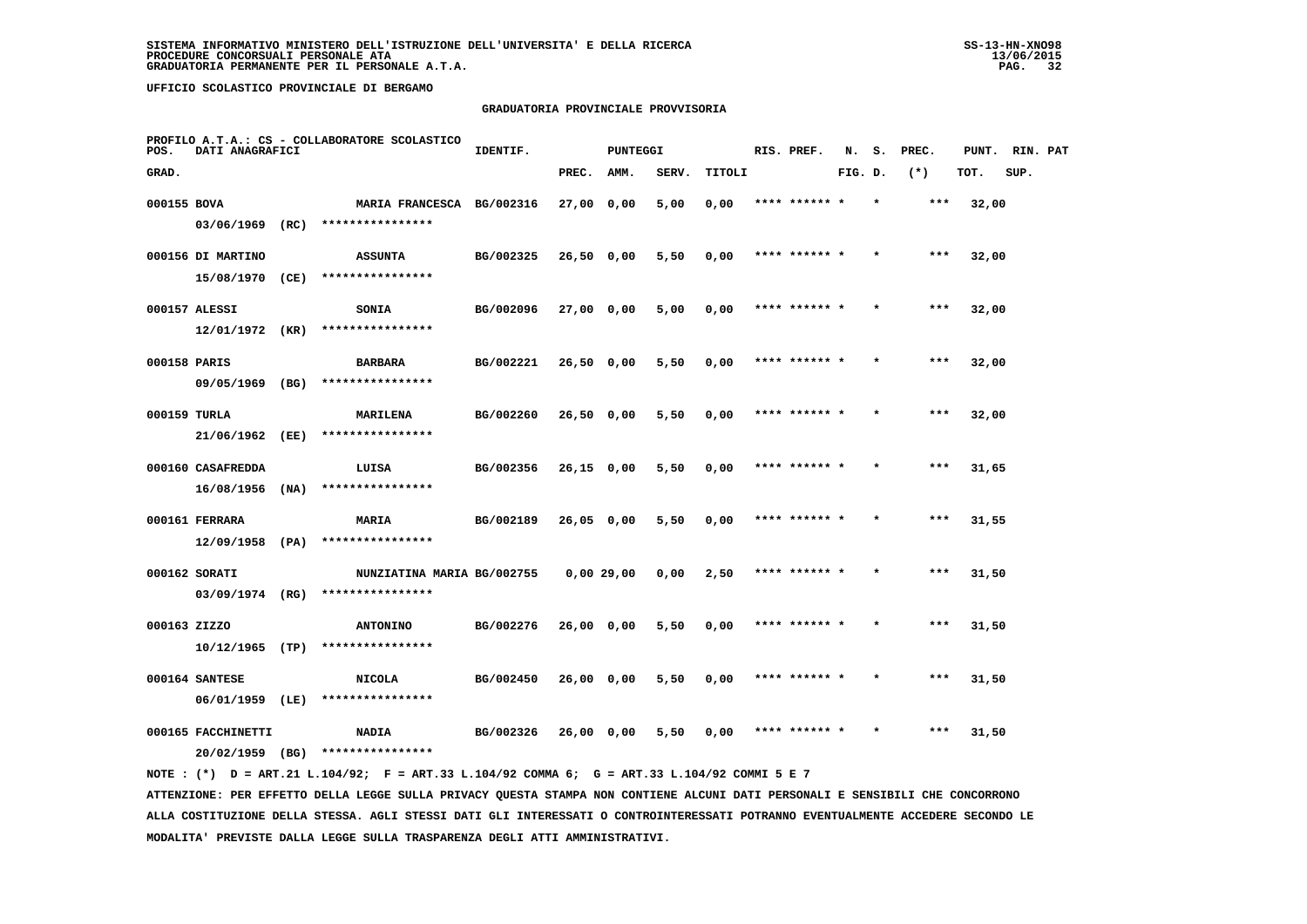### **GRADUATORIA PROVINCIALE PROVVISORIA**

| POS.         | DATI ANAGRAFICI                        | PROFILO A.T.A.: CS - COLLABORATORE SCOLASTICO | IDENTIF.  |              | <b>PUNTEGGI</b> |       |        | RIS. PREF.    | N.      | s.      | PREC. | PUNT. | RIN. PAT |  |
|--------------|----------------------------------------|-----------------------------------------------|-----------|--------------|-----------------|-------|--------|---------------|---------|---------|-------|-------|----------|--|
| GRAD.        |                                        |                                               |           | PREC.        | AMM.            | SERV. | TITOLI |               | FIG. D. |         | $(*)$ | TOT.  | SUP.     |  |
| 000155 BOVA  |                                        | MARIA FRANCESCA BG/002316                     |           | 27,00 0,00   |                 | 5,00  | 0,00   | **** ****** * |         | $\star$ | ***   | 32,00 |          |  |
|              | $03/06/1969$ (RC)                      | ****************                              |           |              |                 |       |        |               |         |         |       |       |          |  |
|              | 000156 DI MARTINO                      | <b>ASSUNTA</b>                                | BG/002325 | 26,50 0,00   |                 | 5,50  | 0,00   | **** ****** * |         |         | ***   | 32,00 |          |  |
|              | 15/08/1970 (CE)                        | ****************                              |           |              |                 |       |        |               |         |         |       |       |          |  |
|              | 000157 ALESSI                          | SONIA                                         | BG/002096 | $27,00$ 0,00 |                 | 5,00  | 0,00   | **** ****** * |         |         | $***$ | 32,00 |          |  |
|              | 12/01/1972 (KR)                        | ****************                              |           |              |                 |       |        |               |         |         |       |       |          |  |
| 000158 PARIS |                                        | <b>BARBARA</b>                                | BG/002221 | $26,50$ 0,00 |                 | 5,50  | 0,00   | **** ****** * |         | $\star$ | ***   | 32,00 |          |  |
|              | 09/05/1969 (BG)                        | ****************                              |           |              |                 |       |        |               |         |         |       |       |          |  |
| 000159 TURLA |                                        | MARILENA                                      | BG/002260 | 26,50 0,00   |                 | 5,50  | 0,00   | **** ****** * |         |         | $***$ | 32,00 |          |  |
|              | 21/06/1962 (EE)                        | ****************                              |           |              |                 |       |        |               |         |         |       |       |          |  |
|              | 000160 CASAFREDDA<br>$16/08/1956$ (NA) | LUISA<br>****************                     | BG/002356 | 26,15 0,00   |                 | 5,50  | 0,00   | **** ****** * |         |         | ***   | 31,65 |          |  |
|              |                                        |                                               |           |              |                 |       |        |               |         |         |       |       |          |  |
|              | 000161 FERRARA<br>$12/09/1958$ (PA)    | MARIA<br>****************                     | BG/002189 | 26,05 0,00   |                 | 5,50  | 0,00   | **** ****** * |         |         | $***$ | 31,55 |          |  |
|              | 000162 SORATI                          | NUNZIATINA MARIA BG/002755                    |           |              | 0,00 29,00      | 0,00  | 2,50   | **** ****** * |         |         | ***   | 31,50 |          |  |
|              | $03/09/1974$ (RG)                      | ****************                              |           |              |                 |       |        |               |         |         |       |       |          |  |
| 000163 ZIZZO |                                        | <b>ANTONINO</b>                               | BG/002276 | 26,00 0,00   |                 | 5,50  | 0,00   | **** ******   |         |         | ***   | 31,50 |          |  |
|              | $10/12/1965$ (TP)                      | ****************                              |           |              |                 |       |        |               |         |         |       |       |          |  |
|              | 000164 SANTESE                         | <b>NICOLA</b>                                 | BG/002450 | 26,00 0,00   |                 | 5,50  | 0,00   | **** ****** * |         |         | $***$ | 31,50 |          |  |
|              | 06/01/1959 (LE)                        | ****************                              |           |              |                 |       |        |               |         |         |       |       |          |  |
|              | 000165 FACCHINETTI                     | <b>NADIA</b>                                  | BG/002326 | 26,00 0,00   |                 | 5,50  | 0,00   | **** ****** * |         | $\star$ | ***   | 31,50 |          |  |
|              | 20/02/1959 (BG)                        | ****************                              |           |              |                 |       |        |               |         |         |       |       |          |  |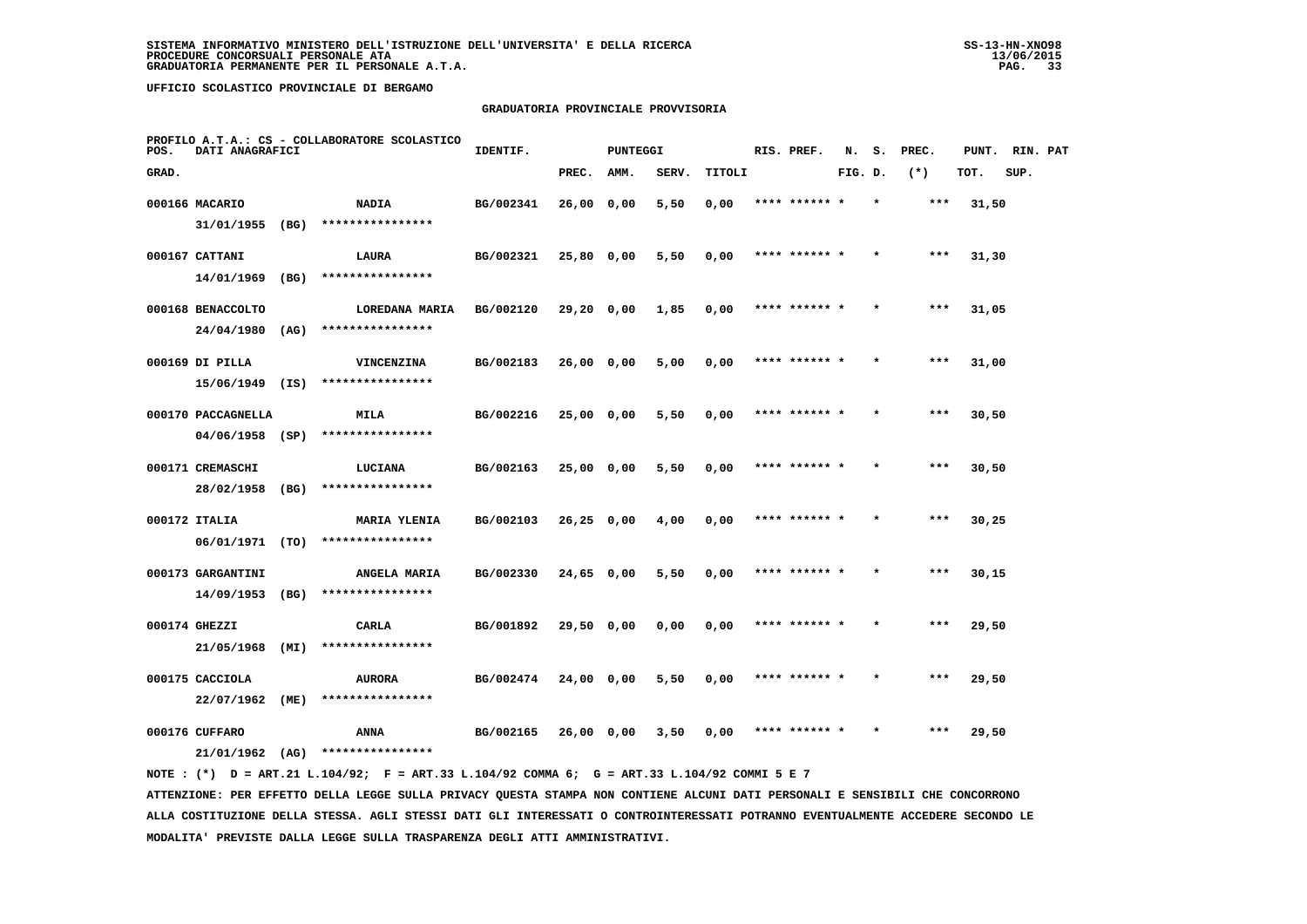### **GRADUATORIA PROVINCIALE PROVVISORIA**

| POS.  | DATI ANAGRAFICI    |      | PROFILO A.T.A.: CS - COLLABORATORE SCOLASTICO | IDENTIF.  |              | <b>PUNTEGGI</b> |       |        | RIS. PREF.    | N.      | s.      | PREC. | PUNT. | RIN. PAT |  |
|-------|--------------------|------|-----------------------------------------------|-----------|--------------|-----------------|-------|--------|---------------|---------|---------|-------|-------|----------|--|
| GRAD. |                    |      |                                               |           | PREC.        | AMM.            | SERV. | TITOLI |               | FIG. D. |         | $(*)$ | TOT.  | SUP.     |  |
|       | 000166 MACARIO     |      | NADIA                                         | BG/002341 | 26,00 0,00   |                 | 5,50  | 0,00   | **** ****** * |         | $\star$ | ***   | 31,50 |          |  |
|       | 31/01/1955 (BG)    |      | ****************                              |           |              |                 |       |        |               |         |         |       |       |          |  |
|       | 000167 CATTANI     |      | <b>LAURA</b>                                  | BG/002321 | 25,80 0,00   |                 | 5,50  | 0,00   | **** ****** * |         |         | ***   | 31,30 |          |  |
|       | 14/01/1969         | (BG) | ****************                              |           |              |                 |       |        |               |         |         |       |       |          |  |
|       | 000168 BENACCOLTO  |      | LOREDANA MARIA                                | BG/002120 | 29,20 0,00   |                 | 1,85  | 0,00   | **** ****** * |         |         | $***$ | 31,05 |          |  |
|       | 24/04/1980         | (AG) | ****************                              |           |              |                 |       |        |               |         |         |       |       |          |  |
|       | 000169 DI PILLA    |      | VINCENZINA                                    | BG/002183 | 26,00 0,00   |                 | 5,00  | 0,00   | **** ****** * |         |         | ***   | 31,00 |          |  |
|       | 15/06/1949 (IS)    |      | ****************                              |           |              |                 |       |        |               |         |         |       |       |          |  |
|       | 000170 PACCAGNELLA |      | MILA                                          | BG/002216 | $25,00$ 0,00 |                 | 5,50  | 0,00   | **** ****** * |         |         | $***$ | 30,50 |          |  |
|       | $04/06/1958$ (SP)  |      | ****************                              |           |              |                 |       |        |               |         |         |       |       |          |  |
|       | 000171 CREMASCHI   |      | LUCIANA                                       | BG/002163 | 25,00 0,00   |                 | 5,50  | 0,00   | **** ****** * |         |         | $***$ | 30,50 |          |  |
|       | 28/02/1958 (BG)    |      | ****************                              |           |              |                 |       |        |               |         |         |       |       |          |  |
|       | 000172 ITALIA      |      | <b>MARIA YLENIA</b>                           | BG/002103 | 26,25 0,00   |                 | 4,00  | 0,00   | **** ****** * |         |         | ***   | 30,25 |          |  |
|       | 06/01/1971 (TO)    |      | ****************                              |           |              |                 |       |        |               |         |         |       |       |          |  |
|       | 000173 GARGANTINI  |      | ANGELA MARIA                                  | BG/002330 | 24,65 0,00   |                 | 5,50  | 0,00   | **** ****** * |         |         | ***   | 30,15 |          |  |
|       | $14/09/1953$ (BG)  |      | ****************                              |           |              |                 |       |        |               |         |         |       |       |          |  |
|       | 000174 GHEZZI      |      | CARLA                                         | BG/001892 | 29,50 0,00   |                 | 0,00  | 0,00   | **** ****** * |         |         | $***$ | 29,50 |          |  |
|       | 21/05/1968         | (MI) | ****************                              |           |              |                 |       |        |               |         |         |       |       |          |  |
|       | 000175 CACCIOLA    |      | <b>AURORA</b>                                 | BG/002474 | 24,00 0,00   |                 | 5,50  | 0,00   | **** ****** * |         |         | ***   | 29,50 |          |  |
|       | 22/07/1962         | (ME) | ****************                              |           |              |                 |       |        |               |         |         |       |       |          |  |
|       | 000176 CUFFARO     |      | ANNA                                          | BG/002165 | 26,00 0,00   |                 | 3,50  | 0,00   |               |         |         | ***   | 29,50 |          |  |
|       | $21/01/1962$ (AG)  |      | ****************                              |           |              |                 |       |        |               |         |         |       |       |          |  |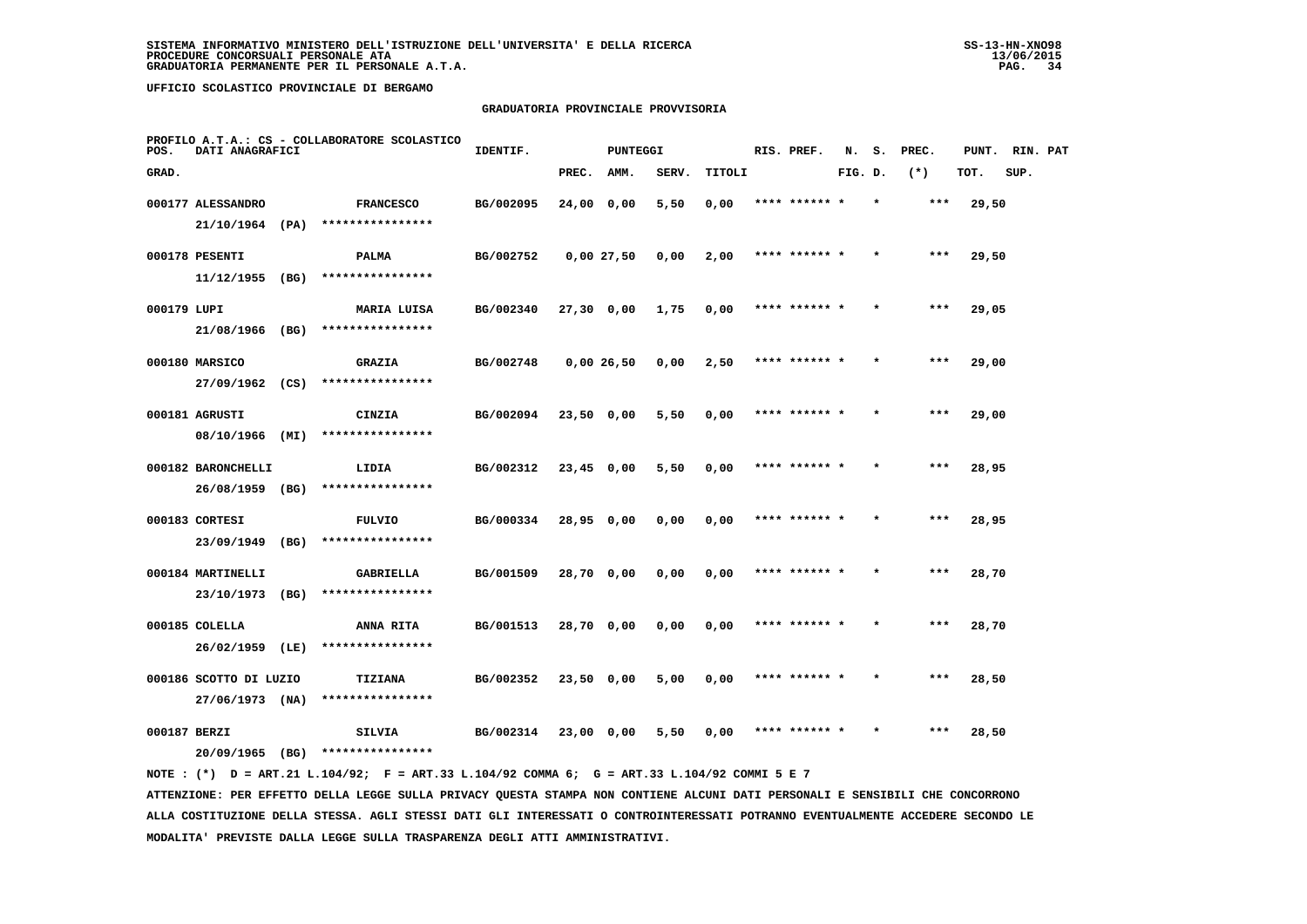### **GRADUATORIA PROVINCIALE PROVVISORIA**

| POS.         | DATI ANAGRAFICI        |      | PROFILO A.T.A.: CS - COLLABORATORE SCOLASTICO | IDENTIF.  |              | PUNTEGGI |       |        | RIS. PREF.    | N.      | s.      | PREC. | PUNT. | RIN. PAT |  |
|--------------|------------------------|------|-----------------------------------------------|-----------|--------------|----------|-------|--------|---------------|---------|---------|-------|-------|----------|--|
| GRAD.        |                        |      |                                               |           | PREC.        | AMM.     | SERV. | TITOLI |               | FIG. D. |         | $(*)$ | TOT.  | SUP.     |  |
|              | 000177 ALESSANDRO      |      | <b>FRANCESCO</b>                              | BG/002095 | 24,00 0,00   |          | 5,50  | 0,00   | **** ******   |         |         | $***$ | 29,50 |          |  |
|              | $21/10/1964$ (PA)      |      | ****************                              |           |              |          |       |        |               |         |         |       |       |          |  |
|              | 000178 PESENTI         |      | <b>PALMA</b>                                  | BG/002752 | 0.0027.50    |          | 0,00  | 2,00   | **** ******   |         |         | $***$ | 29,50 |          |  |
|              | 11/12/1955             | (BG) | ****************                              |           |              |          |       |        |               |         |         |       |       |          |  |
| 000179 LUPI  |                        |      | MARIA LUISA                                   | BG/002340 | 27,30 0,00   |          | 1,75  | 0,00   | **** ****** * |         | $\star$ | $***$ | 29,05 |          |  |
|              | 21/08/1966             | (BG) | ****************                              |           |              |          |       |        |               |         |         |       |       |          |  |
|              | 000180 MARSICO         |      | <b>GRAZIA</b>                                 | BG/002748 | 0,0026,50    |          | 0,00  | 2,50   | **** ****** * |         |         | $***$ | 29,00 |          |  |
|              | $27/09/1962$ (CS)      |      | ****************                              |           |              |          |       |        |               |         |         |       |       |          |  |
|              | 000181 AGRUSTI         |      | CINZIA                                        | BG/002094 | $23,50$ 0,00 |          | 5,50  | 0,00   | **** ****** * |         |         | $***$ | 29,00 |          |  |
|              | 08/10/1966 (MI)        |      | ****************                              |           |              |          |       |        |               |         |         |       |       |          |  |
|              | 000182 BARONCHELLI     |      | LIDIA                                         | BG/002312 | $23,45$ 0,00 |          | 5,50  | 0,00   | **** ****** * |         | $\star$ | $***$ | 28,95 |          |  |
|              | 26/08/1959 (BG)        |      | ****************                              |           |              |          |       |        |               |         |         |       |       |          |  |
|              | 000183 CORTESI         |      | <b>FULVIO</b>                                 | BG/000334 | 28,95 0,00   |          | 0,00  | 0,00   |               |         |         | $***$ | 28,95 |          |  |
|              | 23/09/1949             | (BG) | ****************                              |           |              |          |       |        |               |         |         |       |       |          |  |
|              | 000184 MARTINELLI      |      | GABRIELLA                                     | BG/001509 | 28,70 0,00   |          | 0,00  | 0,00   | **** ****** * |         |         | ***   | 28,70 |          |  |
|              | 23/10/1973 (BG)        |      | ****************                              |           |              |          |       |        |               |         |         |       |       |          |  |
|              | 000185 COLELLA         |      | <b>ANNA RITA</b>                              | BG/001513 | 28,70 0,00   |          | 0,00  | 0,00   | **** ****** * |         | $\star$ | ***   | 28,70 |          |  |
|              | 26/02/1959             | (LE) | ****************                              |           |              |          |       |        |               |         |         |       |       |          |  |
|              | 000186 SCOTTO DI LUZIO |      | <b>TIZIANA</b>                                | BG/002352 | 23,50 0,00   |          | 5,00  | 0,00   | **** ****** * |         |         | ***   | 28,50 |          |  |
|              | 27/06/1973 (NA)        |      | ****************                              |           |              |          |       |        |               |         |         |       |       |          |  |
| 000187 BERZI |                        |      | SILVIA<br>****************                    | BG/002314 | 23,00 0,00   |          | 5,50  | 0,00   |               |         |         | ***   | 28,50 |          |  |
|              | 20/09/1965             | (BG) |                                               |           |              |          |       |        |               |         |         |       |       |          |  |

 **NOTE : (\*) D = ART.21 L.104/92; F = ART.33 L.104/92 COMMA 6; G = ART.33 L.104/92 COMMI 5 E 7 ATTENZIONE: PER EFFETTO DELLA LEGGE SULLA PRIVACY QUESTA STAMPA NON CONTIENE ALCUNI DATI PERSONALI E SENSIBILI CHE CONCORRONO ALLA COSTITUZIONE DELLA STESSA. AGLI STESSI DATI GLI INTERESSATI O CONTROINTERESSATI POTRANNO EVENTUALMENTE ACCEDERE SECONDO LE**

 **MODALITA' PREVISTE DALLA LEGGE SULLA TRASPARENZA DEGLI ATTI AMMINISTRATIVI.**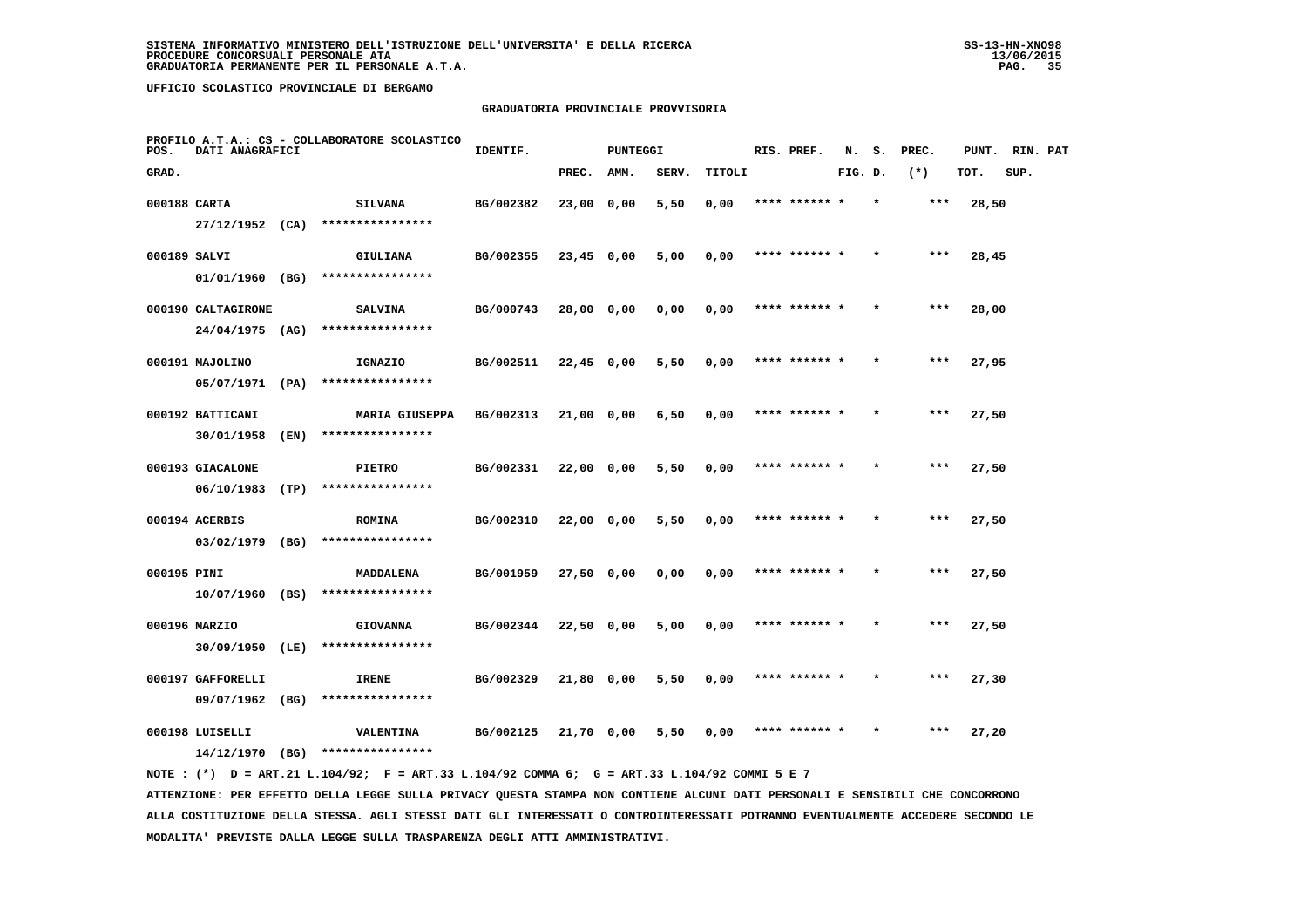# **GRADUATORIA PROVINCIALE PROVVISORIA**

| POS.         | DATI ANAGRAFICI    |      | PROFILO A.T.A.: CS - COLLABORATORE SCOLASTICO | IDENTIF.  |            | <b>PUNTEGGI</b> |       |        | RIS. PREF.    | N.      | s.      | PREC. | PUNT. | RIN. PAT |  |
|--------------|--------------------|------|-----------------------------------------------|-----------|------------|-----------------|-------|--------|---------------|---------|---------|-------|-------|----------|--|
| GRAD.        |                    |      |                                               |           | PREC.      | <b>AMM.</b>     | SERV. | TITOLI |               | FIG. D. |         | $(*)$ | TOT.  | SUP.     |  |
| 000188 CARTA |                    |      | <b>SILVANA</b>                                | BG/002382 | 23,00 0,00 |                 | 5,50  | 0,00   | **** ****** * |         |         | ***   | 28,50 |          |  |
|              | 27/12/1952 (CA)    |      | ****************                              |           |            |                 |       |        |               |         |         |       |       |          |  |
| 000189 SALVI |                    |      | GIULIANA                                      | BG/002355 | 23,45 0,00 |                 | 5,00  | 0,00   | **** ****** * |         |         | $***$ | 28,45 |          |  |
|              | 01/01/1960 (BG)    |      | ****************                              |           |            |                 |       |        |               |         |         |       |       |          |  |
|              | 000190 CALTAGIRONE |      | <b>SALVINA</b>                                | BG/000743 | 28,00 0,00 |                 | 0,00  | 0,00   | **** ****** * |         |         | ***   | 28,00 |          |  |
|              | $24/04/1975$ (AG)  |      | ****************                              |           |            |                 |       |        |               |         |         |       |       |          |  |
|              | 000191 MAJOLINO    |      | IGNAZIO                                       | BG/002511 | 22,45 0,00 |                 | 5,50  | 0,00   | **** ****** * |         |         | ***   | 27,95 |          |  |
|              | 05/07/1971 (PA)    |      | ****************                              |           |            |                 |       |        |               |         |         |       |       |          |  |
|              | 000192 BATTICANI   |      | <b>MARIA GIUSEPPA</b>                         | BG/002313 | 21,00 0,00 |                 | 6,50  | 0,00   | **** ****** * |         |         | $***$ | 27,50 |          |  |
|              | 30/01/1958         | (EN) | ****************                              |           |            |                 |       |        |               |         |         |       |       |          |  |
|              | 000193 GIACALONE   |      | <b>PIETRO</b>                                 | BG/002331 | 22,00 0,00 |                 | 5,50  | 0,00   | **** ****** * |         |         | $***$ | 27,50 |          |  |
|              | 06/10/1983         | (TP) | ****************                              |           |            |                 |       |        |               |         |         |       |       |          |  |
|              | 000194 ACERBIS     |      | <b>ROMINA</b>                                 | BG/002310 | 22,00 0,00 |                 | 5,50  | 0,00   | **** ****** * |         | $\star$ | ***   | 27,50 |          |  |
|              | $03/02/1979$ (BG)  |      | ****************                              |           |            |                 |       |        |               |         |         |       |       |          |  |
| 000195 PINI  |                    |      | MADDALENA                                     | BG/001959 | 27,50 0,00 |                 | 0,00  | 0,00   | **** ****** * |         |         | ***   | 27,50 |          |  |
|              | 10/07/1960 (BS)    |      | ****************                              |           |            |                 |       |        |               |         |         |       |       |          |  |
|              | 000196 MARZIO      |      | <b>GIOVANNA</b>                               | BG/002344 | 22,50 0,00 |                 | 5,00  | 0,00   | **** ****** * |         |         | ***   | 27,50 |          |  |
|              | 30/09/1950 (LE)    |      | ****************                              |           |            |                 |       |        |               |         |         |       |       |          |  |
|              | 000197 GAFFORELLI  |      | <b>IRENE</b>                                  | BG/002329 | 21,80 0,00 |                 | 5,50  | 0,00   | **** ****** * |         |         | ***   | 27,30 |          |  |
|              | 09/07/1962 (BG)    |      | ****************                              |           |            |                 |       |        |               |         |         |       |       |          |  |
|              | 000198 LUISELLI    |      | VALENTINA                                     | BG/002125 | 21,70 0,00 |                 | 5,50  | 0,00   | **** ****** * |         |         | ***   | 27,20 |          |  |
|              | 14/12/1970         | (BG) | ****************                              |           |            |                 |       |        |               |         |         |       |       |          |  |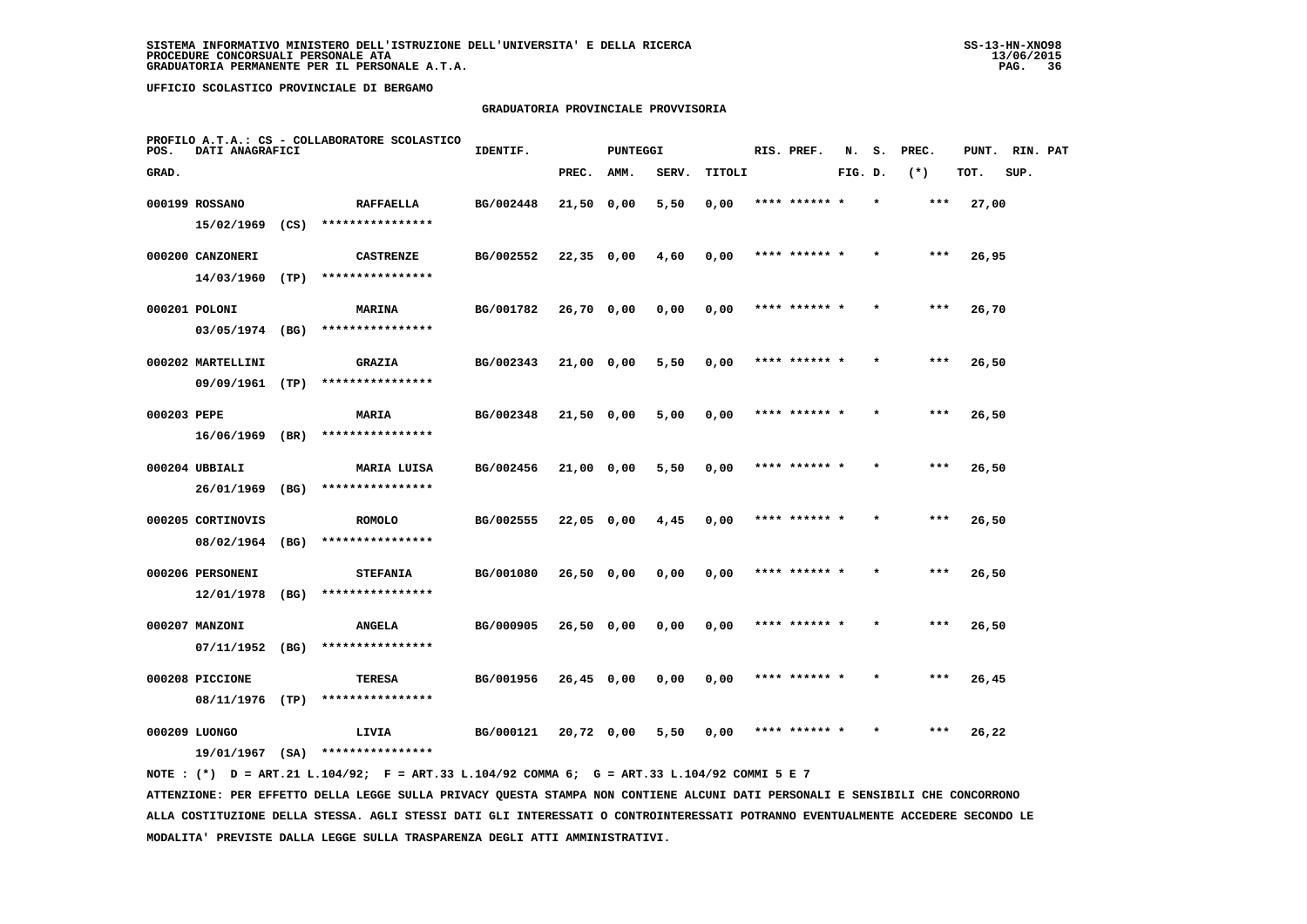# **GRADUATORIA PROVINCIALE PROVVISORIA**

| POS.        | DATI ANAGRAFICI   |      | PROFILO A.T.A.: CS - COLLABORATORE SCOLASTICO | IDENTIF.  |              | <b>PUNTEGGI</b> |       |        | RIS. PREF.    | N.      | s.      | PREC. | PUNT. | RIN. PAT |  |
|-------------|-------------------|------|-----------------------------------------------|-----------|--------------|-----------------|-------|--------|---------------|---------|---------|-------|-------|----------|--|
| GRAD.       |                   |      |                                               |           | PREC.        | AMM.            | SERV. | TITOLI |               | FIG. D. |         | $(*)$ | TOT.  | SUP.     |  |
|             | 000199 ROSSANO    |      | <b>RAFFAELLA</b>                              | BG/002448 | 21,50 0,00   |                 | 5,50  | 0,00   | **** ****** * |         |         | ***   | 27,00 |          |  |
|             | 15/02/1969        | (CS) | ****************                              |           |              |                 |       |        |               |         |         |       |       |          |  |
|             | 000200 CANZONERI  |      | <b>CASTRENZE</b>                              | BG/002552 | $22,35$ 0,00 |                 | 4,60  | 0,00   | **** ****** * |         |         | ***   | 26,95 |          |  |
|             | 14/03/1960        | (TP) | ****************                              |           |              |                 |       |        |               |         |         |       |       |          |  |
|             | 000201 POLONI     |      | <b>MARINA</b>                                 | BG/001782 | $26,70$ 0,00 |                 | 0,00  | 0,00   | **** ****** * |         |         | $***$ | 26,70 |          |  |
|             | 03/05/1974 (BG)   |      | ****************                              |           |              |                 |       |        |               |         |         |       |       |          |  |
|             | 000202 MARTELLINI |      | <b>GRAZIA</b>                                 | BG/002343 | 21,00 0,00   |                 | 5,50  | 0,00   | **** ****** * |         |         | $***$ | 26,50 |          |  |
|             | 09/09/1961        | (TP) | ****************                              |           |              |                 |       |        |               |         |         |       |       |          |  |
| 000203 PEPE |                   |      | <b>MARIA</b>                                  | BG/002348 | $21,50$ 0,00 |                 | 5,00  | 0,00   | **** ****** * |         |         | $***$ | 26,50 |          |  |
|             | 16/06/1969 (BR)   |      | ****************                              |           |              |                 |       |        |               |         |         |       |       |          |  |
|             | 000204 UBBIALI    |      | MARIA LUISA                                   | BG/002456 | 21,00 0,00   |                 | 5,50  | 0,00   | **** ****** * |         |         | $***$ | 26,50 |          |  |
|             | 26/01/1969 (BG)   |      | ****************                              |           |              |                 |       |        |               |         |         |       |       |          |  |
|             | 000205 CORTINOVIS |      | <b>ROMOLO</b>                                 | BG/002555 | 22,05 0,00   |                 | 4,45  | 0,00   | **** ****** * |         |         | ***   | 26,50 |          |  |
|             | 08/02/1964        | (BG) | ****************                              |           |              |                 |       |        |               |         |         |       |       |          |  |
|             | 000206 PERSONENI  |      | <b>STEFANIA</b>                               | BG/001080 | $26,50$ 0,00 |                 | 0,00  | 0,00   |               |         |         | ***   | 26,50 |          |  |
|             | 12/01/1978        | (BG) | ****************                              |           |              |                 |       |        |               |         |         |       |       |          |  |
|             | 000207 MANZONI    |      | <b>ANGELA</b>                                 | BG/000905 | 26,50 0,00   |                 | 0,00  | 0,00   | **** ****** * |         |         | $***$ | 26,50 |          |  |
|             | 07/11/1952        | (BG) | ****************                              |           |              |                 |       |        |               |         |         |       |       |          |  |
|             | 000208 PICCIONE   |      | TERESA                                        | BG/001956 | $26,45$ 0,00 |                 | 0,00  | 0,00   | **** ****** * |         | $\star$ | ***   | 26,45 |          |  |
|             | 08/11/1976        | (TP) | ****************                              |           |              |                 |       |        |               |         |         |       |       |          |  |
|             | 000209 LUONGO     |      | LIVIA                                         | BG/000121 | 20,72 0,00   |                 | 5,50  | 0,00   | **** ****** * |         |         | ***   | 26,22 |          |  |
|             | 19/01/1967 (SA)   |      | ****************                              |           |              |                 |       |        |               |         |         |       |       |          |  |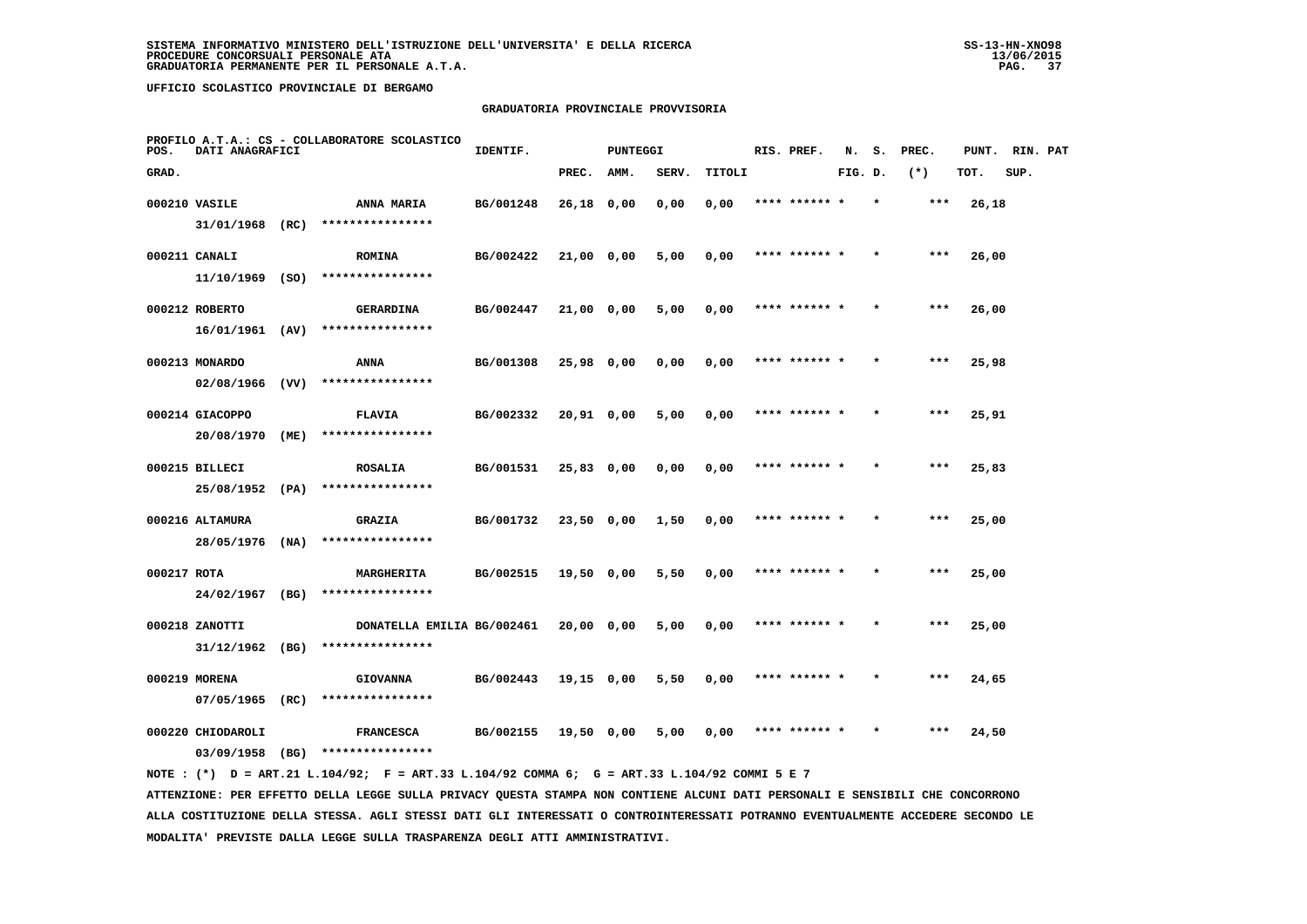## **GRADUATORIA PROVINCIALE PROVVISORIA**

| POS.        | DATI ANAGRAFICI   | PROFILO A.T.A.: CS - COLLABORATORE SCOLASTICO                                               | IDENTIF.  |              | <b>PUNTEGGI</b> |       |        | RIS. PREF.    | N.      | s.      | PREC. | PUNT. RIN. PAT |      |  |
|-------------|-------------------|---------------------------------------------------------------------------------------------|-----------|--------------|-----------------|-------|--------|---------------|---------|---------|-------|----------------|------|--|
| GRAD.       |                   |                                                                                             |           | PREC.        | AMM.            | SERV. | TITOLI |               | FIG. D. |         | $(*)$ | TOT.           | SUP. |  |
|             | 000210 VASILE     | <b>ANNA MARIA</b>                                                                           | BG/001248 | 26,18 0,00   |                 | 0,00  | 0,00   | **** ****** * |         | $\star$ | ***   | 26,18          |      |  |
|             | 31/01/1968 (RC)   | ****************                                                                            |           |              |                 |       |        |               |         |         |       |                |      |  |
|             | 000211 CANALI     | <b>ROMINA</b>                                                                               | BG/002422 | 21,00 0,00   |                 | 5,00  | 0,00   | **** ****** * |         |         | ***   | 26,00          |      |  |
|             | $11/10/1969$ (SO) | ****************                                                                            |           |              |                 |       |        |               |         |         |       |                |      |  |
|             | 000212 ROBERTO    | <b>GERARDINA</b>                                                                            | BG/002447 | 21,00 0,00   |                 | 5,00  | 0,00   | **** ****** * |         |         | $***$ | 26,00          |      |  |
|             | 16/01/1961 (AV)   | ****************                                                                            |           |              |                 |       |        |               |         |         |       |                |      |  |
|             | 000213 MONARDO    | ANNA                                                                                        | BG/001308 | 25,98 0,00   |                 | 0,00  | 0,00   | **** ******   |         |         | ***   | 25,98          |      |  |
|             | $02/08/1966$ (VV) | ****************                                                                            |           |              |                 |       |        |               |         |         |       |                |      |  |
|             | 000214 GIACOPPO   | <b>FLAVIA</b>                                                                               | BG/002332 | 20,91 0,00   |                 | 5,00  | 0,00   | **** ****** * |         |         | ***   | 25,91          |      |  |
|             | 20/08/1970 (ME)   | ****************                                                                            |           |              |                 |       |        |               |         |         |       |                |      |  |
|             | 000215 BILLECI    | <b>ROSALIA</b>                                                                              | BG/001531 | $25,83$ 0,00 |                 | 0,00  | 0,00   | **** ****** * |         |         | $***$ | 25,83          |      |  |
|             | 25/08/1952 (PA)   | ****************                                                                            |           |              |                 |       |        |               |         |         |       |                |      |  |
|             | 000216 ALTAMURA   | <b>GRAZIA</b>                                                                               | BG/001732 | 23,50 0,00   |                 | 1,50  | 0,00   | **** ****** * |         |         | $***$ | 25,00          |      |  |
|             | 28/05/1976 (NA)   | ****************                                                                            |           |              |                 |       |        |               |         |         |       |                |      |  |
| 000217 ROTA |                   | MARGHERITA                                                                                  | BG/002515 | 19,50 0,00   |                 | 5,50  | 0,00   | **** ****** * |         |         | ***   | 25,00          |      |  |
|             | 24/02/1967 (BG)   | ****************                                                                            |           |              |                 |       |        |               |         |         |       |                |      |  |
|             | 000218 ZANOTTI    | DONATELLA EMILIA BG/002461                                                                  |           | 20,00 0,00   |                 | 5,00  | 0,00   | **** ****** * |         |         | ***   | 25,00          |      |  |
|             | $31/12/1962$ (BG) | ****************                                                                            |           |              |                 |       |        |               |         |         |       |                |      |  |
|             | 000219 MORENA     | <b>GIOVANNA</b>                                                                             | BG/002443 | 19,15 0,00   |                 | 5,50  | 0,00   | **** ****** * |         |         | ***   | 24,65          |      |  |
|             | $07/05/1965$ (RC) | ****************                                                                            |           |              |                 |       |        |               |         |         |       |                |      |  |
|             | 000220 CHIODAROLI | <b>FRANCESCA</b>                                                                            | BG/002155 | 19,50 0,00   |                 | 5,00  | 0,00   | **** ****** * |         |         | ***   | 24,50          |      |  |
|             |                   | 03/09/1958 (BG) ****************                                                            |           |              |                 |       |        |               |         |         |       |                |      |  |
|             |                   | NOTE: (*) D = ART.21 L.104/92; F = ART.33 L.104/92 COMMA 6; G = ART.33 L.104/92 COMMI 5 E 7 |           |              |                 |       |        |               |         |         |       |                |      |  |

 **ATTENZIONE: PER EFFETTO DELLA LEGGE SULLA PRIVACY QUESTA STAMPA NON CONTIENE ALCUNI DATI PERSONALI E SENSIBILI CHE CONCORRONO ALLA COSTITUZIONE DELLA STESSA. AGLI STESSI DATI GLI INTERESSATI O CONTROINTERESSATI POTRANNO EVENTUALMENTE ACCEDERE SECONDO LE MODALITA' PREVISTE DALLA LEGGE SULLA TRASPARENZA DEGLI ATTI AMMINISTRATIVI.**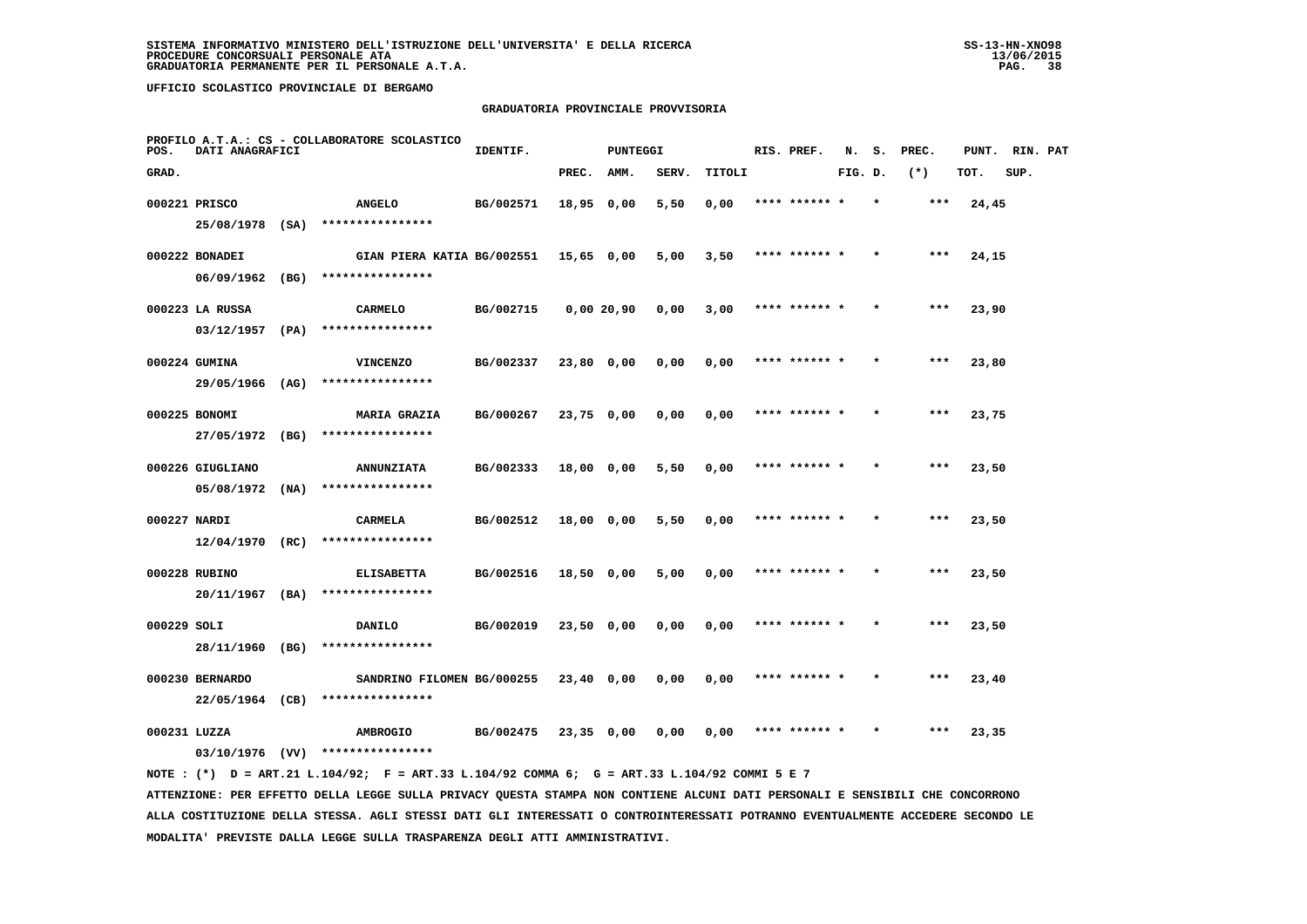### **GRADUATORIA PROVINCIALE PROVVISORIA**

| POS.         | DATI ANAGRAFICI   | PROFILO A.T.A.: CS - COLLABORATORE SCOLASTICO | IDENTIF.  |              | <b>PUNTEGGI</b> |       |        | RIS. PREF.    | N.      | s. | PREC. | PUNT. RIN. PAT |      |  |
|--------------|-------------------|-----------------------------------------------|-----------|--------------|-----------------|-------|--------|---------------|---------|----|-------|----------------|------|--|
| GRAD.        |                   |                                               |           | PREC. AMM.   |                 | SERV. | TITOLI |               | FIG. D. |    | $(*)$ | TOT.           | SUP. |  |
|              | 000221 PRISCO     | <b>ANGELO</b>                                 | BG/002571 | 18,95 0,00   |                 | 5,50  | 0,00   | **** ****** * |         |    | ***   | 24,45          |      |  |
|              | 25/08/1978 (SA)   | ****************                              |           |              |                 |       |        |               |         |    |       |                |      |  |
|              | 000222 BONADEI    | GIAN PIERA KATIA BG/002551 15,65 0,00         |           |              |                 | 5,00  | 3,50   | **** ****** * |         |    | $***$ | 24,15          |      |  |
|              |                   | 06/09/1962 (BG) ****************              |           |              |                 |       |        |               |         |    |       |                |      |  |
|              | 000223 LA RUSSA   | <b>CARMELO</b>                                | BG/002715 |              | 0,00 20,90      | 0,00  | 3,00   | **** ****** * |         |    | $***$ | 23,90          |      |  |
|              | 03/12/1957 (PA)   | ****************                              |           |              |                 |       |        |               |         |    |       |                |      |  |
|              | 000224 GUMINA     | <b>VINCENZO</b>                               | BG/002337 | 23,80 0,00   |                 | 0,00  | 0,00   | **** ****** * |         |    | ***   | 23,80          |      |  |
|              | 29/05/1966 (AG)   | ****************                              |           |              |                 |       |        |               |         |    |       |                |      |  |
|              | 000225 BONOMI     | <b>MARIA GRAZIA</b>                           | BG/000267 | 23,75 0,00   |                 | 0,00  | 0,00   | **** ****** * |         |    | ***   | 23,75          |      |  |
|              | 27/05/1972 (BG)   | ****************                              |           |              |                 |       |        |               |         |    |       |                |      |  |
|              | 000226 GIUGLIANO  | <b>ANNUNZIATA</b>                             | BG/002333 | 18,00 0,00   |                 | 5,50  | 0,00   | **** ****** * |         |    | ***   | 23,50          |      |  |
|              | $05/08/1972$ (NA) | ****************                              |           |              |                 |       |        |               |         |    |       |                |      |  |
| 000227 NARDI |                   | CARMELA                                       | BG/002512 | 18,00 0,00   |                 | 5,50  | 0,00   | **** ****** * |         |    | $***$ | 23,50          |      |  |
|              | $12/04/1970$ (RC) | ****************                              |           |              |                 |       |        |               |         |    |       |                |      |  |
|              | 000228 RUBINO     | <b>ELISABETTA</b>                             | BG/002516 | 18,50 0,00   |                 | 5,00  | 0,00   | **** ******   |         |    | ***   | 23,50          |      |  |
|              |                   | 20/11/1967 (BA) ****************              |           |              |                 |       |        |               |         |    |       |                |      |  |
| 000229 SOLI  |                   | <b>DANILO</b>                                 | BG/002019 | $23,50$ 0,00 |                 | 0,00  | 0,00   | **** ****** * |         |    | $***$ | 23,50          |      |  |
|              | 28/11/1960 (BG)   | ****************                              |           |              |                 |       |        |               |         |    |       |                |      |  |
|              | 000230 BERNARDO   | SANDRINO FILOMEN BG/000255                    |           | 23,40 0,00   |                 | 0,00  | 0,00   | **** ****** * |         |    | ***   | 23,40          |      |  |
|              | 22/05/1964 (CB)   | ****************                              |           |              |                 |       |        |               |         |    |       |                |      |  |
| 000231 LUZZA |                   | <b>AMBROGIO</b>                               | BG/002475 | $23,35$ 0,00 |                 | 0,00  | 0,00   | **** ****** * |         |    | ***   | 23,35          |      |  |
|              | $03/10/1976$ (VV) | ****************                              |           |              |                 |       |        |               |         |    |       |                |      |  |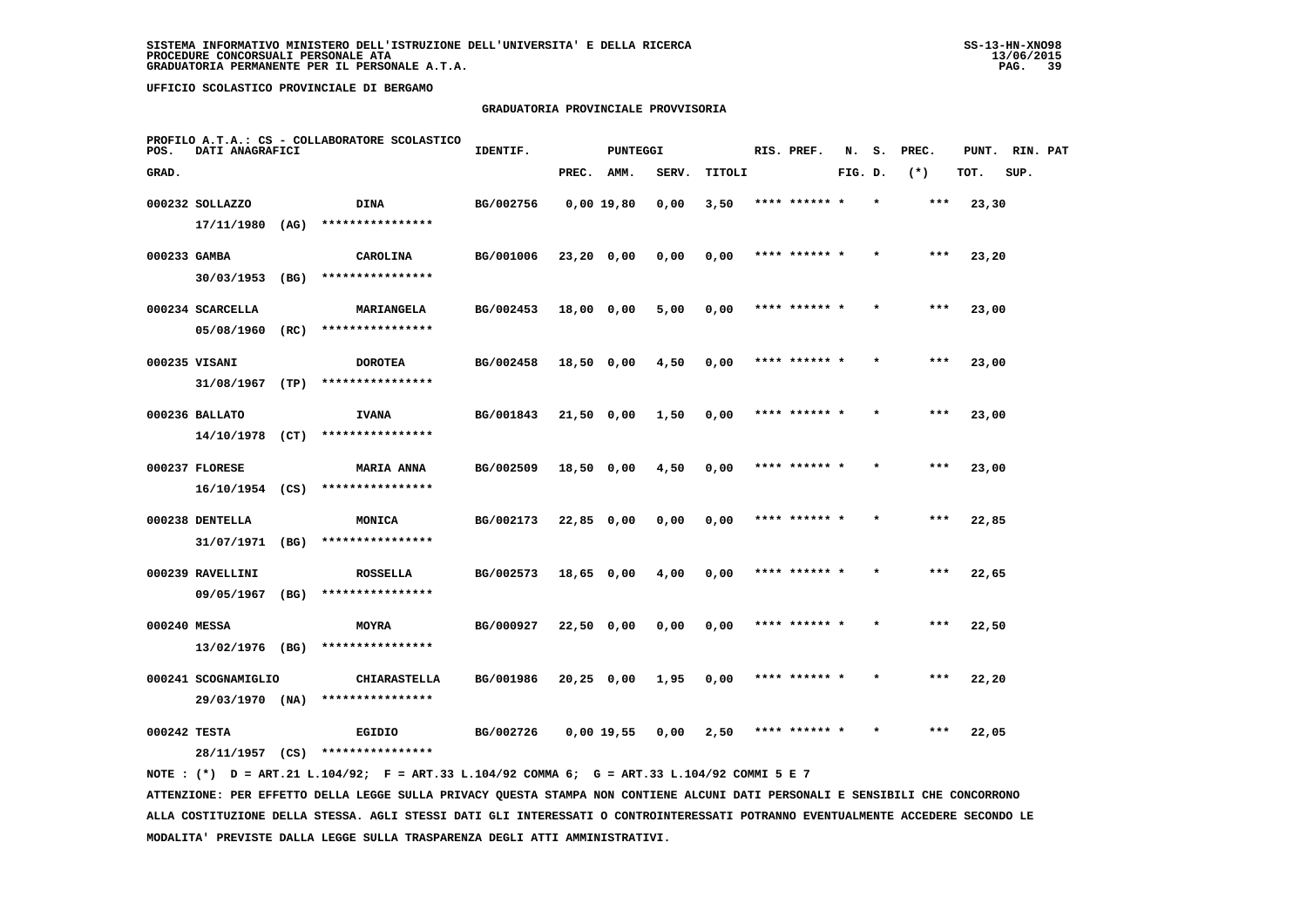### **GRADUATORIA PROVINCIALE PROVVISORIA**

| POS.         | DATI ANAGRAFICI     |      | PROFILO A.T.A.: CS - COLLABORATORE SCOLASTICO | IDENTIF.  |              | PUNTEGGI   |       |        |      | RIS. PREF.    | N.      | s.      | PREC. | PUNT. | RIN. PAT |  |
|--------------|---------------------|------|-----------------------------------------------|-----------|--------------|------------|-------|--------|------|---------------|---------|---------|-------|-------|----------|--|
| GRAD.        |                     |      |                                               |           | PREC.        | AMM.       | SERV. | TITOLI |      |               | FIG. D. |         | $(*)$ | TOT.  | SUP.     |  |
|              | 000232 SOLLAZZO     |      | DINA                                          | BG/002756 |              | 0,00 19,80 | 0,00  | 3,50   |      | **** ****** * |         |         | $***$ | 23,30 |          |  |
|              | $17/11/1980$ (AG)   |      | ****************                              |           |              |            |       |        |      |               |         |         |       |       |          |  |
| 000233 GAMBA |                     |      | CAROLINA                                      | BG/001006 | $23,20$ 0,00 |            | 0,00  | 0,00   |      | **** ****** * |         |         | $***$ | 23,20 |          |  |
|              | 30/03/1953          | (BG) | ****************                              |           |              |            |       |        |      |               |         |         |       |       |          |  |
|              | 000234 SCARCELLA    |      | MARIANGELA                                    | BG/002453 | 18,00 0,00   |            | 5,00  | 0,00   |      | **** ****** * |         | $\star$ | ***   | 23,00 |          |  |
|              | 05/08/1960          | (RC) | ****************                              |           |              |            |       |        |      |               |         |         |       |       |          |  |
|              | 000235 VISANI       |      | <b>DOROTEA</b>                                | BG/002458 | $18,50$ 0,00 |            | 4,50  | 0,00   |      | **** ****** * |         |         | $***$ | 23,00 |          |  |
|              | 31/08/1967          | (TP) | ****************                              |           |              |            |       |        |      |               |         |         |       |       |          |  |
|              | 000236 BALLATO      |      | <b>IVANA</b>                                  | BG/001843 | $21,50$ 0,00 |            | 1,50  | 0,00   |      | **** ****** * |         | $\star$ | $***$ | 23,00 |          |  |
|              | $14/10/1978$ (CT)   |      | ****************                              |           |              |            |       |        |      |               |         |         |       |       |          |  |
|              | 000237 FLORESE      |      | <b>MARIA ANNA</b>                             | BG/002509 | 18,50 0,00   |            | 4,50  | 0,00   |      | **** ****** * |         | $\star$ | $***$ | 23,00 |          |  |
|              | 16/10/1954 (CS)     |      | ****************                              |           |              |            |       |        |      |               |         |         |       |       |          |  |
|              | 000238 DENTELLA     |      | MONICA                                        | BG/002173 | 22,85 0,00   |            | 0,00  | 0,00   |      | **** ******   |         |         | $***$ | 22,85 |          |  |
|              | 31/07/1971 (BG)     |      | ****************                              |           |              |            |       |        |      |               |         |         |       |       |          |  |
|              | 000239 RAVELLINI    |      | <b>ROSSELLA</b>                               | BG/002573 | 18,65 0,00   |            | 4,00  | 0,00   |      | **** ****** * |         |         | $***$ | 22,65 |          |  |
|              | 09/05/1967          | (BG) | ****************                              |           |              |            |       |        |      |               |         |         |       |       |          |  |
| 000240 MESSA |                     |      | MOYRA                                         | BG/000927 | 22,50 0,00   |            | 0,00  | 0,00   |      | **** ****** * |         |         | $***$ | 22,50 |          |  |
|              | 13/02/1976 (BG)     |      | ****************                              |           |              |            |       |        |      |               |         |         |       |       |          |  |
|              | 000241 SCOGNAMIGLIO |      | <b>CHIARASTELLA</b>                           | BG/001986 | $20,25$ 0,00 |            | 1,95  | 0,00   |      | **** ****** * |         |         | $***$ | 22,20 |          |  |
|              | 29/03/1970 (NA)     |      | ****************                              |           |              |            |       |        |      |               |         |         |       |       |          |  |
| 000242 TESTA |                     |      | EGIDIO                                        | BG/002726 |              | 0,00 19,55 | 0.00  | 2,50   | **** |               |         |         | ***   | 22,05 |          |  |
|              | 28/11/1957 (CS)     |      | ****************                              |           |              |            |       |        |      |               |         |         |       |       |          |  |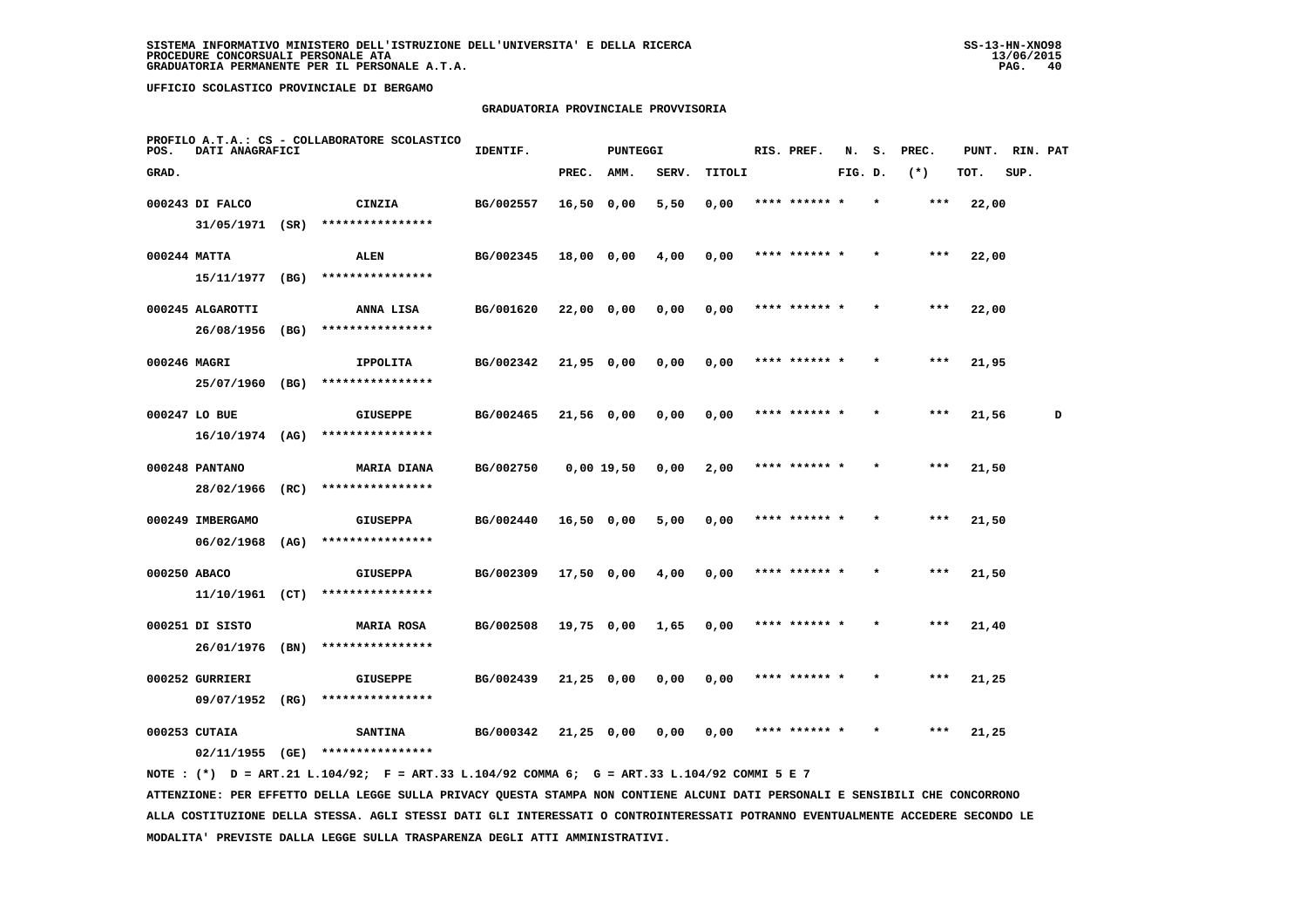### **GRADUATORIA PROVINCIALE PROVVISORIA**

| POS.         | DATI ANAGRAFICI                     |      | PROFILO A.T.A.: CS - COLLABORATORE SCOLASTICO | IDENTIF.  |              | <b>PUNTEGGI</b> |       |        | RIS. PREF.    | N.      | s.      | PREC.   | PUNT. | RIN. PAT |   |
|--------------|-------------------------------------|------|-----------------------------------------------|-----------|--------------|-----------------|-------|--------|---------------|---------|---------|---------|-------|----------|---|
| GRAD.        |                                     |      |                                               |           | PREC.        | AMM.            | SERV. | TITOLI |               | FIG. D. |         | $(*)$   | TOT.  | SUP.     |   |
|              | 000243 DI FALCO<br>31/05/1971 (SR)  |      | CINZIA<br>****************                    | BG/002557 | $16,50$ 0,00 |                 | 5,50  | 0,00   | **** ******   |         |         | ***     | 22,00 |          |   |
|              | 000244 MATTA<br>15/11/1977          | (BG) | <b>ALEN</b><br>****************               | BG/002345 | 18,00 0,00   |                 | 4,00  | 0,00   | **** ****** * |         |         | $***$   | 22,00 |          |   |
|              | 000245 ALGAROTTI                    |      | ANNA LISA                                     | BG/001620 | 22,00 0,00   |                 | 0,00  | 0,00   | **** ****** * |         | $\star$ | $***$   | 22,00 |          |   |
| 000246 MAGRI | 26/08/1956                          | (BG) | ****************<br><b>IPPOLITA</b>           | BG/002342 | $21,95$ 0,00 |                 | 0,00  | 0,00   | **** ****** * |         |         | $***$   | 21,95 |          |   |
|              | 25/07/1960 (BG)<br>000247 LO BUE    |      | ****************<br><b>GIUSEPPE</b>           | BG/002465 | 21,56 0,00   |                 | 0,00  | 0,00   | **** ****** * |         |         | $* * *$ | 21,56 |          | D |
|              | $16/10/1974$ (AG)<br>000248 PANTANO |      | ****************<br><b>MARIA DIANA</b>        | BG/002750 | $0,00$ 19,50 |                 | 0,00  | 2,00   | **** ****** * |         |         | ***     | 21,50 |          |   |
|              | 28/02/1966                          | (RC) | ****************                              |           |              |                 |       |        |               |         |         |         |       |          |   |
|              | 000249 IMBERGAMO<br>06/02/1968      | (AG) | <b>GIUSEPPA</b><br>****************           | BG/002440 | $16,50$ 0,00 |                 | 5,00  | 0,00   | **** ******   |         |         | ***     | 21,50 |          |   |
| 000250 ABACO | 11/10/1961                          | (CT) | <b>GIUSEPPA</b><br>****************           | BG/002309 | 17,50 0,00   |                 | 4,00  | 0,00   | **** ****** * |         |         | $***$   | 21,50 |          |   |
|              | 000251 DI SISTO<br>26/01/1976       | (BN) | <b>MARIA ROSA</b><br>****************         | BG/002508 | 19,75 0,00   |                 | 1,65  | 0,00   | **** ****** * |         | $\star$ | $***$   | 21,40 |          |   |
|              | 000252 GURRIERI<br>09/07/1952       | (RG) | <b>GIUSEPPE</b><br>****************           | BG/002439 | $21,25$ 0,00 |                 | 0,00  | 0,00   | **** ****** * |         |         | ***     | 21,25 |          |   |
|              | 000253 CUTAIA<br>02/11/1955         | (GE) | <b>SANTINA</b><br>****************            | BG/000342 | $21,25$ 0,00 |                 | 0.00  | 0.00   | **** ****** * |         |         | ***     | 21,25 |          |   |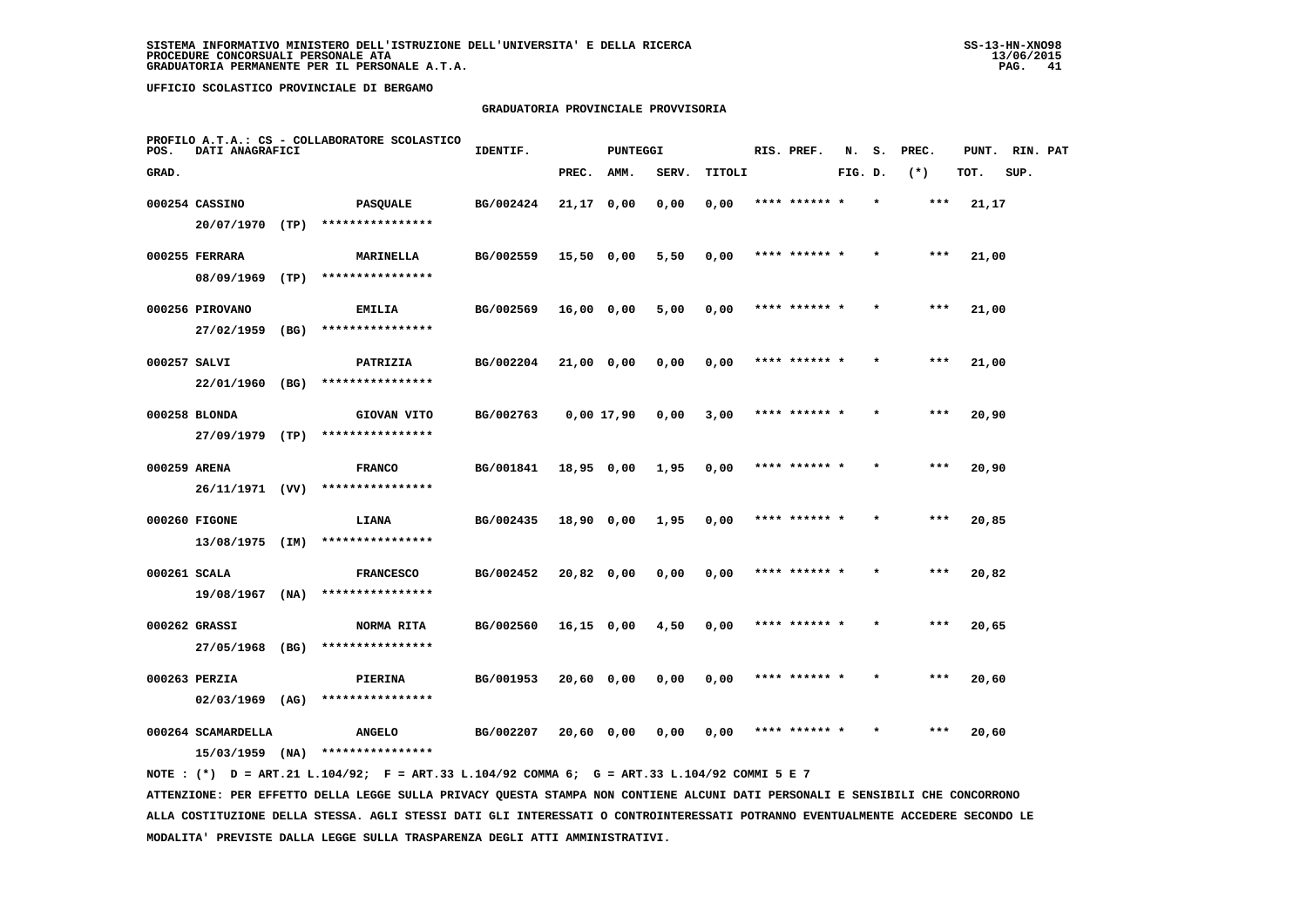# **GRADUATORIA PROVINCIALE PROVVISORIA**

| POS.         | DATI ANAGRAFICI                                              |      | PROFILO A.T.A.: CS - COLLABORATORE SCOLASTICO | IDENTIF.  |              | PUNTEGGI |       |        | RIS. PREF.    | N.      | s.      | PREC. | PUNT. | RIN. PAT |  |
|--------------|--------------------------------------------------------------|------|-----------------------------------------------|-----------|--------------|----------|-------|--------|---------------|---------|---------|-------|-------|----------|--|
| GRAD.        |                                                              |      |                                               |           | PREC.        | AMM.     | SERV. | TITOLI |               | FIG. D. |         | $(*)$ | TOT.  | SUP.     |  |
|              | 000254 CASSINO<br>20/07/1970 (TP)                            |      | <b>PASQUALE</b><br>****************           | BG/002424 | $21,17$ 0,00 |          | 0,00  | 0,00   | **** ******   |         |         | $***$ | 21,17 |          |  |
|              | 000255 FERRARA<br>08/09/1969                                 | (TP) | MARINELLA<br>****************                 | BG/002559 | $15,50$ 0,00 |          | 5,50  | 0,00   | **** ****** * |         |         | $***$ | 21,00 |          |  |
|              | 000256 PIROVANO<br>27/02/1959                                | (BG) | <b>EMILIA</b><br>****************             | BG/002569 | 16,00 0,00   |          | 5,00  | 0,00   | **** ****** * |         | $\star$ | $***$ | 21,00 |          |  |
| 000257 SALVI | 22/01/1960 (BG)                                              |      | PATRIZIA<br>****************                  | BG/002204 | 21,00 0,00   |          | 0,00  | 0,00   | **** ****** * |         |         | $***$ | 21,00 |          |  |
|              | 000258 BLONDA<br>27/09/1979 (TP)                             |      | GIOVAN VITO<br>****************               | BG/002763 | 0,00 17,90   |          | 0,00  | 3,00   | **** ****** * |         |         | $***$ | 20,90 |          |  |
| 000259 ARENA | 26/11/1971 (VV)                                              |      | <b>FRANCO</b><br>****************             | BG/001841 | 18,95 0,00   |          | 1,95  | 0,00   | **** ****** * |         |         | $***$ | 20,90 |          |  |
|              | 000260 FIGONE<br>13/08/1975 (IM)                             |      | LIANA<br>****************                     | BG/002435 | 18,90 0,00   |          | 1,95  | 0,00   | **** ******   |         |         | ***   | 20,85 |          |  |
| 000261 SCALA | 19/08/1967 (NA)                                              |      | <b>FRANCESCO</b><br>****************          | BG/002452 | 20,82 0,00   |          | 0,00  | 0,00   | **** ****** * |         |         | $***$ | 20,82 |          |  |
|              | 000262 GRASSI<br>27/05/1968                                  | (BG) | NORMA RITA<br>****************                | BG/002560 | $16,15$ 0,00 |          | 4,50  | 0,00   | **** ****** * |         |         | $***$ | 20,65 |          |  |
|              | 000263 PERZIA                                                |      | PIERINA<br>****************                   | BG/001953 | $20,60$ 0,00 |          | 0,00  | 0,00   | **** ****** * |         |         | ***   | 20,60 |          |  |
|              | $02/03/1969$ (AG)<br>000264 SCAMARDELLA<br>$15/03/1959$ (NA) |      | <b>ANGELO</b><br>****************             | BG/002207 | 20,60 0,00   |          | 0,00  | 0,00   | **** ****** * |         |         | ***   | 20,60 |          |  |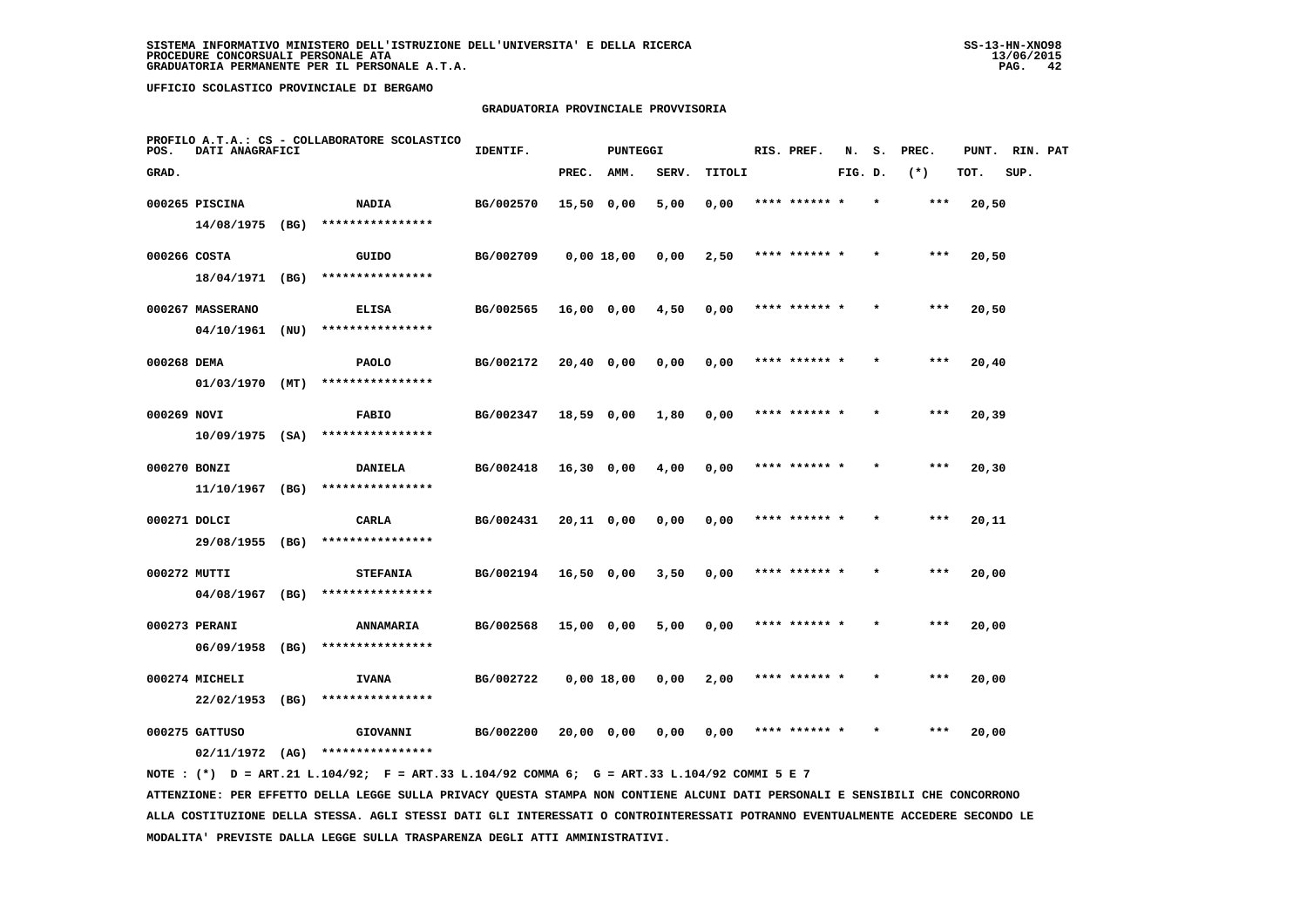### **GRADUATORIA PROVINCIALE PROVVISORIA**

| POS.         | DATI ANAGRAFICI   |      | PROFILO A.T.A.: CS - COLLABORATORE SCOLASTICO | IDENTIF.  |              | <b>PUNTEGGI</b> |       |        | RIS. PREF.    | N.      | s.      | PREC. | PUNT. | RIN. PAT |  |
|--------------|-------------------|------|-----------------------------------------------|-----------|--------------|-----------------|-------|--------|---------------|---------|---------|-------|-------|----------|--|
| GRAD.        |                   |      |                                               |           | PREC.        | AMM.            | SERV. | TITOLI |               | FIG. D. |         | $(*)$ | TOT.  | SUP.     |  |
|              | 000265 PISCINA    |      | <b>NADIA</b>                                  | BG/002570 | 15,50 0,00   |                 | 5,00  | 0,00   | **** ****** * |         |         | ***   | 20,50 |          |  |
|              | 14/08/1975 (BG)   |      | ****************                              |           |              |                 |       |        |               |         |         |       |       |          |  |
| 000266 COSTA |                   |      | GUIDO                                         | BG/002709 |              | 0,00 18,00      | 0,00  | 2,50   | **** ****** * |         |         | ***   | 20,50 |          |  |
|              | 18/04/1971 (BG)   |      | ****************                              |           |              |                 |       |        |               |         |         |       |       |          |  |
|              | 000267 MASSERANO  |      | <b>ELISA</b>                                  | BG/002565 | 16,00 0,00   |                 | 4,50  | 0,00   | **** ****** * |         |         | ***   | 20,50 |          |  |
|              | 04/10/1961        | (NU) | ****************                              |           |              |                 |       |        |               |         |         |       |       |          |  |
| 000268 DEMA  |                   |      | <b>PAOLO</b>                                  | BG/002172 | 20,40 0,00   |                 | 0,00  | 0,00   | **** ****** * |         |         | $***$ | 20,40 |          |  |
|              | $01/03/1970$ (MT) |      | ****************                              |           |              |                 |       |        |               |         |         |       |       |          |  |
| 000269 NOVI  |                   |      | <b>FABIO</b>                                  | BG/002347 | 18,59 0,00   |                 | 1,80  | 0,00   | **** ****** * |         |         | $***$ | 20,39 |          |  |
|              | $10/09/1975$ (SA) |      | ****************                              |           |              |                 |       |        |               |         |         |       |       |          |  |
| 000270 BONZI |                   |      | <b>DANIELA</b>                                | BG/002418 | $16,30$ 0,00 |                 | 4,00  | 0,00   | **** ****** * |         |         | $***$ | 20,30 |          |  |
|              | $11/10/1967$ (BG) |      | ****************                              |           |              |                 |       |        |               |         |         |       |       |          |  |
| 000271 DOLCI |                   |      | CARLA                                         | BG/002431 | 20,11 0,00   |                 | 0,00  | 0,00   | **** ****** * |         |         | ***   | 20,11 |          |  |
|              | 29/08/1955 (BG)   |      | ****************                              |           |              |                 |       |        |               |         |         |       |       |          |  |
| 000272 MUTTI |                   |      | <b>STEFANIA</b>                               | BG/002194 | 16,50 0,00   |                 | 3,50  | 0,00   | **** ******   |         |         | ***   | 20,00 |          |  |
|              | 04/08/1967 (BG)   |      | ****************                              |           |              |                 |       |        |               |         |         |       |       |          |  |
|              | 000273 PERANI     |      | ANNAMARIA                                     | BG/002568 | 15,00 0,00   |                 | 5,00  | 0,00   | **** ****** * |         |         | $***$ | 20,00 |          |  |
|              | 06/09/1958 (BG)   |      | ****************                              |           |              |                 |       |        |               |         |         |       |       |          |  |
|              | 000274 MICHELI    |      | <b>IVANA</b>                                  | BG/002722 |              | $0,00$ 18,00    | 0,00  | 2,00   | **** ****** * |         | $\star$ | $***$ | 20,00 |          |  |
|              | 22/02/1953 (BG)   |      | ****************                              |           |              |                 |       |        |               |         |         |       |       |          |  |
|              |                   |      |                                               |           |              |                 |       |        | **** ****** * |         |         | ***   |       |          |  |
|              | 000275 GATTUSO    |      | GIOVANNI<br>****************                  | BG/002200 | 20,00 0,00   |                 | 0,00  | 0,00   |               |         |         |       | 20,00 |          |  |
|              | $02/11/1972$ (AG) |      |                                               |           |              |                 |       |        |               |         |         |       |       |          |  |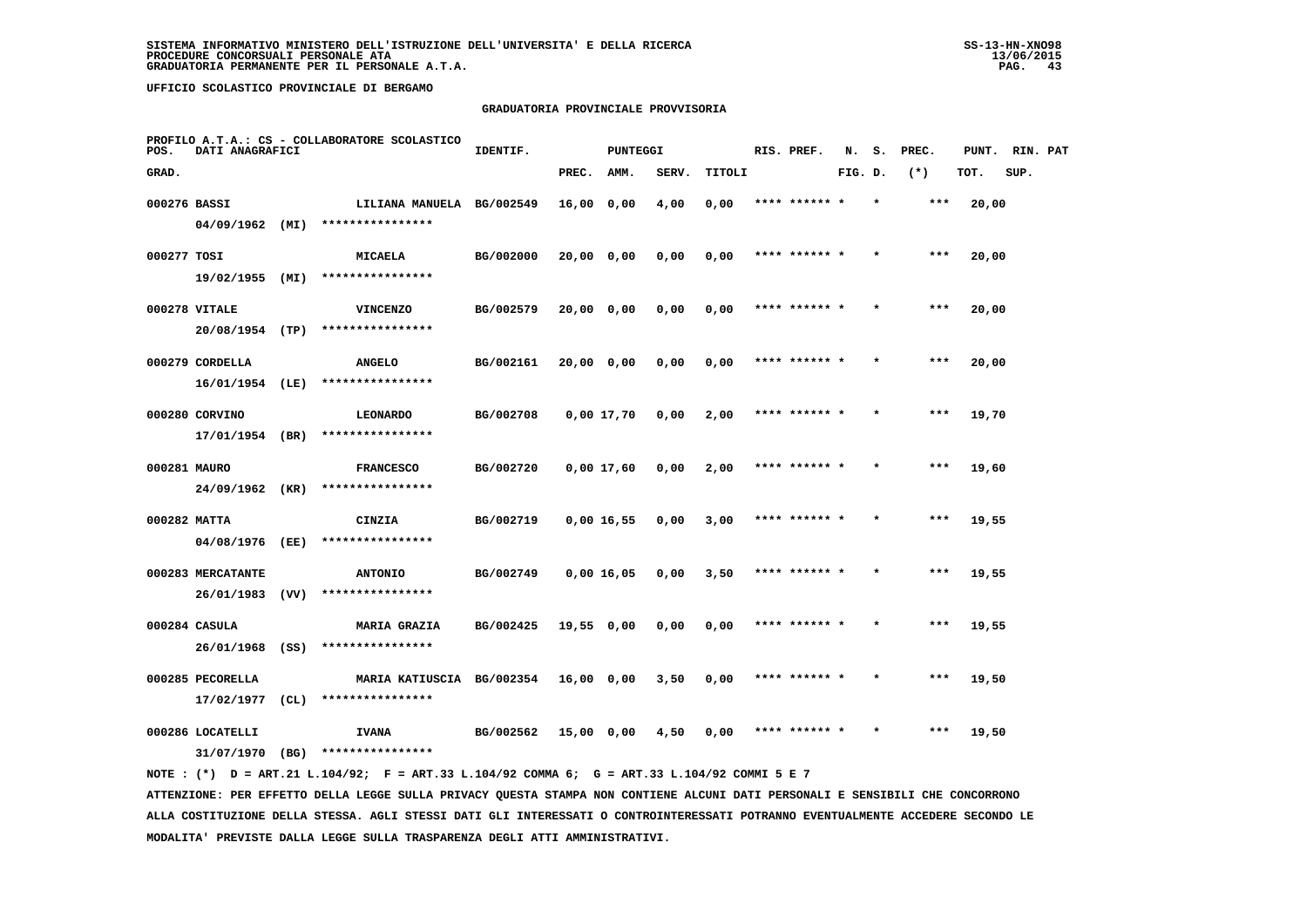## **GRADUATORIA PROVINCIALE PROVVISORIA**

| POS.         | DATI ANAGRAFICI   |      | PROFILO A.T.A.: CS - COLLABORATORE SCOLASTICO | IDENTIF.  |            | <b>PUNTEGGI</b> |       |        | RIS. PREF.    | N.      | s.      | PREC. | PUNT. | RIN. PAT |  |
|--------------|-------------------|------|-----------------------------------------------|-----------|------------|-----------------|-------|--------|---------------|---------|---------|-------|-------|----------|--|
| GRAD.        |                   |      |                                               |           | PREC.      | AMM.            | SERV. | TITOLI |               | FIG. D. |         | $(*)$ | TOT.  | SUP.     |  |
| 000276 BASSI |                   |      | LILIANA MANUELA BG/002549                     |           | 16,00 0,00 |                 | 4,00  | 0,00   | **** ****** * |         |         | ***   | 20,00 |          |  |
|              | 04/09/1962 (MI)   |      | ****************                              |           |            |                 |       |        |               |         |         |       |       |          |  |
| 000277 TOSI  |                   |      | <b>MICAELA</b>                                | BG/002000 | 20,00 0,00 |                 | 0,00  | 0,00   | **** ****** * |         |         | ***   | 20,00 |          |  |
|              | 19/02/1955 (MI)   |      | ****************                              |           |            |                 |       |        |               |         |         |       |       |          |  |
|              | 000278 VITALE     |      | <b>VINCENZO</b>                               | BG/002579 | 20,00 0,00 |                 | 0,00  | 0,00   | **** ****** * |         |         | $***$ | 20,00 |          |  |
|              | 20/08/1954 (TP)   |      | ****************                              |           |            |                 |       |        |               |         |         |       |       |          |  |
|              | 000279 CORDELLA   |      | <b>ANGELO</b>                                 | BG/002161 | 20,00 0,00 |                 | 0,00  | 0,00   | **** ****** * |         | $\star$ | $***$ | 20,00 |          |  |
|              | $16/01/1954$ (LE) |      | ****************                              |           |            |                 |       |        |               |         |         |       |       |          |  |
|              | 000280 CORVINO    |      | LEONARDO                                      | BG/002708 |            | 0,00 17,70      | 0,00  | 2,00   | **** ****** * |         |         | ***   | 19,70 |          |  |
|              | 17/01/1954 (BR)   |      | ****************                              |           |            |                 |       |        |               |         |         |       |       |          |  |
| 000281 MAURO | 24/09/1962 (KR)   |      | <b>FRANCESCO</b><br>****************          | BG/002720 |            | 0,00 17,60      | 0,00  | 2,00   | **** ****** * |         |         | ***   | 19,60 |          |  |
|              |                   |      |                                               |           |            |                 |       |        |               |         |         |       |       |          |  |
| 000282 MATTA | 04/08/1976 (EE)   |      | CINZIA<br>****************                    | BG/002719 |            | $0,00 \; 16,55$ | 0,00  | 3,00   | **** ****** * |         |         | ***   | 19,55 |          |  |
|              | 000283 MERCATANTE |      | <b>ANTONIO</b>                                | BG/002749 |            | 0,00 16,05      |       | 3,50   | **** ****** * |         |         | $***$ | 19,55 |          |  |
|              | 26/01/1983 (VV)   |      | ****************                              |           |            |                 | 0,00  |        |               |         |         |       |       |          |  |
|              | 000284 CASULA     |      | <b>MARIA GRAZIA</b>                           | BG/002425 | 19,55 0,00 |                 | 0,00  | 0,00   | **** ****** * |         |         | ***   | 19,55 |          |  |
|              | 26/01/1968 (SS)   |      | ****************                              |           |            |                 |       |        |               |         |         |       |       |          |  |
|              | 000285 PECORELLA  |      | MARIA KATIUSCIA BG/002354                     |           | 16,00 0,00 |                 | 3,50  | 0,00   | **** ****** * |         |         | ***   | 19,50 |          |  |
|              | 17/02/1977        | CL)  | ****************                              |           |            |                 |       |        |               |         |         |       |       |          |  |
|              | 000286 LOCATELLI  |      | <b>IVANA</b>                                  | BG/002562 | 15,00 0,00 |                 | 4,50  | 0,00   | **** ****** * |         |         | ***   | 19,50 |          |  |
|              | 31/07/1970        | (BG) | ****************                              |           |            |                 |       |        |               |         |         |       |       |          |  |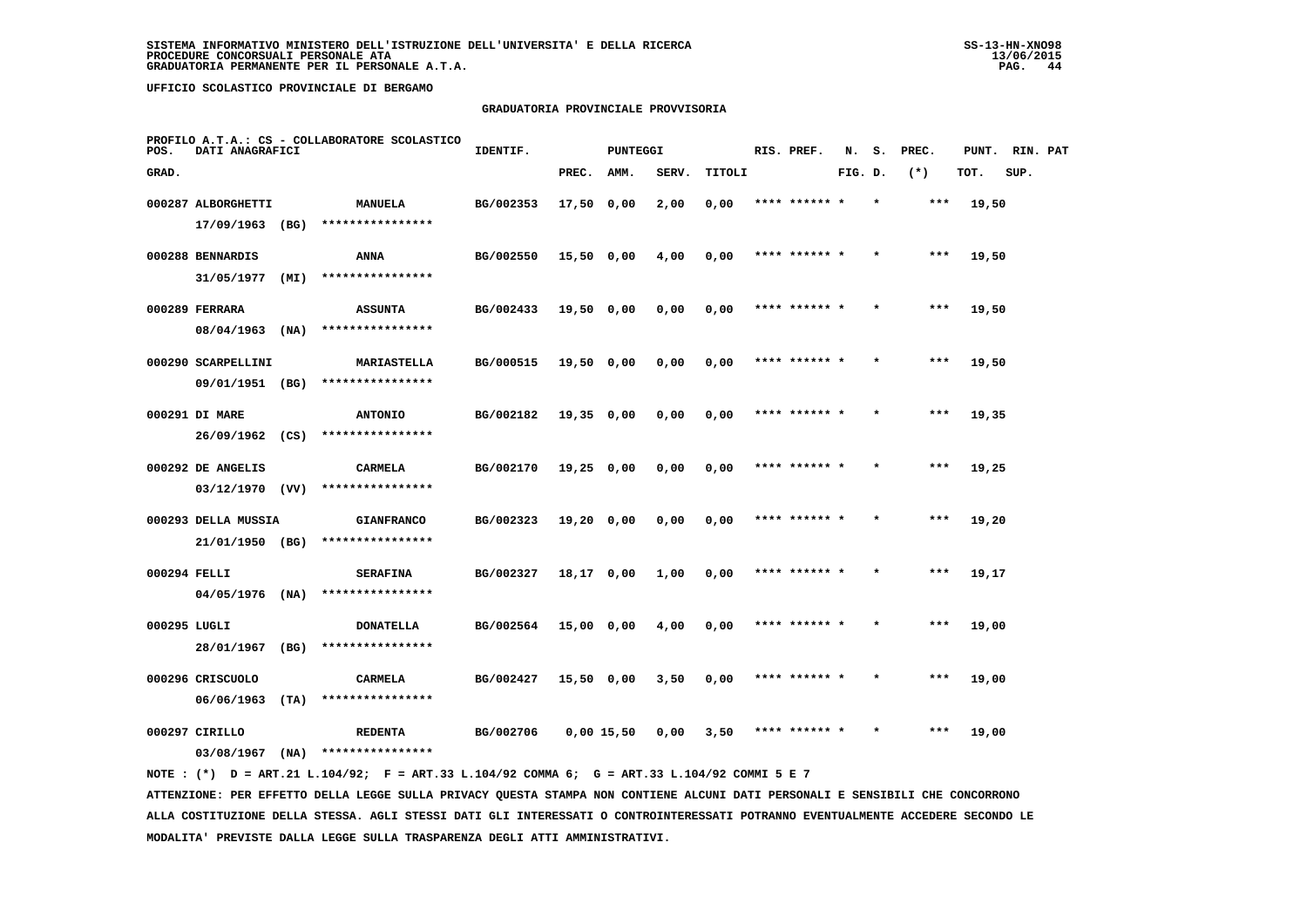# **GRADUATORIA PROVINCIALE PROVVISORIA**

| POS.         | DATI ANAGRAFICI                        |      | PROFILO A.T.A.: CS - COLLABORATORE SCOLASTICO | IDENTIF.  |              | PUNTEGGI |       |        | RIS. PREF.    | N.      | s.      | PREC. | PUNT. | RIN. PAT |  |
|--------------|----------------------------------------|------|-----------------------------------------------|-----------|--------------|----------|-------|--------|---------------|---------|---------|-------|-------|----------|--|
| GRAD.        |                                        |      |                                               |           | PREC.        | AMM.     | SERV. | TITOLI |               | FIG. D. |         | $(*)$ | TOT.  | SUP.     |  |
|              | 000287 ALBORGHETTI<br>17/09/1963       | (BG) | <b>MANUELA</b><br>****************            | BG/002353 | $17,50$ 0,00 |          | 2,00  | 0,00   | **** ******   |         |         | $***$ | 19,50 |          |  |
|              | 000288 BENNARDIS                       |      | ANNA                                          | BG/002550 | 15,50 0,00   |          | 4,00  | 0,00   | **** ****** * |         |         | ***   | 19,50 |          |  |
|              | 31/05/1977<br>000289 FERRARA           | (MI) | ****************<br><b>ASSUNTA</b>            | BG/002433 | 19,50 0,00   |          | 0,00  | 0,00   | **** ****** * |         | $\star$ | $***$ | 19,50 |          |  |
|              | 08/04/1963<br>000290 SCARPELLINI       | (NA) | ****************<br><b>MARIASTELLA</b>        | BG/000515 | $19,50$ 0,00 |          | 0,00  | 0,00   | **** ****** * |         |         | $***$ | 19,50 |          |  |
|              | 09/01/1951 (BG)<br>000291 DI MARE      |      | ****************<br><b>ANTONIO</b>            | BG/002182 | $19,35$ 0,00 |          | 0,00  | 0,00   | **** ****** * |         |         | ***   | 19,35 |          |  |
|              | 26/09/1962 (CS)                        |      | ****************                              |           |              |          |       |        |               |         |         |       |       |          |  |
|              | 000292 DE ANGELIS<br>$03/12/1970$ (VV) |      | <b>CARMELA</b><br>****************            | BG/002170 | $19,25$ 0,00 |          | 0,00  | 0,00   | **** ****** * |         | $\star$ | $***$ | 19,25 |          |  |
|              | 000293 DELLA MUSSIA<br>21/01/1950 (BG) |      | <b>GIANFRANCO</b><br>****************         | BG/002323 | $19,20$ 0,00 |          | 0,00  | 0,00   | **** ******   |         |         | ***   | 19,20 |          |  |
| 000294 FELLI | 04/05/1976                             | (NA) | <b>SERAFINA</b><br>****************           | BG/002327 | 18,17 0,00   |          | 1,00  | 0,00   | **** ****** * |         |         | $***$ | 19,17 |          |  |
| 000295 LUGLI | 28/01/1967                             | (BG) | <b>DONATELLA</b><br>****************          | BG/002564 | 15,00 0,00   |          | 4,00  | 0,00   | **** ****** * |         | $\star$ | $***$ | 19,00 |          |  |
|              | 000296 CRISCUOLO                       |      | CARMELA                                       | BG/002427 | 15,50 0,00   |          | 3,50  | 0,00   | **** ****** * |         |         | ***   | 19,00 |          |  |
|              | 06/06/1963<br>000297 CIRILLO           | (TA) | ****************<br><b>REDENTA</b>            | BG/002706 | $0.00$ 15.50 |          | 0.00  | 3,50   | **** ****** * |         |         | $***$ | 19,00 |          |  |
|              | 03/08/1967                             | (NA) | ****************                              |           |              |          |       |        |               |         |         |       |       |          |  |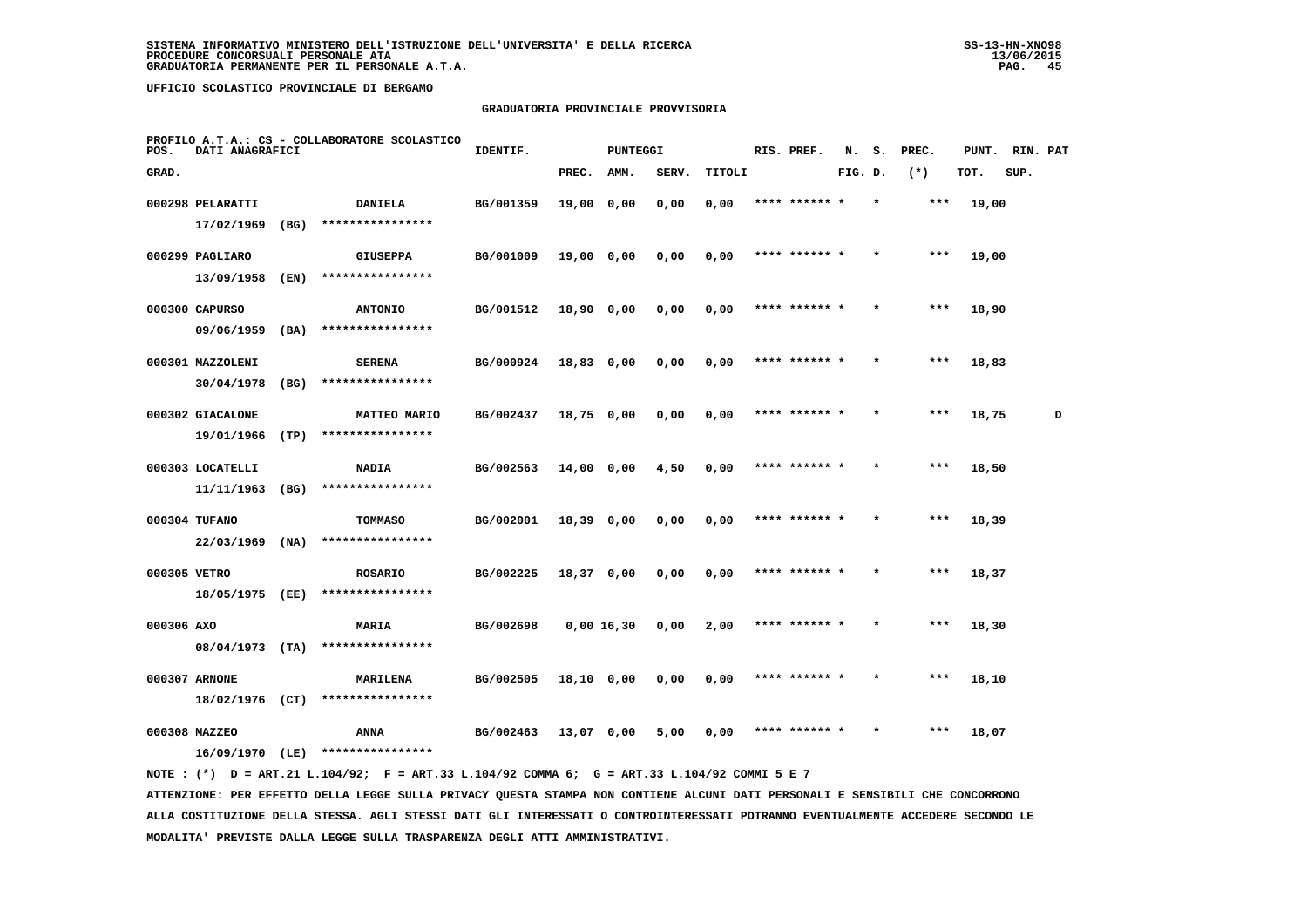### **GRADUATORIA PROVINCIALE PROVVISORIA**

| POS.         | DATI ANAGRAFICI                  |      | PROFILO A.T.A.: CS - COLLABORATORE SCOLASTICO | IDENTIF.  |              | PUNTEGGI |              |        | RIS. PREF.    | N.      | s.      | PREC.   | PUNT. | RIN. PAT |   |
|--------------|----------------------------------|------|-----------------------------------------------|-----------|--------------|----------|--------------|--------|---------------|---------|---------|---------|-------|----------|---|
| GRAD.        |                                  |      |                                               |           | PREC.        | AMM.     | <b>SERV.</b> | TITOLI |               | FIG. D. |         | $(*)$   | TOT.  | SUP.     |   |
|              | 000298 PELARATTI<br>17/02/1969   | (BG) | <b>DANIELA</b><br>****************            | BG/001359 | 19,00        | 0,00     | 0,00         | 0,00   | ******        |         |         | $***$   | 19,00 |          |   |
|              | 000299 PAGLIARO                  |      | <b>GIUSEPPA</b>                               | BG/001009 | 19,00 0,00   |          | 0,00         | 0,00   | **** ****** * |         |         | $***$   | 19,00 |          |   |
|              | 13/09/1958<br>000300 CAPURSO     | (EN) | ****************                              | BG/001512 | 18,90 0,00   |          | 0,00         | 0,00   | **** ****** * |         | $\star$ | $* * *$ | 18,90 |          |   |
|              | 09/06/1959                       | (BA) | <b>ANTONIO</b><br>****************            |           |              |          |              |        |               |         |         |         |       |          |   |
|              | 000301 MAZZOLENI<br>30/04/1978   | (BG) | <b>SERENA</b><br>****************             | BG/000924 | 18,83 0,00   |          | 0,00         | 0,00   | **** ******   |         |         | $***$   | 18,83 |          |   |
|              | 000302 GIACALONE                 |      | <b>MATTEO MARIO</b>                           | BG/002437 | 18,75 0,00   |          | 0,00         | 0,00   | **** ****** * |         | $\star$ | $***$   | 18,75 |          | D |
|              | 19/01/1966<br>000303 LOCATELLI   | (TP) | ****************<br><b>NADIA</b>              | BG/002563 | $14,00$ 0,00 |          | 4,50         | 0,00   | **** ****** * |         | $\star$ | $***$   | 18,50 |          |   |
|              | 11/11/1963                       | (BG) | ****************                              |           |              |          |              |        |               |         |         |         |       |          |   |
|              | 000304 TUFANO<br>22/03/1969      | (NA) | <b>TOMMASO</b><br>****************            | BG/002001 | 18,39 0,00   |          | 0,00         | 0,00   | **** ******   |         |         | $***$   | 18,39 |          |   |
| 000305 VETRO |                                  |      | <b>ROSARIO</b><br>****************            | BG/002225 | 18,37 0,00   |          | 0,00         | 0,00   | **** ****** * |         |         | $***$   | 18,37 |          |   |
| 000306 AXO   | 18/05/1975 (EE)                  |      | <b>MARIA</b>                                  | BG/002698 | 0,00 16,30   |          | 0,00         | 2,00   | **** ****** * |         |         | $***$   | 18,30 |          |   |
|              | $08/04/1973$ (TA)                |      | ****************                              |           |              |          |              |        |               |         |         |         |       |          |   |
|              | 000307 ARNONE<br>18/02/1976 (CT) |      | MARILENA<br>****************                  | BG/002505 | 18,10 0,00   |          | 0,00         | 0,00   | **** ****** * |         |         | $***$   | 18,10 |          |   |
|              | 000308 MAZZEO<br>16/09/1970 (LE) |      | ANNA<br>****************                      | BG/002463 | 13,07 0,00   |          | 5,00         | 0,00   |               |         |         |         | 18,07 |          |   |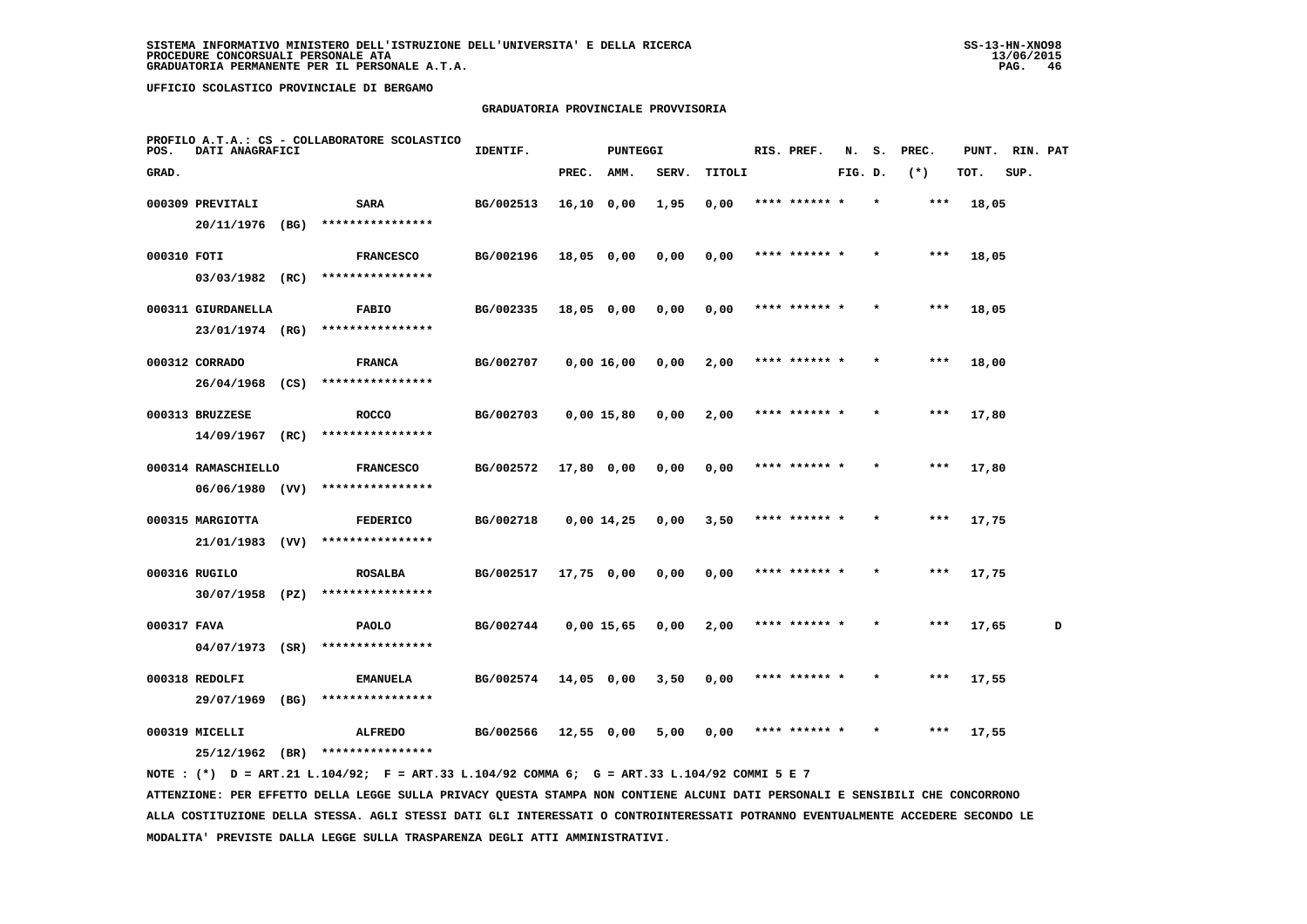### **GRADUATORIA PROVINCIALE PROVVISORIA**

| POS.        | DATI ANAGRAFICI                  |      | PROFILO A.T.A.: CS - COLLABORATORE SCOLASTICO | IDENTIF.  |              | <b>PUNTEGGI</b> |       |        | RIS. PREF.    | N.      | s.      | PREC. | PUNT. | RIN. PAT |   |
|-------------|----------------------------------|------|-----------------------------------------------|-----------|--------------|-----------------|-------|--------|---------------|---------|---------|-------|-------|----------|---|
| GRAD.       |                                  |      |                                               |           | PREC.        | AMM.            | SERV. | TITOLI |               | FIG. D. |         | $(*)$ | TOT.  | SUP.     |   |
|             | 000309 PREVITALI                 |      | <b>SARA</b>                                   | BG/002513 | $16,10$ 0,00 |                 | 1,95  | 0,00   | **** ****** * |         | $\star$ | ***   | 18,05 |          |   |
|             | 20/11/1976                       | (BG) | ****************                              |           |              |                 |       |        |               |         |         |       |       |          |   |
| 000310 FOTI |                                  |      | <b>FRANCESCO</b>                              | BG/002196 | $18,05$ 0,00 |                 | 0,00  | 0,00   | **** ****** * |         |         | ***   | 18,05 |          |   |
|             | 03/03/1982 (RC)                  |      | ****************                              |           |              |                 |       |        |               |         |         |       |       |          |   |
|             | 000311 GIURDANELLA               |      | <b>FABIO</b>                                  | BG/002335 | $18,05$ 0,00 |                 | 0,00  | 0,00   | **** ****** * |         |         | ***   | 18,05 |          |   |
|             | 23/01/1974 (RG)                  |      | ****************                              |           |              |                 |       |        |               |         |         |       |       |          |   |
|             | 000312 CORRADO                   |      | <b>FRANCA</b>                                 | BG/002707 | $0,00$ 16,00 |                 | 0,00  | 2,00   | **** ****** * |         |         | ***   | 18,00 |          |   |
|             | 26/04/1968                       | (CS) | ****************                              |           |              |                 |       |        |               |         |         |       |       |          |   |
|             | 000313 BRUZZESE                  |      | <b>ROCCO</b>                                  | BG/002703 | $0,00$ 15,80 |                 | 0,00  | 2,00   | **** ****** * |         |         | ***   | 17,80 |          |   |
|             | 14/09/1967                       | (RC) | ****************                              |           |              |                 |       |        |               |         |         |       |       |          |   |
|             | 000314 RAMASCHIELLO              |      | <b>FRANCESCO</b><br>****************          | BG/002572 | 17,80 0,00   |                 | 0,00  | 0,00   | **** ****** * |         |         | $***$ | 17,80 |          |   |
|             | $06/06/1980$ (VV)                |      |                                               |           |              |                 |       |        |               |         |         |       |       |          |   |
|             | 000315 MARGIOTTA<br>21/01/1983   | (VV) | <b>FEDERICO</b><br>****************           | BG/002718 | $0,00$ 14,25 |                 | 0,00  | 3,50   | **** ****** * |         | $\star$ | ***   | 17,75 |          |   |
|             |                                  |      |                                               |           |              |                 |       |        |               |         |         |       |       |          |   |
|             | 000316 RUGILO<br>30/07/1958 (PZ) |      | <b>ROSALBA</b><br>****************            | BG/002517 | 17,75 0,00   |                 | 0,00  | 0,00   | **** ****** * |         |         | ***   | 17,75 |          |   |
|             |                                  |      |                                               |           |              |                 |       |        |               |         |         |       |       |          |   |
| 000317 FAVA | $04/07/1973$ (SR)                |      | <b>PAOLO</b><br>****************              | BG/002744 | $0,00$ 15,65 |                 | 0,00  | 2,00   | **** ****** * |         |         | $***$ | 17,65 |          | D |
|             | 000318 REDOLFI                   |      |                                               | BG/002574 |              |                 |       | 0,00   | **** ****** * |         |         | $***$ |       |          |   |
|             | 29/07/1969                       | (BG) | <b>EMANUELA</b><br>****************           |           | $14,05$ 0,00 |                 | 3,50  |        |               |         |         |       | 17,55 |          |   |
|             | 000319 MICELLI                   |      | <b>ALFREDO</b>                                | BG/002566 | $12,55$ 0,00 |                 | 5,00  | 0,00   | **** ****** * |         |         | ***   | 17,55 |          |   |
|             | 25/12/1962                       | (BR) | ****************                              |           |              |                 |       |        |               |         |         |       |       |          |   |
|             |                                  |      |                                               |           |              |                 |       |        |               |         |         |       |       |          |   |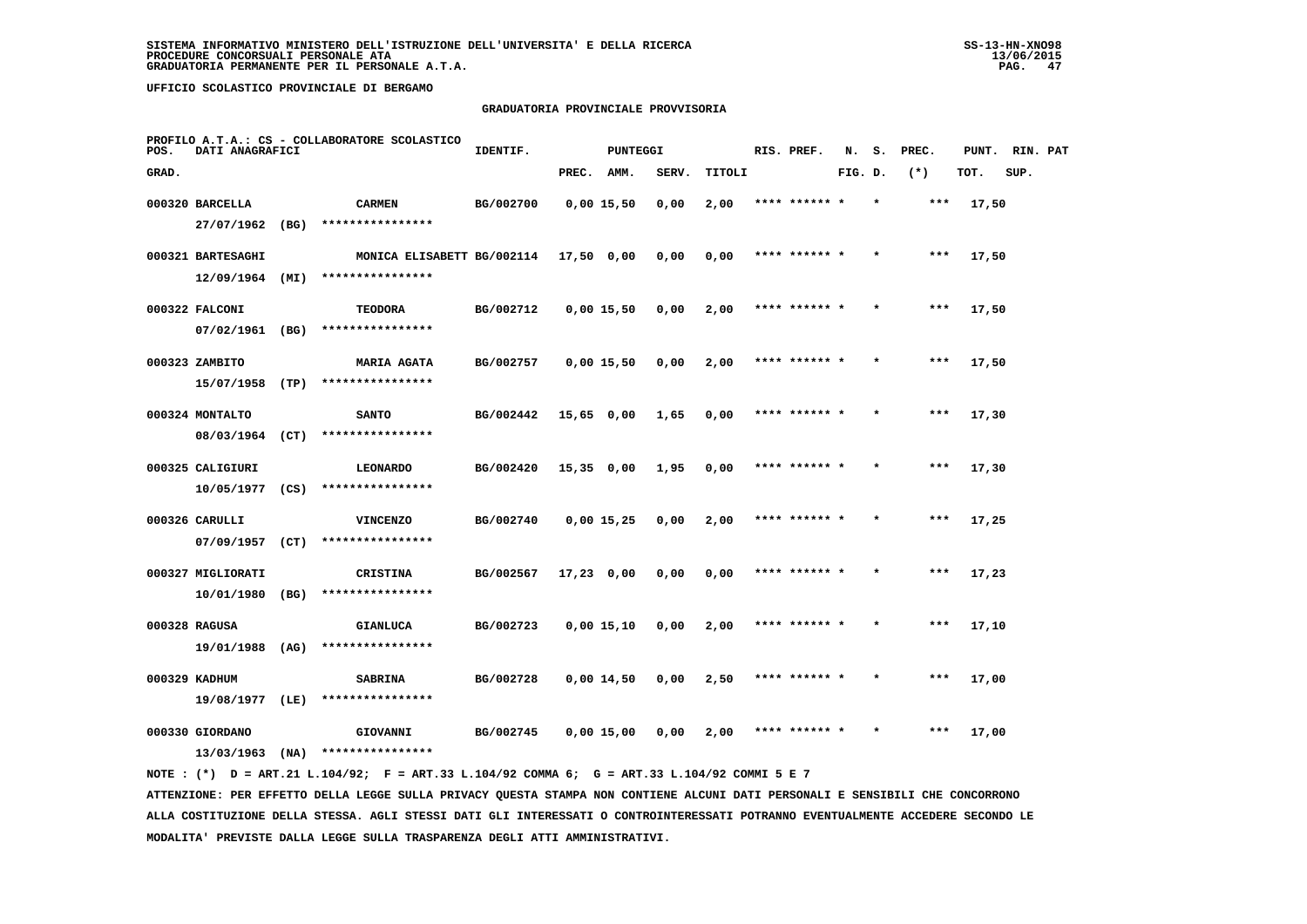### **GRADUATORIA PROVINCIALE PROVVISORIA**

| POS.  | DATI ANAGRAFICI   |      | PROFILO A.T.A.: CS - COLLABORATORE SCOLASTICO | IDENTIF.  |              | <b>PUNTEGGI</b> |       |        | RIS. PREF.    | N.      | s. | PREC. | PUNT. | RIN. PAT |  |
|-------|-------------------|------|-----------------------------------------------|-----------|--------------|-----------------|-------|--------|---------------|---------|----|-------|-------|----------|--|
| GRAD. |                   |      |                                               |           | PREC.        | AMM.            | SERV. | TITOLI |               | FIG. D. |    | $(*)$ | TOT.  | SUP.     |  |
|       | 000320 BARCELLA   |      | <b>CARMEN</b>                                 | BG/002700 |              | $0,00$ 15,50    | 0,00  | 2,00   | **** ****** * |         |    | ***   | 17,50 |          |  |
|       | 27/07/1962        | (BG) | ****************                              |           |              |                 |       |        |               |         |    |       |       |          |  |
|       | 000321 BARTESAGHI |      | MONICA ELISABETT BG/002114                    |           | 17,50 0,00   |                 | 0,00  | 0,00   | **** ****** * |         |    | ***   | 17,50 |          |  |
|       | $12/09/1964$ (MI) |      | ****************                              |           |              |                 |       |        |               |         |    |       |       |          |  |
|       | 000322 FALCONI    |      | <b>TEODORA</b>                                | BG/002712 |              | $0,00$ 15,50    | 0,00  | 2,00   | **** ****** * |         |    | $***$ | 17,50 |          |  |
|       | 07/02/1961        | (BG) | ****************                              |           |              |                 |       |        |               |         |    |       |       |          |  |
|       | 000323 ZAMBITO    |      | <b>MARIA AGATA</b>                            | BG/002757 |              | $0,00$ 15,50    | 0,00  | 2,00   | **** ****** * |         |    | ***   | 17,50 |          |  |
|       | 15/07/1958        | (TP) | ****************                              |           |              |                 |       |        |               |         |    |       |       |          |  |
|       | 000324 MONTALTO   |      | <b>SANTO</b>                                  | BG/002442 | $15,65$ 0,00 |                 | 1,65  | 0,00   | **** ****** * |         |    | $***$ | 17,30 |          |  |
|       | 08/03/1964 (CT)   |      | ****************                              |           |              |                 |       |        |               |         |    |       |       |          |  |
|       | 000325 CALIGIURI  |      | <b>LEONARDO</b>                               | BG/002420 | $15,35$ 0,00 |                 | 1,95  | 0,00   | **** ****** * |         |    | $***$ | 17,30 |          |  |
|       | $10/05/1977$ (CS) |      | ****************                              |           |              |                 |       |        |               |         |    |       |       |          |  |
|       | 000326 CARULLI    |      | <b>VINCENZO</b>                               | BG/002740 |              | $0,00$ 15,25    | 0,00  | 2,00   | **** ****** * |         |    | $***$ | 17,25 |          |  |
|       | 07/09/1957        | (CT) | ****************                              |           |              |                 |       |        |               |         |    |       |       |          |  |
|       | 000327 MIGLIORATI |      | <b>CRISTINA</b>                               | BG/002567 | $17,23$ 0,00 |                 | 0,00  | 0,00   | **** ****** * |         |    | ***   | 17,23 |          |  |
|       | 10/01/1980        | (BG) | ****************                              |           |              |                 |       |        |               |         |    |       |       |          |  |
|       | 000328 RAGUSA     |      | <b>GIANLUCA</b>                               | BG/002723 |              | 0,0015,10       | 0,00  | 2,00   | **** ****** * |         |    | $***$ | 17,10 |          |  |
|       | 19/01/1988        | (AG) | ****************                              |           |              |                 |       |        |               |         |    |       |       |          |  |
|       | 000329 KADHUM     |      | <b>SABRINA</b>                                | BG/002728 |              | 0,00 14,50      | 0,00  | 2,50   | **** ****** * |         |    | ***   | 17,00 |          |  |
|       | 19/08/1977        | (LE) | ****************                              |           |              |                 |       |        |               |         |    |       |       |          |  |
|       |                   |      |                                               |           |              |                 |       |        |               |         |    |       |       |          |  |
|       | 000330 GIORDANO   |      | GIOVANNI                                      | BG/002745 |              | $0,00$ 15,00    | 0,00  | 2,00   | **** ****** * |         |    | ***   | 17,00 |          |  |
|       | 13/03/1963        | (NA) | ****************                              |           |              |                 |       |        |               |         |    |       |       |          |  |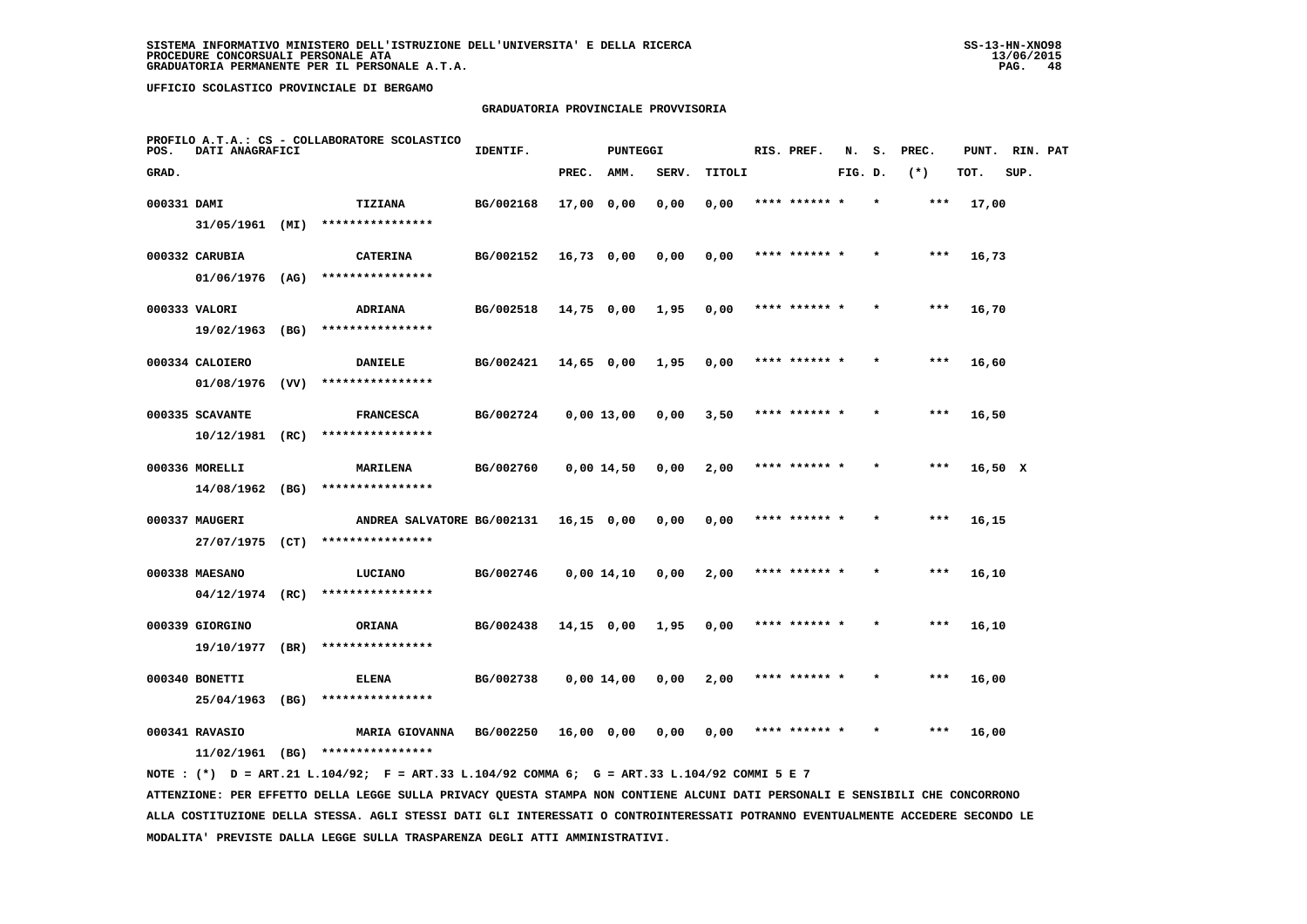### **GRADUATORIA PROVINCIALE PROVVISORIA**

| POS.        | DATI ANAGRAFICI   |      | PROFILO A.T.A.: CS - COLLABORATORE SCOLASTICO                                               | IDENTIF.  |              | <b>PUNTEGGI</b> |       |        | RIS. PREF.    | N.      | s.      | PREC. | PUNT. RIN. PAT |      |  |
|-------------|-------------------|------|---------------------------------------------------------------------------------------------|-----------|--------------|-----------------|-------|--------|---------------|---------|---------|-------|----------------|------|--|
| GRAD.       |                   |      |                                                                                             |           | PREC.        | AMM.            | SERV. | TITOLI |               | FIG. D. |         | $(*)$ | TOT.           | SUP. |  |
| 000331 DAMI |                   |      | <b>TIZIANA</b>                                                                              | BG/002168 | 17,00 0,00   |                 | 0,00  | 0,00   | **** ****** * |         | $\star$ | ***   | 17,00          |      |  |
|             | 31/05/1961 (MI)   |      | ****************                                                                            |           |              |                 |       |        |               |         |         |       |                |      |  |
|             | 000332 CARUBIA    |      | <b>CATERINA</b>                                                                             | BG/002152 | $16,73$ 0,00 |                 | 0,00  | 0,00   | **** ****** * |         |         | $***$ | 16,73          |      |  |
|             | $01/06/1976$ (AG) |      | ****************                                                                            |           |              |                 |       |        |               |         |         |       |                |      |  |
|             | 000333 VALORI     |      | ADRIANA                                                                                     | BG/002518 | 14,75 0,00   |                 | 1,95  | 0,00   | **** ****** * |         |         | $***$ | 16,70          |      |  |
|             | 19/02/1963 (BG)   |      | ****************                                                                            |           |              |                 |       |        |               |         |         |       |                |      |  |
|             | 000334 CALOIERO   |      | <b>DANIELE</b>                                                                              | BG/002421 | 14,65 0,00   |                 | 1,95  | 0,00   | **** ******   |         |         | ***   | 16,60          |      |  |
|             | $01/08/1976$ (VV) |      | ****************                                                                            |           |              |                 |       |        |               |         |         |       |                |      |  |
|             | 000335 SCAVANTE   |      | <b>FRANCESCA</b>                                                                            | BG/002724 | $0,00$ 13,00 |                 | 0,00  | 3,50   | **** ****** * |         |         | $***$ | 16,50          |      |  |
|             | $10/12/1981$ (RC) |      | ****************                                                                            |           |              |                 |       |        |               |         |         |       |                |      |  |
|             | 000336 MORELLI    |      | MARILENA                                                                                    | BG/002760 |              | 0,00 14,50      | 0,00  | 2,00   | **** ****** * |         |         | ***   | 16,50 X        |      |  |
|             | 14/08/1962 (BG)   |      | ****************                                                                            |           |              |                 |       |        |               |         |         |       |                |      |  |
|             | 000337 MAUGERI    |      | ANDREA SALVATORE BG/002131                                                                  |           | $16,15$ 0,00 |                 | 0,00  | 0,00   | **** ****** * |         |         | $***$ | 16,15          |      |  |
|             | 27/07/1975 (CT)   |      | ****************                                                                            |           |              |                 |       |        |               |         |         |       |                |      |  |
|             | 000338 MAESANO    |      | LUCIANO                                                                                     | BG/002746 |              | $0,00$ $14,10$  | 0,00  | 2,00   | **** ****** * |         |         | ***   | 16,10          |      |  |
|             | $04/12/1974$ (RC) |      | ****************                                                                            |           |              |                 |       |        |               |         |         |       |                |      |  |
|             | 000339 GIORGINO   |      | ORIANA                                                                                      | BG/002438 | $14,15$ 0,00 |                 | 1,95  | 0,00   | **** ****** * |         |         | ***   | 16,10          |      |  |
|             | 19/10/1977        | (BR) | ****************                                                                            |           |              |                 |       |        |               |         |         |       |                |      |  |
|             | 000340 BONETTI    |      | ELENA                                                                                       | BG/002738 |              | 0,00 14,00      | 0,00  | 2,00   | **** ****** * |         |         | ***   | 16,00          |      |  |
|             | 25/04/1963 (BG)   |      | ****************                                                                            |           |              |                 |       |        |               |         |         |       |                |      |  |
|             | 000341 RAVASIO    |      | <b>MARIA GIOVANNA</b>                                                                       | BG/002250 | 16,00 0,00   |                 | 0,00  | 0,00   | **** ****** * |         |         | ***   | 16,00          |      |  |
|             |                   |      | $11/02/1961$ (BG) *****************                                                         |           |              |                 |       |        |               |         |         |       |                |      |  |
|             |                   |      | NOTE: (*) D = ART.21 L.104/92; F = ART.33 L.104/92 COMMA 6; G = ART.33 L.104/92 COMMI 5 E 7 |           |              |                 |       |        |               |         |         |       |                |      |  |

 **ATTENZIONE: PER EFFETTO DELLA LEGGE SULLA PRIVACY QUESTA STAMPA NON CONTIENE ALCUNI DATI PERSONALI E SENSIBILI CHE CONCORRONO ALLA COSTITUZIONE DELLA STESSA. AGLI STESSI DATI GLI INTERESSATI O CONTROINTERESSATI POTRANNO EVENTUALMENTE ACCEDERE SECONDO LE MODALITA' PREVISTE DALLA LEGGE SULLA TRASPARENZA DEGLI ATTI AMMINISTRATIVI.**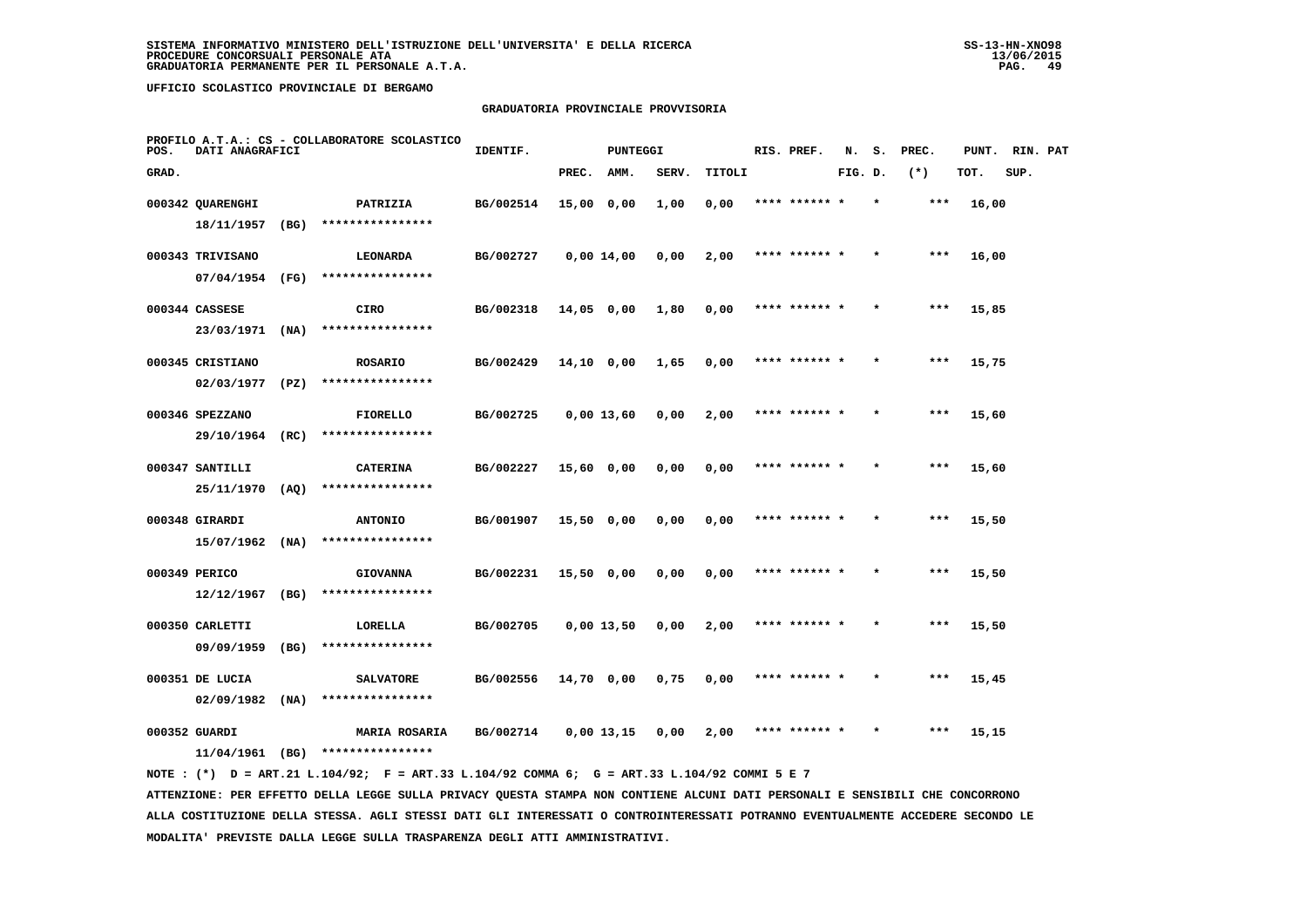## **GRADUATORIA PROVINCIALE PROVVISORIA**

| POS.  | DATI ANAGRAFICI   |      | PROFILO A.T.A.: CS - COLLABORATORE SCOLASTICO | IDENTIF.  |              | PUNTEGGI |       |        | RIS. PREF.    | N.      | s.      | PREC. | PUNT. | RIN. PAT |  |
|-------|-------------------|------|-----------------------------------------------|-----------|--------------|----------|-------|--------|---------------|---------|---------|-------|-------|----------|--|
| GRAD. |                   |      |                                               |           | PREC.        | AMM.     | SERV. | TITOLI |               | FIG. D. |         | $(*)$ | TOT.  | SUP.     |  |
|       | 000342 QUARENGHI  |      | PATRIZIA                                      | BG/002514 | 15,00 0,00   |          | 1,00  | 0,00   | **** ****** * |         | $\star$ | ***   | 16,00 |          |  |
|       | 18/11/1957        | (BG) | ****************                              |           |              |          |       |        |               |         |         |       |       |          |  |
|       | 000343 TRIVISANO  |      | LEONARDA                                      | BG/002727 | $0,00$ 14,00 |          | 0,00  | 2,00   | **** ****** * |         |         | $***$ | 16,00 |          |  |
|       | 07/04/1954        | (FG) | ****************                              |           |              |          |       |        |               |         |         |       |       |          |  |
|       | 000344 CASSESE    |      | CIRO                                          | BG/002318 | $14,05$ 0,00 |          | 1,80  | 0,00   | **** ****** * |         | $\star$ | ***   | 15,85 |          |  |
|       | 23/03/1971        | (NA) | ****************                              |           |              |          |       |        |               |         |         |       |       |          |  |
|       | 000345 CRISTIANO  |      | <b>ROSARIO</b>                                | BG/002429 | 14,10 0,00   |          | 1,65  | 0,00   | **** ****** * |         |         | $***$ | 15,75 |          |  |
|       | 02/03/1977        | (PZ) | ****************                              |           |              |          |       |        |               |         |         |       |       |          |  |
|       | 000346 SPEZZANO   |      | <b>FIORELLO</b>                               | BG/002725 | $0.00$ 13.60 |          | 0,00  | 2,00   | **** ****** * |         | $\star$ | $***$ | 15,60 |          |  |
|       | 29/10/1964 (RC)   |      | ****************                              |           |              |          |       |        |               |         |         |       |       |          |  |
|       | 000347 SANTILLI   |      | <b>CATERINA</b>                               | BG/002227 | 15,60 0,00   |          | 0,00  | 0,00   | **** ****** * |         | $\star$ | ***   | 15,60 |          |  |
|       | 25/11/1970        | (AQ) | ****************                              |           |              |          |       |        |               |         |         |       |       |          |  |
|       | 000348 GIRARDI    |      | <b>ANTONIO</b>                                | BG/001907 | 15,50 0,00   |          | 0,00  | 0,00   |               |         |         | $***$ | 15,50 |          |  |
|       | 15/07/1962        | (NA) | ****************                              |           |              |          |       |        |               |         |         |       |       |          |  |
|       | 000349 PERICO     |      | <b>GIOVANNA</b>                               | BG/002231 | $15,50$ 0,00 |          | 0,00  | 0,00   | **** ****** * |         |         | $***$ | 15,50 |          |  |
|       | 12/12/1967        | (BG) | ****************                              |           |              |          |       |        |               |         |         |       |       |          |  |
|       | 000350 CARLETTI   |      | LORELLA                                       | BG/002705 | $0,00$ 13,50 |          | 0,00  | 2,00   | **** ****** * |         |         | $***$ | 15,50 |          |  |
|       | 09/09/1959        | (BG) | ****************                              |           |              |          |       |        |               |         |         |       |       |          |  |
|       | 000351 DE LUCIA   |      | <b>SALVATORE</b>                              | BG/002556 | 14,70 0,00   |          | 0,75  | 0,00   | **** ****** * |         |         | $***$ | 15,45 |          |  |
|       | $02/09/1982$ (NA) |      | ****************                              |           |              |          |       |        |               |         |         |       |       |          |  |
|       | 000352 GUARDI     |      | <b>MARIA ROSARIA</b>                          | BG/002714 | 0,00 13,15   |          | 0.00  | 2,00   |               |         |         | $***$ | 15,15 |          |  |
|       | 11/04/1961        | (BG) | ****************                              |           |              |          |       |        |               |         |         |       |       |          |  |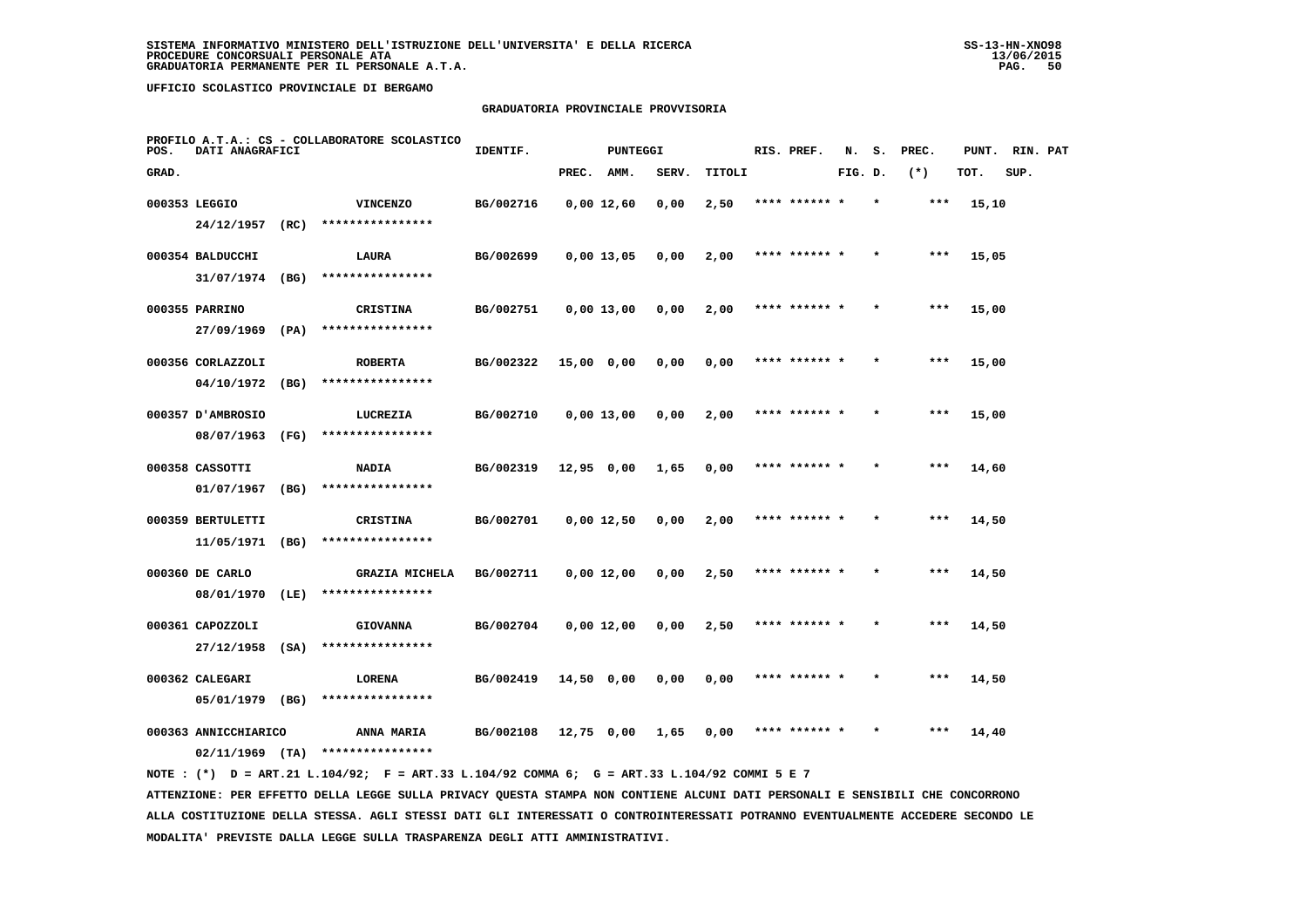### **GRADUATORIA PROVINCIALE PROVVISORIA**

| POS.  | DATI ANAGRAFICI      | PROFILO A.T.A.: CS - COLLABORATORE SCOLASTICO | IDENTIF.<br>PUNTEGGI  |           |              |  |       |        | RIS. PREF.<br>N. |               | s.<br>PREC. |  | PUNT. | RIN. PAT |      |  |
|-------|----------------------|-----------------------------------------------|-----------------------|-----------|--------------|--|-------|--------|------------------|---------------|-------------|--|-------|----------|------|--|
| GRAD. |                      |                                               |                       |           | PREC. AMM.   |  | SERV. | TITOLI |                  |               | FIG. D.     |  | $(*)$ | TOT.     | SUP. |  |
|       | 000353 LEGGIO        |                                               | <b>VINCENZO</b>       | BG/002716 | 0,00 12,60   |  | 0,00  | 2,50   |                  | **** ****** * |             |  | ***   | 15,10    |      |  |
|       | 24/12/1957           | (RC)                                          | ****************      |           |              |  |       |        |                  |               |             |  |       |          |      |  |
|       | 000354 BALDUCCHI     |                                               | LAURA                 | BG/002699 | $0,00$ 13,05 |  | 0,00  | 2,00   |                  | **** ******   |             |  | ***   | 15,05    |      |  |
|       | 31/07/1974 (BG)      |                                               | ****************      |           |              |  |       |        |                  |               |             |  |       |          |      |  |
|       | 000355 PARRINO       |                                               | <b>CRISTINA</b>       | BG/002751 | 0,00 13,00   |  | 0,00  | 2,00   |                  | **** ****** * |             |  | ***   | 15,00    |      |  |
|       | 27/09/1969           | (PA)                                          | ****************      |           |              |  |       |        |                  |               |             |  |       |          |      |  |
|       | 000356 CORLAZZOLI    |                                               | <b>ROBERTA</b>        | BG/002322 | 15,00 0,00   |  | 0,00  | 0,00   |                  | **** ****** * |             |  | ***   | 15,00    |      |  |
|       | $04/10/1972$ (BG)    |                                               | ****************      |           |              |  |       |        |                  |               |             |  |       |          |      |  |
|       | 000357 D'AMBROSIO    |                                               | LUCREZIA              | BG/002710 | $0,00$ 13,00 |  | 0,00  | 2,00   |                  | **** ****** * |             |  | $***$ | 15,00    |      |  |
|       | 08/07/1963           | (FG)                                          | ****************      |           |              |  |       |        |                  |               |             |  |       |          |      |  |
|       | 000358 CASSOTTI      |                                               | <b>NADIA</b>          | BG/002319 | 12,95 0,00   |  | 1,65  | 0,00   |                  | **** ****** * |             |  | $***$ | 14,60    |      |  |
|       | 01/07/1967           | (BG)                                          | ****************      |           |              |  |       |        |                  |               |             |  |       |          |      |  |
|       | 000359 BERTULETTI    |                                               | <b>CRISTINA</b>       | BG/002701 | $0,00$ 12,50 |  | 0,00  | 2,00   |                  | **** ****** * |             |  | $***$ | 14,50    |      |  |
|       | 11/05/1971           | (BG)                                          | ****************      |           |              |  |       |        |                  |               |             |  |       |          |      |  |
|       | 000360 DE CARLO      |                                               | <b>GRAZIA MICHELA</b> | BG/002711 | $0,00$ 12,00 |  | 0,00  | 2,50   |                  | **** ****** * |             |  | ***   | 14,50    |      |  |
|       | 08/01/1970           | (LE)                                          | ****************      |           |              |  |       |        |                  |               |             |  |       |          |      |  |
|       | 000361 CAPOZZOLI     |                                               | <b>GIOVANNA</b>       | BG/002704 | 0,00 12,00   |  | 0,00  | 2,50   |                  | **** ****** * |             |  | ***   | 14,50    |      |  |
|       | 27/12/1958           | (SA)                                          | ****************      |           |              |  |       |        |                  |               |             |  |       |          |      |  |
|       | 000362 CALEGARI      |                                               | LORENA                | BG/002419 | $14,50$ 0,00 |  | 0,00  | 0,00   |                  | **** ****** * |             |  | ***   | 14,50    |      |  |
|       | 05/01/1979 (BG)      |                                               | ****************      |           |              |  |       |        |                  |               |             |  |       |          |      |  |
|       | 000363 ANNICCHIARICO |                                               | ANNA MARIA            | BG/002108 | 12,75 0,00   |  | 1,65  | 0,00   |                  | **** ****** * |             |  | ***   | 14,40    |      |  |
|       | $02/11/1969$ (TA)    |                                               | ****************      |           |              |  |       |        |                  |               |             |  |       |          |      |  |

 **ATTENZIONE: PER EFFETTO DELLA LEGGE SULLA PRIVACY QUESTA STAMPA NON CONTIENE ALCUNI DATI PERSONALI E SENSIBILI CHE CONCORRONO ALLA COSTITUZIONE DELLA STESSA. AGLI STESSI DATI GLI INTERESSATI O CONTROINTERESSATI POTRANNO EVENTUALMENTE ACCEDERE SECONDO LE MODALITA' PREVISTE DALLA LEGGE SULLA TRASPARENZA DEGLI ATTI AMMINISTRATIVI.**

 **NOTE : (\*) D = ART.21 L.104/92; F = ART.33 L.104/92 COMMA 6; G = ART.33 L.104/92 COMMI 5 E 7**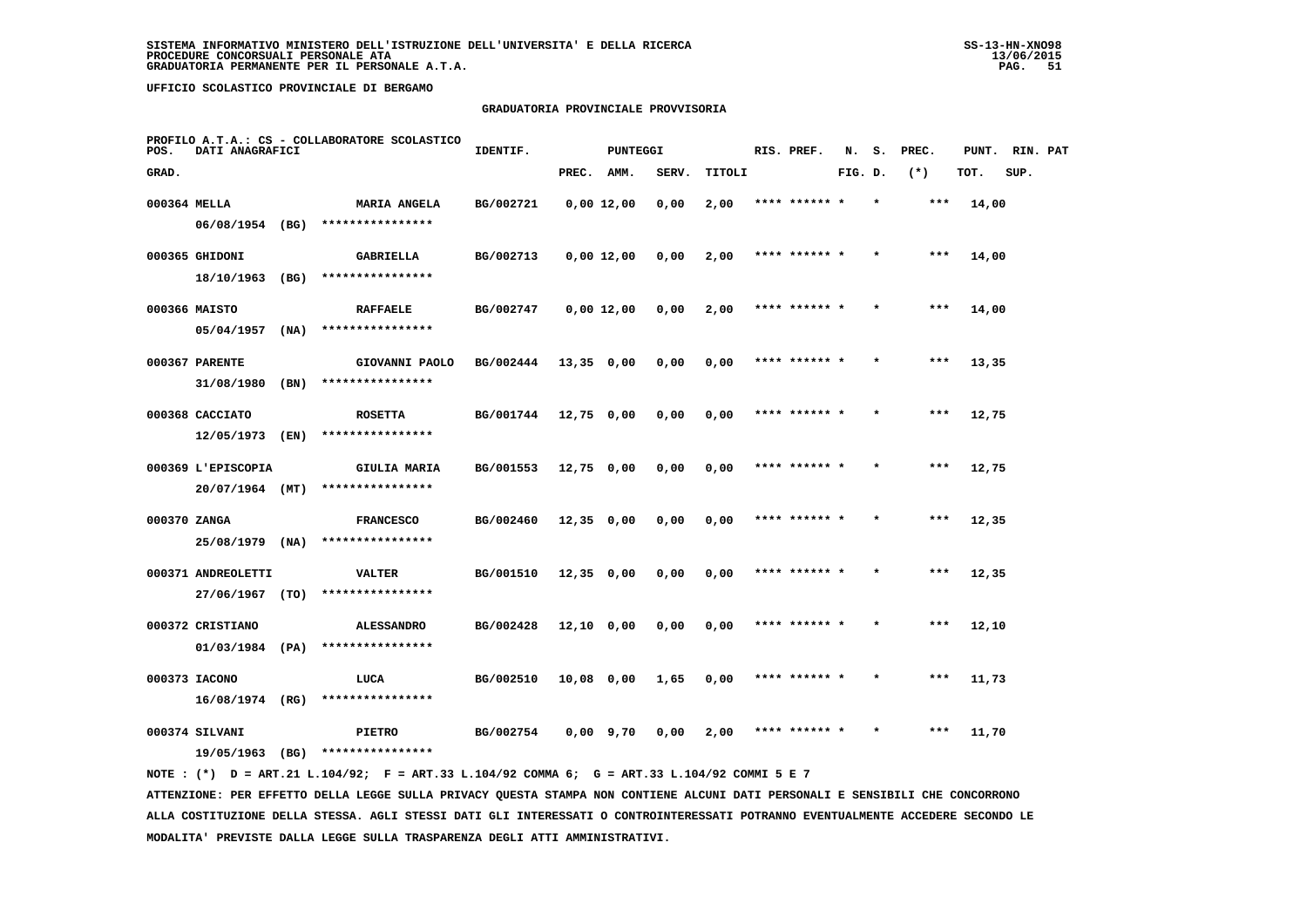# **GRADUATORIA PROVINCIALE PROVVISORIA**

| POS.         | DATI ANAGRAFICI              |      | PROFILO A.T.A.: CS - COLLABORATORE SCOLASTICO | IDENTIF.<br>PUNTEGGI |              |              |       |        |  | RIS. PREF.    | N.      | s.      | PREC. | PUNT. | RIN. PAT |  |
|--------------|------------------------------|------|-----------------------------------------------|----------------------|--------------|--------------|-------|--------|--|---------------|---------|---------|-------|-------|----------|--|
| GRAD.        |                              |      |                                               |                      | PREC.        | AMM.         | SERV. | TITOLI |  |               | FIG. D. |         | $(*)$ | TOT.  | SUP.     |  |
| 000364 MELLA |                              |      | <b>MARIA ANGELA</b>                           | BG/002721            | $0,00$ 12,00 |              | 0,00  | 2,00   |  | **** ******   |         |         | ***   | 14,00 |          |  |
|              | 06/08/1954 (BG)              |      | ****************                              |                      |              |              |       |        |  |               |         |         |       |       |          |  |
|              | 000365 GHIDONI<br>18/10/1963 | (BG) | <b>GABRIELLA</b><br>****************          | BG/002713            |              | $0,00$ 12,00 | 0,00  | 2,00   |  | **** ******   |         |         | ***   | 14,00 |          |  |
|              |                              |      |                                               |                      |              |              |       |        |  |               |         |         |       |       |          |  |
|              | 000366 MAISTO<br>05/04/1957  | (NA) | <b>RAFFAELE</b><br>****************           | BG/002747            | $0,00$ 12,00 |              | 0,00  | 2,00   |  | **** ****** * |         | $\star$ | ***   | 14,00 |          |  |
|              |                              |      |                                               |                      |              |              |       |        |  |               |         |         |       |       |          |  |
|              | 000367 PARENTE<br>31/08/1980 | (BN) | GIOVANNI PAOLO<br>****************            | BG/002444            | $13,35$ 0,00 |              | 0,00  | 0,00   |  | **** ****** * |         |         | $***$ | 13,35 |          |  |
|              | 000368 CACCIATO              |      | <b>ROSETTA</b>                                | BG/001744            | 12,75 0,00   |              | 0,00  | 0,00   |  | **** ****** * |         |         | ***   | 12,75 |          |  |
|              | 12/05/1973                   | (EN) | ****************                              |                      |              |              |       |        |  |               |         |         |       |       |          |  |
|              | 000369 L'EPISCOPIA           |      | <b>GIULIA MARIA</b>                           | BG/001553            | $12,75$ 0,00 |              | 0.00  | 0.00   |  | **** ****** * |         | $\star$ | $***$ | 12,75 |          |  |
|              | 20/07/1964 (MT)              |      | ****************                              |                      |              |              |       |        |  |               |         |         |       |       |          |  |
| 000370 ZANGA |                              |      | <b>FRANCESCO</b>                              | BG/002460            | $12,35$ 0,00 |              | 0,00  | 0,00   |  |               |         |         | $***$ | 12,35 |          |  |
|              | 25/08/1979 (NA)              |      | ****************                              |                      |              |              |       |        |  |               |         |         |       |       |          |  |
|              | 000371 ANDREOLETTI           |      | <b>VALTER</b>                                 | BG/001510            | $12,35$ 0,00 |              | 0,00  | 0,00   |  | **** ****** * |         |         | $***$ | 12,35 |          |  |
|              | 27/06/1967 (TO)              |      | ****************                              |                      |              |              |       |        |  |               |         |         |       |       |          |  |
|              | 000372 CRISTIANO             |      | <b>ALESSANDRO</b>                             | BG/002428            | 12,10 0,00   |              | 0,00  | 0,00   |  | **** ****** * |         | $\star$ | ***   | 12,10 |          |  |
|              | $01/03/1984$ (PA)            |      | ****************                              |                      |              |              |       |        |  |               |         |         |       |       |          |  |
|              | 000373 IACONO                |      | LUCA                                          | BG/002510            | 10,08 0,00   |              | 1,65  | 0,00   |  |               |         |         | ***   | 11,73 |          |  |
|              | 16/08/1974 (RG)              |      | ****************                              |                      |              |              |       |        |  |               |         |         |       |       |          |  |
|              | 000374 SILVANI<br>19/05/1963 | (BG) | PIETRO<br>****************                    | BG/002754            | $0,00$ 9,70  |              | 0.00  | 2,00   |  | **** ****** * |         |         | $***$ | 11,70 |          |  |
|              |                              |      |                                               |                      |              |              |       |        |  |               |         |         |       |       |          |  |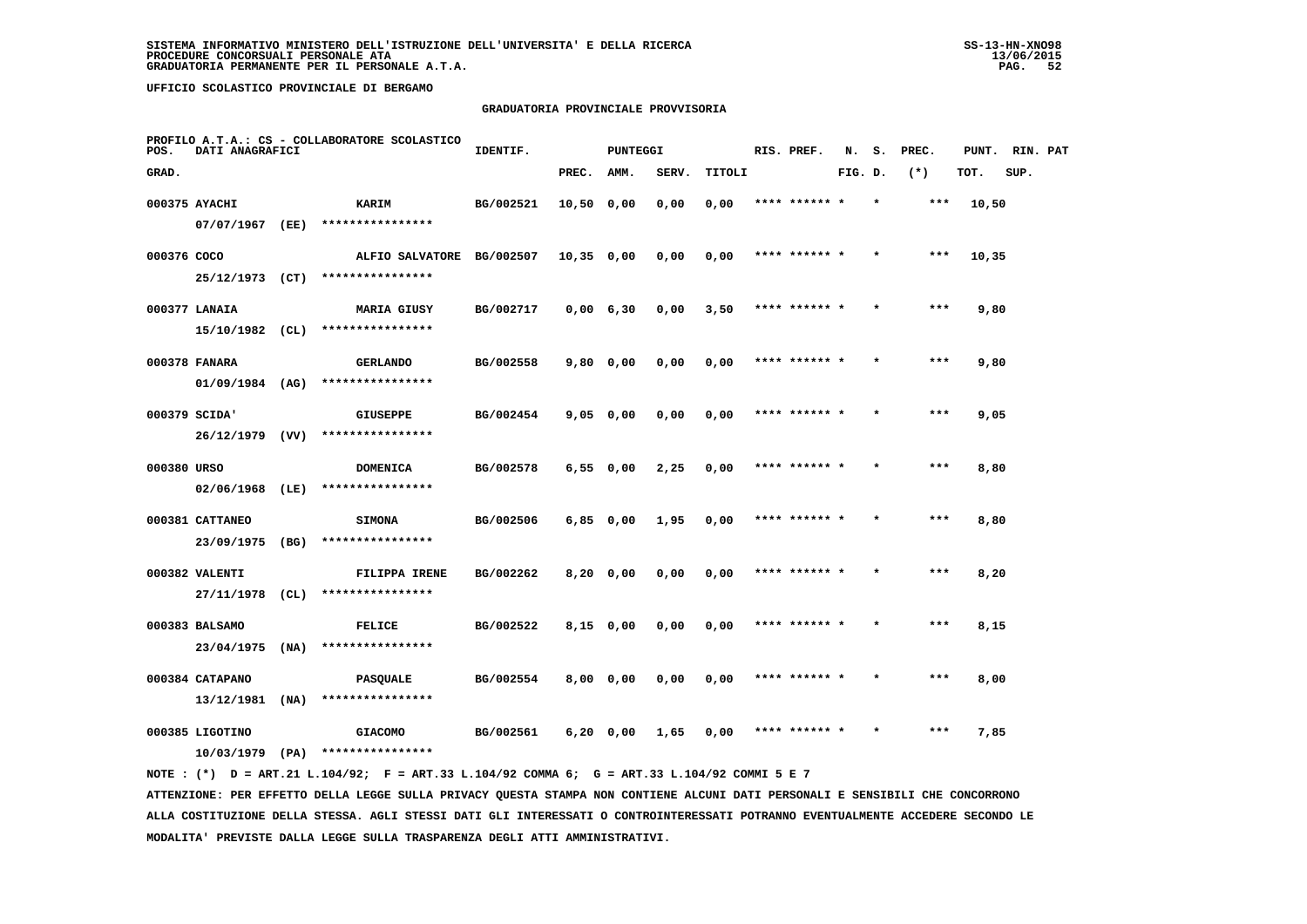### **GRADUATORIA PROVINCIALE PROVVISORIA**

| PROFILO A.T.A.: CS - COLLABORATORE SCOLASTICO<br>POS.<br>DATI ANAGRAFICI |                                      |  | IDENTIF.                            |           | <b>PUNTEGGI</b> |           |       | RIS. PREF. | N.            | s.      | PREC. |       | PUNT. RIN. PAT |      |  |
|--------------------------------------------------------------------------|--------------------------------------|--|-------------------------------------|-----------|-----------------|-----------|-------|------------|---------------|---------|-------|-------|----------------|------|--|
| GRAD.                                                                    |                                      |  |                                     |           | PREC. AMM.      |           | SERV. | TITOLI     |               | FIG. D. |       | $(*)$ | TOT.           | SUP. |  |
|                                                                          | 000375 AYACHI                        |  | <b>KARIM</b>                        | BG/002521 | 10,50 0,00      |           | 0,00  | 0,00       | **** ****** * |         |       | ***   | 10,50          |      |  |
|                                                                          | 07/07/1967 (EE)                      |  | ****************                    |           |                 |           |       |            |               |         |       |       |                |      |  |
| 000376 COCO                                                              |                                      |  | ALFIO SALVATORE BG/002507           |           | 10,35 0,00      |           | 0,00  | 0,00       | **** ****** * |         |       | ***   | 10,35          |      |  |
|                                                                          |                                      |  | 25/12/1973 (CT) ****************    |           |                 |           |       |            |               |         |       |       |                |      |  |
|                                                                          | 000377 LANAIA                        |  | <b>MARIA GIUSY</b>                  | BG/002717 | $0,00$ 6,30     |           | 0,00  | 3,50       | **** ****** * |         |       | $***$ | 9,80           |      |  |
|                                                                          |                                      |  | 15/10/1982 (CL) ****************    |           |                 |           |       |            |               |         |       |       |                |      |  |
|                                                                          | 000378 FANARA                        |  | <b>GERLANDO</b>                     | BG/002558 |                 | 9,80 0,00 | 0,00  | 0,00       | **** ****** * |         |       | ***   | 9,80           |      |  |
|                                                                          | 01/09/1984 (AG)                      |  | ****************                    |           |                 |           |       |            |               |         |       |       |                |      |  |
|                                                                          | 000379 SCIDA'                        |  | <b>GIUSEPPE</b>                     | BG/002454 | 9,05 0,00       |           | 0,00  | 0,00       | **** ****** * |         |       | ***   | 9,05           |      |  |
|                                                                          | 26/12/1979 (VV)                      |  | ****************                    |           |                 |           |       |            |               |         |       |       |                |      |  |
| 000380 URSO                                                              |                                      |  | <b>DOMENICA</b>                     | BG/002578 |                 | 6,550,00  | 2,25  | 0,00       | **** ****** * |         |       | $***$ | 8,80           |      |  |
|                                                                          | 02/06/1968 (LE)                      |  | ****************                    |           |                 |           |       |            |               |         |       |       |                |      |  |
|                                                                          | 000381 CATTANEO<br>23/09/1975 (BG)   |  | <b>SIMONA</b><br>****************   | BG/002506 | $6,85$ 0,00     |           | 1,95  | 0.00       | **** ****** * |         |       | $***$ | 8,80           |      |  |
|                                                                          |                                      |  |                                     |           |                 |           |       |            |               |         |       |       |                |      |  |
|                                                                          | 000382 VALENTI<br>27/11/1978 (CL)    |  | FILIPPA IRENE<br>****************   | BG/002262 | 8,20 0,00       |           | 0,00  | 0,00       | **** ****** * |         |       | ***   | 8,20           |      |  |
|                                                                          |                                      |  |                                     |           |                 |           |       |            |               |         |       |       |                |      |  |
|                                                                          | 000383 BALSAMO<br>$23/04/1975$ (NA)  |  | <b>FELICE</b><br>****************   | BG/002522 |                 | 8,15 0,00 | 0,00  | 0,00       | **** ****** * |         |       | ***   | 8,15           |      |  |
|                                                                          |                                      |  |                                     |           |                 |           |       |            |               |         |       |       |                |      |  |
|                                                                          | 000384 CATAPANO<br>$13/12/1981$ (NA) |  | <b>PASQUALE</b><br>**************** | BG/002554 |                 | 8,00 0,00 | 0,00  | 0,00       | **** ****** * |         |       | ***   | 8,00           |      |  |
|                                                                          | 000385 LIGOTINO                      |  | <b>GIACOMO</b>                      | BG/002561 |                 |           | 1,65  | 0,00       | **** ****** * |         |       | $***$ | 7,85           |      |  |
|                                                                          | $10/03/1979$ (PA)                    |  | ****************                    |           | $6,20$ 0,00     |           |       |            |               |         |       |       |                |      |  |
|                                                                          |                                      |  |                                     |           |                 |           |       |            |               |         |       |       |                |      |  |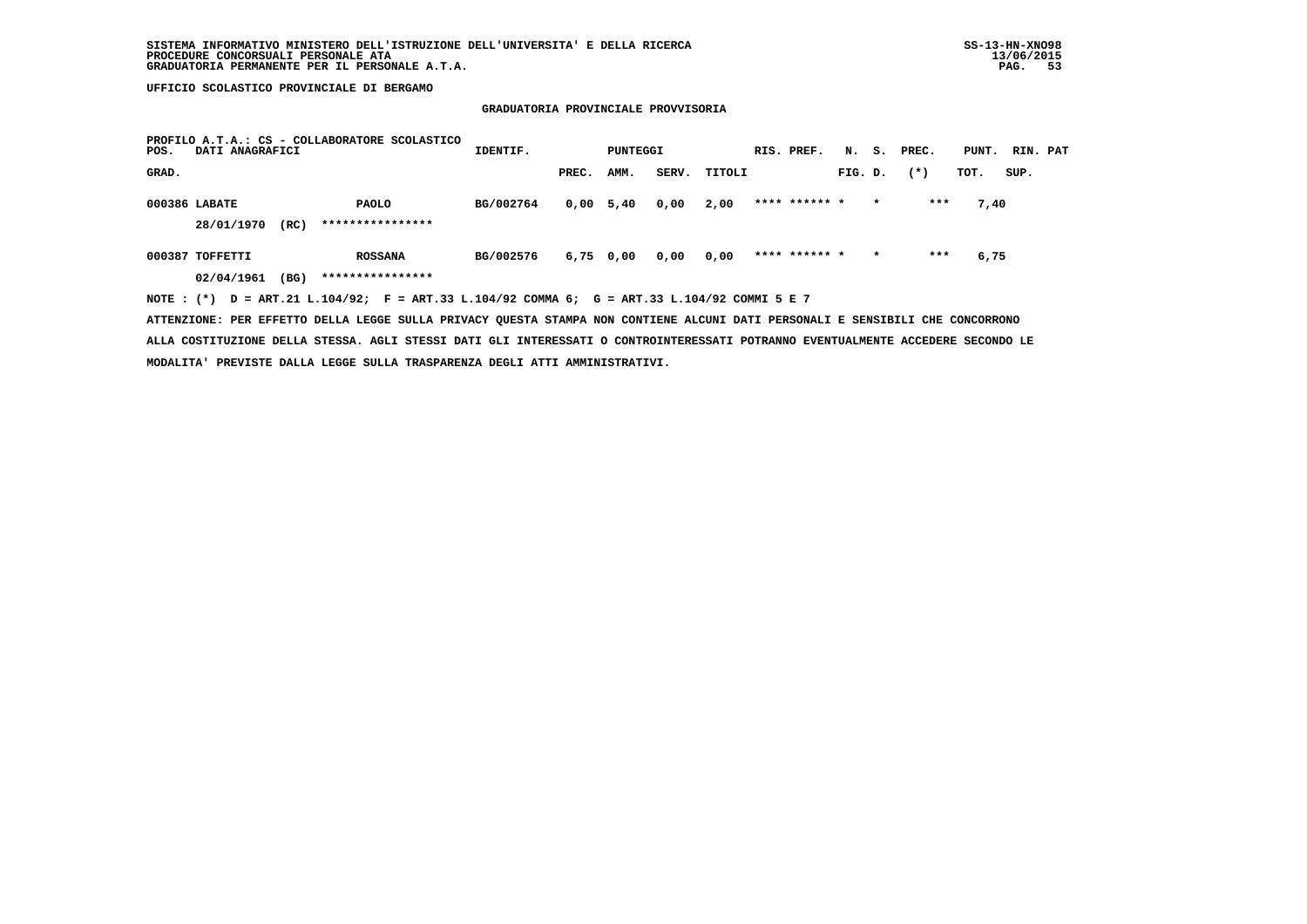# **GRADUATORIA PROVINCIALE PROVVISORIA**

| POS.  | DATI ANAGRAFICI |      | PROFILO A.T.A.: CS - COLLABORATORE SCOLASTICO                                               | IDENTIF.  |       | PUNTEGGI    |       |        |  | RIS. PREF.    |         |         | N. S. PREC. | PUNT. RIN. PAT |      |  |
|-------|-----------------|------|---------------------------------------------------------------------------------------------|-----------|-------|-------------|-------|--------|--|---------------|---------|---------|-------------|----------------|------|--|
| GRAD. |                 |      |                                                                                             |           | PREC. | AMM.        | SERV. | TITOLI |  |               | FIG. D. |         | $(*)$       | TOT.           | SUP. |  |
|       | 000386 LABATE   |      | <b>PAOLO</b>                                                                                | BG/002764 |       | $0,00$ 5,40 | 0,00  | 2,00   |  | **** ****** * |         | $\star$ | ***         | 7,40           |      |  |
|       | 28/01/1970      | (RC) | ****************                                                                            |           |       |             |       |        |  |               |         |         |             |                |      |  |
|       | 000387 TOFFETTI |      | <b>ROSSANA</b>                                                                              | BG/002576 |       | 6,75 0,00   | 0,00  | 0,00   |  | **** ****** * |         | $\star$ | ***         | 6,75           |      |  |
|       | 02/04/1961      | (BG) | ****************                                                                            |           |       |             |       |        |  |               |         |         |             |                |      |  |
|       |                 |      | NOTE: (*) D = ART.21 L.104/92; F = ART.33 L.104/92 COMMA 6; G = ART.33 L.104/92 COMMI 5 E 7 |           |       |             |       |        |  |               |         |         |             |                |      |  |

 **ATTENZIONE: PER EFFETTO DELLA LEGGE SULLA PRIVACY QUESTA STAMPA NON CONTIENE ALCUNI DATI PERSONALI E SENSIBILI CHE CONCORRONO ALLA COSTITUZIONE DELLA STESSA. AGLI STESSI DATI GLI INTERESSATI O CONTROINTERESSATI POTRANNO EVENTUALMENTE ACCEDERE SECONDO LE MODALITA' PREVISTE DALLA LEGGE SULLA TRASPARENZA DEGLI ATTI AMMINISTRATIVI.**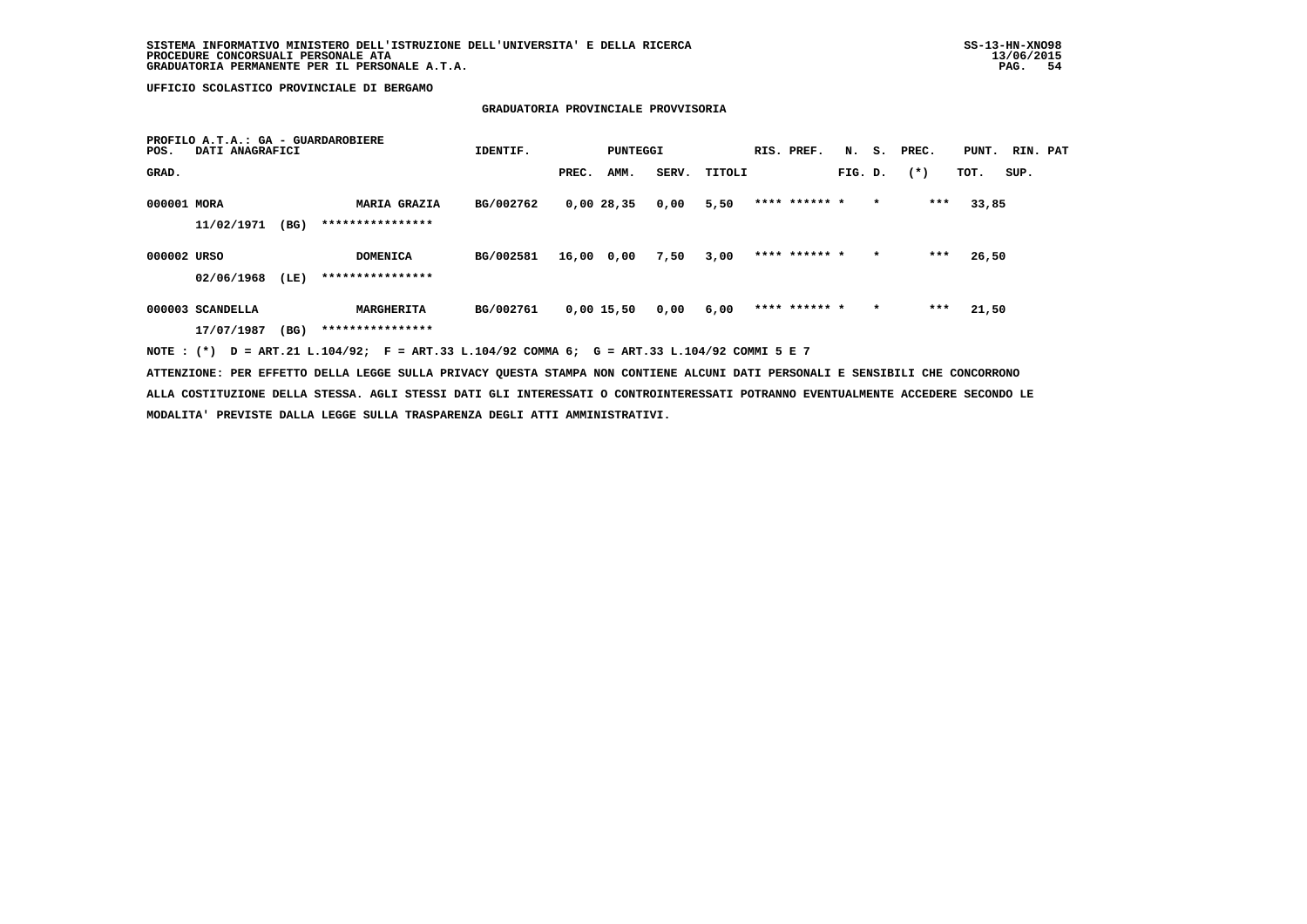## **GRADUATORIA PROVINCIALE PROVVISORIA**

| POS.        | PROFILO A.T.A.: GA - GUARDAROBIERE<br>DATI ANAGRAFICI |      |                                         | IDENTIF.  |       | PUNTEGGI     | RIS. PREF. | N.     | s.            | PREC.   | PUNT.   | RIN. PAT |       |      |  |
|-------------|-------------------------------------------------------|------|-----------------------------------------|-----------|-------|--------------|------------|--------|---------------|---------|---------|----------|-------|------|--|
| GRAD.       |                                                       |      |                                         |           | PREC. | AMM.         | SERV.      | TITOLI |               | FIG. D. |         | $(*)$    | TOT.  | SUP. |  |
| 000001 MORA | 11/02/1971                                            | (BG) | <b>MARIA GRAZIA</b><br>**************** | BG/002762 |       | 0,00 28,35   | 0,00       | 5,50   | **** ****** * |         | $\star$ | $***$    | 33,85 |      |  |
| 000002 URSO | 02/06/1968                                            | (LE) | DOMENICA<br>****************            | BG/002581 | 16,00 | 0,00         | 7,50       | 3,00   | **** ****** * |         | $\star$ | ***      | 26,50 |      |  |
|             | 000003 SCANDELLA<br>17/07/1987                        | (BG) | MARGHERITA<br>****************          | BG/002761 |       | $0,00$ 15,50 | 0,00       | 6,00   | **** ****** * |         | $\star$ | ***      | 21,50 |      |  |

 **NOTE : (\*) D = ART.21 L.104/92; F = ART.33 L.104/92 COMMA 6; G = ART.33 L.104/92 COMMI 5 E 7**

 **ATTENZIONE: PER EFFETTO DELLA LEGGE SULLA PRIVACY QUESTA STAMPA NON CONTIENE ALCUNI DATI PERSONALI E SENSIBILI CHE CONCORRONO ALLA COSTITUZIONE DELLA STESSA. AGLI STESSI DATI GLI INTERESSATI O CONTROINTERESSATI POTRANNO EVENTUALMENTE ACCEDERE SECONDO LE MODALITA' PREVISTE DALLA LEGGE SULLA TRASPARENZA DEGLI ATTI AMMINISTRATIVI.**